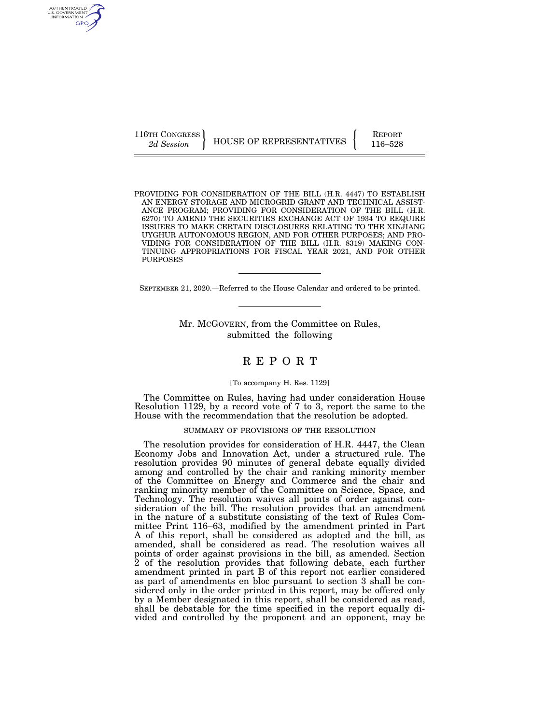AUTHENTICATED U.S. GOVERNMENT GPO

116TH CONGRESS HOUSE OF REPRESENTATIVES FEPORT 116–528

PROVIDING FOR CONSIDERATION OF THE BILL (H.R. 4447) TO ESTABLISH AN ENERGY STORAGE AND MICROGRID GRANT AND TECHNICAL ASSIST-ANCE PROGRAM; PROVIDING FOR CONSIDERATION OF THE BILL (H.R. 6270) TO AMEND THE SECURITIES EXCHANGE ACT OF 1934 TO REQUIRE ISSUERS TO MAKE CERTAIN DISCLOSURES RELATING TO THE XINJIANG UYGHUR AUTONOMOUS REGION, AND FOR OTHER PURPOSES; AND PRO-VIDING FOR CONSIDERATION OF THE BILL (H.R. 8319) MAKING CON-TINUING APPROPRIATIONS FOR FISCAL YEAR 2021, AND FOR OTHER PURPOSES

SEPTEMBER 21, 2020.—Referred to the House Calendar and ordered to be printed.

Mr. MCGOVERN, from the Committee on Rules, submitted the following

## R E P O R T

#### [To accompany H. Res. 1129]

The Committee on Rules, having had under consideration House Resolution 1129, by a record vote of 7 to 3, report the same to the House with the recommendation that the resolution be adopted.

## SUMMARY OF PROVISIONS OF THE RESOLUTION

The resolution provides for consideration of H.R. 4447, the Clean Economy Jobs and Innovation Act, under a structured rule. The resolution provides 90 minutes of general debate equally divided among and controlled by the chair and ranking minority member of the Committee on Energy and Commerce and the chair and ranking minority member of the Committee on Science, Space, and Technology. The resolution waives all points of order against consideration of the bill. The resolution provides that an amendment in the nature of a substitute consisting of the text of Rules Committee Print 116–63, modified by the amendment printed in Part A of this report, shall be considered as adopted and the bill, as amended, shall be considered as read. The resolution waives all points of order against provisions in the bill, as amended. Section 2 of the resolution provides that following debate, each further amendment printed in part B of this report not earlier considered as part of amendments en bloc pursuant to section 3 shall be considered only in the order printed in this report, may be offered only by a Member designated in this report, shall be considered as read, shall be debatable for the time specified in the report equally divided and controlled by the proponent and an opponent, may be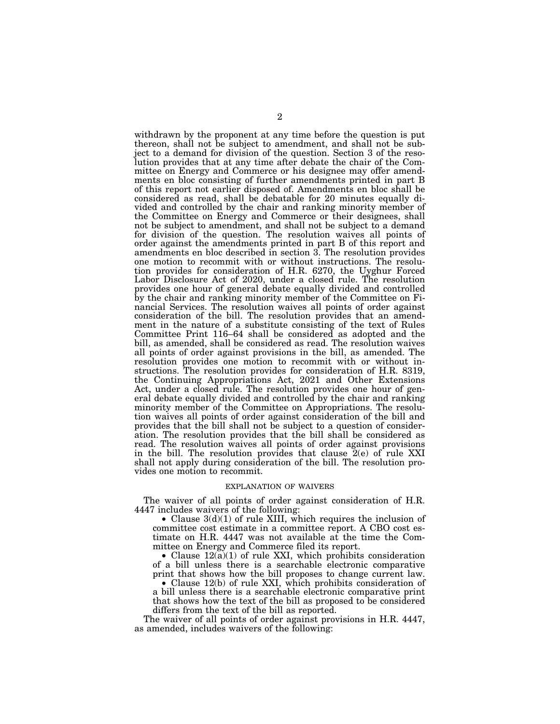withdrawn by the proponent at any time before the question is put thereon, shall not be subject to amendment, and shall not be subject to a demand for division of the question. Section 3 of the resolution provides that at any time after debate the chair of the Committee on Energy and Commerce or his designee may offer amendments en bloc consisting of further amendments printed in part B of this report not earlier disposed of. Amendments en bloc shall be considered as read, shall be debatable for 20 minutes equally divided and controlled by the chair and ranking minority member of the Committee on Energy and Commerce or their designees, shall not be subject to amendment, and shall not be subject to a demand for division of the question. The resolution waives all points of order against the amendments printed in part B of this report and amendments en bloc described in section 3. The resolution provides one motion to recommit with or without instructions. The resolution provides for consideration of H.R. 6270, the Uyghur Forced Labor Disclosure Act of 2020, under a closed rule. The resolution provides one hour of general debate equally divided and controlled by the chair and ranking minority member of the Committee on Financial Services. The resolution waives all points of order against consideration of the bill. The resolution provides that an amendment in the nature of a substitute consisting of the text of Rules Committee Print 116–64 shall be considered as adopted and the bill, as amended, shall be considered as read. The resolution waives all points of order against provisions in the bill, as amended. The resolution provides one motion to recommit with or without instructions. The resolution provides for consideration of H.R. 8319, the Continuing Appropriations Act, 2021 and Other Extensions Act, under a closed rule. The resolution provides one hour of general debate equally divided and controlled by the chair and ranking minority member of the Committee on Appropriations. The resolution waives all points of order against consideration of the bill and provides that the bill shall not be subject to a question of consideration. The resolution provides that the bill shall be considered as read. The resolution waives all points of order against provisions in the bill. The resolution provides that clause 2(e) of rule XXI shall not apply during consideration of the bill. The resolution provides one motion to recommit.

### EXPLANATION OF WAIVERS

The waiver of all points of order against consideration of H.R. 4447 includes waivers of the following:

• Clause  $3(d)(1)$  of rule XIII, which requires the inclusion of committee cost estimate in a committee report. A CBO cost estimate on H.R. 4447 was not available at the time the Committee on Energy and Commerce filed its report.

• Clause  $12(a)(1)$  of rule XXI, which prohibits consideration of a bill unless there is a searchable electronic comparative print that shows how the bill proposes to change current law.

• Clause 12(b) of rule XXI, which prohibits consideration of a bill unless there is a searchable electronic comparative print that shows how the text of the bill as proposed to be considered differs from the text of the bill as reported.

The waiver of all points of order against provisions in H.R. 4447, as amended, includes waivers of the following: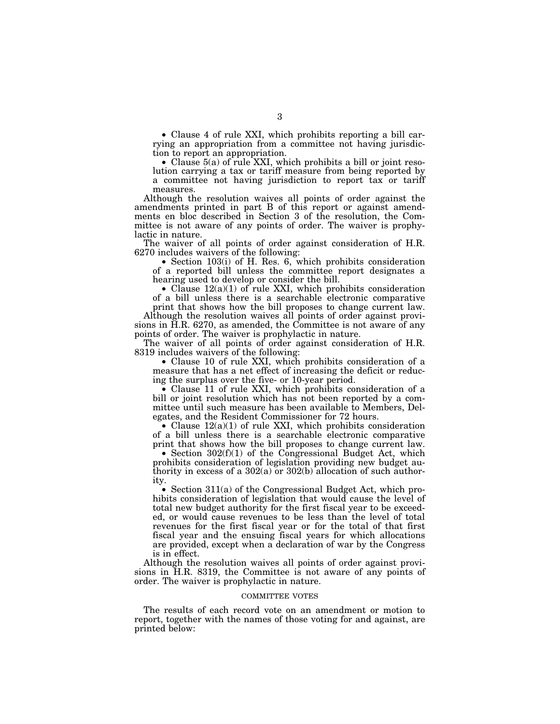• Clause 4 of rule XXI, which prohibits reporting a bill carrying an appropriation from a committee not having jurisdiction to report an appropriation.

• Clause 5(a) of rule XXI, which prohibits a bill or joint resolution carrying a tax or tariff measure from being reported by a committee not having jurisdiction to report tax or tariff measures.

Although the resolution waives all points of order against the amendments printed in part B of this report or against amendments en bloc described in Section 3 of the resolution, the Committee is not aware of any points of order. The waiver is prophylactic in nature.

The waiver of all points of order against consideration of H.R. 6270 includes waivers of the following:

• Section 103(i) of H. Res. 6, which prohibits consideration of a reported bill unless the committee report designates a hearing used to develop or consider the bill.

• Clause 12(a)(1) of rule XXI, which prohibits consideration of a bill unless there is a searchable electronic comparative print that shows how the bill proposes to change current law.

Although the resolution waives all points of order against provisions in H.R. 6270, as amended, the Committee is not aware of any points of order. The waiver is prophylactic in nature.

The waiver of all points of order against consideration of H.R. 8319 includes waivers of the following:

• Clause 10 of rule XXI, which prohibits consideration of a measure that has a net effect of increasing the deficit or reducing the surplus over the five- or 10-year period.

• Clause 11 of rule XXI, which prohibits consideration of a bill or joint resolution which has not been reported by a committee until such measure has been available to Members, Delegates, and the Resident Commissioner for 72 hours.

• Clause  $12(a)(1)$  of rule XXI, which prohibits consideration of a bill unless there is a searchable electronic comparative print that shows how the bill proposes to change current law.

• Section  $302(f)(1)$  of the Congressional Budget Act, which prohibits consideration of legislation providing new budget authority in excess of a 302(a) or 302(b) allocation of such authority.

• Section 311(a) of the Congressional Budget Act, which prohibits consideration of legislation that would cause the level of total new budget authority for the first fiscal year to be exceeded, or would cause revenues to be less than the level of total revenues for the first fiscal year or for the total of that first fiscal year and the ensuing fiscal years for which allocations are provided, except when a declaration of war by the Congress is in effect.

Although the resolution waives all points of order against provisions in H.R. 8319, the Committee is not aware of any points of order. The waiver is prophylactic in nature.

#### COMMITTEE VOTES

The results of each record vote on an amendment or motion to report, together with the names of those voting for and against, are printed below: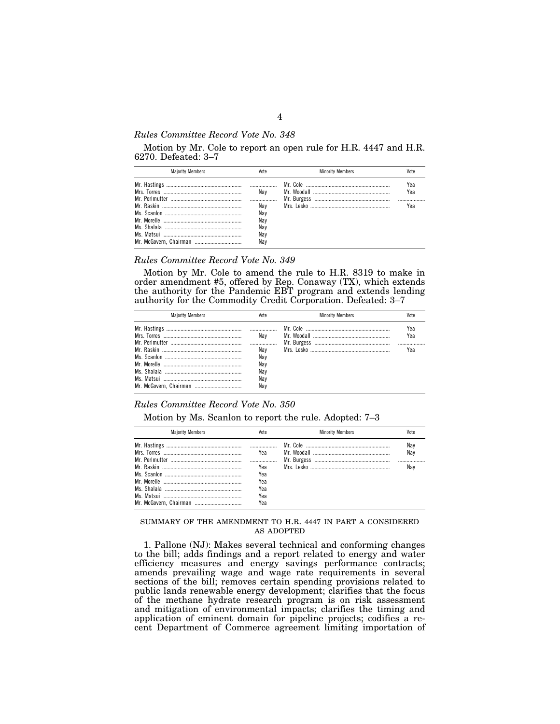## *Rules Committee Record Vote No. 348*

Motion by Mr. Cole to report an open rule for H.R. 4447 and H.R. 6270. Defeated: 3–7

| <b>Maiority Members</b> |     | <b>Minority Members</b> |     |
|-------------------------|-----|-------------------------|-----|
|                         |     |                         | Yea |
|                         | Nav |                         | Yea |
|                         |     |                         |     |
|                         | Nav |                         | Үеа |
|                         | Nav |                         |     |
|                         | Nav |                         |     |
|                         | Nav |                         |     |
|                         | Nav |                         |     |
|                         | Nav |                         |     |

### *Rules Committee Record Vote No. 349*

Motion by Mr. Cole to amend the rule to H.R. 8319 to make in order amendment #5, offered by Rep. Conaway (TX), which extends the authority for the Pandemic EBT program and extends lending authority for the Commodity Credit Corporation. Defeated: 3–7

| <b>Majority Members</b> | Vote       | <b>Minority Members</b> | Vote       |
|-------------------------|------------|-------------------------|------------|
|                         | Nav        |                         | Yea<br>Yea |
|                         | Nav        |                         | Үеа        |
|                         | Nav<br>Nav |                         |            |
|                         | Nav<br>Nav |                         |            |
| Mr. McGovern, Chairman  | Nav        |                         |            |

### *Rules Committee Record Vote No. 350*

Motion by Ms. Scanlon to report the rule. Adopted: 7–3

| <b>Maiority Members</b> | Vote | <b>Minority Members</b> | Vote       |
|-------------------------|------|-------------------------|------------|
|                         | Yea  |                         | Nav<br>Nav |
|                         |      |                         |            |
|                         | Yea  |                         | Nav        |
|                         | Yea  |                         |            |
|                         | Yea  |                         |            |
|                         | Yea  |                         |            |
|                         | Yea  |                         |            |
|                         | Yea  |                         |            |

## SUMMARY OF THE AMENDMENT TO H.R. 4447 IN PART A CONSIDERED AS ADOPTED

1. Pallone (NJ): Makes several technical and conforming changes to the bill; adds findings and a report related to energy and water efficiency measures and energy savings performance contracts; amends prevailing wage and wage rate requirements in several sections of the bill; removes certain spending provisions related to public lands renewable energy development; clarifies that the focus of the methane hydrate research program is on risk assessment and mitigation of environmental impacts; clarifies the timing and application of eminent domain for pipeline projects; codifies a recent Department of Commerce agreement limiting importation of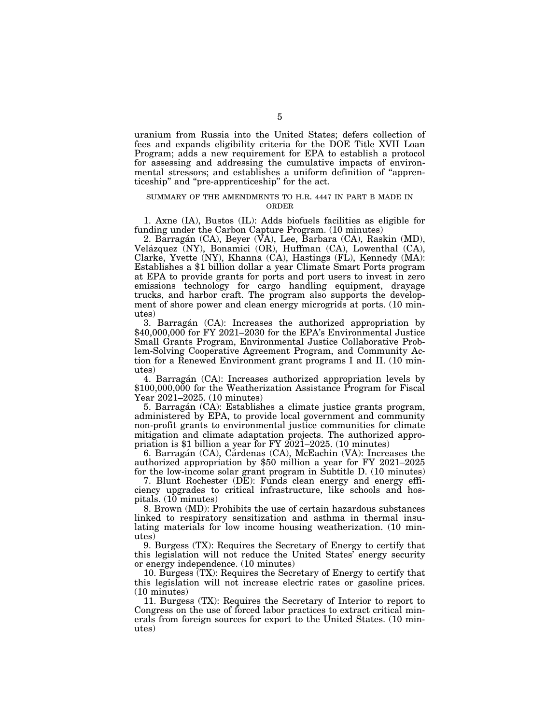uranium from Russia into the United States; defers collection of fees and expands eligibility criteria for the DOE Title XVII Loan Program; adds a new requirement for EPA to establish a protocol for assessing and addressing the cumulative impacts of environmental stressors; and establishes a uniform definition of ''apprenticeship'' and ''pre-apprenticeship'' for the act.

## SUMMARY OF THE AMENDMENTS TO H.R. 4447 IN PART B MADE IN ORDER

1. Axne (IA), Bustos (IL): Adds biofuels facilities as eligible for funding under the Carbon Capture Program. (10 minutes)

2. Barragán (CA), Beyer (VA), Lee, Barbara (CA), Raskin (MD), Velázquez (NY), Bonamici (OR), Huffman (CA), Lowenthal (CA), Clarke, Yvette (NY), Khanna (CA), Hastings (FL), Kennedy (MA): Establishes a \$1 billion dollar a year Climate Smart Ports program at EPA to provide grants for ports and port users to invest in zero emissions technology for cargo handling equipment, drayage trucks, and harbor craft. The program also supports the development of shore power and clean energy microgrids at ports. (10 minutes)

3. Barragán (CA): Increases the authorized appropriation by \$40,000,000 for FY 2021–2030 for the EPA's Environmental Justice Small Grants Program, Environmental Justice Collaborative Problem-Solving Cooperative Agreement Program, and Community Action for a Renewed Environment grant programs I and II. (10 minutes)

4. Barragán (CA): Increases authorized appropriation levels by \$100,000,000 for the Weatherization Assistance Program for Fiscal Year 2021–2025. (10 minutes)

5. Barraga´n (CA): Establishes a climate justice grants program, administered by EPA, to provide local government and community non-profit grants to environmental justice communities for climate mitigation and climate adaptation projects. The authorized appropriation is \$1 billion a year for FY 2021–2025. (10 minutes)

6. Barragán (CA), Cárdenas (CA), McEachin (VA): Increases the authorized appropriation by \$50 million a year for FY 2021–2025 for the low-income solar grant program in Subtitle D. (10 minutes)

7. Blunt Rochester (DE): Funds clean energy and energy efficiency upgrades to critical infrastructure, like schools and hospitals. (10 minutes)

8. Brown (MD): Prohibits the use of certain hazardous substances linked to respiratory sensitization and asthma in thermal insulating materials for low income housing weatherization. (10 minutes)

9. Burgess (TX): Requires the Secretary of Energy to certify that this legislation will not reduce the United States' energy security or energy independence. (10 minutes)

10. Burgess (TX): Requires the Secretary of Energy to certify that this legislation will not increase electric rates or gasoline prices. (10 minutes)

11. Burgess (TX): Requires the Secretary of Interior to report to Congress on the use of forced labor practices to extract critical minerals from foreign sources for export to the United States. (10 minutes)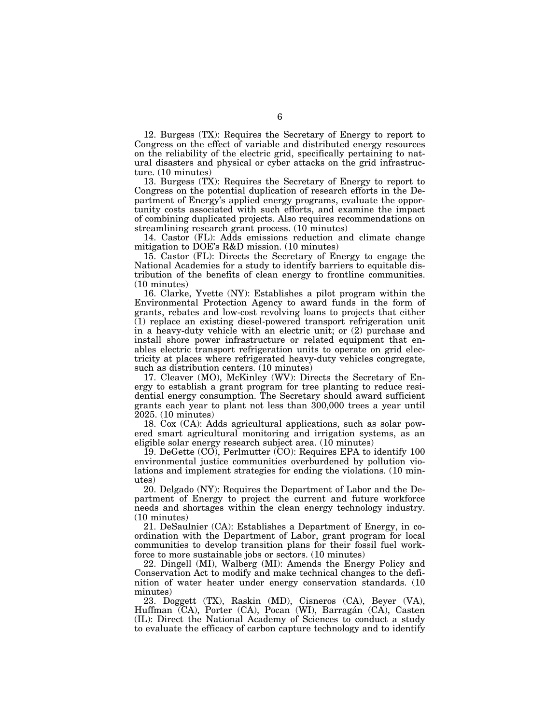12. Burgess (TX): Requires the Secretary of Energy to report to Congress on the effect of variable and distributed energy resources on the reliability of the electric grid, specifically pertaining to natural disasters and physical or cyber attacks on the grid infrastructure. (10 minutes)

13. Burgess (TX): Requires the Secretary of Energy to report to Congress on the potential duplication of research efforts in the Department of Energy's applied energy programs, evaluate the opportunity costs associated with such efforts, and examine the impact of combining duplicated projects. Also requires recommendations on streamlining research grant process. (10 minutes)

14. Castor (FL): Adds emissions reduction and climate change mitigation to DOE's R&D mission. (10 minutes)

15. Castor (FL): Directs the Secretary of Energy to engage the National Academies for a study to identify barriers to equitable distribution of the benefits of clean energy to frontline communities. (10 minutes)

16. Clarke, Yvette (NY): Establishes a pilot program within the Environmental Protection Agency to award funds in the form of grants, rebates and low-cost revolving loans to projects that either (1) replace an existing diesel-powered transport refrigeration unit in a heavy-duty vehicle with an electric unit; or (2) purchase and install shore power infrastructure or related equipment that enables electric transport refrigeration units to operate on grid electricity at places where refrigerated heavy-duty vehicles congregate, such as distribution centers. (10 minutes)

17. Cleaver (MO), McKinley (WV): Directs the Secretary of Energy to establish a grant program for tree planting to reduce residential energy consumption. The Secretary should award sufficient grants each year to plant not less than 300,000 trees a year until 2025. (10 minutes)

18. Cox (CA): Adds agricultural applications, such as solar powered smart agricultural monitoring and irrigation systems, as an eligible solar energy research subject area. (10 minutes)

19. DeGette (CO), Perlmutter (CO): Requires EPA to identify 100 environmental justice communities overburdened by pollution violations and implement strategies for ending the violations. (10 minutes)

20. Delgado (NY): Requires the Department of Labor and the Department of Energy to project the current and future workforce needs and shortages within the clean energy technology industry. (10 minutes)

21. DeSaulnier (CA): Establishes a Department of Energy, in coordination with the Department of Labor, grant program for local communities to develop transition plans for their fossil fuel workforce to more sustainable jobs or sectors. (10 minutes)

22. Dingell (MI), Walberg (MI): Amends the Energy Policy and Conservation Act to modify and make technical changes to the definition of water heater under energy conservation standards. (10 minutes)

23. Doggett (TX), Raskin (MD), Cisneros (CA), Beyer (VA), Huffman (CA), Porter (CA), Pocan (WI), Barragán (CA), Casten (IL): Direct the National Academy of Sciences to conduct a study to evaluate the efficacy of carbon capture technology and to identify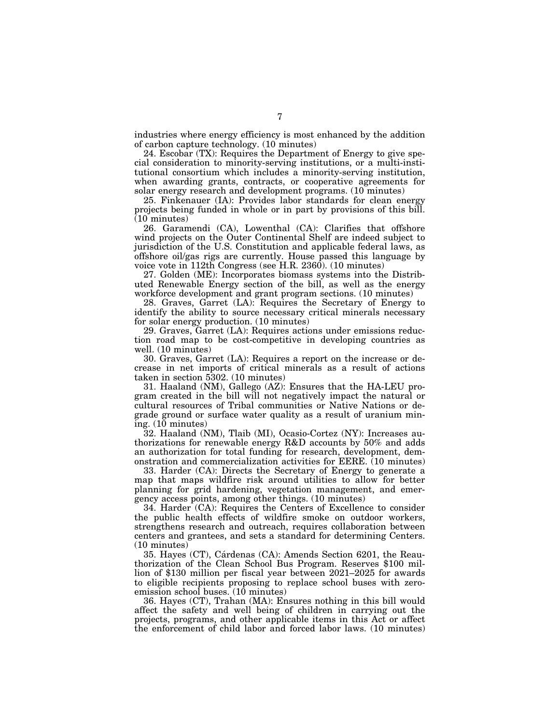industries where energy efficiency is most enhanced by the addition of carbon capture technology. (10 minutes)

24. Escobar (TX): Requires the Department of Energy to give special consideration to minority-serving institutions, or a multi-institutional consortium which includes a minority-serving institution, when awarding grants, contracts, or cooperative agreements for solar energy research and development programs. (10 minutes)

25. Finkenauer (IA): Provides labor standards for clean energy projects being funded in whole or in part by provisions of this bill. (10 minutes)

26. Garamendi (CA), Lowenthal (CA): Clarifies that offshore wind projects on the Outer Continental Shelf are indeed subject to jurisdiction of the U.S. Constitution and applicable federal laws, as offshore oil/gas rigs are currently. House passed this language by voice vote in 112th Congress (see H.R. 2360). (10 minutes)

27. Golden (ME): Incorporates biomass systems into the Distributed Renewable Energy section of the bill, as well as the energy workforce development and grant program sections. (10 minutes)

28. Graves, Garret (LA): Requires the Secretary of Energy to identify the ability to source necessary critical minerals necessary for solar energy production. (10 minutes)

29. Graves, Garret (LA): Requires actions under emissions reduction road map to be cost-competitive in developing countries as well. (10 minutes)

30. Graves, Garret (LA): Requires a report on the increase or decrease in net imports of critical minerals as a result of actions taken in section 5302. (10 minutes)

31. Haaland (NM), Gallego (AZ): Ensures that the HA-LEU program created in the bill will not negatively impact the natural or cultural resources of Tribal communities or Native Nations or degrade ground or surface water quality as a result of uranium mining. (10 minutes)

32. Haaland (NM), Tlaib (MI), Ocasio-Cortez (NY): Increases authorizations for renewable energy R&D accounts by 50% and adds an authorization for total funding for research, development, demonstration and commercialization activities for EERE. (10 minutes)

33. Harder (CA): Directs the Secretary of Energy to generate a map that maps wildfire risk around utilities to allow for better planning for grid hardening, vegetation management, and emergency access points, among other things. (10 minutes)

34. Harder (CA): Requires the Centers of Excellence to consider the public health effects of wildfire smoke on outdoor workers, strengthens research and outreach, requires collaboration between centers and grantees, and sets a standard for determining Centers. (10 minutes)

35. Hayes (CT), Cárdenas (CA): Amends Section 6201, the Reauthorization of the Clean School Bus Program. Reserves \$100 million of \$130 million per fiscal year between 2021–2025 for awards to eligible recipients proposing to replace school buses with zeroemission school buses. (10 minutes)

36. Hayes (CT), Trahan (MA): Ensures nothing in this bill would affect the safety and well being of children in carrying out the projects, programs, and other applicable items in this Act or affect the enforcement of child labor and forced labor laws. (10 minutes)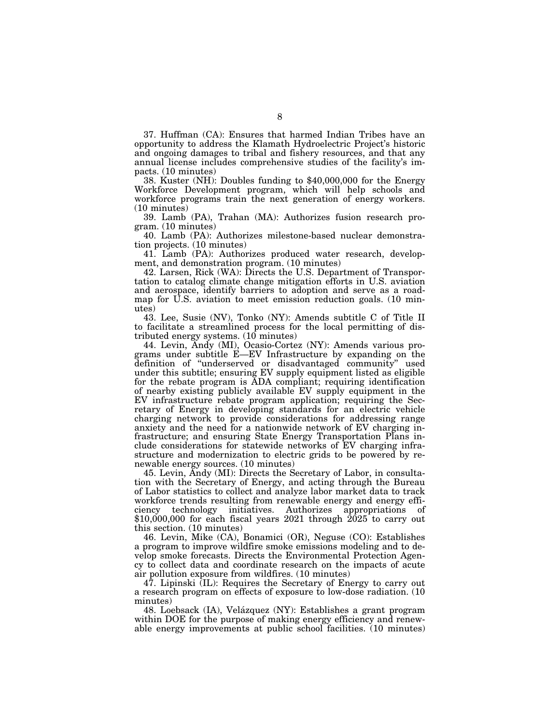37. Huffman (CA): Ensures that harmed Indian Tribes have an opportunity to address the Klamath Hydroelectric Project's historic and ongoing damages to tribal and fishery resources, and that any annual license includes comprehensive studies of the facility's im-

38. Kuster (NH): Doubles funding to  $$40,000,000$  for the Energy Workforce Development program, which will help schools and workforce programs train the next generation of energy workers. (10 minutes)

39. Lamb (PA), Trahan (MA): Authorizes fusion research program. (10 minutes)

40. Lamb (PA): Authorizes milestone-based nuclear demonstration projects. (10 minutes)

41. Lamb (PA): Authorizes produced water research, development, and demonstration program. (10 minutes)

42. Larsen, Rick (WA): Directs the U.S. Department of Transportation to catalog climate change mitigation efforts in U.S. aviation and aerospace, identify barriers to adoption and serve as a roadmap for U.S. aviation to meet emission reduction goals. (10 minutes)

43. Lee, Susie (NV), Tonko (NY): Amends subtitle C of Title II to facilitate a streamlined process for the local permitting of distributed energy systems. (10 minutes)

44. Levin, Andy (MI), Ocasio-Cortez (NY): Amends various programs under subtitle E—EV Infrastructure by expanding on the definition of ''underserved or disadvantaged community'' used under this subtitle; ensuring EV supply equipment listed as eligible for the rebate program is ADA compliant; requiring identification of nearby existing publicly available EV supply equipment in the EV infrastructure rebate program application; requiring the Secretary of Energy in developing standards for an electric vehicle charging network to provide considerations for addressing range anxiety and the need for a nationwide network of EV charging infrastructure; and ensuring State Energy Transportation Plans include considerations for statewide networks of EV charging infrastructure and modernization to electric grids to be powered by renewable energy sources. (10 minutes)

45. Levin, Andy (MI): Directs the Secretary of Labor, in consultation with the Secretary of Energy, and acting through the Bureau of Labor statistics to collect and analyze labor market data to track workforce trends resulting from renewable energy and energy efficiency technology initiatives. Authorizes appropriations of  $$10,000,000$  for each fiscal years 2021 through  $2025$  to carry out this section. (10 minutes)

46. Levin, Mike (CA), Bonamici (OR), Neguse (CO): Establishes a program to improve wildfire smoke emissions modeling and to develop smoke forecasts. Directs the Environmental Protection Agency to collect data and coordinate research on the impacts of acute air pollution exposure from wildfires. (10 minutes)

47. Lipinski (IL): Requires the Secretary of Energy to carry out a research program on effects of exposure to low-dose radiation. (10 minutes)

48. Loebsack (IA), Velázquez (NY): Establishes a grant program within DOE for the purpose of making energy efficiency and renewable energy improvements at public school facilities. (10 minutes)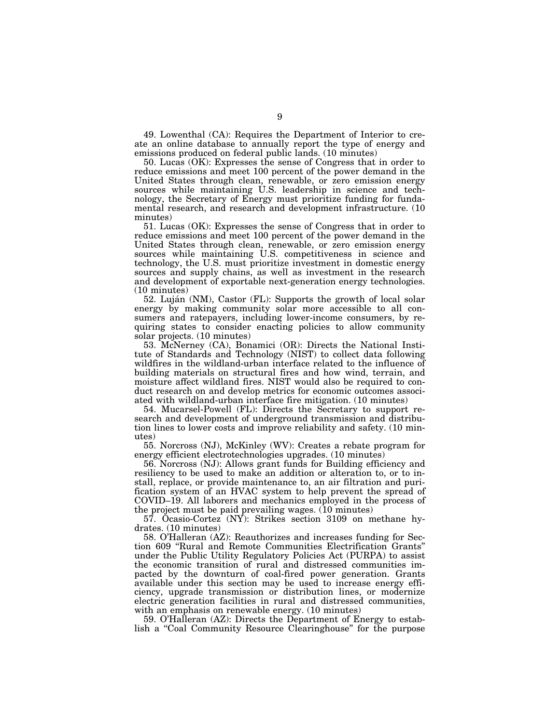49. Lowenthal (CA): Requires the Department of Interior to create an online database to annually report the type of energy and emissions produced on federal public lands. (10 minutes)

50. Lucas (OK): Expresses the sense of Congress that in order to reduce emissions and meet 100 percent of the power demand in the United States through clean, renewable, or zero emission energy sources while maintaining U.S. leadership in science and technology, the Secretary of Energy must prioritize funding for fundamental research, and research and development infrastructure. (10 minutes)

51. Lucas (OK): Expresses the sense of Congress that in order to reduce emissions and meet 100 percent of the power demand in the United States through clean, renewable, or zero emission energy sources while maintaining U.S. competitiveness in science and technology, the U.S. must prioritize investment in domestic energy sources and supply chains, as well as investment in the research and development of exportable next-generation energy technologies. (10 minutes)

52. Luján (NM), Castor (FL): Supports the growth of local solar energy by making community solar more accessible to all consumers and ratepayers, including lower-income consumers, by requiring states to consider enacting policies to allow community solar projects. (10 minutes)

53. McNerney (CA), Bonamici (OR): Directs the National Institute of Standards and Technology (NIST) to collect data following wildfires in the wildland-urban interface related to the influence of building materials on structural fires and how wind, terrain, and moisture affect wildland fires. NIST would also be required to conduct research on and develop metrics for economic outcomes associated with wildland-urban interface fire mitigation. (10 minutes)

54. Mucarsel-Powell (FL): Directs the Secretary to support research and development of underground transmission and distribution lines to lower costs and improve reliability and safety. (10 minutes)

55. Norcross (NJ), McKinley (WV): Creates a rebate program for energy efficient electrotechnologies upgrades. (10 minutes)

56. Norcross (NJ): Allows grant funds for Building efficiency and resiliency to be used to make an addition or alteration to, or to install, replace, or provide maintenance to, an air filtration and purification system of an HVAC system to help prevent the spread of COVID–19. All laborers and mechanics employed in the process of the project must be paid prevailing wages. (10 minutes)

57. Ocasio-Cortez (NY): Strikes section 3109 on methane hydrates. (10 minutes)

58. O'Halleran (AZ): Reauthorizes and increases funding for Section 609 ''Rural and Remote Communities Electrification Grants'' under the Public Utility Regulatory Policies Act (PURPA) to assist the economic transition of rural and distressed communities impacted by the downturn of coal-fired power generation. Grants available under this section may be used to increase energy efficiency, upgrade transmission or distribution lines, or modernize electric generation facilities in rural and distressed communities, with an emphasis on renewable energy. (10 minutes)

59. O'Halleran (AZ): Directs the Department of Energy to establish a ''Coal Community Resource Clearinghouse'' for the purpose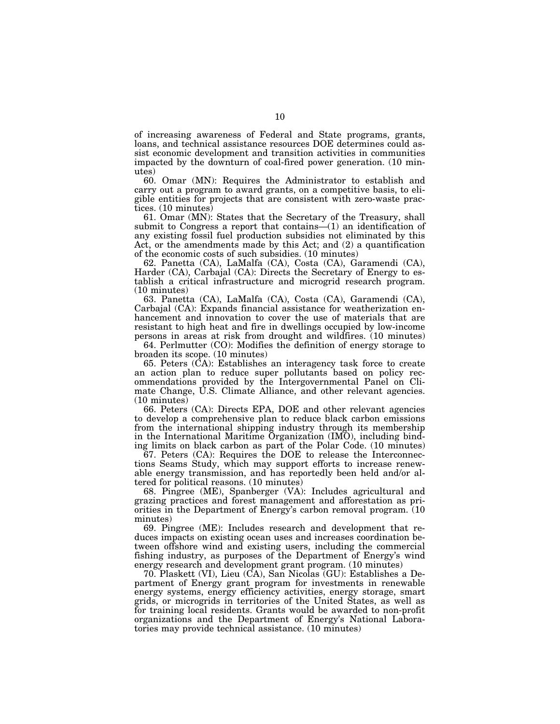of increasing awareness of Federal and State programs, grants, loans, and technical assistance resources DOE determines could assist economic development and transition activities in communities impacted by the downturn of coal-fired power generation. (10 minutes)

60. Omar (MN): Requires the Administrator to establish and carry out a program to award grants, on a competitive basis, to eligible entities for projects that are consistent with zero-waste practices. (10 minutes)

61. Omar (MN): States that the Secretary of the Treasury, shall submit to Congress a report that contains—(1) an identification of any existing fossil fuel production subsidies not eliminated by this Act, or the amendments made by this Act; and (2) a quantification of the economic costs of such subsidies. (10 minutes)

62. Panetta (CA), LaMalfa (CA), Costa (CA), Garamendi (CA), Harder (CA), Carbajal (CA): Directs the Secretary of Energy to establish a critical infrastructure and microgrid research program. (10 minutes)

63. Panetta (CA), LaMalfa (CA), Costa (CA), Garamendi (CA), Carbajal (CA): Expands financial assistance for weatherization enhancement and innovation to cover the use of materials that are resistant to high heat and fire in dwellings occupied by low-income persons in areas at risk from drought and wildfires. (10 minutes)

64. Perlmutter (CO): Modifies the definition of energy storage to broaden its scope. (10 minutes)

65. Peters (CA): Establishes an interagency task force to create an action plan to reduce super pollutants based on policy recommendations provided by the Intergovernmental Panel on Climate Change, U.S. Climate Alliance, and other relevant agencies. (10 minutes)

66. Peters (CA): Directs EPA, DOE and other relevant agencies to develop a comprehensive plan to reduce black carbon emissions from the international shipping industry through its membership in the International Maritime Organization (IMO), including binding limits on black carbon as part of the Polar Code. (10 minutes)

67. Peters (CA): Requires the DOE to release the Interconnections Seams Study, which may support efforts to increase renewable energy transmission, and has reportedly been held and/or altered for political reasons. (10 minutes)

68. Pingree (ME), Spanberger (VA): Includes agricultural and grazing practices and forest management and afforestation as priorities in the Department of Energy's carbon removal program. (10 minutes)

69. Pingree (ME): Includes research and development that reduces impacts on existing ocean uses and increases coordination between offshore wind and existing users, including the commercial fishing industry, as purposes of the Department of Energy's wind energy research and development grant program. (10 minutes)

70. Plaskett (VI), Lieu (CA), San Nicolas (GU): Establishes a Department of Energy grant program for investments in renewable energy systems, energy efficiency activities, energy storage, smart grids, or microgrids in territories of the United States, as well as for training local residents. Grants would be awarded to non-profit organizations and the Department of Energy's National Laboratories may provide technical assistance. (10 minutes)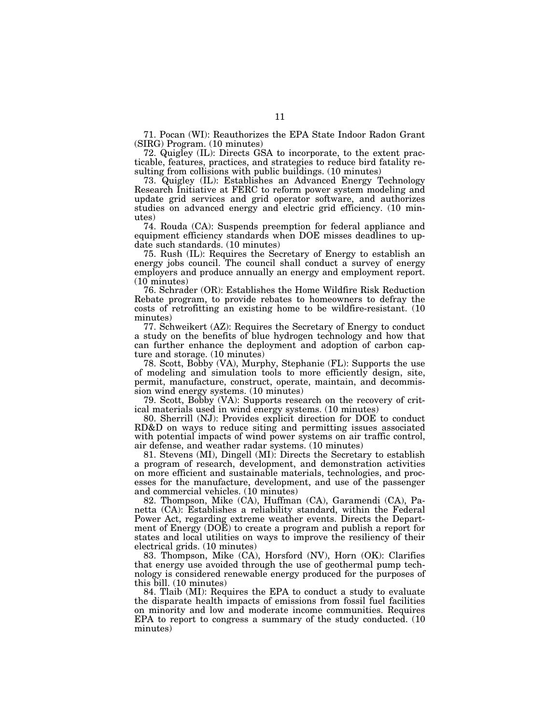71. Pocan (WI): Reauthorizes the EPA State Indoor Radon Grant (SIRG) Program. (10 minutes)

72. Quigley (IL): Directs GSA to incorporate, to the extent practicable, features, practices, and strategies to reduce bird fatality resulting from collisions with public buildings. (10 minutes)

73. Quigley (IL): Establishes an Advanced Energy Technology Research Initiative at FERC to reform power system modeling and update grid services and grid operator software, and authorizes studies on advanced energy and electric grid efficiency. (10 minutes)

74. Rouda (CA): Suspends preemption for federal appliance and equipment efficiency standards when DOE misses deadlines to update such standards. (10 minutes)

75. Rush (IL): Requires the Secretary of Energy to establish an energy jobs council. The council shall conduct a survey of energy employers and produce annually an energy and employment report. (10 minutes)

76. Schrader (OR): Establishes the Home Wildfire Risk Reduction Rebate program, to provide rebates to homeowners to defray the costs of retrofitting an existing home to be wildfire-resistant. (10 minutes)

77. Schweikert (AZ): Requires the Secretary of Energy to conduct a study on the benefits of blue hydrogen technology and how that can further enhance the deployment and adoption of carbon capture and storage. (10 minutes)

78. Scott, Bobby (VA), Murphy, Stephanie (FL): Supports the use of modeling and simulation tools to more efficiently design, site, permit, manufacture, construct, operate, maintain, and decommission wind energy systems. (10 minutes)

79. Scott, Bobby (VA): Supports research on the recovery of critical materials used in wind energy systems. (10 minutes)

80. Sherrill (NJ): Provides explicit direction for DOE to conduct RD&D on ways to reduce siting and permitting issues associated with potential impacts of wind power systems on air traffic control, air defense, and weather radar systems. (10 minutes)

81. Stevens (MI), Dingell (MI): Directs the Secretary to establish a program of research, development, and demonstration activities on more efficient and sustainable materials, technologies, and processes for the manufacture, development, and use of the passenger and commercial vehicles. (10 minutes)

82. Thompson, Mike (CA), Huffman (CA), Garamendi (CA), Panetta (CA): Establishes a reliability standard, within the Federal Power Act, regarding extreme weather events. Directs the Department of Energy (DOE) to create a program and publish a report for states and local utilities on ways to improve the resiliency of their electrical grids. (10 minutes)

83. Thompson, Mike (CA), Horsford (NV), Horn (OK): Clarifies that energy use avoided through the use of geothermal pump technology is considered renewable energy produced for the purposes of this bill. (10 minutes)

84. Tlaib (MI): Requires the EPA to conduct a study to evaluate the disparate health impacts of emissions from fossil fuel facilities on minority and low and moderate income communities. Requires EPA to report to congress a summary of the study conducted. (10 minutes)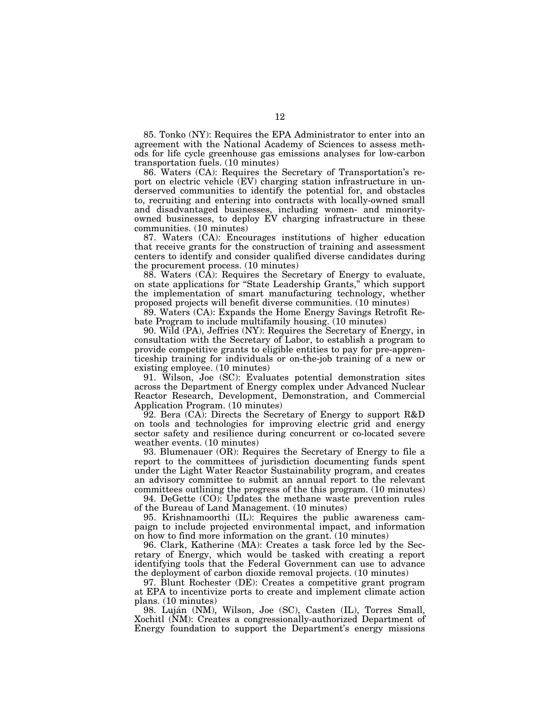85. Tonko (NY): Requires the EPA Administrator to enter into an agreement with the National Academy of Sciences to assess methods for life cycle greenhouse gas emissions analyses for low-carbon transportation fuels. (10 minutes)

86. Waters (CA): Requires the Secretary of Transportation's report on electric vehicle (EV) charging station infrastructure in underserved communities to identify the potential for, and obstacles to, recruiting and entering into contracts with locally-owned small and disadvantaged businesses, including women- and minorityowned businesses, to deploy EV charging infrastructure in these communities. (10 minutes)

87. Waters (CA): Encourages institutions of higher education that receive grants for the construction of training and assessment centers to identify and consider qualified diverse candidates during the procurement process. (10 minutes)

88. Waters (CA): Requires the Secretary of Energy to evaluate, on state applications for ''State Leadership Grants,'' which support the implementation of smart manufacturing technology, whether proposed projects will benefit diverse communities. (10 minutes)

89. Waters (CA): Expands the Home Energy Savings Retrofit Rebate Program to include multifamily housing. (10 minutes)

90. Wild (PA), Jeffries (NY): Requires the Secretary of Energy, in consultation with the Secretary of Labor, to establish a program to provide competitive grants to eligible entities to pay for pre-apprenticeship training for individuals or on-the-job training of a new or existing employee. (10 minutes)

91. Wilson, Joe (SC): Evaluates potential demonstration sites across the Department of Energy complex under Advanced Nuclear Reactor Research, Development, Demonstration, and Commercial Application Program. (10 minutes)

92. Bera (CA): Directs the Secretary of Energy to support R&D on tools and technologies for improving electric grid and energy sector safety and resilience during concurrent or co-located severe weather events. (10 minutes)

93. Blumenauer (OR): Requires the Secretary of Energy to file a report to the committees of jurisdiction documenting funds spent under the Light Water Reactor Sustainability program, and creates an advisory committee to submit an annual report to the relevant committees outlining the progress of the this program. (10 minutes)

94. DeGette (CO): Updates the methane waste prevention rules of the Bureau of Land Management. (10 minutes)

95. Krishnamoorthi (IL): Requires the public awareness campaign to include projected environmental impact, and information on how to find more information on the grant. (10 minutes)

96. Clark, Katherine (MA): Creates a task force led by the Secretary of Energy, which would be tasked with creating a report identifying tools that the Federal Government can use to advance the deployment of carbon dioxide removal projects. (10 minutes)

97. Blunt Rochester (DE): Creates a competitive grant program at EPA to incentivize ports to create and implement climate action plans. (10 minutes)

98. Luján (NM), Wilson, Joe (SC), Casten (IL), Torres Small, Xochitl (NM): Creates a congressionally-authorized Department of Energy foundation to support the Department's energy missions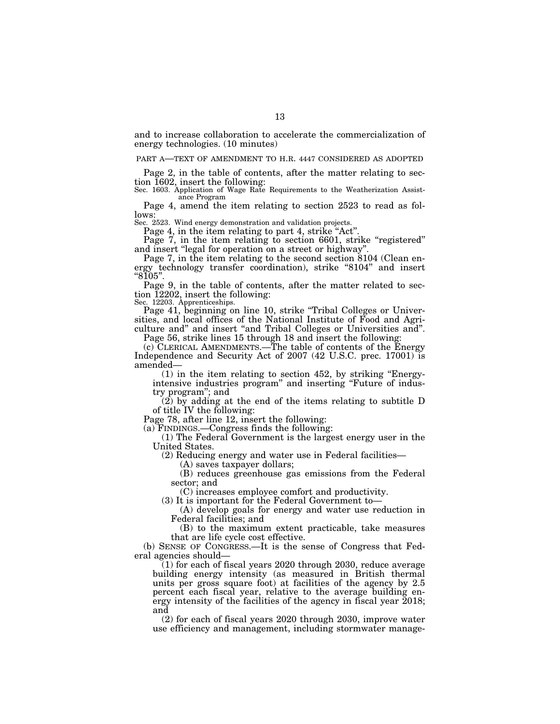and to increase collaboration to accelerate the commercialization of energy technologies. (10 minutes)

### PART A—TEXT OF AMENDMENT TO H.R. 4447 CONSIDERED AS ADOPTED

Page 2, in the table of contents, after the matter relating to section 1602, insert the following:

Sec. 1603. Application of Wage Rate Requirements to the Weatherization Assistance Program

Page 4, amend the item relating to section 2523 to read as follows:

Sec. 2523. Wind energy demonstration and validation projects.

Page 4, in the item relating to part 4, strike "Act".

Page 7, in the item relating to section 6601, strike "registered" and insert "legal for operation on a street or highway"

Page 7, in the item relating to the second section 8104 (Clean energy technology transfer coordination), strike ''8104'' and insert  $"8105"$ .

Page 9, in the table of contents, after the matter related to section 12202, insert the following: Sec. 12203. Apprenticeships.

Page 41, beginning on line 10, strike "Tribal Colleges or Universities, and local offices of the National Institute of Food and Agriculture and" and insert "and Tribal Colleges or Universities and".

Page 56, strike lines 15 through 18 and insert the following:

(c) CLERICAL AMENDMENTS.—The table of contents of the Energy Independence and Security Act of 2007 (42 U.S.C. prec. 17001) is amended—

 $(1)$  in the item relating to section 452, by striking "Energyintensive industries program'' and inserting ''Future of industry program''; and

(2) by adding at the end of the items relating to subtitle D of title IV the following:

Page 78, after line 12, insert the following:

(a) FINDINGS.—Congress finds the following:

(1) The Federal Government is the largest energy user in the United States.

(2) Reducing energy and water use in Federal facilities—

(A) saves taxpayer dollars;

(B) reduces greenhouse gas emissions from the Federal sector; and

(C) increases employee comfort and productivity.

(3) It is important for the Federal Government to—

(A) develop goals for energy and water use reduction in Federal facilities; and

(B) to the maximum extent practicable, take measures that are life cycle cost effective.

(b) SENSE OF CONGRESS.—It is the sense of Congress that Federal agencies should—

(1) for each of fiscal years 2020 through 2030, reduce average building energy intensity (as measured in British thermal units per gross square foot) at facilities of the agency by 2.5 percent each fiscal year, relative to the average building energy intensity of the facilities of the agency in fiscal year 2018; and

(2) for each of fiscal years 2020 through 2030, improve water use efficiency and management, including stormwater manage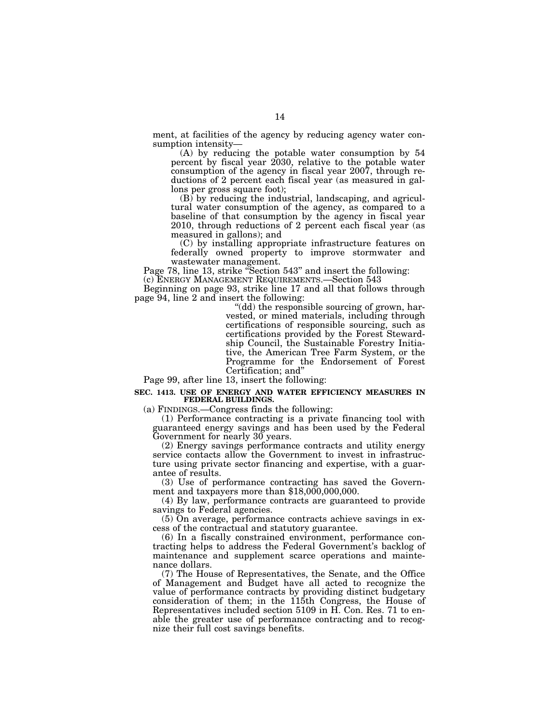ment, at facilities of the agency by reducing agency water consumption intensity—

(A) by reducing the potable water consumption by 54 percent by fiscal year 2030, relative to the potable water consumption of the agency in fiscal year 2007, through reductions of 2 percent each fiscal year (as measured in gallons per gross square foot);

(B) by reducing the industrial, landscaping, and agricultural water consumption of the agency, as compared to a baseline of that consumption by the agency in fiscal year 2010, through reductions of 2 percent each fiscal year (as measured in gallons); and

(C) by installing appropriate infrastructure features on federally owned property to improve stormwater and wastewater management.

Page 78, line 13, strike "Section 543" and insert the following: (c) ENERGY MANAGEMENT REQUIREMENTS.—Section 543

Beginning on page 93, strike line 17 and all that follows through page 94, line 2 and insert the following:

"(dd) the responsible sourcing of grown, harvested, or mined materials, including through certifications of responsible sourcing, such as certifications provided by the Forest Stewardship Council, the Sustainable Forestry Initiative, the American Tree Farm System, or the Programme for the Endorsement of Forest Certification; and''

Page 99, after line 13, insert the following:

### **SEC. 1413. USE OF ENERGY AND WATER EFFICIENCY MEASURES IN FEDERAL BUILDINGS.**

(a) FINDINGS.—Congress finds the following:

(1) Performance contracting is a private financing tool with guaranteed energy savings and has been used by the Federal Government for nearly 30 years.

(2) Energy savings performance contracts and utility energy service contacts allow the Government to invest in infrastructure using private sector financing and expertise, with a guarantee of results.

(3) Use of performance contracting has saved the Government and taxpayers more than \$18,000,000,000.

(4) By law, performance contracts are guaranteed to provide savings to Federal agencies.

(5) On average, performance contracts achieve savings in excess of the contractual and statutory guarantee.

(6) In a fiscally constrained environment, performance contracting helps to address the Federal Government's backlog of maintenance and supplement scarce operations and maintenance dollars.

(7) The House of Representatives, the Senate, and the Office of Management and Budget have all acted to recognize the value of performance contracts by providing distinct budgetary consideration of them; in the 115th Congress, the House of Representatives included section 5109 in H. Con. Res. 71 to enable the greater use of performance contracting and to recognize their full cost savings benefits.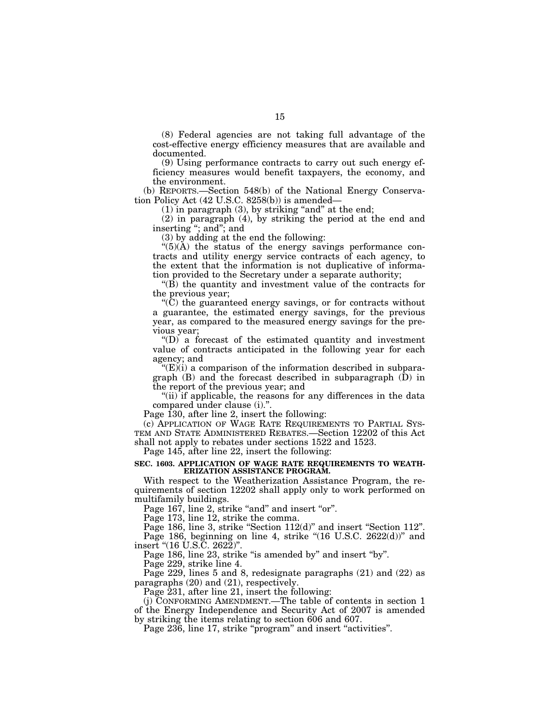(8) Federal agencies are not taking full advantage of the cost-effective energy efficiency measures that are available and documented.

(9) Using performance contracts to carry out such energy efficiency measures would benefit taxpayers, the economy, and the environment.

(b) REPORTS.—Section 548(b) of the National Energy Conservation Policy Act (42 U.S.C. 8258(b)) is amended—

 $(1)$  in paragraph  $(3)$ , by striking "and" at the end;

(2) in paragraph (4), by striking the period at the end and inserting ''; and''; and

(3) by adding at the end the following:

 $\mathbf{H}(5)(\mathbf{A})$  the status of the energy savings performance contracts and utility energy service contracts of each agency, to the extent that the information is not duplicative of information provided to the Secretary under a separate authority;

''(B) the quantity and investment value of the contracts for the previous year;

 $(C)$  the guaranteed energy savings, or for contracts without a guarantee, the estimated energy savings, for the previous year, as compared to the measured energy savings for the previous year;

''(D) a forecast of the estimated quantity and investment value of contracts anticipated in the following year for each agency; and

 $f(E)(i)$  a comparison of the information described in subparagraph  $(B)$  and the forecast described in subparagraph  $(D)$  in the report of the previous year; and

"(ii) if applicable, the reasons for any differences in the data compared under clause (i).''.

Page 130, after line 2, insert the following:

(c) APPLICATION OF WAGE RATE REQUIREMENTS TO PARTIAL SYS-TEM AND STATE ADMINISTERED REBATES.—Section 12202 of this Act shall not apply to rebates under sections 1522 and 1523.

Page 145, after line 22, insert the following:

## **SEC. 1603. APPLICATION OF WAGE RATE REQUIREMENTS TO WEATH-ERIZATION ASSISTANCE PROGRAM.**

With respect to the Weatherization Assistance Program, the requirements of section 12202 shall apply only to work performed on multifamily buildings.

Page 167, line 2, strike "and" and insert "or".

Page 173, line 12, strike the comma.

Page 186, line 3, strike "Section 112(d)" and insert "Section 112". Page 186, beginning on line 4, strike "(16 U.S.C. 2622(d))" and insert ''(16 U.S.C. 2622)''.

Page 186, line 23, strike "is amended by" and insert "by".

Page 229, strike line 4.

Page 229, lines 5 and 8, redesignate paragraphs (21) and (22) as paragraphs (20) and (21), respectively.

Page 231, after line 21, insert the following:

(j) CONFORMING AMENDMENT.—The table of contents in section 1 of the Energy Independence and Security Act of 2007 is amended by striking the items relating to section 606 and 607.

Page 236, line 17, strike "program" and insert "activities".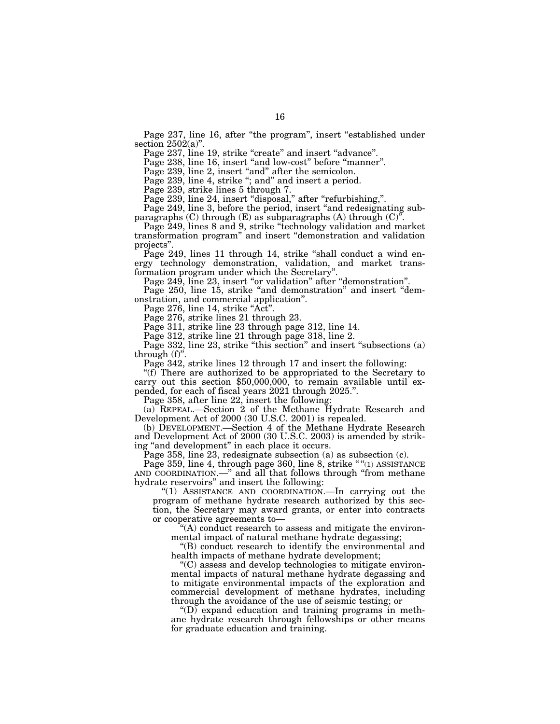Page 237, line 16, after "the program", insert "established under section  $2502(a)$ ".

Page 237, line 19, strike "create" and insert "advance".

Page 238, line 16, insert "and low-cost" before "manner".

Page 239, line 2, insert "and" after the semicolon.

Page 239, line 4, strike "; and" and insert a period.

Page 239, strike lines 5 through 7.

Page 239, line 24, insert "disposal," after "refurbishing,".

Page 249, line 3, before the period, insert "and redesignating subparagraphs  $(C)$  through  $(E)$  as subparagraphs  $(A)$  through  $(C)^{n}$ .

Page 249, lines 8 and 9, strike ''technology validation and market transformation program'' and insert ''demonstration and validation projects''.

Page 249, lines 11 through 14, strike "shall conduct a wind energy technology demonstration, validation, and market transformation program under which the Secretary''.

Page 249, line 23, insert "or validation" after "demonstration".

Page 250, line 15, strike "and demonstration" and insert "demonstration, and commercial application''.

Page 276, line 14, strike "Act".

Page 276, strike lines 21 through 23.

Page 311, strike line 23 through page 312, line 14.

Page 312, strike line 21 through page 318, line 2.

Page 332, line 23, strike "this section" and insert "subsections (a) through (f)''.

Page 342, strike lines 12 through 17 and insert the following:<br>"(f) There are authorized to be appropriated to the Secretary to carry out this section \$50,000,000, to remain available until expended, for each of fiscal years 2021 through 2025.''.

Page 358, after line 22, insert the following:

(a) REPEAL.—Section 2 of the Methane Hydrate Research and Development Act of 2000 (30 U.S.C. 2001) is repealed.

(b) DEVELOPMENT.—Section 4 of the Methane Hydrate Research and Development Act of 2000 (30 U.S.C. 2003) is amended by striking ''and development'' in each place it occurs.

Page 358, line 23, redesignate subsection (a) as subsection (c).

Page 359, line 4, through page 360, line 8, strike ""(1) ASSISTANCE AND COORDINATION.—'' and all that follows through ''from methane hydrate reservoirs'' and insert the following:

''(1) ASSISTANCE AND COORDINATION.—In carrying out the program of methane hydrate research authorized by this section, the Secretary may award grants, or enter into contracts or cooperative agreements to—

''(A) conduct research to assess and mitigate the environmental impact of natural methane hydrate degassing;

''(B) conduct research to identify the environmental and health impacts of methane hydrate development;

''(C) assess and develop technologies to mitigate environmental impacts of natural methane hydrate degassing and to mitigate environmental impacts of the exploration and commercial development of methane hydrates, including through the avoidance of the use of seismic testing; or

 $\mathrm{``(D)}$  expand education and training programs in methane hydrate research through fellowships or other means for graduate education and training.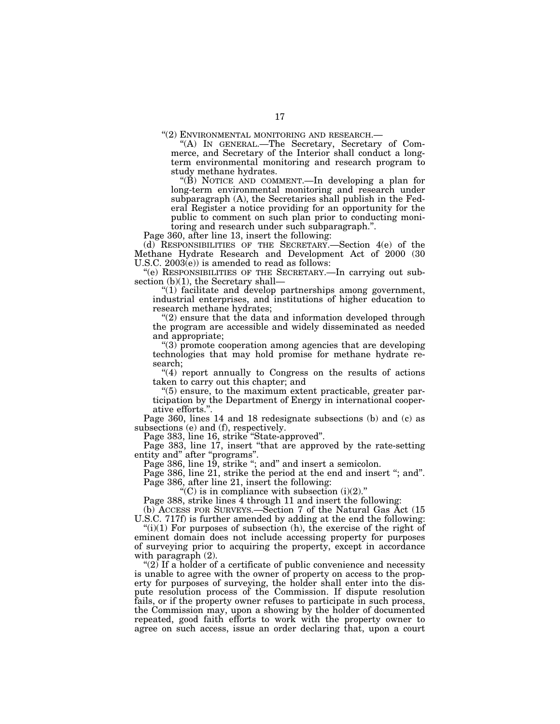''(2) ENVIRONMENTAL MONITORING AND RESEARCH.— ''(A) IN GENERAL.—The Secretary, Secretary of Commerce, and Secretary of the Interior shall conduct a longterm environmental monitoring and research program to study methane hydrates.

''(B) NOTICE AND COMMENT.—In developing a plan for long-term environmental monitoring and research under subparagraph (A), the Secretaries shall publish in the Federal Register a notice providing for an opportunity for the public to comment on such plan prior to conducting monitoring and research under such subparagraph.''.

Page 360, after line 13, insert the following:

(d) RESPONSIBILITIES OF THE SECRETARY.—Section 4(e) of the Methane Hydrate Research and Development Act of 2000 (30 U.S.C. 2003(e)) is amended to read as follows:

''(e) RESPONSIBILITIES OF THE SECRETARY.—In carrying out subsection (b)(1), the Secretary shall—

''(1) facilitate and develop partnerships among government, industrial enterprises, and institutions of higher education to research methane hydrates;

 $(2)$  ensure that the data and information developed through the program are accessible and widely disseminated as needed and appropriate;

''(3) promote cooperation among agencies that are developing technologies that may hold promise for methane hydrate research;

"(4) report annually to Congress on the results of actions taken to carry out this chapter; and

''(5) ensure, to the maximum extent practicable, greater participation by the Department of Energy in international cooperative efforts."

Page 360, lines 14 and 18 redesignate subsections (b) and (c) as subsections (e) and (f), respectively.

Page 383, line 16, strike "State-approved".

Page 383, line 17, insert ''that are approved by the rate-setting entity and" after "programs".

Page 386, line 19, strike "; and" and insert a semicolon.

Page 386, line 21, strike the period at the end and insert "; and". Page 386, after line 21, insert the following:

 $C$ ) is in compliance with subsection (i)(2)."

Page 388, strike lines 4 through 11 and insert the following:

(b) ACCESS FOR SURVEYS.—Section 7 of the Natural Gas Act (15 U.S.C. 717f) is further amended by adding at the end the following:

 $(ii)(1)$  For purposes of subsection (h), the exercise of the right of eminent domain does not include accessing property for purposes of surveying prior to acquiring the property, except in accordance with paragraph (2).

" $(2)$  If a holder of a certificate of public convenience and necessity is unable to agree with the owner of property on access to the property for purposes of surveying, the holder shall enter into the dispute resolution process of the Commission. If dispute resolution fails, or if the property owner refuses to participate in such process, the Commission may, upon a showing by the holder of documented repeated, good faith efforts to work with the property owner to agree on such access, issue an order declaring that, upon a court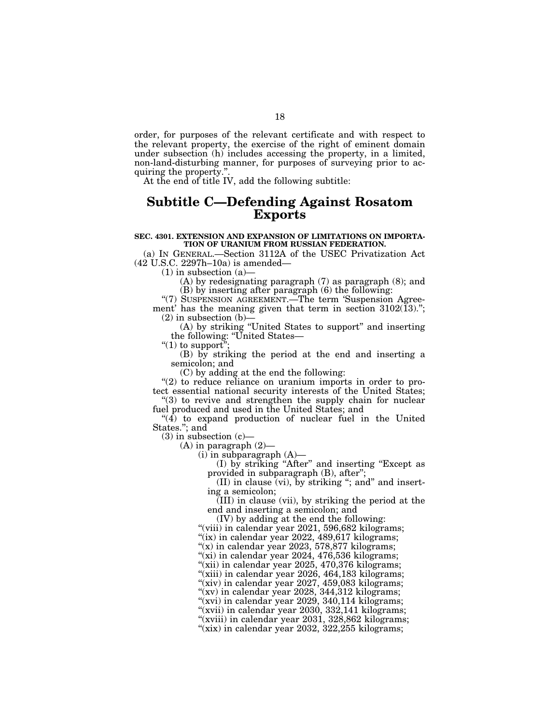order, for purposes of the relevant certificate and with respect to the relevant property, the exercise of the right of eminent domain under subsection (h) includes accessing the property, in a limited, non-land-disturbing manner, for purposes of surveying prior to acquiring the property.''.

At the end of title IV, add the following subtitle:

## **Subtitle C—Defending Against Rosatom Exports**

### **SEC. 4301. EXTENSION AND EXPANSION OF LIMITATIONS ON IMPORTA-TION OF URANIUM FROM RUSSIAN FEDERATION.**

(a) IN GENERAL.—Section 3112A of the USEC Privatization Act (42 U.S.C. 2297h–10a) is amended—

 $(1)$  in subsection  $(a)$ 

(A) by redesignating paragraph (7) as paragraph (8); and (B) by inserting after paragraph (6) the following:

"(7) SUSPENSION AGREEMENT.—The term 'Suspension Agreement' has the meaning given that term in section  $3102(13)$ .";  $(2)$  in subsection  $(b)$ 

(A) by striking ''United States to support'' and inserting the following: ''United States—

" $(1)$  to support"

(B) by striking the period at the end and inserting a semicolon; and

(C) by adding at the end the following:

"(2) to reduce reliance on uranium imports in order to protect essential national security interests of the United States;

''(3) to revive and strengthen the supply chain for nuclear fuel produced and used in the United States; and

" $(4)$  to expand production of nuclear fuel in the United States.''; and

 $(3)$  in subsection  $(c)$ —

 $(A)$  in paragraph  $(2)$ —

 $(i)$  in subparagraph  $(A)$ —

(I) by striking ''After'' and inserting ''Except as provided in subparagraph (B), after'';

(II) in clause (vi), by striking ''; and'' and inserting a semicolon;

(III) in clause (vii), by striking the period at the end and inserting a semicolon; and

(IV) by adding at the end the following:

"(viii) in calendar year 2021, 596,682 kilograms;

"(ix) in calendar year 2022, 489,617 kilograms;

" $(x)$  in calendar year 2023, 578,877 kilograms;

"(xi) in calendar year 2024, 476,536 kilograms;

''(xii) in calendar year 2025, 470,376 kilograms;

"(xiii) in calendar year 2026, 464,183 kilograms;

''(xiv) in calendar year 2027, 459,083 kilograms;

''(xv) in calendar year 2028, 344,312 kilograms; "(xvi) in calendar year 2029, 340,114 kilograms;

"(xvii) in calendar year 2030, 332,141 kilograms; "(xviii) in calendar year 2031, 328,862 kilograms;

" $(xix)$  in calendar year 2032, 322, 255 kilograms;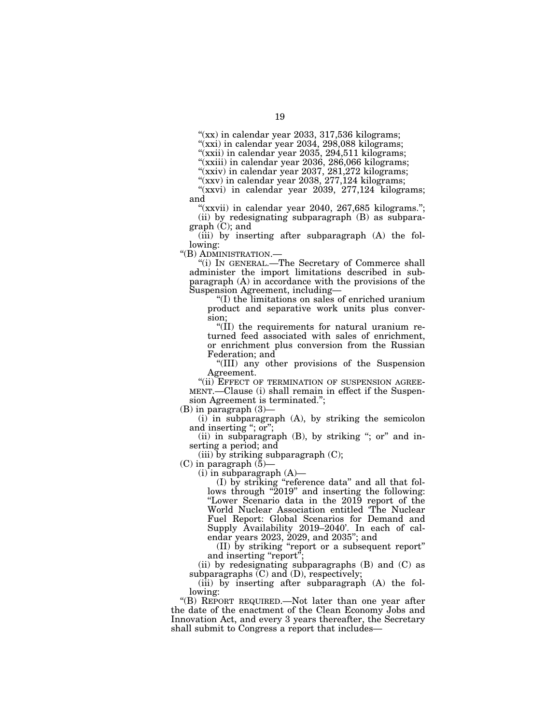" $(xx)$  in calendar year 2033, 317,536 kilograms;

''(xxi) in calendar year 2034, 298,088 kilograms;

"(xxii) in calendar year 2035, 294,511 kilograms;

"(xxiii) in calendar year 2036, 286,066 kilograms;

"(xxiv) in calendar year 2037, 281,272 kilograms;

"(xxv) in calendar year 2038, 277,124 kilograms;

" $(xxvi)$  in calendar year 2039, 277,124 kilograms; and

"(xxvii) in calendar year 2040, 267,685 kilograms."; (ii) by redesignating subparagraph (B) as subparagraph (C); and

(iii) by inserting after subparagraph (A) the following:

''(B) ADMINISTRATION.—

''(i) IN GENERAL.—The Secretary of Commerce shall administer the import limitations described in subparagraph (A) in accordance with the provisions of the Suspension Agreement, including—

''(I) the limitations on sales of enriched uranium product and separative work units plus conversion;

''(II) the requirements for natural uranium returned feed associated with sales of enrichment, or enrichment plus conversion from the Russian Federation; and

''(III) any other provisions of the Suspension Agreement.

"(ii) EFFECT OF TERMINATION OF SUSPENSION AGREE-MENT.—Clause (i) shall remain in effect if the Suspension Agreement is terminated.'';

(B) in paragraph (3)—

(i) in subparagraph (A), by striking the semicolon and inserting "; or";

(ii) in subparagraph (B), by striking "; or" and inserting a period; and

 $(iii)$  by striking subparagraph  $(C)$ ;

(C) in paragraph  $(5)$ –

 $(i)$  in subparagraph  $(A)$ —

(I) by striking ''reference data'' and all that follows through "2019" and inserting the following: ''Lower Scenario data in the 2019 report of the World Nuclear Association entitled 'The Nuclear Fuel Report: Global Scenarios for Demand and Supply Availability 2019–2040'. In each of calendar years 2023, 2029, and 2035''; and

(II) by striking ''report or a subsequent report'' and inserting "report";

(ii) by redesignating subparagraphs (B) and (C) as subparagraphs  $(C)$  and  $(D)$ , respectively;

(iii) by inserting after subparagraph (A) the following:

''(B) REPORT REQUIRED.—Not later than one year after the date of the enactment of the Clean Economy Jobs and Innovation Act, and every 3 years thereafter, the Secretary shall submit to Congress a report that includes—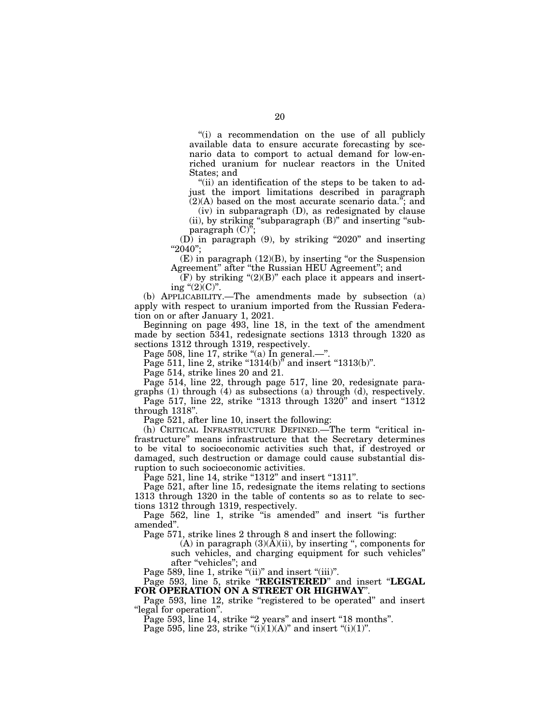''(i) a recommendation on the use of all publicly available data to ensure accurate forecasting by scenario data to comport to actual demand for low-enriched uranium for nuclear reactors in the United States; and

"(ii) an identification of the steps to be taken to adjust the import limitations described in paragraph  $(2)(A)$  based on the most accurate scenario data."; and

 $(2)(A)$  based on the most accurate scenario data." (iv) in subparagraph (D), as redesignated by clause

(ii), by striking ''subparagraph (B)'' and inserting ''subparagraph (C)'';

(D) in paragraph (9), by striking ''2020'' and inserting  $"2040"$ ;

 $(E)$  in paragraph  $(12)(B)$ , by inserting "or the Suspension Agreement'' after ''the Russian HEU Agreement''; and

 $\widetilde{F}(F)$  by striking "(2)(B)" each place it appears and inserting " $(2)(C)$ ".

(b) APPLICABILITY.—The amendments made by subsection (a) apply with respect to uranium imported from the Russian Federation on or after January 1, 2021.

Beginning on page 493, line 18, in the text of the amendment made by section 5341, redesignate sections 1313 through 1320 as sections 1312 through 1319, respectively.

Page 508, line 17, strike "(a) In general.—".

Page 511, line 2, strike " $1314(b)$ " and insert " $1313(b)$ ".

Page 514, strike lines 20 and 21.

Page 514, line 22, through page 517, line 20, redesignate paragraphs (1) through (4) as subsections (a) through (d), respectively.

Page 517, line 22, strike "1313 through 1320" and insert "1312 through 1318''.

Page 521, after line 10, insert the following:

(h) CRITICAL INFRASTRUCTURE DEFINED.—The term ''critical infrastructure'' means infrastructure that the Secretary determines to be vital to socioeconomic activities such that, if destroyed or damaged, such destruction or damage could cause substantial disruption to such socioeconomic activities.

Page 521, line 14, strike "1312" and insert "1311".

Page 521, after line 15, redesignate the items relating to sections 1313 through 1320 in the table of contents so as to relate to sections 1312 through 1319, respectively.

Page 562, line 1, strike "is amended" and insert "is further amended''.

Page 571, strike lines 2 through 8 and insert the following:

(A) in paragraph  $(3)(\overline{A})(ii)$ , by inserting ", components for such vehicles, and charging equipment for such vehicles'' after ''vehicles''; and

Page 589, line 1, strike "(ii)" and insert "(iii)".

Page 593, line 5, strike ''**REGISTERED**'' and insert ''**LEGAL FOR OPERATION ON A STREET OR HIGHWAY**''.

Page 593, line 12, strike "registered to be operated" and insert ''legal for operation''.

Page 593, line 14, strike "2 years" and insert "18 months".

Page 595, line 23, strike " $(i)(1)(A)$ " and insert " $(i)(1)$ ".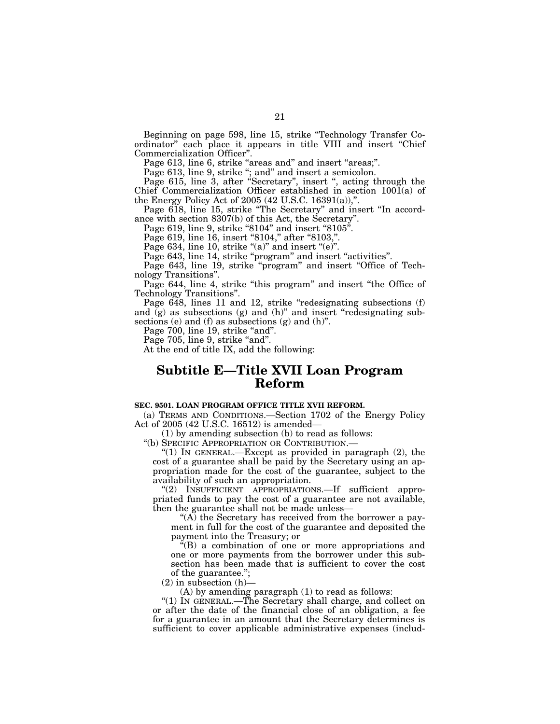Beginning on page 598, line 15, strike "Technology Transfer Coordinator'' each place it appears in title VIII and insert ''Chief Commercialization Officer''.

Page 613, line 6, strike "areas and" and insert "areas;".

Page 613, line 9, strike "; and" and insert a semicolon.

Page 615, line 3, after "Secretary", insert ", acting through the Chief Commercialization Officer established in section 1001(a) of the Energy Policy Act of 2005 (42 U.S.C. 16391(a)),''.

Page 618, line 15, strike "The Secretary" and insert "In accordance with section 8307(b) of this Act, the Secretary''.

Page 619, line 9, strike "8104" and insert "8105".

Page 619, line 16, insert "8104," after "8103,".

Page 634, line 10, strike " $(a)$ " and insert " $(e)$ ".

Page 643, line 14, strike "program" and insert "activities".

Page 643, line 19, strike "program" and insert "Office of Technology Transitions''.

Page 644, line 4, strike "this program" and insert "the Office of Technology Transitions''.

Page  $648$ , lines 11 and 12, strike "redesignating subsections (f) and (g) as subsections (g) and (h)" and insert "redesignating subsections (e) and (f) as subsections (g) and (h)''.

Page 700, line 19, strike "and".

Page 705, line 9, strike "and".

At the end of title IX, add the following:

# **Subtitle E—Title XVII Loan Program Reform**

### **SEC. 9501. LOAN PROGRAM OFFICE TITLE XVII REFORM.**

(a) TERMS AND CONDITIONS.—Section 1702 of the Energy Policy Act of 2005 (42 U.S.C. 16512) is amended—

(1) by amending subsection (b) to read as follows:

''(b) SPECIFIC APPROPRIATION OR CONTRIBUTION.—

''(1) IN GENERAL.—Except as provided in paragraph (2), the cost of a guarantee shall be paid by the Secretary using an appropriation made for the cost of the guarantee, subject to the availability of such an appropriation.

"(2) INSUFFICIENT APPROPRIATIONS.—If sufficient appropriated funds to pay the cost of a guarantee are not available, then the guarantee shall not be made unless—

" $(A)$  the Secretary has received from the borrower a payment in full for the cost of the guarantee and deposited the payment into the Treasury; or

''(B) a combination of one or more appropriations and one or more payments from the borrower under this subsection has been made that is sufficient to cover the cost of the guarantee.'';

 $(2)$  in subsection  $(h)$ —

(A) by amending paragraph (1) to read as follows:

''(1) IN GENERAL.—The Secretary shall charge, and collect on or after the date of the financial close of an obligation, a fee for a guarantee in an amount that the Secretary determines is sufficient to cover applicable administrative expenses (includ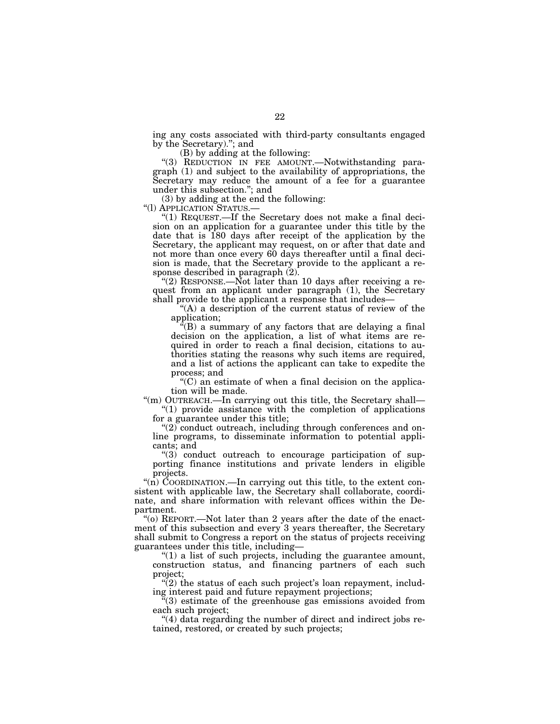ing any costs associated with third-party consultants engaged by the Secretary).''; and

(B) by adding at the following:

"(3) REDUCTION IN FEE AMOUNT.—Notwithstanding paragraph (1) and subject to the availability of appropriations, the Secretary may reduce the amount of a fee for a guarantee under this subsection.''; and

(3) by adding at the end the following:<br>"(1) APPLICATION STATUS.—

"(1) REQUEST.—If the Secretary does not make a final decision on an application for a guarantee under this title by the date that is 180 days after receipt of the application by the Secretary, the applicant may request, on or after that date and not more than once every 60 days thereafter until a final decision is made, that the Secretary provide to the applicant a response described in paragraph (2).

"(2) RESPONSE.—Not later than 10 days after receiving a request from an applicant under paragraph (1), the Secretary shall provide to the applicant a response that includes—

''(A) a description of the current status of review of the application;

 $E(E)$  a summary of any factors that are delaying a final decision on the application, a list of what items are required in order to reach a final decision, citations to authorities stating the reasons why such items are required, and a list of actions the applicant can take to expedite the process; and

 $(C)$  an estimate of when a final decision on the application will be made.

"(m) OUTREACH.—In carrying out this title, the Secretary shall— ''(1) provide assistance with the completion of applications

for a guarantee under this title;

 $\degree$ (2) conduct outreach, including through conferences and online programs, to disseminate information to potential applicants; and

''(3) conduct outreach to encourage participation of supporting finance institutions and private lenders in eligible projects.

"(n) COORDINATION.—In carrying out this title, to the extent consistent with applicable law, the Secretary shall collaborate, coordinate, and share information with relevant offices within the Department.

''(o) REPORT.—Not later than 2 years after the date of the enactment of this subsection and every 3 years thereafter, the Secretary shall submit to Congress a report on the status of projects receiving guarantees under this title, including—

" $(1)$  a list of such projects, including the guarantee amount, construction status, and financing partners of each such project;

 $(2)$  the status of each such project's loan repayment, including interest paid and future repayment projections;

 $\cdot$ (3) estimate of the greenhouse gas emissions avoided from each such project;

 $(4)$  data regarding the number of direct and indirect jobs retained, restored, or created by such projects;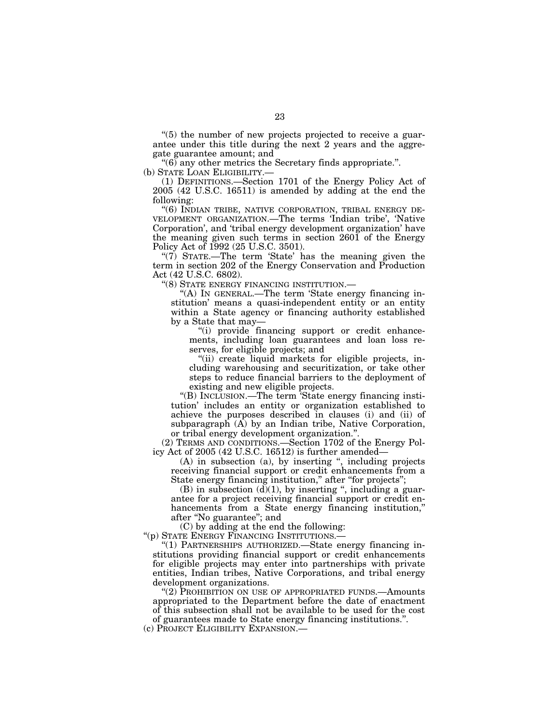$(5)$  the number of new projects projected to receive a guarantee under this title during the next 2 years and the aggregate guarantee amount; and

 $\degree$ (6) any other metrics the Secretary finds appropriate.".

(b) STATE LOAN ELIGIBILITY.—

(1) DEFINITIONS.—Section 1701 of the Energy Policy Act of 2005 (42 U.S.C. 16511) is amended by adding at the end the following:

"(6) INDIAN TRIBE, NATIVE CORPORATION, TRIBAL ENERGY DE-VELOPMENT ORGANIZATION.—The terms 'Indian tribe', 'Native Corporation', and 'tribal energy development organization' have the meaning given such terms in section 2601 of the Energy Policy Act of 1992 (25 U.S.C. 3501).

"(7) STATE.—The term 'State' has the meaning given the term in section 202 of the Energy Conservation and Production Act (42 U.S.C. 6802).

''(8) STATE ENERGY FINANCING INSTITUTION.—

"(A) IN GENERAL.—The term 'State energy financing institution' means a quasi-independent entity or an entity within a State agency or financing authority established by a State that may—

"(i) provide financing support or credit enhancements, including loan guarantees and loan loss reserves, for eligible projects; and

''(ii) create liquid markets for eligible projects, including warehousing and securitization, or take other steps to reduce financial barriers to the deployment of existing and new eligible projects.

"(B) INCLUSION.—The term 'State energy financing institution' includes an entity or organization established to achieve the purposes described in clauses (i) and (ii) of subparagraph  $(A)$  by an Indian tribe, Native Corporation, or tribal energy development organization."

(2) TERMS AND CONDITIONS.—Section 1702 of the Energy Policy Act of 2005 (42 U.S.C. 16512) is further amended—

(A) in subsection (a), by inserting '', including projects receiving financial support or credit enhancements from a State energy financing institution," after "for projects";

(B) in subsection  $(d)(1)$ , by inserting ", including a guarantee for a project receiving financial support or credit enhancements from a State energy financing institution,'' after ''No guarantee''; and

(C) by adding at the end the following:

''(p) STATE ENERGY FINANCING INSTITUTIONS.—

''(1) PARTNERSHIPS AUTHORIZED.—State energy financing institutions providing financial support or credit enhancements for eligible projects may enter into partnerships with private entities, Indian tribes, Native Corporations, and tribal energy development organizations.

"(2) PROHIBITION ON USE OF APPROPRIATED FUNDS.—Amounts appropriated to the Department before the date of enactment of this subsection shall not be available to be used for the cost of guarantees made to State energy financing institutions.''.

(c) PROJECT ELIGIBILITY EXPANSION.—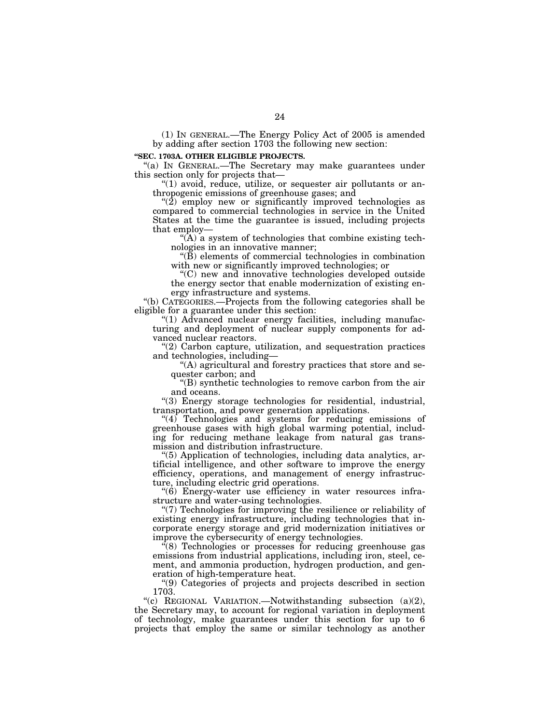(1) IN GENERAL.—The Energy Policy Act of 2005 is amended by adding after section 1703 the following new section:

### **''SEC. 1703A. OTHER ELIGIBLE PROJECTS.**

"(a) IN GENERAL.—The Secretary may make guarantees under this section only for projects that—

"(1) avoid, reduce, utilize, or sequester air pollutants or anthropogenic emissions of greenhouse gases; and

 $\degree$ (2) employ new or significantly improved technologies as compared to commercial technologies in service in the United States at the time the guarantee is issued, including projects that employ—

 $(A)$  a system of technologies that combine existing technologies in an innovative manner;

 $\sqrt{\tilde{B}}$ ) elements of commercial technologies in combination with new or significantly improved technologies; or

''(C) new and innovative technologies developed outside the energy sector that enable modernization of existing energy infrastructure and systems.

''(b) CATEGORIES.—Projects from the following categories shall be eligible for a guarantee under this section:

''(1) Advanced nuclear energy facilities, including manufacturing and deployment of nuclear supply components for advanced nuclear reactors.

 $''(2)$  Carbon capture, utilization, and sequestration practices and technologies, including—

''(A) agricultural and forestry practices that store and sequester carbon; and

''(B) synthetic technologies to remove carbon from the air and oceans.

''(3) Energy storage technologies for residential, industrial, transportation, and power generation applications.

 $''(4)$  Technologies and systems for reducing emissions of greenhouse gases with high global warming potential, including for reducing methane leakage from natural gas transmission and distribution infrastructure.

''(5) Application of technologies, including data analytics, artificial intelligence, and other software to improve the energy efficiency, operations, and management of energy infrastructure, including electric grid operations.

 $(6)$  Energy-water use efficiency in water resources infrastructure and water-using technologies.

''(7) Technologies for improving the resilience or reliability of existing energy infrastructure, including technologies that incorporate energy storage and grid modernization initiatives or improve the cybersecurity of energy technologies.

 $\cdot$ (8) Technologies or processes for reducing greenhouse gas emissions from industrial applications, including iron, steel, cement, and ammonia production, hydrogen production, and generation of high-temperature heat.

''(9) Categories of projects and projects described in section 1703.

"(c) REGIONAL VARIATION.—Notwithstanding subsection (a)(2), the Secretary may, to account for regional variation in deployment of technology, make guarantees under this section for up to 6 projects that employ the same or similar technology as another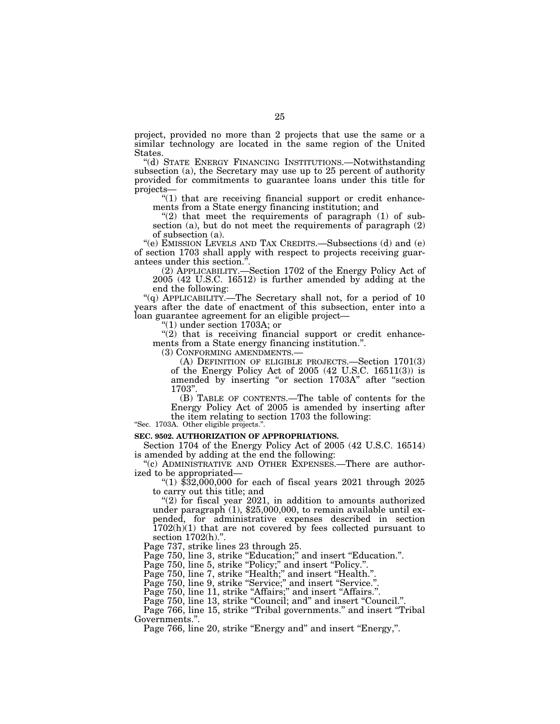project, provided no more than 2 projects that use the same or a similar technology are located in the same region of the United States.

''(d) STATE ENERGY FINANCING INSTITUTIONS.—Notwithstanding subsection (a), the Secretary may use up to 25 percent of authority provided for commitments to guarantee loans under this title for projects—

" $(1)$  that are receiving financial support or credit enhancements from a State energy financing institution; and

" $(2)$  that meet the requirements of paragraph  $(1)$  of subsection (a), but do not meet the requirements of paragraph  $(2)$ of subsection (a).

''(e) EMISSION LEVELS AND TAX CREDITS.—Subsections (d) and (e) of section 1703 shall apply with respect to projects receiving guarantees under this section."

(2) APPLICABILITY.—Section 1702 of the Energy Policy Act of 2005 (42 U.S.C. 16512) is further amended by adding at the end the following:

"(q) APPLICABILITY.—The Secretary shall not, for a period of 10 years after the date of enactment of this subsection, enter into a loan guarantee agreement for an eligible project—

''(1) under section 1703A; or

" $(2)$  that is receiving financial support or credit enhancements from a State energy financing institution.''.

(3) CONFORMING AMENDMENTS.—

(A) DEFINITION OF ELIGIBLE PROJECTS.—Section 1701(3) of the Energy Policy Act of 2005 (42 U.S.C. 16511(3)) is amended by inserting "or section 1703A" after "section 1703''.

(B) TABLE OF CONTENTS.—The table of contents for the Energy Policy Act of 2005 is amended by inserting after the item relating to section 1703 the following:

''Sec. 1703A. Other eligible projects.''.

### **SEC. 9502. AUTHORIZATION OF APPROPRIATIONS.**

Section 1704 of the Energy Policy Act of 2005 (42 U.S.C. 16514) is amended by adding at the end the following:

''(c) ADMINISTRATIVE AND OTHER EXPENSES.—There are authorized to be appropriated—

"(1)  $$32,000,000$  for each of fiscal years 2021 through 2025 to carry out this title; and

" $(2)$  for fiscal year 2021, in addition to amounts authorized under paragraph  $(1)$ , \$25,000,000, to remain available until expended, for administrative expenses described in section  $1702(h)(1)$  that are not covered by fees collected pursuant to section 1702(h).".

Page 737, strike lines 23 through 25.

Page 750, line 3, strike "Education;" and insert "Education.".

Page 750, line 5, strike "Policy;" and insert "Policy.".

Page 750, line 7, strike "Health;" and insert "Health.".

Page 750, line 9, strike "Service;" and insert "Service.".

Page 750, line 11, strike "Affairs;" and insert "Affairs.".

Page 750, line 13, strike "Council; and" and insert "Council.".

Page 766, line 15, strike "Tribal governments." and insert "Tribal Governments.''.

Page 766, line 20, strike "Energy and" and insert "Energy,".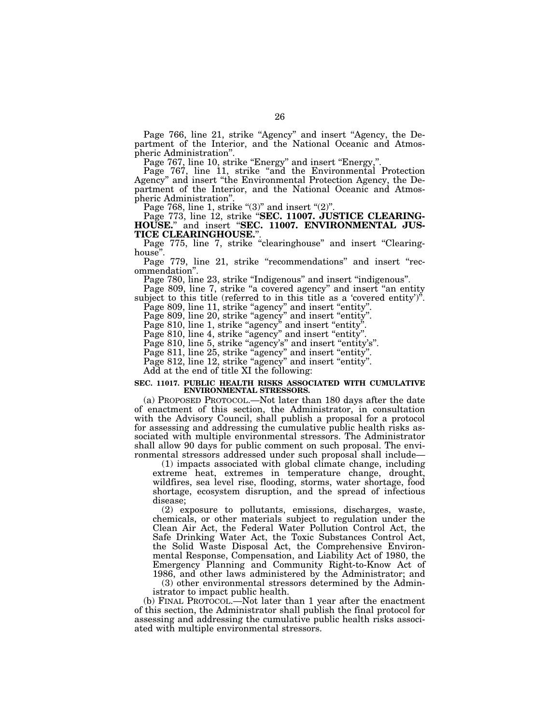Page 766, line 21, strike "Agency" and insert "Agency, the Department of the Interior, and the National Oceanic and Atmospheric Administration''.

Page 767, line 10, strike "Energy" and insert "Energy,".

Page 767, line 11, strike "and the Environmental Protection Agency'' and insert ''the Environmental Protection Agency, the Department of the Interior, and the National Oceanic and Atmospheric Administration''.

Page 768, line 1, strike " $(3)$ " and insert " $(2)$ ".

Page 773, line 12, strike ''**SEC. 11007. JUSTICE CLEARING-HOUSE.**'' and insert ''**SEC. 11007. ENVIRONMENTAL JUS-TICE CLEARINGHOUSE.**''.

Page 775, line 7, strike "clearinghouse" and insert "Clearinghouse''.

Page 779, line 21, strike "recommendations" and insert "recommendation''.

Page 780, line 23, strike "Indigenous" and insert "indigenous".

Page 809, line 7, strike "a covered agency" and insert "an entity subject to this title (referred to in this title as a 'covered entity')''.

Page 809, line 11, strike "agency" and insert "entity".

Page 809, line 20, strike "agency" and insert "entity".

Page 810, line 1, strike "agency" and insert "entity".

Page 810, line 4, strike "agency" and insert "entity".

Page 810, line 5, strike "agency's" and insert "entity's".

Page 811, line 25, strike "agency" and insert "entity".

Page 812, line 12, strike "agency" and insert "entity".

Add at the end of title XI the following:

### **SEC. 11017. PUBLIC HEALTH RISKS ASSOCIATED WITH CUMULATIVE ENVIRONMENTAL STRESSORS.**

(a) PROPOSED PROTOCOL.—Not later than 180 days after the date of enactment of this section, the Administrator, in consultation with the Advisory Council, shall publish a proposal for a protocol for assessing and addressing the cumulative public health risks associated with multiple environmental stressors. The Administrator shall allow 90 days for public comment on such proposal. The environmental stressors addressed under such proposal shall include—

(1) impacts associated with global climate change, including extreme heat, extremes in temperature change, drought, wildfires, sea level rise, flooding, storms, water shortage, food shortage, ecosystem disruption, and the spread of infectious disease;

(2) exposure to pollutants, emissions, discharges, waste, chemicals, or other materials subject to regulation under the Clean Air Act, the Federal Water Pollution Control Act, the Safe Drinking Water Act, the Toxic Substances Control Act, the Solid Waste Disposal Act, the Comprehensive Environmental Response, Compensation, and Liability Act of 1980, the Emergency Planning and Community Right-to-Know Act of 1986, and other laws administered by the Administrator; and

(3) other environmental stressors determined by the Administrator to impact public health.

(b) FINAL PROTOCOL.—Not later than 1 year after the enactment of this section, the Administrator shall publish the final protocol for assessing and addressing the cumulative public health risks associated with multiple environmental stressors.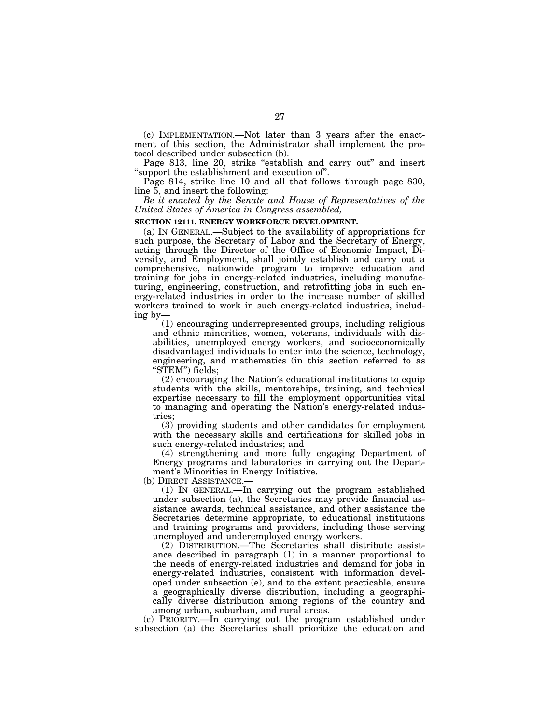(c) IMPLEMENTATION.—Not later than 3 years after the enactment of this section, the Administrator shall implement the protocol described under subsection (b).

Page 813, line 20, strike "establish and carry out" and insert ''support the establishment and execution of''.

Page 814, strike line 10 and all that follows through page 830, line 5, and insert the following:

*Be it enacted by the Senate and House of Representatives of the United States of America in Congress assembled,* 

### **SECTION 12111. ENERGY WORKFORCE DEVELOPMENT.**

(a) IN GENERAL.—Subject to the availability of appropriations for such purpose, the Secretary of Labor and the Secretary of Energy, acting through the Director of the Office of Economic Impact, Diversity, and Employment, shall jointly establish and carry out a comprehensive, nationwide program to improve education and training for jobs in energy-related industries, including manufacturing, engineering, construction, and retrofitting jobs in such energy-related industries in order to the increase number of skilled workers trained to work in such energy-related industries, including by—

(1) encouraging underrepresented groups, including religious and ethnic minorities, women, veterans, individuals with disabilities, unemployed energy workers, and socioeconomically disadvantaged individuals to enter into the science, technology, engineering, and mathematics (in this section referred to as "STEM") fields;

(2) encouraging the Nation's educational institutions to equip students with the skills, mentorships, training, and technical expertise necessary to fill the employment opportunities vital to managing and operating the Nation's energy-related industries;

(3) providing students and other candidates for employment with the necessary skills and certifications for skilled jobs in such energy-related industries; and

(4) strengthening and more fully engaging Department of Energy programs and laboratories in carrying out the Department's Minorities in Energy Initiative.

(b) DIRECT ASSISTANCE.—

(1) IN GENERAL.—In carrying out the program established under subsection (a), the Secretaries may provide financial assistance awards, technical assistance, and other assistance the Secretaries determine appropriate, to educational institutions and training programs and providers, including those serving unemployed and underemployed energy workers.

(2) DISTRIBUTION.—The Secretaries shall distribute assistance described in paragraph (1) in a manner proportional to the needs of energy-related industries and demand for jobs in energy-related industries, consistent with information developed under subsection (e), and to the extent practicable, ensure a geographically diverse distribution, including a geographically diverse distribution among regions of the country and among urban, suburban, and rural areas.

(c) PRIORITY.—In carrying out the program established under subsection (a) the Secretaries shall prioritize the education and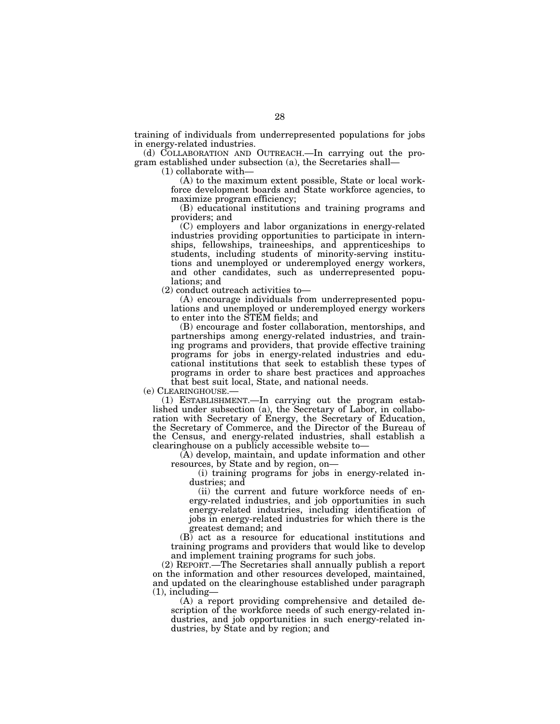training of individuals from underrepresented populations for jobs in energy-related industries.

(d) COLLABORATION AND OUTREACH.—In carrying out the program established under subsection (a), the Secretaries shall—

(1) collaborate with—

(A) to the maximum extent possible, State or local workforce development boards and State workforce agencies, to maximize program efficiency;

(B) educational institutions and training programs and providers; and

(C) employers and labor organizations in energy-related industries providing opportunities to participate in internships, fellowships, traineeships, and apprenticeships to students, including students of minority-serving institutions and unemployed or underemployed energy workers, and other candidates, such as underrepresented populations; and

(2) conduct outreach activities to—

(A) encourage individuals from underrepresented populations and unemployed or underemployed energy workers to enter into the STEM fields; and

(B) encourage and foster collaboration, mentorships, and partnerships among energy-related industries, and training programs and providers, that provide effective training programs for jobs in energy-related industries and educational institutions that seek to establish these types of programs in order to share best practices and approaches that best suit local, State, and national needs.

(e) CLEARINGHOUSE.—

(1) ESTABLISHMENT.—In carrying out the program established under subsection (a), the Secretary of Labor, in collaboration with Secretary of Energy, the Secretary of Education, the Secretary of Commerce, and the Director of the Bureau of the Census, and energy-related industries, shall establish a clearinghouse on a publicly accessible website to—

(A) develop, maintain, and update information and other resources, by State and by region, on—

(i) training programs for jobs in energy-related industries; and

(ii) the current and future workforce needs of energy-related industries, and job opportunities in such energy-related industries, including identification of jobs in energy-related industries for which there is the greatest demand; and

(B) act as a resource for educational institutions and training programs and providers that would like to develop and implement training programs for such jobs.

(2) REPORT.—The Secretaries shall annually publish a report on the information and other resources developed, maintained, and updated on the clearinghouse established under paragraph (1), including—

(A) a report providing comprehensive and detailed description of the workforce needs of such energy-related industries, and job opportunities in such energy-related industries, by State and by region; and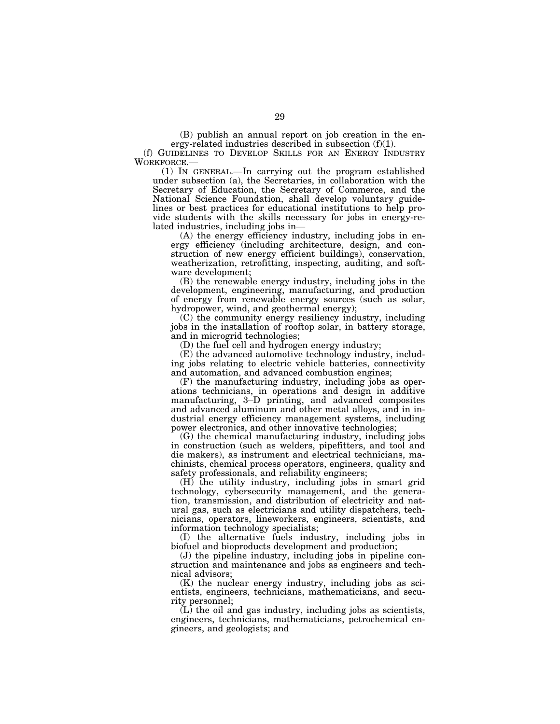(B) publish an annual report on job creation in the energy-related industries described in subsection (f)(1).

(f) GUIDELINES TO DEVELOP SKILLS FOR AN ENERGY INDUSTRY WORKFORCE.—

 $(1)$  In GENERAL.—In carrying out the program established under subsection (a), the Secretaries, in collaboration with the Secretary of Education, the Secretary of Commerce, and the National Science Foundation, shall develop voluntary guidelines or best practices for educational institutions to help provide students with the skills necessary for jobs in energy-related industries, including jobs in—

(A) the energy efficiency industry, including jobs in energy efficiency (including architecture, design, and construction of new energy efficient buildings), conservation, weatherization, retrofitting, inspecting, auditing, and software development;

(B) the renewable energy industry, including jobs in the development, engineering, manufacturing, and production of energy from renewable energy sources (such as solar, hydropower, wind, and geothermal energy);

(C) the community energy resiliency industry, including jobs in the installation of rooftop solar, in battery storage, and in microgrid technologies;

(D) the fuel cell and hydrogen energy industry;

(E) the advanced automotive technology industry, including jobs relating to electric vehicle batteries, connectivity and automation, and advanced combustion engines;

(F) the manufacturing industry, including jobs as operations technicians, in operations and design in additive manufacturing, 3–D printing, and advanced composites and advanced aluminum and other metal alloys, and in industrial energy efficiency management systems, including power electronics, and other innovative technologies;

(G) the chemical manufacturing industry, including jobs in construction (such as welders, pipefitters, and tool and die makers), as instrument and electrical technicians, machinists, chemical process operators, engineers, quality and safety professionals, and reliability engineers;

(H) the utility industry, including jobs in smart grid technology, cybersecurity management, and the generation, transmission, and distribution of electricity and natural gas, such as electricians and utility dispatchers, technicians, operators, lineworkers, engineers, scientists, and information technology specialists;

(I) the alternative fuels industry, including jobs in biofuel and bioproducts development and production;

(J) the pipeline industry, including jobs in pipeline construction and maintenance and jobs as engineers and technical advisors;

(K) the nuclear energy industry, including jobs as scientists, engineers, technicians, mathematicians, and security personnel;

(L) the oil and gas industry, including jobs as scientists, engineers, technicians, mathematicians, petrochemical engineers, and geologists; and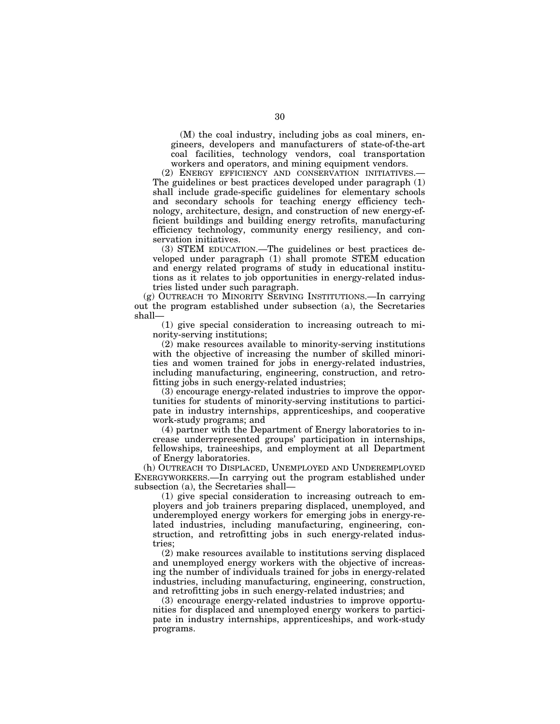(M) the coal industry, including jobs as coal miners, engineers, developers and manufacturers of state-of-the-art coal facilities, technology vendors, coal transportation workers and operators, and mining equipment vendors.

(2) ENERGY EFFICIENCY AND CONSERVATION INITIATIVES.— The guidelines or best practices developed under paragraph (1) shall include grade-specific guidelines for elementary schools and secondary schools for teaching energy efficiency technology, architecture, design, and construction of new energy-efficient buildings and building energy retrofits, manufacturing efficiency technology, community energy resiliency, and conservation initiatives.

(3) STEM EDUCATION.—The guidelines or best practices developed under paragraph (1) shall promote STEM education and energy related programs of study in educational institutions as it relates to job opportunities in energy-related industries listed under such paragraph.

(g) OUTREACH TO MINORITY SERVING INSTITUTIONS.—In carrying out the program established under subsection (a), the Secretaries shall—

(1) give special consideration to increasing outreach to minority-serving institutions;

(2) make resources available to minority-serving institutions with the objective of increasing the number of skilled minorities and women trained for jobs in energy-related industries, including manufacturing, engineering, construction, and retrofitting jobs in such energy-related industries;

(3) encourage energy-related industries to improve the opportunities for students of minority-serving institutions to participate in industry internships, apprenticeships, and cooperative work-study programs; and

(4) partner with the Department of Energy laboratories to increase underrepresented groups' participation in internships, fellowships, traineeships, and employment at all Department of Energy laboratories.

(h) OUTREACH TO DISPLACED, UNEMPLOYED AND UNDEREMPLOYED ENERGYWORKERS.—In carrying out the program established under subsection (a), the Secretaries shall—

(1) give special consideration to increasing outreach to employers and job trainers preparing displaced, unemployed, and underemployed energy workers for emerging jobs in energy-related industries, including manufacturing, engineering, construction, and retrofitting jobs in such energy-related industries;

(2) make resources available to institutions serving displaced and unemployed energy workers with the objective of increasing the number of individuals trained for jobs in energy-related industries, including manufacturing, engineering, construction, and retrofitting jobs in such energy-related industries; and

(3) encourage energy-related industries to improve opportunities for displaced and unemployed energy workers to participate in industry internships, apprenticeships, and work-study programs.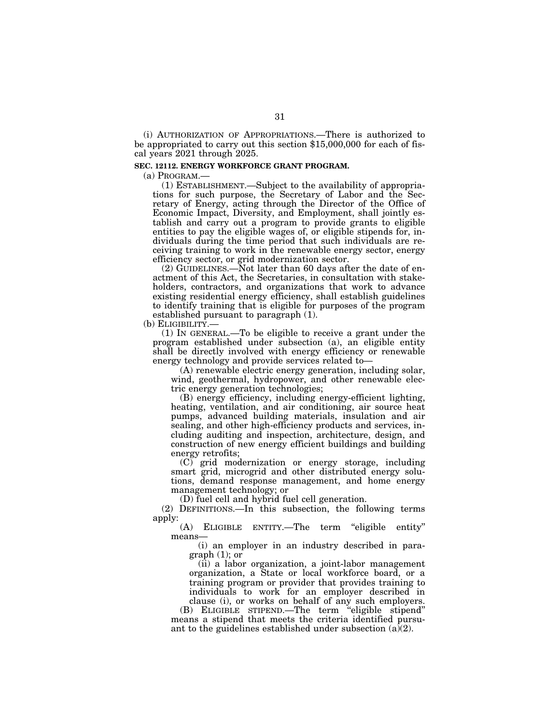(i) AUTHORIZATION OF APPROPRIATIONS.—There is authorized to be appropriated to carry out this section \$15,000,000 for each of fiscal years 2021 through 2025.

## **SEC. 12112. ENERGY WORKFORCE GRANT PROGRAM.**

(a) PROGRAM.—

(1) ESTABLISHMENT.—Subject to the availability of appropriations for such purpose, the Secretary of Labor and the Secretary of Energy, acting through the Director of the Office of Economic Impact, Diversity, and Employment, shall jointly establish and carry out a program to provide grants to eligible entities to pay the eligible wages of, or eligible stipends for, individuals during the time period that such individuals are receiving training to work in the renewable energy sector, energy efficiency sector, or grid modernization sector.

(2) GUIDELINES.—Not later than 60 days after the date of enactment of this Act, the Secretaries, in consultation with stakeholders, contractors, and organizations that work to advance existing residential energy efficiency, shall establish guidelines to identify training that is eligible for purposes of the program established pursuant to paragraph (1).

(b) ELIGIBILITY.—

(1) IN GENERAL.—To be eligible to receive a grant under the program established under subsection (a), an eligible entity shall be directly involved with energy efficiency or renewable energy technology and provide services related to—

(A) renewable electric energy generation, including solar, wind, geothermal, hydropower, and other renewable electric energy generation technologies;

(B) energy efficiency, including energy-efficient lighting, heating, ventilation, and air conditioning, air source heat pumps, advanced building materials, insulation and air sealing, and other high-efficiency products and services, including auditing and inspection, architecture, design, and construction of new energy efficient buildings and building energy retrofits;

(C) grid modernization or energy storage, including smart grid, microgrid and other distributed energy solutions, demand response management, and home energy management technology; or

(D) fuel cell and hybrid fuel cell generation.

(2) DEFINITIONS.—In this subsection, the following terms apply:

(A) ELIGIBLE ENTITY.—The term ''eligible entity'' means—

(i) an employer in an industry described in paragraph (1); or

(ii) a labor organization, a joint-labor management organization, a State or local workforce board, or a training program or provider that provides training to individuals to work for an employer described in clause (i), or works on behalf of any such employers.

(B) ELIGIBLE STIPEND.—The term ''eligible stipend'' means a stipend that meets the criteria identified pursuant to the guidelines established under subsection  $(a)(2)$ .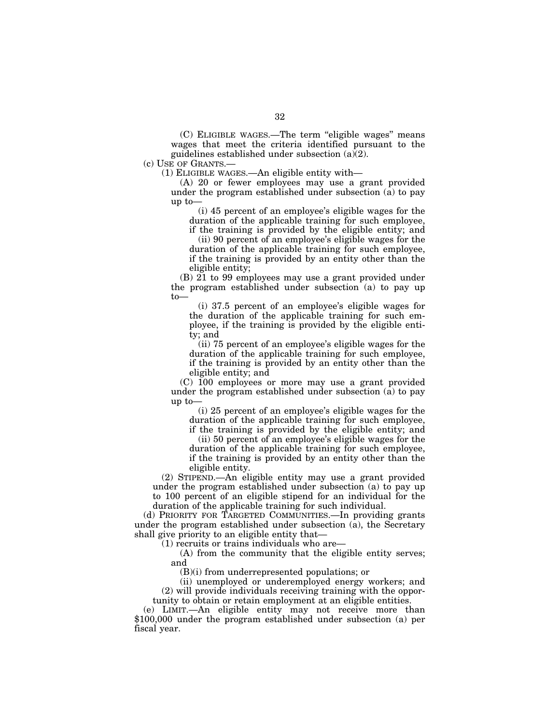(C) ELIGIBLE WAGES.—The term ''eligible wages'' means wages that meet the criteria identified pursuant to the guidelines established under subsection (a)(2).

(c) USE OF GRANTS.—

(1) ELIGIBLE WAGES.—An eligible entity with—

(A) 20 or fewer employees may use a grant provided under the program established under subsection (a) to pay up to—

(i) 45 percent of an employee's eligible wages for the duration of the applicable training for such employee,

if the training is provided by the eligible entity; and (ii) 90 percent of an employee's eligible wages for the

duration of the applicable training for such employee, if the training is provided by an entity other than the eligible entity;

(B) 21 to 99 employees may use a grant provided under the program established under subsection (a) to pay up to—

(i) 37.5 percent of an employee's eligible wages for the duration of the applicable training for such employee, if the training is provided by the eligible entity; and

(ii) 75 percent of an employee's eligible wages for the duration of the applicable training for such employee, if the training is provided by an entity other than the eligible entity; and

(C) 100 employees or more may use a grant provided under the program established under subsection (a) to pay up to—

(i) 25 percent of an employee's eligible wages for the duration of the applicable training for such employee,

if the training is provided by the eligible entity; and (ii) 50 percent of an employee's eligible wages for the

duration of the applicable training for such employee, if the training is provided by an entity other than the eligible entity.

(2) STIPEND.—An eligible entity may use a grant provided under the program established under subsection (a) to pay up to 100 percent of an eligible stipend for an individual for the duration of the applicable training for such individual.

(d) PRIORITY FOR TARGETED COMMUNITIES.—In providing grants under the program established under subsection  $(a)$ , the Secretary shall give priority to an eligible entity that—

(1) recruits or trains individuals who are—

(A) from the community that the eligible entity serves; and

(B)(i) from underrepresented populations; or

(ii) unemployed or underemployed energy workers; and (2) will provide individuals receiving training with the opportunity to obtain or retain employment at an eligible entities.

(e) LIMIT.—An eligible entity may not receive more than \$100,000 under the program established under subsection (a) per fiscal year.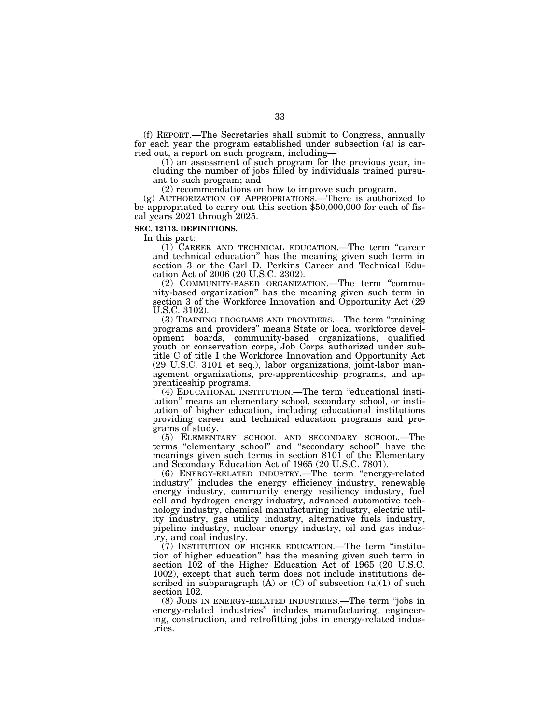(f) REPORT.—The Secretaries shall submit to Congress, annually for each year the program established under subsection (a) is carried out, a report on such program, including—

(1) an assessment of such program for the previous year, including the number of jobs filled by individuals trained pursuant to such program; and

(2) recommendations on how to improve such program.

(g) AUTHORIZATION OF APPROPRIATIONS.—There is authorized to be appropriated to carry out this section \$50,000,000 for each of fiscal years 2021 through 2025.

### **SEC. 12113. DEFINITIONS.**

In this part:

(1) CAREER AND TECHNICAL EDUCATION.—The term ''career and technical education'' has the meaning given such term in section 3 or the Carl D. Perkins Career and Technical Education Act of 2006 (20 U.S.C. 2302).

(2) COMMUNITY-BASED ORGANIZATION.—The term ''community-based organization'' has the meaning given such term in section 3 of the Workforce Innovation and Opportunity Act (29) U.S.C. 3102).

(3) TRAINING PROGRAMS AND PROVIDERS.—The term ''training programs and providers'' means State or local workforce development boards, community-based organizations, qualified youth or conservation corps, Job Corps authorized under subtitle C of title I the Workforce Innovation and Opportunity Act (29 U.S.C. 3101 et seq.), labor organizations, joint-labor management organizations, pre-apprenticeship programs, and apprenticeship programs.

(4) EDUCATIONAL INSTITUTION.—The term ''educational institution'' means an elementary school, secondary school, or institution of higher education, including educational institutions providing career and technical education programs and programs of study.

(5) ELEMENTARY SCHOOL AND SECONDARY SCHOOL.—The terms ''elementary school'' and ''secondary school'' have the meanings given such terms in section 8101 of the Elementary and Secondary Education Act of 1965 (20 U.S.C. 7801).

(6) ENERGY-RELATED INDUSTRY.—The term ''energy-related industry'' includes the energy efficiency industry, renewable energy industry, community energy resiliency industry, fuel cell and hydrogen energy industry, advanced automotive technology industry, chemical manufacturing industry, electric utility industry, gas utility industry, alternative fuels industry, pipeline industry, nuclear energy industry, oil and gas industry, and coal industry.

(7) INSTITUTION OF HIGHER EDUCATION.—The term ''institution of higher education'' has the meaning given such term in section  $102$  of the Higher Education Act of 1965 (20 U.S.C. 1002), except that such term does not include institutions described in subparagraph  $(A)$  or  $(C)$  of subsection  $(a)(1)$  of such section 102.

(8) JOBS IN ENERGY-RELATED INDUSTRIES.—The term ''jobs in energy-related industries'' includes manufacturing, engineering, construction, and retrofitting jobs in energy-related industries.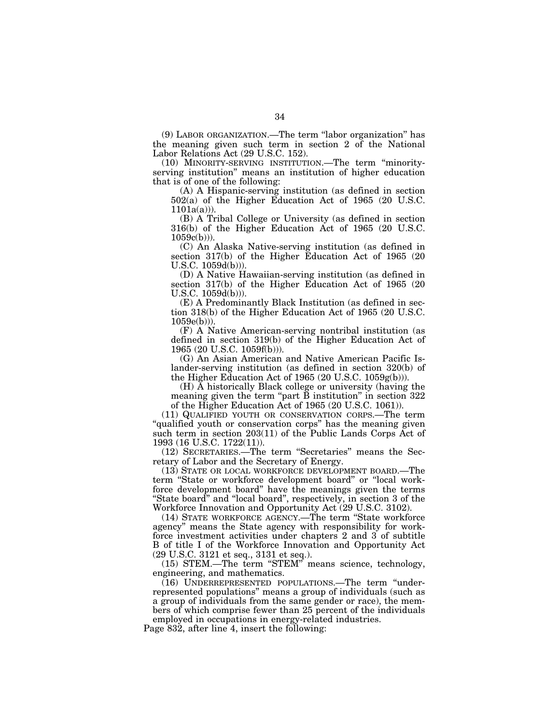(9) LABOR ORGANIZATION.—The term ''labor organization'' has the meaning given such term in section 2 of the National Labor Relations Act (29 U.S.C. 152).

(10) MINORITY-SERVING INSTITUTION.—The term ''minorityserving institution'' means an institution of higher education that is of one of the following:

(A) A Hispanic-serving institution (as defined in section 502(a) of the Higher Education Act of 1965 (20 U.S.C.  $1101a(a))$ ).

(B) A Tribal College or University (as defined in section 316(b) of the Higher Education Act of 1965 (20 U.S.C.  $1059c(b))$ .

(C) An Alaska Native-serving institution (as defined in section 317(b) of the Higher Education Act of 1965 (20 U.S.C. 1059d(b))).

(D) A Native Hawaiian-serving institution (as defined in section 317(b) of the Higher Education Act of 1965 (20 U.S.C. 1059d(b))).

(E) A Predominantly Black Institution (as defined in section 318(b) of the Higher Education Act of 1965 (20 U.S.C.  $1059e(b))$ ).

(F) A Native American-serving nontribal institution (as defined in section 319(b) of the Higher Education Act of 1965 (20 U.S.C. 1059f(b))).

(G) An Asian American and Native American Pacific Islander-serving institution (as defined in section 320(b) of the Higher Education Act of 1965 (20 U.S.C. 1059g(b))).

(H) A historically Black college or university (having the meaning given the term "part  $\bar{B}$  institution" in section 322 of the Higher Education Act of 1965 (20 U.S.C. 1061)).

(11) QUALIFIED YOUTH OR CONSERVATION CORPS.—The term "qualified youth or conservation corps" has the meaning given such term in section 203(11) of the Public Lands Corps Act of 1993 (16 U.S.C. 1722(11)).

(12) SECRETARIES.—The term ''Secretaries'' means the Secretary of Labor and the Secretary of Energy.

(13) STATE OR LOCAL WORKFORCE DEVELOPMENT BOARD.—The term ''State or workforce development board'' or ''local workforce development board'' have the meanings given the terms "State board" and "local board", respectively, in section 3 of the Workforce Innovation and Opportunity Act (29 U.S.C. 3102).

(14) STATE WORKFORCE AGENCY.—The term ''State workforce agency'' means the State agency with responsibility for workforce investment activities under chapters 2 and 3 of subtitle B of title I of the Workforce Innovation and Opportunity Act (29 U.S.C. 3121 et seq., 3131 et seq.).

(15) STEM.—The term ''STEM'' means science, technology, engineering, and mathematics.

(16) UNDERREPRESENTED POPULATIONS.—The term ''underrepresented populations'' means a group of individuals (such as a group of individuals from the same gender or race), the members of which comprise fewer than 25 percent of the individuals

employed in occupations in energy-related industries.

Page 832, after line 4, insert the following: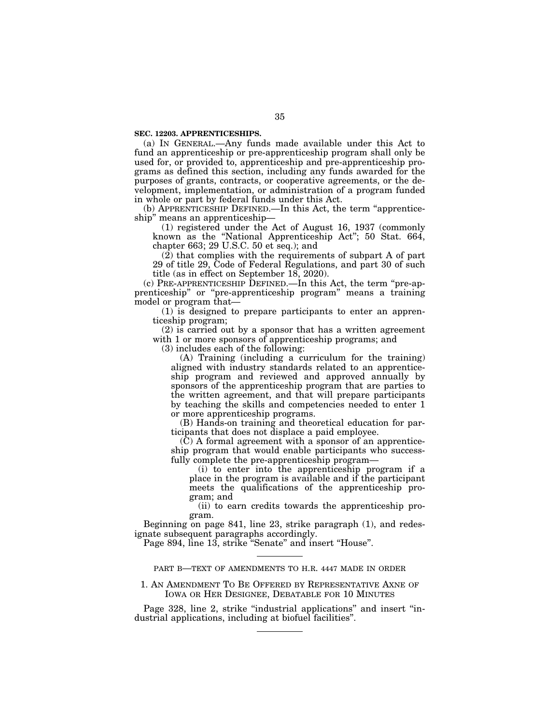### **SEC. 12203. APPRENTICESHIPS.**

(a) IN GENERAL.—Any funds made available under this Act to fund an apprenticeship or pre-apprenticeship program shall only be used for, or provided to, apprenticeship and pre-apprenticeship programs as defined this section, including any funds awarded for the purposes of grants, contracts, or cooperative agreements, or the development, implementation, or administration of a program funded in whole or part by federal funds under this Act.

(b) APPRENTICESHIP DEFINED.—In this Act, the term ''apprenticeship'' means an apprenticeship—

(1) registered under the Act of August 16, 1937 (commonly known as the ''National Apprenticeship Act''; 50 Stat. 664, chapter 663; 29 U.S.C. 50 et seq.); and

(2) that complies with the requirements of subpart A of part 29 of title 29, Code of Federal Regulations, and part 30 of such title (as in effect on September 18, 2020).

(c) PRE-APPRENTICESHIP DEFINED.—In this Act, the term ''pre-apprenticeship'' or ''pre-apprenticeship program'' means a training model or program that—

(1) is designed to prepare participants to enter an apprenticeship program;

(2) is carried out by a sponsor that has a written agreement with 1 or more sponsors of apprenticeship programs; and

(3) includes each of the following:

(A) Training (including a curriculum for the training) aligned with industry standards related to an apprenticeship program and reviewed and approved annually by sponsors of the apprenticeship program that are parties to the written agreement, and that will prepare participants by teaching the skills and competencies needed to enter 1 or more apprenticeship programs.

(B) Hands-on training and theoretical education for participants that does not displace a paid employee.

 $(C)$  A formal agreement with a sponsor of an apprenticeship program that would enable participants who successfully complete the pre-apprenticeship program—

(i) to enter into the apprenticeship program if a place in the program is available and if the participant meets the qualifications of the apprenticeship program; and

(ii) to earn credits towards the apprenticeship program.

Beginning on page 841, line 23, strike paragraph (1), and redesignate subsequent paragraphs accordingly.

Page 894, line 13, strike "Senate" and insert "House".

## PART B—TEXT OF AMENDMENTS TO H.R. 4447 MADE IN ORDER

## 1. AN AMENDMENT TO BE OFFERED BY REPRESENTATIVE AXNE OF IOWA OR HER DESIGNEE, DEBATABLE FOR 10 MINUTES

Page 328, line 2, strike "industrial applications" and insert "industrial applications, including at biofuel facilities''.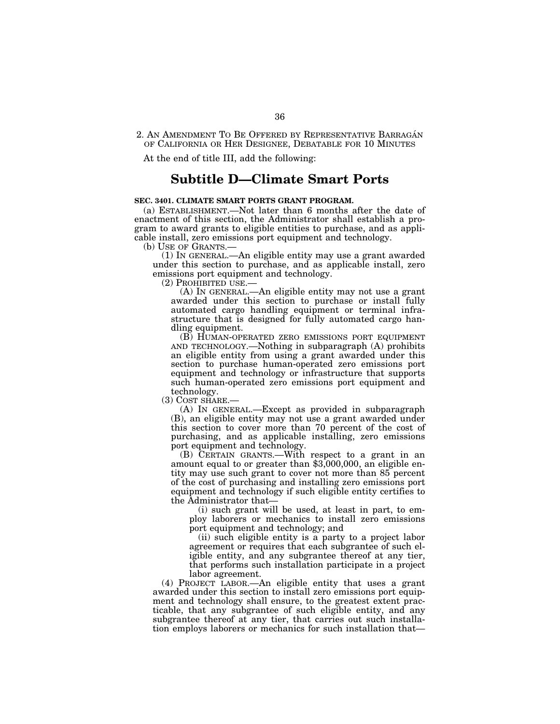## 2. AN AMENDMENT TO BE OFFERED BY REPRESENTATIVE BARRAGÁN OF CALIFORNIA OR HER DESIGNEE, DEBATABLE FOR 10 MINUTES

At the end of title III, add the following:

## **Subtitle D—Climate Smart Ports**

## **SEC. 3401. CLIMATE SMART PORTS GRANT PROGRAM.**

(a) ESTABLISHMENT.—Not later than 6 months after the date of enactment of this section, the Administrator shall establish a program to award grants to eligible entities to purchase, and as applicable install, zero emissions port equipment and technology.

 $(1)$  In GENERAL.—An eligible entity may use a grant awarded under this section to purchase, and as applicable install, zero emissions port equipment and technology.<br>(2) PROHIBITED USE.—

 $(A)$  In GENERAL.—An eligible entity may not use a grant awarded under this section to purchase or install fully automated cargo handling equipment or terminal infrastructure that is designed for fully automated cargo handling equipment.

(B) HUMAN-OPERATED ZERO EMISSIONS PORT EQUIPMENT AND TECHNOLOGY.—Nothing in subparagraph (A) prohibits an eligible entity from using a grant awarded under this section to purchase human-operated zero emissions port equipment and technology or infrastructure that supports such human-operated zero emissions port equipment and technology.<br>(3) COST SHARE.-

 $(A)$  In GENERAL.—Except as provided in subparagraph (B), an eligible entity may not use a grant awarded under this section to cover more than 70 percent of the cost of purchasing, and as applicable installing, zero emissions port equipment and technology.

(B) CERTAIN GRANTS.—With respect to a grant in an amount equal to or greater than \$3,000,000, an eligible entity may use such grant to cover not more than 85 percent of the cost of purchasing and installing zero emissions port equipment and technology if such eligible entity certifies to the Administrator that—

(i) such grant will be used, at least in part, to employ laborers or mechanics to install zero emissions port equipment and technology; and

(ii) such eligible entity is a party to a project labor agreement or requires that each subgrantee of such eligible entity, and any subgrantee thereof at any tier, that performs such installation participate in a project labor agreement.

(4) PROJECT LABOR.—An eligible entity that uses a grant awarded under this section to install zero emissions port equipment and technology shall ensure, to the greatest extent practicable, that any subgrantee of such eligible entity, and any subgrantee thereof at any tier, that carries out such installation employs laborers or mechanics for such installation that—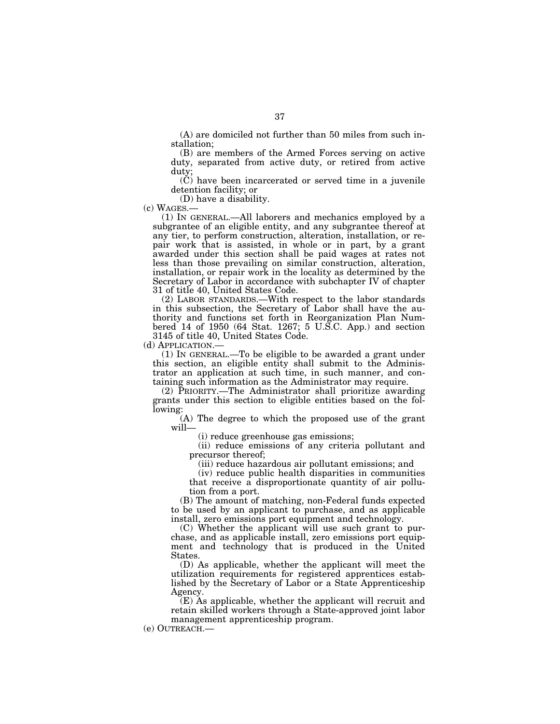(A) are domiciled not further than 50 miles from such installation;

(B) are members of the Armed Forces serving on active duty, separated from active duty, or retired from active duty;

(C) have been incarcerated or served time in a juvenile detention facility; or

(c) WAGES.—

 $(1)$  In GENERAL.—All laborers and mechanics employed by a subgrantee of an eligible entity, and any subgrantee thereof at any tier, to perform construction, alteration, installation, or repair work that is assisted, in whole or in part, by a grant awarded under this section shall be paid wages at rates not less than those prevailing on similar construction, alteration, installation, or repair work in the locality as determined by the Secretary of Labor in accordance with subchapter IV of chapter 31 of title 40, United States Code.

(2) LABOR STANDARDS.—With respect to the labor standards in this subsection, the Secretary of Labor shall have the authority and functions set forth in Reorganization Plan Numbered 14 of 1950 (64 Stat. 1267; 5 U.S.C. App.) and section 3145 of title 40, United States Code.<br>(d) APPLICATION.—

 $(1)$  In GENERAL.—To be eligible to be awarded a grant under this section, an eligible entity shall submit to the Administrator an application at such time, in such manner, and containing such information as the Administrator may require.

(2) PRIORITY.—The Administrator shall prioritize awarding grants under this section to eligible entities based on the following:

(A) The degree to which the proposed use of the grant will—

(i) reduce greenhouse gas emissions;

(ii) reduce emissions of any criteria pollutant and precursor thereof;

(iii) reduce hazardous air pollutant emissions; and

(iv) reduce public health disparities in communities that receive a disproportionate quantity of air pollution from a port.

(B) The amount of matching, non-Federal funds expected to be used by an applicant to purchase, and as applicable install, zero emissions port equipment and technology.

(C) Whether the applicant will use such grant to purchase, and as applicable install, zero emissions port equipment and technology that is produced in the United States.

(D) As applicable, whether the applicant will meet the utilization requirements for registered apprentices established by the Secretary of Labor or a State Apprenticeship Agency.

(E) As applicable, whether the applicant will recruit and retain skilled workers through a State-approved joint labor management apprenticeship program.

(e) OUTREACH.—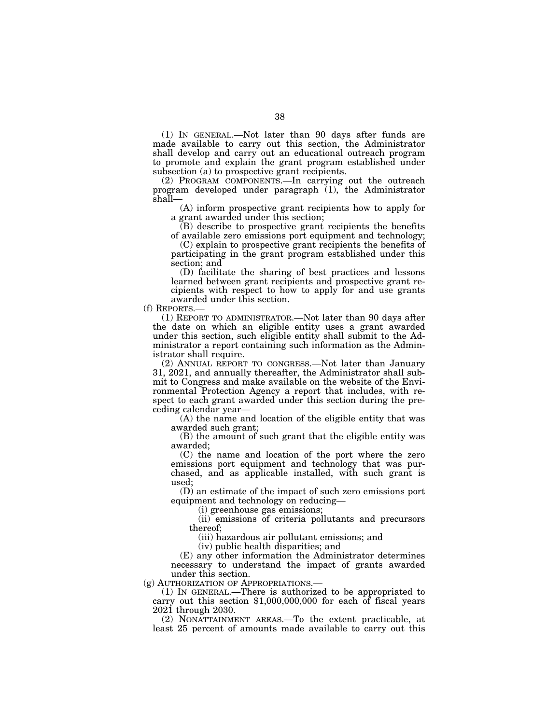(1) IN GENERAL.—Not later than 90 days after funds are made available to carry out this section, the Administrator shall develop and carry out an educational outreach program to promote and explain the grant program established under subsection (a) to prospective grant recipients.

(2) PROGRAM COMPONENTS.—In carrying out the outreach program developed under paragraph (1), the Administrator shall—

(A) inform prospective grant recipients how to apply for a grant awarded under this section;

(B) describe to prospective grant recipients the benefits of available zero emissions port equipment and technology;

(C) explain to prospective grant recipients the benefits of participating in the grant program established under this section; and

(D) facilitate the sharing of best practices and lessons learned between grant recipients and prospective grant recipients with respect to how to apply for and use grants awarded under this section.

(f) REPORTS.—

(1) REPORT TO ADMINISTRATOR.—Not later than 90 days after the date on which an eligible entity uses a grant awarded under this section, such eligible entity shall submit to the Administrator a report containing such information as the Administrator shall require.

(2) ANNUAL REPORT TO CONGRESS.—Not later than January 31, 2021, and annually thereafter, the Administrator shall submit to Congress and make available on the website of the Environmental Protection Agency a report that includes, with respect to each grant awarded under this section during the preceding calendar year—

(A) the name and location of the eligible entity that was awarded such grant;

(B) the amount of such grant that the eligible entity was awarded;

(C) the name and location of the port where the zero emissions port equipment and technology that was purchased, and as applicable installed, with such grant is used;

(D) an estimate of the impact of such zero emissions port equipment and technology on reducing—

(i) greenhouse gas emissions;

(ii) emissions of criteria pollutants and precursors thereof;

(iii) hazardous air pollutant emissions; and

(iv) public health disparities; and

(E) any other information the Administrator determines necessary to understand the impact of grants awarded under this section.

(g) AUTHORIZATION OF APPROPRIATIONS.— (1) IN GENERAL.—There is authorized to be appropriated to carry out this section \$1,000,000,000 for each of fiscal years 2021 through 2030.

(2) NONATTAINMENT AREAS.—To the extent practicable, at least 25 percent of amounts made available to carry out this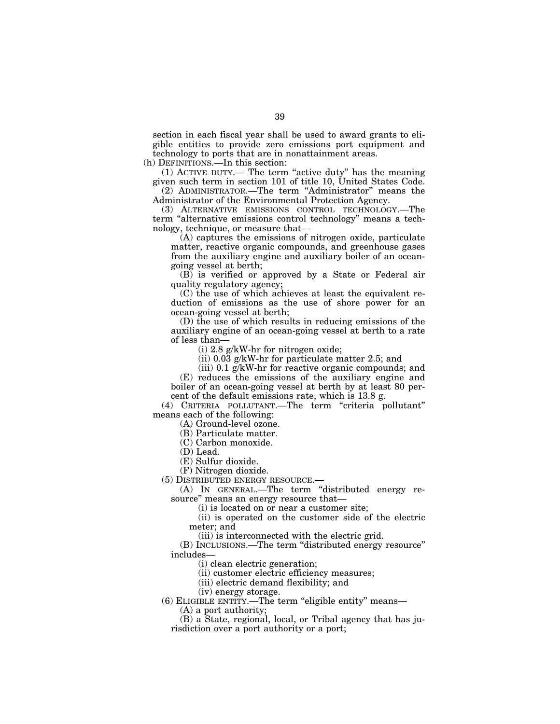section in each fiscal year shall be used to award grants to eligible entities to provide zero emissions port equipment and technology to ports that are in nonattainment areas.

(h) DEFINITIONS.—In this section:

(1) ACTIVE DUTY.— The term ''active duty'' has the meaning given such term in section 101 of title 10, United States Code.

(2) ADMINISTRATOR.—The term ''Administrator'' means the Administrator of the Environmental Protection Agency.

(3) ALTERNATIVE EMISSIONS CONTROL TECHNOLOGY.—The term ''alternative emissions control technology'' means a technology, technique, or measure that—

(A) captures the emissions of nitrogen oxide, particulate matter, reactive organic compounds, and greenhouse gases from the auxiliary engine and auxiliary boiler of an oceangoing vessel at berth;

(B) is verified or approved by a State or Federal air quality regulatory agency;

(C) the use of which achieves at least the equivalent reduction of emissions as the use of shore power for an ocean-going vessel at berth;

(D) the use of which results in reducing emissions of the auxiliary engine of an ocean-going vessel at berth to a rate of less than—

(i) 2.8 g/kW-hr for nitrogen oxide;

(ii) 0.03 g/kW-hr for particulate matter 2.5; and

(iii) 0.1 g/kW-hr for reactive organic compounds; and (E) reduces the emissions of the auxiliary engine and boiler of an ocean-going vessel at berth by at least 80 percent of the default emissions rate, which is 13.8 g.

(4) CRITERIA POLLUTANT.—The term ''criteria pollutant'' means each of the following:

(A) Ground-level ozone.

(B) Particulate matter.

(C) Carbon monoxide.

(D) Lead.

(E) Sulfur dioxide.

(F) Nitrogen dioxide.

(5) DISTRIBUTED ENERGY RESOURCE.—

(A) IN GENERAL.—The term ''distributed energy resource'' means an energy resource that—

(i) is located on or near a customer site;

(ii) is operated on the customer side of the electric meter; and

(iii) is interconnected with the electric grid.

(B) INCLUSIONS.—The term ''distributed energy resource'' includes—

(i) clean electric generation;

(ii) customer electric efficiency measures;

(iii) electric demand flexibility; and

(iv) energy storage.

(6) ELIGIBLE ENTITY.—The term ''eligible entity'' means— (A) a port authority;

(B) a State, regional, local, or Tribal agency that has jurisdiction over a port authority or a port;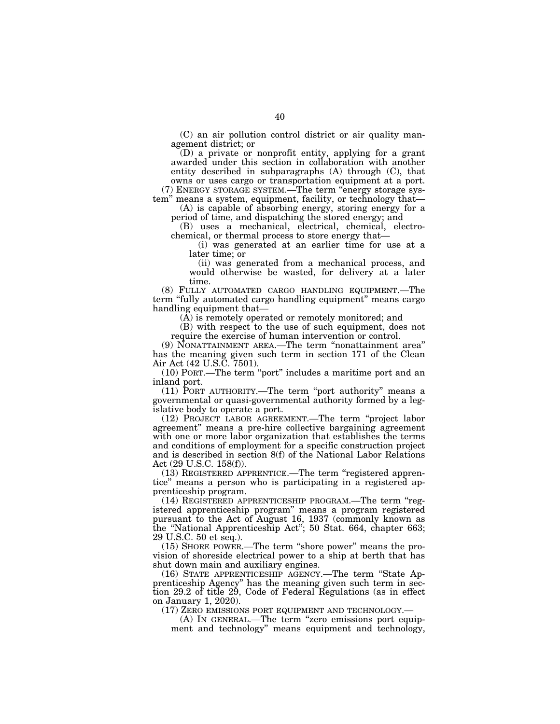(C) an air pollution control district or air quality management district; or

(D) a private or nonprofit entity, applying for a grant awarded under this section in collaboration with another entity described in subparagraphs (A) through (C), that owns or uses cargo or transportation equipment at a port.

(7) ENERGY STORAGE SYSTEM.—The term ''energy storage system'' means a system, equipment, facility, or technology that—

(A) is capable of absorbing energy, storing energy for a period of time, and dispatching the stored energy; and

(B) uses a mechanical, electrical, chemical, electrochemical, or thermal process to store energy that—

(i) was generated at an earlier time for use at a later time; or

(ii) was generated from a mechanical process, and would otherwise be wasted, for delivery at a later time.

(8) FULLY AUTOMATED CARGO HANDLING EQUIPMENT.—The term "fully automated cargo handling equipment" means cargo handling equipment that—

(A) is remotely operated or remotely monitored; and

(B) with respect to the use of such equipment, does not require the exercise of human intervention or control.

(9) NONATTAINMENT AREA.—The term ''nonattainment area'' has the meaning given such term in section 171 of the Clean Air Act (42 U.S.C. 7501).

(10) PORT.—The term ''port'' includes a maritime port and an inland port.

(11) PORT AUTHORITY.—The term ''port authority'' means a governmental or quasi-governmental authority formed by a legislative body to operate a port.

(12) PROJECT LABOR AGREEMENT.—The term ''project labor agreement'' means a pre-hire collective bargaining agreement with one or more labor organization that establishes the terms and conditions of employment for a specific construction project and is described in section 8(f) of the National Labor Relations Act (29 U.S.C. 158(f)).

(13) REGISTERED APPRENTICE.—The term ''registered apprentice'' means a person who is participating in a registered apprenticeship program.

(14) REGISTERED APPRENTICESHIP PROGRAM.—The term ''registered apprenticeship program'' means a program registered pursuant to the Act of August 16, 1937 (commonly known as the ''National Apprenticeship Act''; 50 Stat. 664, chapter 663; 29 U.S.C. 50 et seq.).

(15) SHORE POWER.—The term ''shore power'' means the provision of shoreside electrical power to a ship at berth that has shut down main and auxiliary engines.

(16) STATE APPRENTICESHIP AGENCY.—The term ''State Apprenticeship Agency'' has the meaning given such term in section 29.2 of title 29, Code of Federal Regulations (as in effect on January 1, 2020).

(17) ZERO EMISSIONS PORT EQUIPMENT AND TECHNOLOGY.—

(A) IN GENERAL.—The term ''zero emissions port equipment and technology'' means equipment and technology,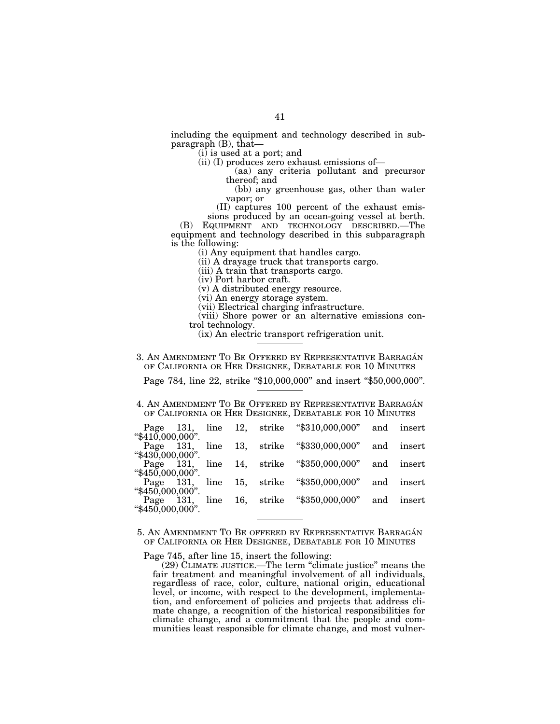including the equipment and technology described in subparagraph (B), that—

(i) is used at a port; and

(ii) (I) produces zero exhaust emissions of—

(aa) any criteria pollutant and precursor thereof; and

(bb) any greenhouse gas, other than water vapor; or

(II) captures 100 percent of the exhaust emissions produced by an ocean-going vessel at berth.

(B) EQUIPMENT AND TECHNOLOGY DESCRIBED.—The equipment and technology described in this subparagraph is the following:

(i) Any equipment that handles cargo.

(ii) A drayage truck that transports cargo.

(iii) A train that transports cargo.

(iv) Port harbor craft.

(v) A distributed energy resource.

(vi) An energy storage system.

(vii) Electrical charging infrastructure.

(viii) Shore power or an alternative emissions control technology.

(ix) An electric transport refrigeration unit.

# 3. AN AMENDMENT TO BE OFFERED BY REPRESENTATIVE BARRAGÁN OF CALIFORNIA OR HER DESIGNEE, DEBATABLE FOR 10 MINUTES

Page 784, line 22, strike "\$10,000,000" and insert "\$50,000,000".

# 4. AN AMENDMENT TO BE OFFERED BY REPRESENTATIVE BARRAGÁN OF CALIFORNIA OR HER DESIGNEE, DEBATABLE FOR 10 MINUTES

|                             |      |  | Page 131, line 12, strike "\$310,000,000" | and | insert |
|-----------------------------|------|--|-------------------------------------------|-----|--------|
| " $$410,000,000$ ".         |      |  |                                           |     |        |
| Page 131,                   |      |  | line 13, strike "\$330,000,000" and       |     | insert |
| "430,000,000".              |      |  |                                           |     |        |
| Page 131,<br>"450,000,000". |      |  | line 14, strike "\$350,000,000" and       |     | insert |
| Page 131,                   | line |  | 15, strike "\$350,000,000" and            |     | insert |
| " $$450,000,000$ ".         |      |  |                                           |     |        |
| Page 131,                   | line |  | 16, strike "\$350,000,000" and            |     | insert |
| " $$450,000,000$ ".         |      |  |                                           |     |        |

5. AN AMENDMENT TO BE OFFERED BY REPRESENTATIVE BARRAGÁN OF CALIFORNIA OR HER DESIGNEE, DEBATABLE FOR 10 MINUTES

Page 745, after line 15, insert the following:

(29) CLIMATE JUSTICE.—The term ''climate justice'' means the fair treatment and meaningful involvement of all individuals, regardless of race, color, culture, national origin, educational level, or income, with respect to the development, implementation, and enforcement of policies and projects that address climate change, a recognition of the historical responsibilities for climate change, and a commitment that the people and communities least responsible for climate change, and most vulner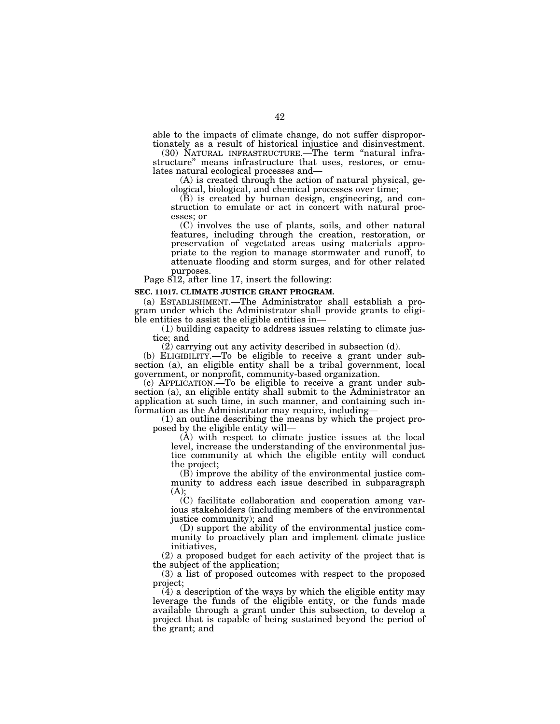able to the impacts of climate change, do not suffer disproportionately as a result of historical injustice and disinvestment.

(30) NATURAL INFRASTRUCTURE.—The term ''natural infrastructure'' means infrastructure that uses, restores, or emulates natural ecological processes and—

(A) is created through the action of natural physical, geological, biological, and chemical processes over time;

(B) is created by human design, engineering, and construction to emulate or act in concert with natural processes; or

(C) involves the use of plants, soils, and other natural features, including through the creation, restoration, or preservation of vegetated areas using materials appropriate to the region to manage stormwater and runoff, to attenuate flooding and storm surges, and for other related purposes.

Page 812, after line 17, insert the following:

#### **SEC. 11017. CLIMATE JUSTICE GRANT PROGRAM.**

(a) ESTABLISHMENT.—The Administrator shall establish a program under which the Administrator shall provide grants to eligible entities to assist the eligible entities in—

(1) building capacity to address issues relating to climate justice; and

(2) carrying out any activity described in subsection (d).

(b) ELIGIBILITY.—To be eligible to receive a grant under subsection (a), an eligible entity shall be a tribal government, local government, or nonprofit, community-based organization.

(c) APPLICATION.—To be eligible to receive a grant under subsection (a), an eligible entity shall submit to the Administrator an application at such time, in such manner, and containing such information as the Administrator may require, including—

(1) an outline describing the means by which the project proposed by the eligible entity will—

(A) with respect to climate justice issues at the local level, increase the understanding of the environmental justice community at which the eligible entity will conduct the project;

(B) improve the ability of the environmental justice community to address each issue described in subparagraph  $(A)$ :

(C) facilitate collaboration and cooperation among various stakeholders (including members of the environmental justice community); and

(D) support the ability of the environmental justice community to proactively plan and implement climate justice initiatives,

(2) a proposed budget for each activity of the project that is the subject of the application;

(3) a list of proposed outcomes with respect to the proposed project;

(4) a description of the ways by which the eligible entity may leverage the funds of the eligible entity, or the funds made available through a grant under this subsection, to develop a project that is capable of being sustained beyond the period of the grant; and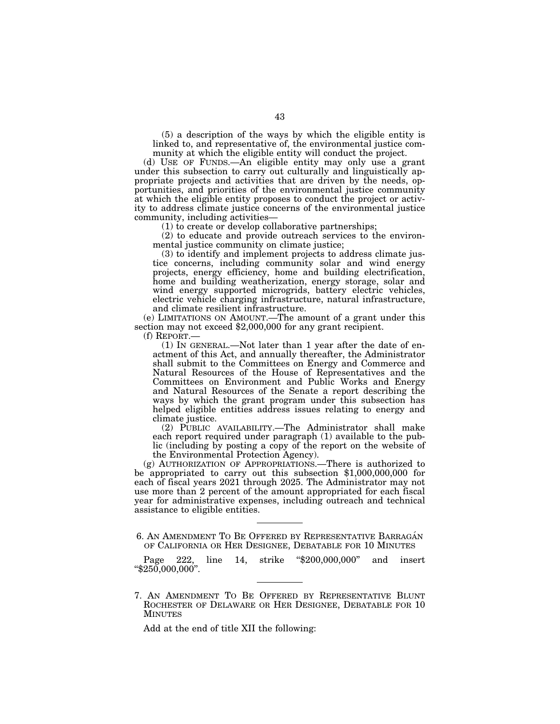(5) a description of the ways by which the eligible entity is linked to, and representative of, the environmental justice community at which the eligible entity will conduct the project.

(d) USE OF FUNDS.—An eligible entity may only use a grant under this subsection to carry out culturally and linguistically appropriate projects and activities that are driven by the needs, opportunities, and priorities of the environmental justice community at which the eligible entity proposes to conduct the project or activity to address climate justice concerns of the environmental justice community, including activities—

(1) to create or develop collaborative partnerships;

(2) to educate and provide outreach services to the environmental justice community on climate justice;

(3) to identify and implement projects to address climate justice concerns, including community solar and wind energy projects, energy efficiency, home and building electrification, home and building weatherization, energy storage, solar and wind energy supported microgrids, battery electric vehicles, electric vehicle charging infrastructure, natural infrastructure, and climate resilient infrastructure.<br>(e) LIMITATIONS ON AMOUNT.—The amount of a grant under this

section may not exceed \$2,000,000 for any grant recipient.<br>  $(f)$  REPORT.—

 $(1)$  In GENERAL.—Not later than 1 year after the date of enactment of this Act, and annually thereafter, the Administrator shall submit to the Committees on Energy and Commerce and Natural Resources of the House of Representatives and the Committees on Environment and Public Works and Energy and Natural Resources of the Senate a report describing the ways by which the grant program under this subsection has helped eligible entities address issues relating to energy and climate justice.

(2) PUBLIC AVAILABILITY.—The Administrator shall make each report required under paragraph (1) available to the public (including by posting a copy of the report on the website of the Environmental Protection Agency).

(g) AUTHORIZATION OF APPROPRIATIONS.—There is authorized to be appropriated to carry out this subsection \$1,000,000,000 for each of fiscal years 2021 through 2025. The Administrator may not use more than 2 percent of the amount appropriated for each fiscal year for administrative expenses, including outreach and technical assistance to eligible entities.

Page 222, line 14, strike "\$200,000,000" and insert ''\$250,000,000''.

7. AN AMENDMENT TO BE OFFERED BY REPRESENTATIVE BLUNT ROCHESTER OF DELAWARE OR HER DESIGNEE, DEBATABLE FOR 10 MINUTES

Add at the end of title XII the following:

<sup>6.</sup> AN AMENDMENT TO BE OFFERED BY REPRESENTATIVE BARRAGÁN OF CALIFORNIA OR HER DESIGNEE, DEBATABLE FOR 10 MINUTES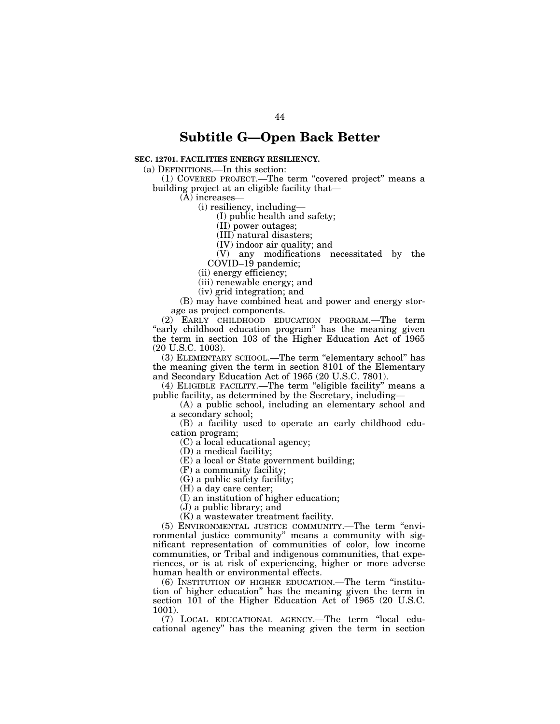# **Subtitle G—Open Back Better**

# **SEC. 12701. FACILITIES ENERGY RESILIENCY.**

(a) DEFINITIONS.—In this section:

(1) COVERED PROJECT.—The term ''covered project'' means a building project at an eligible facility that—

(A) increases—

(i) resiliency, including—

(I) public health and safety;

(II) power outages;

(III) natural disasters;

(IV) indoor air quality; and

(V) any modifications necessitated by the COVID–19 pandemic;

(ii) energy efficiency;

(iii) renewable energy; and

(iv) grid integration; and

(B) may have combined heat and power and energy storage as project components.

(2) EARLY CHILDHOOD EDUCATION PROGRAM.—The term "early childhood education program" has the meaning given the term in section 103 of the Higher Education Act of 1965 (20 U.S.C. 1003).

(3) ELEMENTARY SCHOOL.—The term ''elementary school'' has the meaning given the term in section 8101 of the Elementary and Secondary Education Act of 1965 (20 U.S.C. 7801).

(4) ELIGIBLE FACILITY.—The term ''eligible facility'' means a public facility, as determined by the Secretary, including—

(A) a public school, including an elementary school and a secondary school;

(B) a facility used to operate an early childhood education program;

(C) a local educational agency;

(D) a medical facility;

(E) a local or State government building;

(F) a community facility;

(G) a public safety facility;

(H) a day care center;

(I) an institution of higher education;

(J) a public library; and

(K) a wastewater treatment facility.

(5) ENVIRONMENTAL JUSTICE COMMUNITY.—The term ''environmental justice community'' means a community with significant representation of communities of color, low income communities, or Tribal and indigenous communities, that experiences, or is at risk of experiencing, higher or more adverse human health or environmental effects.

(6) INSTITUTION OF HIGHER EDUCATION.—The term ''institution of higher education'' has the meaning given the term in section 101 of the Higher Education Act of 1965 (20 U.S.C. 1001).

(7) LOCAL EDUCATIONAL AGENCY.—The term ''local educational agency'' has the meaning given the term in section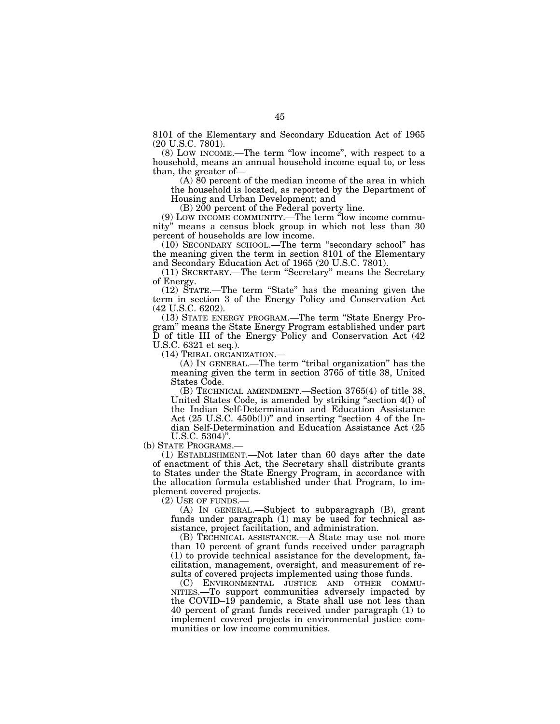8101 of the Elementary and Secondary Education Act of 1965 (20 U.S.C. 7801).

(8) LOW INCOME.—The term ''low income'', with respect to a household, means an annual household income equal to, or less than, the greater of—

(A) 80 percent of the median income of the area in which the household is located, as reported by the Department of Housing and Urban Development; and

(B) 200 percent of the Federal poverty line.

(9) LOW INCOME COMMUNITY.—The term ''low income community'' means a census block group in which not less than 30 percent of households are low income.

(10) SECONDARY SCHOOL.—The term ''secondary school'' has the meaning given the term in section 8101 of the Elementary and Secondary Education Act of 1965 (20 U.S.C. 7801).

(11) SECRETARY.—The term ''Secretary'' means the Secretary of Energy.

(12) STATE.—The term ''State'' has the meaning given the term in section 3 of the Energy Policy and Conservation Act (42 U.S.C. 6202).

(13) STATE ENERGY PROGRAM.—The term ''State Energy Program'' means the State Energy Program established under part D of title III of the Energy Policy and Conservation Act (42 U.S.C. 6321 et seq.).

(14) TRIBAL ORGANIZATION.— (A) IN GENERAL.—The term ''tribal organization'' has the meaning given the term in section 3765 of title 38, United States Code.

(B) TECHNICAL AMENDMENT.—Section 3765(4) of title 38, United States Code, is amended by striking ''section 4(l) of the Indian Self-Determination and Education Assistance Act (25 U.S.C. 450b(l))" and inserting "section 4 of the Indian Self-Determination and Education Assistance Act (25

U.S.C. 5304)".<br>(b) STATE PROGRAMS.-

 $(1)$  ESTABLISHMENT.—Not later than 60 days after the date of enactment of this Act, the Secretary shall distribute grants to States under the State Energy Program, in accordance with the allocation formula established under that Program, to implement covered projects.

 $(2)$  USE OF FUNDS.

(A) IN GENERAL.—Subject to subparagraph (B), grant funds under paragraph (1) may be used for technical assistance, project facilitation, and administration.

(B) TECHNICAL ASSISTANCE.—A State may use not more than 10 percent of grant funds received under paragraph (1) to provide technical assistance for the development, facilitation, management, oversight, and measurement of results of covered projects implemented using those funds.<br>
(C) ENVIRONMENTAL JUSTICE AND OTHER COMMU-

NITIES.—To support communities adversely impacted by the COVID–19 pandemic, a State shall use not less than 40 percent of grant funds received under paragraph (1) to implement covered projects in environmental justice communities or low income communities.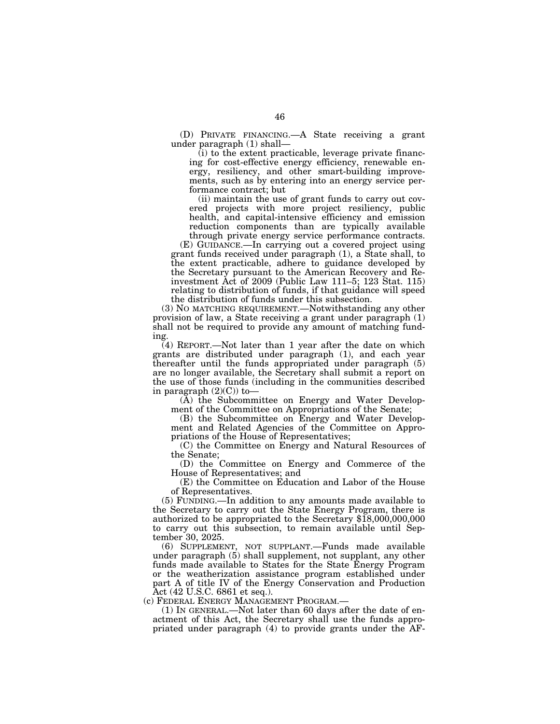(D) PRIVATE FINANCING.—A State receiving a grant under paragraph (1) shall—

(i) to the extent practicable, leverage private financing for cost-effective energy efficiency, renewable energy, resiliency, and other smart-building improvements, such as by entering into an energy service performance contract; but

(ii) maintain the use of grant funds to carry out covered projects with more project resiliency, public health, and capital-intensive efficiency and emission reduction components than are typically available through private energy service performance contracts.

(E) GUIDANCE.—In carrying out a covered project using grant funds received under paragraph (1), a State shall, to the extent practicable, adhere to guidance developed by the Secretary pursuant to the American Recovery and Reinvestment Act of 2009 (Public Law 111–5; 123 Stat. 115) relating to distribution of funds, if that guidance will speed the distribution of funds under this subsection.

(3) NO MATCHING REQUIREMENT.—Notwithstanding any other provision of law, a State receiving a grant under paragraph (1) shall not be required to provide any amount of matching funding.

(4) REPORT.—Not later than 1 year after the date on which grants are distributed under paragraph (1), and each year thereafter until the funds appropriated under paragraph (5) are no longer available, the Secretary shall submit a report on the use of those funds (including in the communities described in paragraph  $(2)(C)$  to-

(A) the Subcommittee on Energy and Water Development of the Committee on Appropriations of the Senate;

(B) the Subcommittee on Energy and Water Development and Related Agencies of the Committee on Appropriations of the House of Representatives;

(C) the Committee on Energy and Natural Resources of the Senate;

(D) the Committee on Energy and Commerce of the House of Representatives; and

(E) the Committee on Education and Labor of the House of Representatives.

(5) FUNDING.—In addition to any amounts made available to the Secretary to carry out the State Energy Program, there is authorized to be appropriated to the Secretary \$18,000,000,000 to carry out this subsection, to remain available until September 30, 2025.

(6) SUPPLEMENT, NOT SUPPLANT.—Funds made available under paragraph (5) shall supplement, not supplant, any other funds made available to States for the State Energy Program or the weatherization assistance program established under part A of title IV of the Energy Conservation and Production Act (42 U.S.C. 6861 et seq.).<br>(c) FEDERAL ENERGY MANAGEMENT PROGRAM.—

(1) IN GENERAL.—Not later than 60 days after the date of enactment of this Act, the Secretary shall use the funds appropriated under paragraph (4) to provide grants under the AF-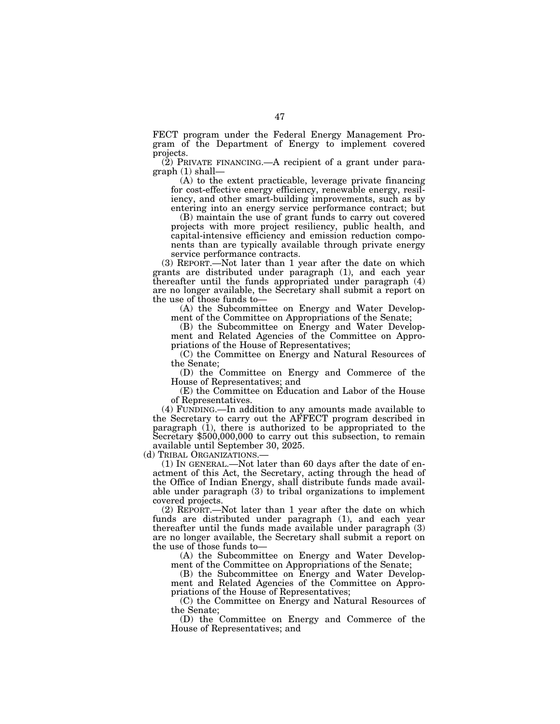FECT program under the Federal Energy Management Program of the Department of Energy to implement covered projects.

 $(2)$  PRIVATE FINANCING.—A recipient of a grant under paragraph (1) shall—

(A) to the extent practicable, leverage private financing for cost-effective energy efficiency, renewable energy, resiliency, and other smart-building improvements, such as by entering into an energy service performance contract; but

(B) maintain the use of grant funds to carry out covered projects with more project resiliency, public health, and capital-intensive efficiency and emission reduction components than are typically available through private energy service performance contracts.

(3) REPORT.—Not later than 1 year after the date on which grants are distributed under paragraph (1), and each year thereafter until the funds appropriated under paragraph (4) are no longer available, the Secretary shall submit a report on the use of those funds to—

(A) the Subcommittee on Energy and Water Development of the Committee on Appropriations of the Senate;

(B) the Subcommittee on Energy and Water Development and Related Agencies of the Committee on Appropriations of the House of Representatives;

(C) the Committee on Energy and Natural Resources of the Senate;

(D) the Committee on Energy and Commerce of the House of Representatives; and

(E) the Committee on Education and Labor of the House of Representatives.

(4) FUNDING.—In addition to any amounts made available to the Secretary to carry out the AFFECT program described in paragraph (1), there is authorized to be appropriated to the Secretary \$500,000,000 to carry out this subsection, to remain available until September 30, 2025.

(d) TRIBAL ORGANIZATIONS.— (1) IN GENERAL.—Not later than 60 days after the date of enactment of this Act, the Secretary, acting through the head of the Office of Indian Energy, shall distribute funds made available under paragraph (3) to tribal organizations to implement covered projects.

(2) REPORT.—Not later than 1 year after the date on which funds are distributed under paragraph (1), and each year thereafter until the funds made available under paragraph (3) are no longer available, the Secretary shall submit a report on the use of those funds to—

(A) the Subcommittee on Energy and Water Development of the Committee on Appropriations of the Senate;

(B) the Subcommittee on Energy and Water Development and Related Agencies of the Committee on Appropriations of the House of Representatives;

(C) the Committee on Energy and Natural Resources of the Senate;

(D) the Committee on Energy and Commerce of the House of Representatives; and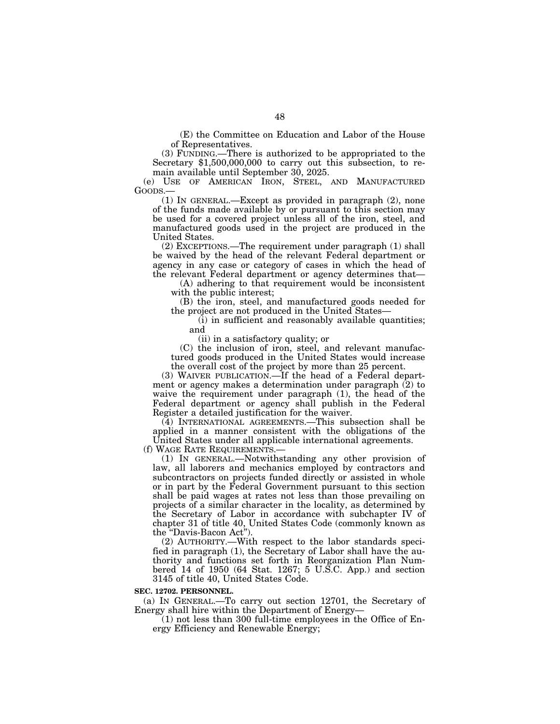(E) the Committee on Education and Labor of the House of Representatives.

(3) FUNDING.—There is authorized to be appropriated to the Secretary \$1,500,000,000 to carry out this subsection, to remain available until September 30, 2025.

(e) USE OF AMERICAN IRON, STEEL, AND MANUFACTURED GOODS.—

(1) IN GENERAL.—Except as provided in paragraph (2), none of the funds made available by or pursuant to this section may be used for a covered project unless all of the iron, steel, and manufactured goods used in the project are produced in the United States.

(2) EXCEPTIONS.—The requirement under paragraph (1) shall be waived by the head of the relevant Federal department or agency in any case or category of cases in which the head of the relevant Federal department or agency determines that—

(A) adhering to that requirement would be inconsistent with the public interest;

(B) the iron, steel, and manufactured goods needed for the project are not produced in the United States—

(i) in sufficient and reasonably available quantities; and

(ii) in a satisfactory quality; or

(C) the inclusion of iron, steel, and relevant manufactured goods produced in the United States would increase the overall cost of the project by more than 25 percent.

(3) WAIVER PUBLICATION.—If the head of a Federal department or agency makes a determination under paragraph (2) to waive the requirement under paragraph (1), the head of the Federal department or agency shall publish in the Federal Register a detailed justification for the waiver.

(4) INTERNATIONAL AGREEMENTS.—This subsection shall be applied in a manner consistent with the obligations of the United States under all applicable international agreements.

(f) WAGE RATE REQUIREMENTS.—

(1) IN GENERAL.—Notwithstanding any other provision of law, all laborers and mechanics employed by contractors and subcontractors on projects funded directly or assisted in whole or in part by the Federal Government pursuant to this section shall be paid wages at rates not less than those prevailing on projects of a similar character in the locality, as determined by the Secretary of Labor in accordance with subchapter IV of chapter 31 of title 40, United States Code (commonly known as the "Davis-Bacon Act").

(2) AUTHORITY.—With respect to the labor standards specified in paragraph (1), the Secretary of Labor shall have the authority and functions set forth in Reorganization Plan Numbered 14 of 1950 (64 Stat. 1267; 5 U.S.C. App.) and section 3145 of title 40, United States Code.

#### **SEC. 12702. PERSONNEL.**

(a) IN GENERAL.—To carry out section 12701, the Secretary of Energy shall hire within the Department of Energy—

(1) not less than 300 full-time employees in the Office of Energy Efficiency and Renewable Energy;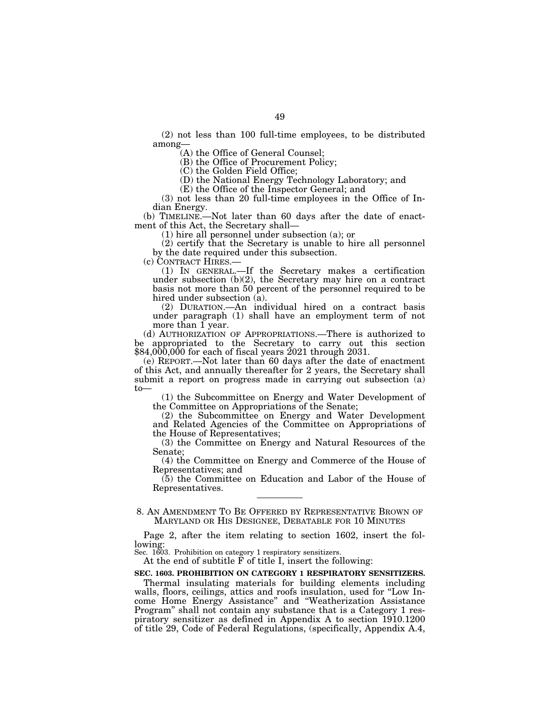(2) not less than 100 full-time employees, to be distributed among—

(A) the Office of General Counsel;

(B) the Office of Procurement Policy;

(C) the Golden Field Office;

(D) the National Energy Technology Laboratory; and

(E) the Office of the Inspector General; and

(3) not less than 20 full-time employees in the Office of Indian Energy.

(b) TIMELINE.—Not later than 60 days after the date of enactment of this Act, the Secretary shall—

(1) hire all personnel under subsection (a); or

(2) certify that the Secretary is unable to hire all personnel by the date required under this subsection.<br>(c) CONTRACT HIRES.—

(1) IN GENERAL.—If the Secretary makes a certification under subsection (b)(2), the Secretary may hire on a contract basis not more than 50 percent of the personnel required to be hired under subsection (a).

(2) DURATION.—An individual hired on a contract basis under paragraph (1) shall have an employment term of not more than 1 year.

(d) AUTHORIZATION OF APPROPRIATIONS.—There is authorized to be appropriated to the Secretary to carry out this section \$84,000,000 for each of fiscal years 2021 through 2031.

(e) REPORT.—Not later than 60 days after the date of enactment of this Act, and annually thereafter for 2 years, the Secretary shall submit a report on progress made in carrying out subsection (a) to—

(1) the Subcommittee on Energy and Water Development of the Committee on Appropriations of the Senate;

(2) the Subcommittee on Energy and Water Development and Related Agencies of the Committee on Appropriations of the House of Representatives;

(3) the Committee on Energy and Natural Resources of the Senate;

(4) the Committee on Energy and Commerce of the House of Representatives; and

(5) the Committee on Education and Labor of the House of Representatives.

8. AN AMENDMENT TO BE OFFERED BY REPRESENTATIVE BROWN OF MARYLAND OR HIS DESIGNEE, DEBATABLE FOR 10 MINUTES

Page 2, after the item relating to section 1602, insert the following:

Sec. 1603. Prohibition on category 1 respiratory sensitizers.

At the end of subtitle F of title I, insert the following:

# **SEC. 1603. PROHIBITION ON CATEGORY 1 RESPIRATORY SENSITIZERS.**

Thermal insulating materials for building elements including walls, floors, ceilings, attics and roofs insulation, used for "Low Income Home Energy Assistance'' and ''Weatherization Assistance Program'' shall not contain any substance that is a Category 1 respiratory sensitizer as defined in Appendix A to section 1910.1200 of title 29, Code of Federal Regulations, (specifically, Appendix A.4,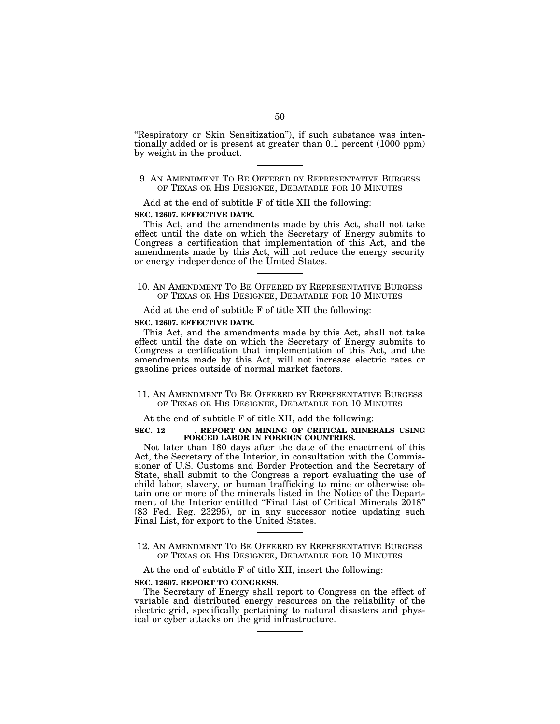"Respiratory or Skin Sensitization"), if such substance was intentionally added or is present at greater than 0.1 percent (1000 ppm) by weight in the product.

# 9. AN AMENDMENT TO BE OFFERED BY REPRESENTATIVE BURGESS OF TEXAS OR HIS DESIGNEE, DEBATABLE FOR 10 MINUTES

Add at the end of subtitle F of title XII the following:

#### **SEC. 12607. EFFECTIVE DATE.**

This Act, and the amendments made by this Act, shall not take effect until the date on which the Secretary of Energy submits to Congress a certification that implementation of this Act, and the amendments made by this Act, will not reduce the energy security or energy independence of the United States.

10. AN AMENDMENT TO BE OFFERED BY REPRESENTATIVE BURGESS OF TEXAS OR HIS DESIGNEE, DEBATABLE FOR 10 MINUTES

Add at the end of subtitle F of title XII the following:

#### **SEC. 12607. EFFECTIVE DATE.**

This Act, and the amendments made by this Act, shall not take effect until the date on which the Secretary of Energy submits to Congress a certification that implementation of this Act, and the amendments made by this Act, will not increase electric rates or gasoline prices outside of normal market factors.

# 11. AN AMENDMENT TO BE OFFERED BY REPRESENTATIVE BURGESS OF TEXAS OR HIS DESIGNEE, DEBATABLE FOR 10 MINUTES

# At the end of subtitle F of title XII, add the following:

# SEC. 12\_\_\_\_\_\_\_\_. REPORT ON MINING OF CRITICAL MINERALS USING **FORCED LABOR IN FOREIGN COUNTRIES.**

Not later than 180 days after the date of the enactment of this Act, the Secretary of the Interior, in consultation with the Commissioner of U.S. Customs and Border Protection and the Secretary of State, shall submit to the Congress a report evaluating the use of child labor, slavery, or human trafficking to mine or otherwise obtain one or more of the minerals listed in the Notice of the Department of the Interior entitled "Final List of Critical Minerals 2018" (83 Fed. Reg. 23295), or in any successor notice updating such Final List, for export to the United States.

# 12. AN AMENDMENT TO BE OFFERED BY REPRESENTATIVE BURGESS OF TEXAS OR HIS DESIGNEE, DEBATABLE FOR 10 MINUTES

# At the end of subtitle F of title XII, insert the following:

#### **SEC. 12607. REPORT TO CONGRESS.**

The Secretary of Energy shall report to Congress on the effect of variable and distributed energy resources on the reliability of the electric grid, specifically pertaining to natural disasters and physical or cyber attacks on the grid infrastructure.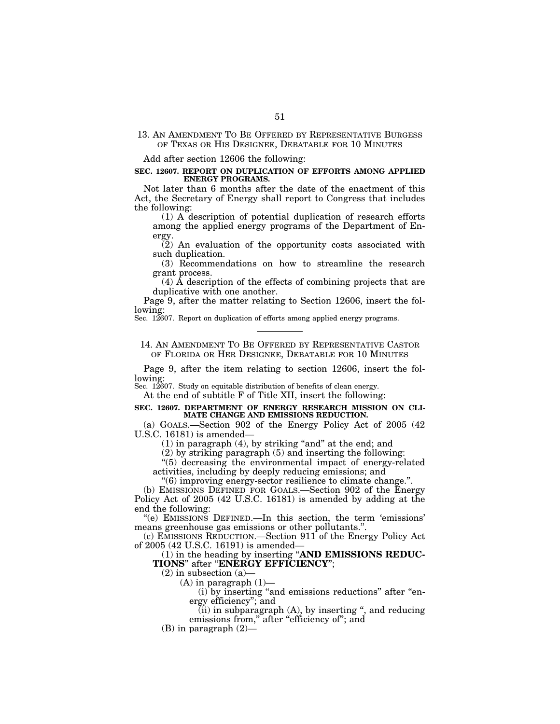# 13. AN AMENDMENT TO BE OFFERED BY REPRESENTATIVE BURGESS OF TEXAS OR HIS DESIGNEE, DEBATABLE FOR 10 MINUTES

Add after section 12606 the following:

#### **SEC. 12607. REPORT ON DUPLICATION OF EFFORTS AMONG APPLIED ENERGY PROGRAMS.**

Not later than 6 months after the date of the enactment of this Act, the Secretary of Energy shall report to Congress that includes the following:

(1) A description of potential duplication of research efforts among the applied energy programs of the Department of Energy.

(2) An evaluation of the opportunity costs associated with such duplication.

(3) Recommendations on how to streamline the research grant process.

 $(4)$  Å description of the effects of combining projects that are duplicative with one another.

Page 9, after the matter relating to Section 12606, insert the following:

Sec. 12607. Report on duplication of efforts among applied energy programs.

# 14. AN AMENDMENT TO BE OFFERED BY REPRESENTATIVE CASTOR OF FLORIDA OR HER DESIGNEE, DEBATABLE FOR 10 MINUTES

Page 9, after the item relating to section 12606, insert the following:

Sec. 12607. Study on equitable distribution of benefits of clean energy.

At the end of subtitle F of Title XII, insert the following:

#### **SEC. 12607. DEPARTMENT OF ENERGY RESEARCH MISSION ON CLI-MATE CHANGE AND EMISSIONS REDUCTION.**

(a) GOALS.—Section 902 of the Energy Policy Act of 2005 (42 U.S.C. 16181) is amended—

 $(1)$  in paragraph  $(4)$ , by striking "and" at the end; and

(2) by striking paragraph (5) and inserting the following:

''(5) decreasing the environmental impact of energy-related activities, including by deeply reducing emissions; and

''(6) improving energy-sector resilience to climate change.''.

(b) EMISSIONS DEFINED FOR GOALS.—Section 902 of the Energy Policy Act of 2005 (42 U.S.C. 16181) is amended by adding at the end the following:

''(e) EMISSIONS DEFINED.—In this section, the term 'emissions' means greenhouse gas emissions or other pollutants.''.

(c) EMISSIONS REDUCTION.—Section 911 of the Energy Policy Act of 2005 (42 U.S.C. 16191) is amended—

(1) in the heading by inserting ''**AND EMISSIONS REDUC-TIONS**'' after ''**ENERGY EFFICIENCY**'';

 $(2)$  in subsection  $(a)$ 

 $(A)$  in paragraph  $(1)$ —

(i) by inserting "and emissions reductions" after "energy efficiency''; and

 $(iii)$  in subparagraph  $(A)$ , by inserting ", and reducing emissions from," after "efficiency of"; and

(B) in paragraph (2)—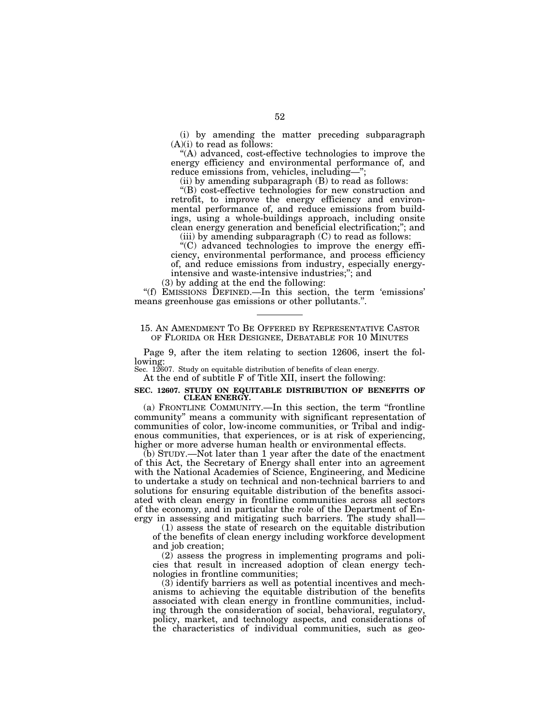(i) by amending the matter preceding subparagraph  $(A)(i)$  to read as follows:

''(A) advanced, cost-effective technologies to improve the energy efficiency and environmental performance of, and reduce emissions from, vehicles, including—'';

(ii) by amending subparagraph (B) to read as follows:

''(B) cost-effective technologies for new construction and retrofit, to improve the energy efficiency and environmental performance of, and reduce emissions from buildings, using a whole-buildings approach, including onsite clean energy generation and beneficial electrification;''; and

(iii) by amending subparagraph  $(C)$  to read as follows:

''(C) advanced technologies to improve the energy efficiency, environmental performance, and process efficiency of, and reduce emissions from industry, especially energyintensive and waste-intensive industries;''; and

(3) by adding at the end the following:

''(f) EMISSIONS DEFINED.—In this section, the term 'emissions' means greenhouse gas emissions or other pollutants.''.

# 15. AN AMENDMENT TO BE OFFERED BY REPRESENTATIVE CASTOR OF FLORIDA OR HER DESIGNEE, DEBATABLE FOR 10 MINUTES

Page 9, after the item relating to section 12606, insert the following:

Sec. 12607. Study on equitable distribution of benefits of clean energy.

At the end of subtitle F of Title XII, insert the following:

#### **SEC. 12607. STUDY ON EQUITABLE DISTRIBUTION OF BENEFITS OF CLEAN ENERGY.**

(a) FRONTLINE COMMUNITY.—In this section, the term ''frontline community'' means a community with significant representation of communities of color, low-income communities, or Tribal and indigenous communities, that experiences, or is at risk of experiencing, higher or more adverse human health or environmental effects.

(b) STUDY.—Not later than 1 year after the date of the enactment of this Act, the Secretary of Energy shall enter into an agreement with the National Academies of Science, Engineering, and Medicine to undertake a study on technical and non-technical barriers to and solutions for ensuring equitable distribution of the benefits associated with clean energy in frontline communities across all sectors of the economy, and in particular the role of the Department of Energy in assessing and mitigating such barriers. The study shall—

(1) assess the state of research on the equitable distribution of the benefits of clean energy including workforce development and job creation;

(2) assess the progress in implementing programs and policies that result in increased adoption of clean energy technologies in frontline communities;

(3) identify barriers as well as potential incentives and mechanisms to achieving the equitable distribution of the benefits associated with clean energy in frontline communities, including through the consideration of social, behavioral, regulatory, policy, market, and technology aspects, and considerations of the characteristics of individual communities, such as geo-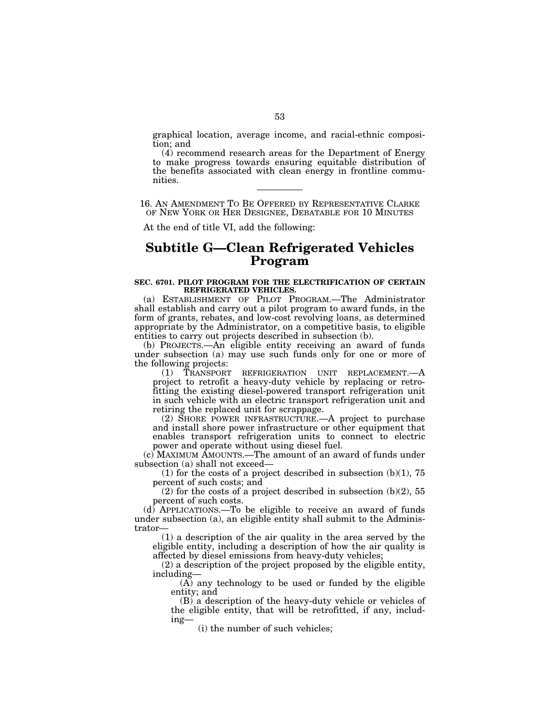graphical location, average income, and racial-ethnic composition; and

(4) recommend research areas for the Department of Energy to make progress towards ensuring equitable distribution of the benefits associated with clean energy in frontline communities.

16. AN AMENDMENT TO BE OFFERED BY REPRESENTATIVE CLARKE OF NEW YORK OR HER DESIGNEE, DEBATABLE FOR 10 MINUTES

At the end of title VI, add the following:

# **Subtitle G—Clean Refrigerated Vehicles Program**

#### **SEC. 6701. PILOT PROGRAM FOR THE ELECTRIFICATION OF CERTAIN REFRIGERATED VEHICLES.**

(a) ESTABLISHMENT OF PILOT PROGRAM.—The Administrator shall establish and carry out a pilot program to award funds, in the form of grants, rebates, and low-cost revolving loans, as determined appropriate by the Administrator, on a competitive basis, to eligible entities to carry out projects described in subsection (b).

(b) PROJECTS.—An eligible entity receiving an award of funds under subsection (a) may use such funds only for one or more of the following projects:<br>(1) TRANSPORT

(1) TRANSPORT REFRIGERATION UNIT REPLACEMENT.—A project to retrofit a heavy-duty vehicle by replacing or retrofitting the existing diesel-powered transport refrigeration unit in such vehicle with an electric transport refrigeration unit and retiring the replaced unit for scrappage.

(2) SHORE POWER INFRASTRUCTURE.—A project to purchase and install shore power infrastructure or other equipment that enables transport refrigeration units to connect to electric power and operate without using diesel fuel.

(c) MAXIMUM AMOUNTS.—The amount of an award of funds under subsection (a) shall not exceed—

(1) for the costs of a project described in subsection  $(b)(1)$ , 75 percent of such costs; and

(2) for the costs of a project described in subsection  $(b)(2)$ , 55 percent of such costs.

(d) APPLICATIONS.—To be eligible to receive an award of funds under subsection (a), an eligible entity shall submit to the Administrator—

(1) a description of the air quality in the area served by the eligible entity, including a description of how the air quality is affected by diesel emissions from heavy-duty vehicles;

(2) a description of the project proposed by the eligible entity, including—

(A) any technology to be used or funded by the eligible entity; and

(B) a description of the heavy-duty vehicle or vehicles of the eligible entity, that will be retrofitted, if any, including—

(i) the number of such vehicles;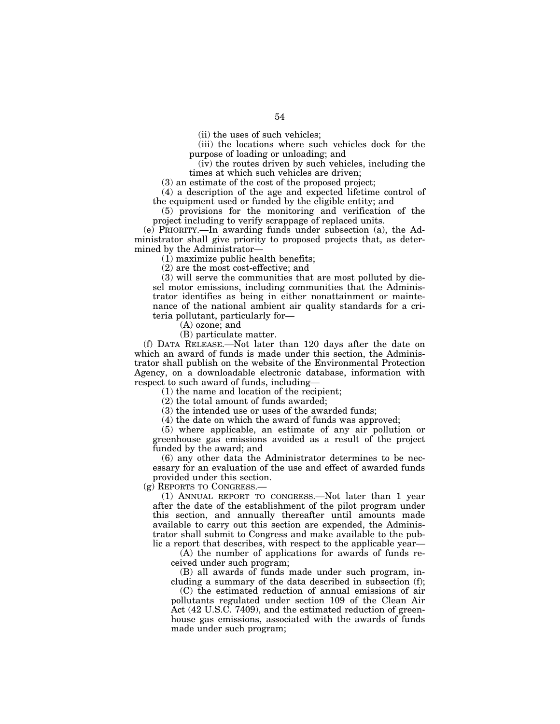(iii) the locations where such vehicles dock for the purpose of loading or unloading; and

(iv) the routes driven by such vehicles, including the times at which such vehicles are driven;

(3) an estimate of the cost of the proposed project;

(4) a description of the age and expected lifetime control of the equipment used or funded by the eligible entity; and

(5) provisions for the monitoring and verification of the project including to verify scrappage of replaced units.

(e) PRIORITY.—In awarding funds under subsection (a), the Administrator shall give priority to proposed projects that, as determined by the Administrator—

(1) maximize public health benefits;

(2) are the most cost-effective; and

(3) will serve the communities that are most polluted by diesel motor emissions, including communities that the Administrator identifies as being in either nonattainment or maintenance of the national ambient air quality standards for a criteria pollutant, particularly for—

(A) ozone; and

(B) particulate matter.

(f) DATA RELEASE.—Not later than 120 days after the date on which an award of funds is made under this section, the Administrator shall publish on the website of the Environmental Protection Agency, on a downloadable electronic database, information with respect to such award of funds, including—

(1) the name and location of the recipient;

(2) the total amount of funds awarded;

(3) the intended use or uses of the awarded funds;

(4) the date on which the award of funds was approved;

(5) where applicable, an estimate of any air pollution or greenhouse gas emissions avoided as a result of the project funded by the award; and

(6) any other data the Administrator determines to be necessary for an evaluation of the use and effect of awarded funds provided under this section.

(g) REPORTS TO CONGRESS.—

(1) ANNUAL REPORT TO CONGRESS.—Not later than 1 year after the date of the establishment of the pilot program under this section, and annually thereafter until amounts made available to carry out this section are expended, the Administrator shall submit to Congress and make available to the public a report that describes, with respect to the applicable year—

(A) the number of applications for awards of funds received under such program;

(B) all awards of funds made under such program, including a summary of the data described in subsection (f);

(C) the estimated reduction of annual emissions of air pollutants regulated under section 109 of the Clean Air Act (42 U.S.C. 7409), and the estimated reduction of greenhouse gas emissions, associated with the awards of funds made under such program;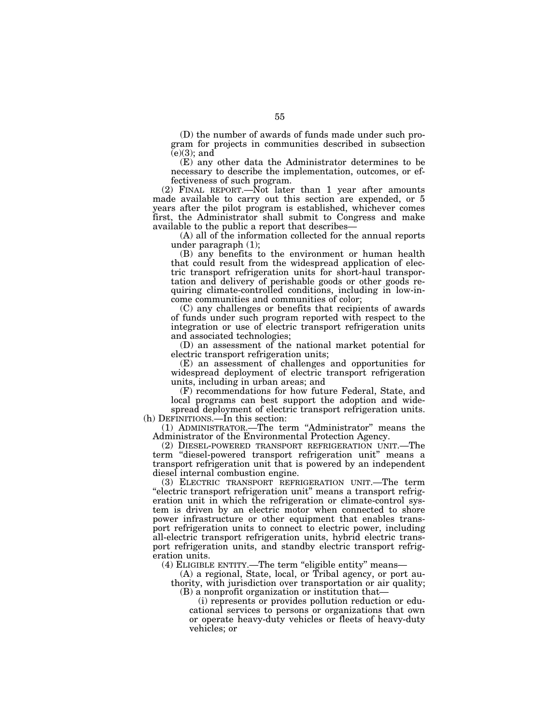(D) the number of awards of funds made under such program for projects in communities described in subsection  $(e)(3)$ ; and

(E) any other data the Administrator determines to be necessary to describe the implementation, outcomes, or effectiveness of such program.

 $(2)$  FINAL REPORT.—Not later than 1 year after amounts made available to carry out this section are expended, or 5 years after the pilot program is established, whichever comes first, the Administrator shall submit to Congress and make available to the public a report that describes—

(A) all of the information collected for the annual reports under paragraph (1);

(B) any benefits to the environment or human health that could result from the widespread application of electric transport refrigeration units for short-haul transportation and delivery of perishable goods or other goods requiring climate-controlled conditions, including in low-income communities and communities of color;

(C) any challenges or benefits that recipients of awards of funds under such program reported with respect to the integration or use of electric transport refrigeration units and associated technologies;

(D) an assessment of the national market potential for electric transport refrigeration units;

(E) an assessment of challenges and opportunities for widespread deployment of electric transport refrigeration units, including in urban areas; and

(F) recommendations for how future Federal, State, and local programs can best support the adoption and wide-

spread deployment of electric transport refrigeration units. (h) DEFINITIONS.—In this section:

(1) ADMINISTRATOR.—The term ''Administrator'' means the Administrator of the Environmental Protection Agency.

(2) DIESEL-POWERED TRANSPORT REFRIGERATION UNIT.—The term ''diesel-powered transport refrigeration unit'' means a transport refrigeration unit that is powered by an independent diesel internal combustion engine.

(3) ELECTRIC TRANSPORT REFRIGERATION UNIT.—The term ''electric transport refrigeration unit'' means a transport refrigeration unit in which the refrigeration or climate-control system is driven by an electric motor when connected to shore power infrastructure or other equipment that enables transport refrigeration units to connect to electric power, including all-electric transport refrigeration units, hybrid electric transport refrigeration units, and standby electric transport refrigeration units.

(4) ELIGIBLE ENTITY.—The term ''eligible entity'' means—

(A) a regional, State, local, or Tribal agency, or port authority, with jurisdiction over transportation or air quality; (B) a nonprofit organization or institution that—

(i) represents or provides pollution reduction or educational services to persons or organizations that own

or operate heavy-duty vehicles or fleets of heavy-duty vehicles; or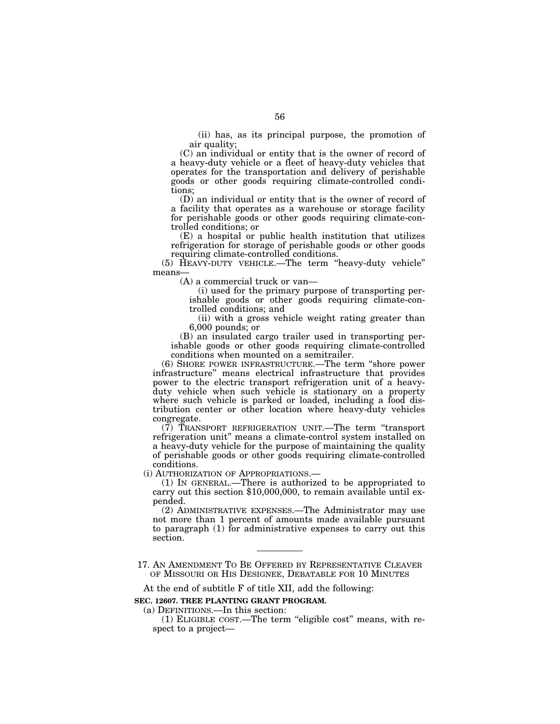(ii) has, as its principal purpose, the promotion of air quality;

(C) an individual or entity that is the owner of record of a heavy-duty vehicle or a fleet of heavy-duty vehicles that operates for the transportation and delivery of perishable goods or other goods requiring climate-controlled conditions;

(D) an individual or entity that is the owner of record of a facility that operates as a warehouse or storage facility for perishable goods or other goods requiring climate-controlled conditions; or

(E) a hospital or public health institution that utilizes refrigeration for storage of perishable goods or other goods requiring climate-controlled conditions.

(5) HEAVY-DUTY VEHICLE.—The term ''heavy-duty vehicle'' means—

(A) a commercial truck or van—

(i) used for the primary purpose of transporting perishable goods or other goods requiring climate-controlled conditions; and

(ii) with a gross vehicle weight rating greater than 6,000 pounds; or

(B) an insulated cargo trailer used in transporting perishable goods or other goods requiring climate-controlled conditions when mounted on a semitrailer.

(6) SHORE POWER INFRASTRUCTURE.—The term ''shore power infrastructure'' means electrical infrastructure that provides power to the electric transport refrigeration unit of a heavyduty vehicle when such vehicle is stationary on a property where such vehicle is parked or loaded, including a food distribution center or other location where heavy-duty vehicles congregate.

(7) TRANSPORT REFRIGERATION UNIT.—The term ''transport refrigeration unit'' means a climate-control system installed on a heavy-duty vehicle for the purpose of maintaining the quality of perishable goods or other goods requiring climate-controlled conditions.<br>(i) AUTHORIZATION OF APPROPRIATIONS.—

(1) IN GENERAL.—There is authorized to be appropriated to carry out this section  $$10,000,000$ , to remain available until expended.

(2) ADMINISTRATIVE EXPENSES.—The Administrator may use not more than 1 percent of amounts made available pursuant to paragraph (1) for administrative expenses to carry out this section.

At the end of subtitle F of title XII, add the following:

**SEC. 12607. TREE PLANTING GRANT PROGRAM.** 

(a) DEFINITIONS.—In this section:

<sup>17.</sup> AN AMENDMENT TO BE OFFERED BY REPRESENTATIVE CLEAVER OF MISSOURI OR HIS DESIGNEE, DEBATABLE FOR 10 MINUTES

<sup>(1)</sup> ELIGIBLE COST.—The term ''eligible cost'' means, with respect to a project—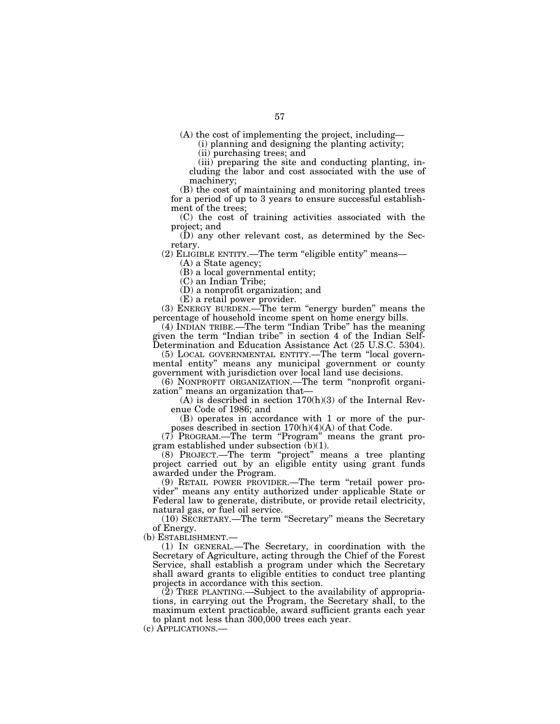(A) the cost of implementing the project, including—

(i) planning and designing the planting activity;

(ii) purchasing trees; and

(iii) preparing the site and conducting planting, including the labor and cost associated with the use of machinery;

(B) the cost of maintaining and monitoring planted trees for a period of up to 3 years to ensure successful establishment of the trees;

(C) the cost of training activities associated with the project; and

(D) any other relevant cost, as determined by the Secretary.

(2) ELIGIBLE ENTITY.—The term ''eligible entity'' means—

(A) a State agency;

(B) a local governmental entity;

(C) an Indian Tribe;

(D) a nonprofit organization; and

(E) a retail power provider.

(3) ENERGY BURDEN.—The term ''energy burden'' means the percentage of household income spent on home energy bills.

(4) INDIAN TRIBE.—The term ''Indian Tribe'' has the meaning given the term ''Indian tribe'' in section 4 of the Indian Self-Determination and Education Assistance Act (25 U.S.C. 5304).

(5) LOCAL GOVERNMENTAL ENTITY.—The term ''local governmental entity'' means any municipal government or county government with jurisdiction over local land use decisions.

(6) NONPROFIT ORGANIZATION.—The term ''nonprofit organization'' means an organization that—

(A) is described in section 170(h)(3) of the Internal Revenue Code of 1986; and

(B) operates in accordance with 1 or more of the purposes described in section 170(h)(4)(A) of that Code.

 $(7)$  PROGRAM.—The term "Program" means the grant program established under subsection (b)(1).

(8) PROJECT.—The term ''project'' means a tree planting project carried out by an eligible entity using grant funds awarded under the Program.

(9) RETAIL POWER PROVIDER.—The term ''retail power provider'' means any entity authorized under applicable State or Federal law to generate, distribute, or provide retail electricity, natural gas, or fuel oil service.

(10) SECRETARY.—The term ''Secretary'' means the Secretary of Energy.

(b) ESTABLISHMENT.—

(1) IN GENERAL.—The Secretary, in coordination with the Secretary of Agriculture, acting through the Chief of the Forest Service, shall establish a program under which the Secretary shall award grants to eligible entities to conduct tree planting projects in accordance with this section.

(2) TREE PLANTING.—Subject to the availability of appropriations, in carrying out the Program, the Secretary shall, to the maximum extent practicable, award sufficient grants each year to plant not less than 300,000 trees each year.

(c) APPLICATIONS.—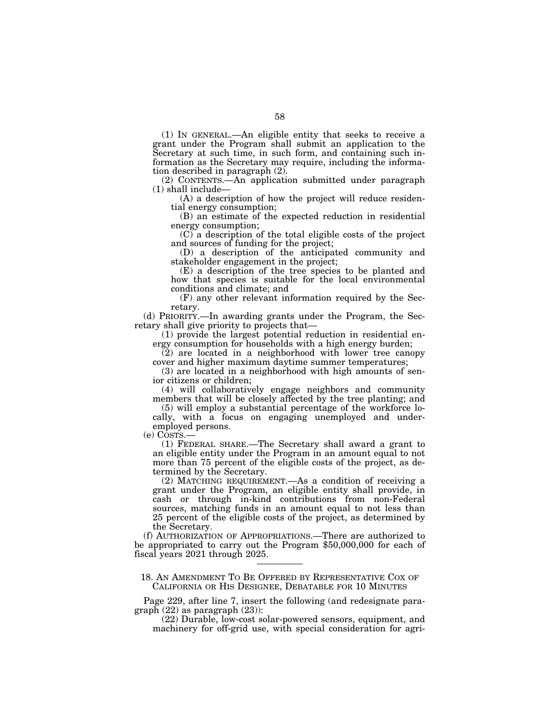(1) IN GENERAL.—An eligible entity that seeks to receive a grant under the Program shall submit an application to the Secretary at such time, in such form, and containing such information as the Secretary may require, including the information described in paragraph (2).

(2) CONTENTS.—An application submitted under paragraph (1) shall include—

(A) a description of how the project will reduce residential energy consumption;

(B) an estimate of the expected reduction in residential energy consumption;

(C) a description of the total eligible costs of the project and sources of funding for the project;

(D) a description of the anticipated community and stakeholder engagement in the project;

(E) a description of the tree species to be planted and how that species is suitable for the local environmental conditions and climate; and

(F) any other relevant information required by the Secretary.

(d) PRIORITY.—In awarding grants under the Program, the Secretary shall give priority to projects that—

(1) provide the largest potential reduction in residential energy consumption for households with a high energy burden;

 $(2)$  are located in a neighborhood with lower tree canopy cover and higher maximum daytime summer temperatures;

(3) are located in a neighborhood with high amounts of senior citizens or children;

(4) will collaboratively engage neighbors and community members that will be closely affected by the tree planting; and

(5) will employ a substantial percentage of the workforce locally, with a focus on engaging unemployed and underemployed persons.

(e) COSTS.—

(1) FEDERAL SHARE.—The Secretary shall award a grant to an eligible entity under the Program in an amount equal to not more than 75 percent of the eligible costs of the project, as determined by the Secretary.

(2) MATCHING REQUIREMENT.—As a condition of receiving a grant under the Program, an eligible entity shall provide, in cash or through in-kind contributions from non-Federal sources, matching funds in an amount equal to not less than 25 percent of the eligible costs of the project, as determined by the Secretary.

(f) AUTHORIZATION OF APPROPRIATIONS.—There are authorized to be appropriated to carry out the Program \$50,000,000 for each of fiscal years 2021 through 2025.

18. AN AMENDMENT TO BE OFFERED BY REPRESENTATIVE COX OF CALIFORNIA OR HIS DESIGNEE, DEBATABLE FOR 10 MINUTES

Page 229, after line 7, insert the following (and redesignate paragraph (22) as paragraph (23)):

(22) Durable, low-cost solar-powered sensors, equipment, and machinery for off-grid use, with special consideration for agri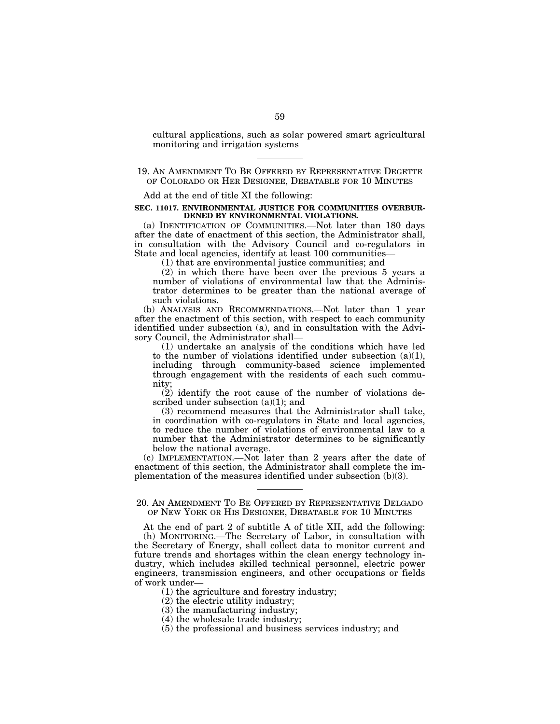cultural applications, such as solar powered smart agricultural monitoring and irrigation systems

# 19. AN AMENDMENT TO BE OFFERED BY REPRESENTATIVE DEGETTE OF COLORADO OR HER DESIGNEE, DEBATABLE FOR 10 MINUTES

Add at the end of title XI the following:

#### **SEC. 11017. ENVIRONMENTAL JUSTICE FOR COMMUNITIES OVERBUR-DENED BY ENVIRONMENTAL VIOLATIONS.**

(a) IDENTIFICATION OF COMMUNITIES.—Not later than 180 days after the date of enactment of this section, the Administrator shall, in consultation with the Advisory Council and co-regulators in State and local agencies, identify at least 100 communities—

(1) that are environmental justice communities; and

(2) in which there have been over the previous 5 years a number of violations of environmental law that the Administrator determines to be greater than the national average of such violations.

(b) ANALYSIS AND RECOMMENDATIONS.—Not later than 1 year after the enactment of this section, with respect to each community identified under subsection (a), and in consultation with the Advisory Council, the Administrator shall—

(1) undertake an analysis of the conditions which have led to the number of violations identified under subsection (a)(1), including through community-based science implemented through engagement with the residents of each such community;

(2) identify the root cause of the number of violations described under subsection (a)(1); and

(3) recommend measures that the Administrator shall take, in coordination with co-regulators in State and local agencies, to reduce the number of violations of environmental law to a number that the Administrator determines to be significantly below the national average.

(c) IMPLEMENTATION.—Not later than 2 years after the date of enactment of this section, the Administrator shall complete the implementation of the measures identified under subsection (b)(3).

# 20. AN AMENDMENT TO BE OFFERED BY REPRESENTATIVE DELGADO OF NEW YORK OR HIS DESIGNEE, DEBATABLE FOR 10 MINUTES

At the end of part 2 of subtitle A of title XII, add the following: (h) MONITORING.—The Secretary of Labor, in consultation with the Secretary of Energy, shall collect data to monitor current and future trends and shortages within the clean energy technology industry, which includes skilled technical personnel, electric power engineers, transmission engineers, and other occupations or fields of work under—

(1) the agriculture and forestry industry;

- (2) the electric utility industry;
- (3) the manufacturing industry;
- (4) the wholesale trade industry;
- (5) the professional and business services industry; and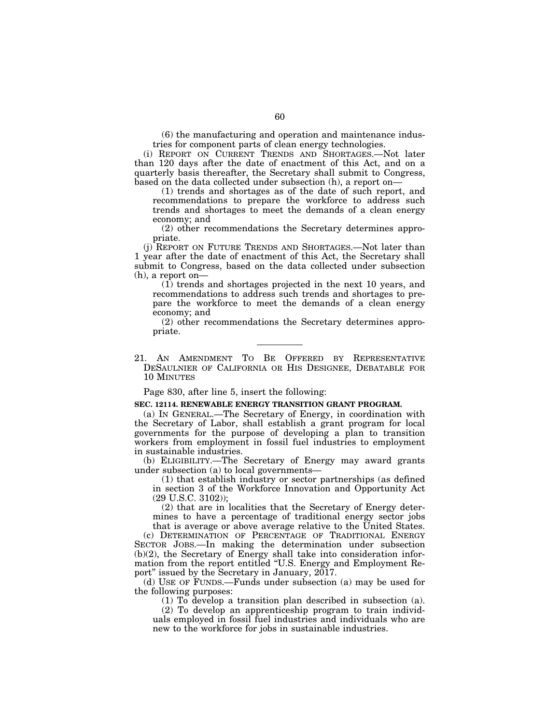(6) the manufacturing and operation and maintenance industries for component parts of clean energy technologies.

(i) REPORT ON CURRENT TRENDS AND SHORTAGES.—Not later than 120 days after the date of enactment of this Act, and on a quarterly basis thereafter, the Secretary shall submit to Congress, based on the data collected under subsection (h), a report on—

(1) trends and shortages as of the date of such report, and recommendations to prepare the workforce to address such trends and shortages to meet the demands of a clean energy economy; and

(2) other recommendations the Secretary determines appropriate.

(j) REPORT ON FUTURE TRENDS AND SHORTAGES.—Not later than 1 year after the date of enactment of this Act, the Secretary shall submit to Congress, based on the data collected under subsection (h), a report on—

(1) trends and shortages projected in the next 10 years, and recommendations to address such trends and shortages to prepare the workforce to meet the demands of a clean energy economy; and

(2) other recommendations the Secretary determines appropriate.

21. AN AMENDMENT TO BE OFFERED BY REPRESENTATIVE DESAULNIER OF CALIFORNIA OR HIS DESIGNEE, DEBATABLE FOR 10 MINUTES

Page 830, after line 5, insert the following:

#### **SEC. 12114. RENEWABLE ENERGY TRANSITION GRANT PROGRAM.**

(a) IN GENERAL.—The Secretary of Energy, in coordination with the Secretary of Labor, shall establish a grant program for local governments for the purpose of developing a plan to transition workers from employment in fossil fuel industries to employment in sustainable industries.

(b) ELIGIBILITY.—The Secretary of Energy may award grants under subsection (a) to local governments—

(1) that establish industry or sector partnerships (as defined in section 3 of the Workforce Innovation and Opportunity Act (29 U.S.C. 3102));

(2) that are in localities that the Secretary of Energy determines to have a percentage of traditional energy sector jobs that is average or above average relative to the United States.

(c) DETERMINATION OF PERCENTAGE OF TRADITIONAL ENERGY SECTOR JOBS.—In making the determination under subsection (b)(2), the Secretary of Energy shall take into consideration information from the report entitled ''U.S. Energy and Employment Report" issued by the Secretary in January,  $2017$ .

(d) USE OF FUNDS.—Funds under subsection (a) may be used for the following purposes:

(1) To develop a transition plan described in subsection (a).

(2) To develop an apprenticeship program to train individuals employed in fossil fuel industries and individuals who are new to the workforce for jobs in sustainable industries.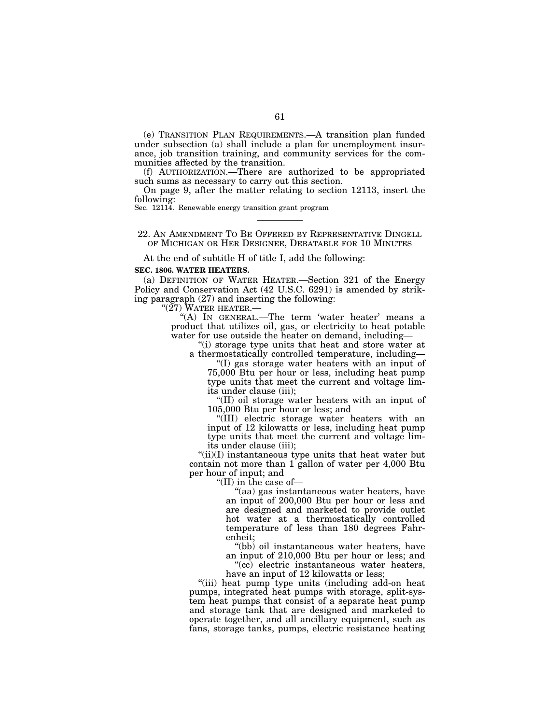(e) TRANSITION PLAN REQUIREMENTS.—A transition plan funded under subsection (a) shall include a plan for unemployment insurance, job transition training, and community services for the communities affected by the transition.

(f) AUTHORIZATION.—There are authorized to be appropriated such sums as necessary to carry out this section.

On page 9, after the matter relating to section 12113, insert the following: Sec. 12114. Renewable energy transition grant program

#### 22. AN AMENDMENT TO BE OFFERED BY REPRESENTATIVE DINGELL OF MICHIGAN OR HER DESIGNEE, DEBATABLE FOR 10 MINUTES

At the end of subtitle H of title I, add the following:

#### **SEC. 1806. WATER HEATERS.**

(a) DEFINITION OF WATER HEATER.—Section 321 of the Energy Policy and Conservation Act (42 U.S.C. 6291) is amended by striking paragraph (27) and inserting the following:

''(27) WATER HEATER.—

"(A) IN GENERAL.—The term 'water heater' means a product that utilizes oil, gas, or electricity to heat potable water for use outside the heater on demand, including—

''(i) storage type units that heat and store water at a thermostatically controlled temperature, including—

''(I) gas storage water heaters with an input of 75,000 Btu per hour or less, including heat pump type units that meet the current and voltage limits under clause (iii);

''(II) oil storage water heaters with an input of 105,000 Btu per hour or less; and

''(III) electric storage water heaters with an input of 12 kilowatts or less, including heat pump type units that meet the current and voltage limits under clause (iii);

"(ii)(I) instantaneous type units that heat water but contain not more than 1 gallon of water per 4,000 Btu per hour of input; and

''(II) in the case of—

''(aa) gas instantaneous water heaters, have an input of 200,000 Btu per hour or less and are designed and marketed to provide outlet hot water at a thermostatically controlled temperature of less than 180 degrees Fahrenheit;

''(bb) oil instantaneous water heaters, have an input of 210,000 Btu per hour or less; and

"(cc) electric instantaneous water heaters, have an input of 12 kilowatts or less;

"(iii) heat pump type units (including add-on heat pumps, integrated heat pumps with storage, split-system heat pumps that consist of a separate heat pump and storage tank that are designed and marketed to operate together, and all ancillary equipment, such as fans, storage tanks, pumps, electric resistance heating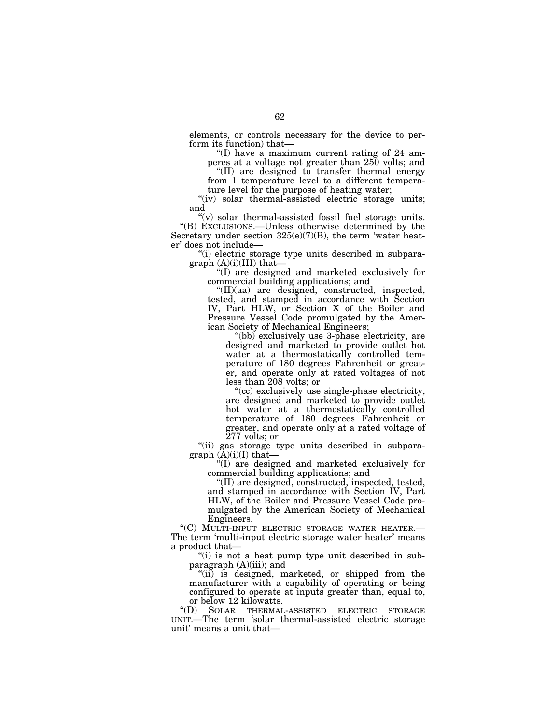elements, or controls necessary for the device to perform its function) that—

"(I) have a maximum current rating of  $24$  amperes at a voltage not greater than 250 volts; and

''(II) are designed to transfer thermal energy from 1 temperature level to a different tempera-

ture level for the purpose of heating water;

"(iv) solar thermal-assisted electric storage units; and

 $\mathcal{L}(v)$  solar thermal-assisted fossil fuel storage units. ''(B) EXCLUSIONS.—Unless otherwise determined by the Secretary under section 325(e)(7)(B), the term 'water heater' does not include—

''(i) electric storage type units described in subparagraph  $(A)(i)(III)$  that-

''(I) are designed and marketed exclusively for commercial building applications; and

''(II)(aa) are designed, constructed, inspected, tested, and stamped in accordance with Section IV, Part HLW, or Section X of the Boiler and Pressure Vessel Code promulgated by the American Society of Mechanical Engineers;

''(bb) exclusively use 3-phase electricity, are designed and marketed to provide outlet hot water at a thermostatically controlled temperature of 180 degrees Fahrenheit or greater, and operate only at rated voltages of not less than 208 volts; or

''(cc) exclusively use single-phase electricity, are designed and marketed to provide outlet hot water at a thermostatically controlled temperature of 180 degrees Fahrenheit or greater, and operate only at a rated voltage of  $\bar{2}77$  volts; or

''(ii) gas storage type units described in subparagraph  $(A)(i)(I)$  that-

''(I) are designed and marketed exclusively for commercial building applications; and

''(II) are designed, constructed, inspected, tested, and stamped in accordance with Section IV, Part HLW, of the Boiler and Pressure Vessel Code promulgated by the American Society of Mechanical Engineers.

''(C) MULTI-INPUT ELECTRIC STORAGE WATER HEATER.— The term 'multi-input electric storage water heater' means a product that—

"(i) is not a heat pump type unit described in subparagraph (A)(iii); and

"(ii) is designed, marketed, or shipped from the manufacturer with a capability of operating or being configured to operate at inputs greater than, equal to, or below 12 kilowatts.<br>"(D) SOLAR THERMAL"

SOLAR THERMAL-ASSISTED ELECTRIC STORAGE UNIT.—The term 'solar thermal-assisted electric storage unit' means a unit that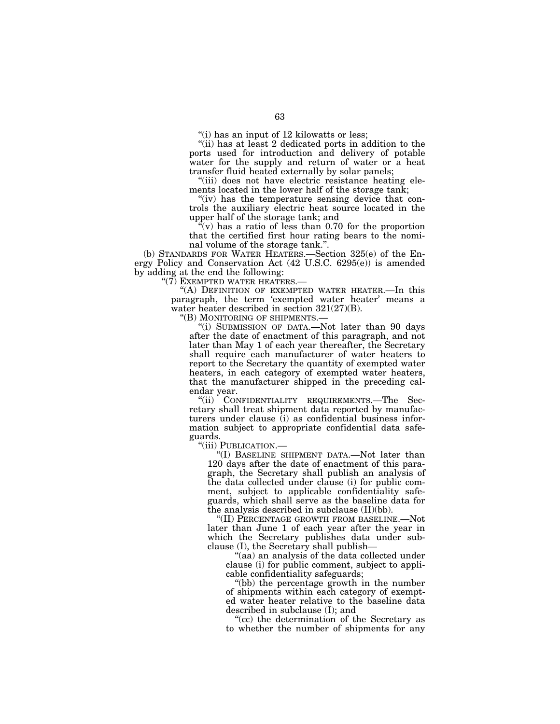''(i) has an input of 12 kilowatts or less;

"(ii) has at least 2 dedicated ports in addition to the ports used for introduction and delivery of potable water for the supply and return of water or a heat transfer fluid heated externally by solar panels;

''(iii) does not have electric resistance heating elements located in the lower half of the storage tank;

"(iv) has the temperature sensing device that controls the auxiliary electric heat source located in the upper half of the storage tank; and

 $\sqrt(r)$  has a ratio of less than 0.70 for the proportion that the certified first hour rating bears to the nominal volume of the storage tank.''.

(b) STANDARDS FOR WATER HEATERS.—Section 325(e) of the Energy Policy and Conservation Act (42 U.S.C. 6295(e)) is amended by adding at the end the following:

"(7) EXEMPTED WATER HEATERS.—

''(A) DEFINITION OF EXEMPTED WATER HEATER.—In this paragraph, the term 'exempted water heater' means a water heater described in section 321(27)(B).

''(B) MONITORING OF SHIPMENTS.— ''(i) SUBMISSION OF DATA.—Not later than 90 days after the date of enactment of this paragraph, and not later than May 1 of each year thereafter, the Secretary shall require each manufacturer of water heaters to report to the Secretary the quantity of exempted water heaters, in each category of exempted water heaters, that the manufacturer shipped in the preceding calendar year.

''(ii) CONFIDENTIALITY REQUIREMENTS.—The Secretary shall treat shipment data reported by manufacturers under clause (i) as confidential business information subject to appropriate confidential data safeguards.<br>"(iii) PUBLICATION.—

"(I) BASELINE SHIPMENT DATA.—Not later than 120 days after the date of enactment of this paragraph, the Secretary shall publish an analysis of the data collected under clause (i) for public comment, subject to applicable confidentiality safeguards, which shall serve as the baseline data for the analysis described in subclause (II)(bb).

''(II) PERCENTAGE GROWTH FROM BASELINE.—Not later than June 1 of each year after the year in which the Secretary publishes data under subclause (I), the Secretary shall publish—

''(aa) an analysis of the data collected under clause (i) for public comment, subject to applicable confidentiality safeguards;

''(bb) the percentage growth in the number of shipments within each category of exempted water heater relative to the baseline data described in subclause (I); and

''(cc) the determination of the Secretary as to whether the number of shipments for any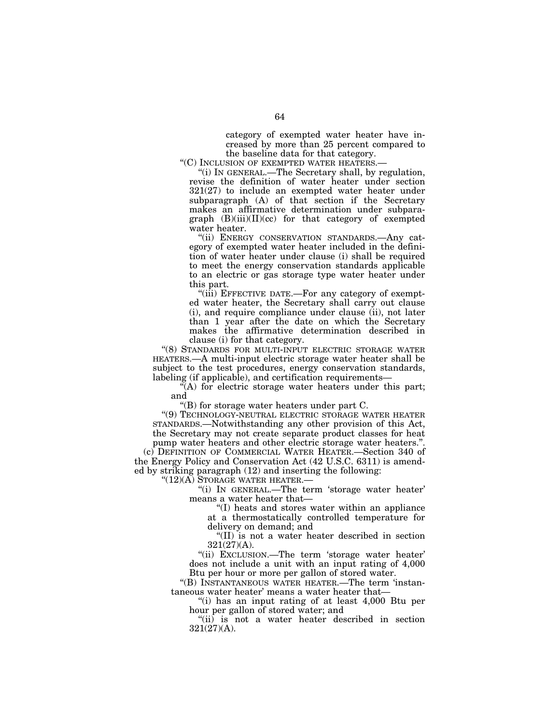category of exempted water heater have increased by more than 25 percent compared to the baseline data for that category.

''(C) INCLUSION OF EXEMPTED WATER HEATERS.—

''(i) IN GENERAL.—The Secretary shall, by regulation, revise the definition of water heater under section 321(27) to include an exempted water heater under subparagraph (A) of that section if the Secretary makes an affirmative determination under subparagraph  $(B)(iii)(II)(cc)$  for that category of exempted water heater.

''(ii) ENERGY CONSERVATION STANDARDS.—Any category of exempted water heater included in the definition of water heater under clause (i) shall be required to meet the energy conservation standards applicable to an electric or gas storage type water heater under this part.

''(iii) EFFECTIVE DATE.—For any category of exempted water heater, the Secretary shall carry out clause (i), and require compliance under clause (ii), not later than 1 year after the date on which the Secretary makes the affirmative determination described in clause (i) for that category.

"(8) STANDARDS FOR MULTI-INPUT ELECTRIC STORAGE WATER HEATERS.—A multi-input electric storage water heater shall be subject to the test procedures, energy conservation standards, labeling (if applicable), and certification requirements—

"(A) for electric storage water heaters under this part; and

"(B) for storage water heaters under part  $C$ .

''(9) TECHNOLOGY-NEUTRAL ELECTRIC STORAGE WATER HEATER STANDARDS.—Notwithstanding any other provision of this Act, the Secretary may not create separate product classes for heat pump water heaters and other electric storage water heaters."

(c) DEFINITION OF COMMERCIAL WATER HEATER.—Section 340 of the Energy Policy and Conservation Act (42 U.S.C. 6311) is amended by striking paragraph (12) and inserting the following:

''(12)(A) STORAGE WATER HEATER.—

''(i) IN GENERAL.—The term 'storage water heater' means a water heater that—

''(I) heats and stores water within an appliance at a thermostatically controlled temperature for delivery on demand; and

''(II) is not a water heater described in section 321(27)(A).

''(ii) EXCLUSION.—The term 'storage water heater' does not include a unit with an input rating of 4,000 Btu per hour or more per gallon of stored water.

''(B) INSTANTANEOUS WATER HEATER.—The term 'instantaneous water heater' means a water heater that—

''(i) has an input rating of at least 4,000 Btu per hour per gallon of stored water; and

''(ii) is not a water heater described in section 321(27)(A).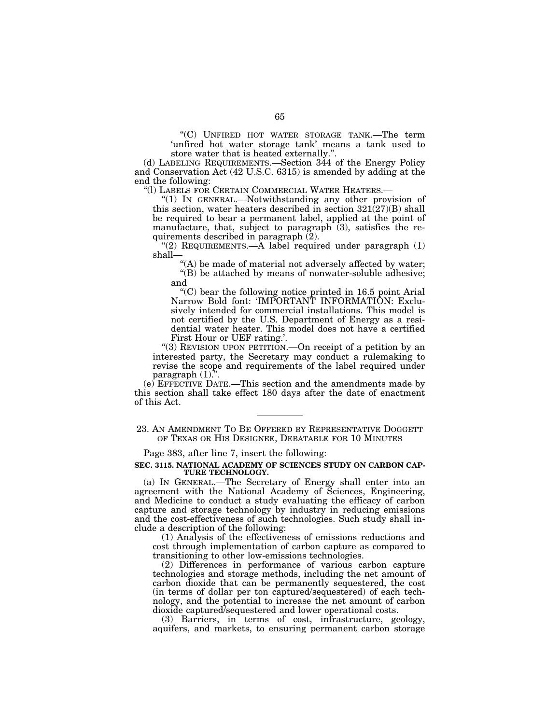''(C) UNFIRED HOT WATER STORAGE TANK.—The term 'unfired hot water storage tank' means a tank used to store water that is heated externally.''.

(d) LABELING REQUIREMENTS.—Section 344 of the Energy Policy and Conservation Act (42 U.S.C. 6315) is amended by adding at the end the following:

''(l) LABELS FOR CERTAIN COMMERCIAL WATER HEATERS.—

''(1) IN GENERAL.—Notwithstanding any other provision of this section, water heaters described in section 321(27)(B) shall be required to bear a permanent label, applied at the point of manufacture, that, subject to paragraph  $(3)$ , satisfies the requirements described in paragraph (2).

"(2) REQUIREMENTS.— $\overline{A}$  label required under paragraph (1) shall—

"(A) be made of material not adversely affected by water; ''(B) be attached by means of nonwater-soluble adhesive; and

 $C$ ) bear the following notice printed in 16.5 point Arial Narrow Bold font: 'IMPORTANT INFORMATION: Exclusively intended for commercial installations. This model is not certified by the U.S. Department of Energy as a residential water heater. This model does not have a certified First Hour or UEF rating.'.

''(3) REVISION UPON PETITION.—On receipt of a petition by an interested party, the Secretary may conduct a rulemaking to revise the scope and requirements of the label required under paragraph (1).''.

(e) EFFECTIVE DATE.—This section and the amendments made by this section shall take effect 180 days after the date of enactment of this Act.

23. AN AMENDMENT TO BE OFFERED BY REPRESENTATIVE DOGGETT OF TEXAS OR HIS DESIGNEE, DEBATABLE FOR 10 MINUTES

Page 383, after line 7, insert the following:

#### **SEC. 3115. NATIONAL ACADEMY OF SCIENCES STUDY ON CARBON CAP-TURE TECHNOLOGY.**

(a) IN GENERAL.—The Secretary of Energy shall enter into an agreement with the National Academy of Sciences, Engineering, and Medicine to conduct a study evaluating the efficacy of carbon capture and storage technology by industry in reducing emissions and the cost-effectiveness of such technologies. Such study shall include a description of the following:

(1) Analysis of the effectiveness of emissions reductions and cost through implementation of carbon capture as compared to transitioning to other low-emissions technologies.

(2) Differences in performance of various carbon capture technologies and storage methods, including the net amount of carbon dioxide that can be permanently sequestered, the cost (in terms of dollar per ton captured/sequestered) of each technology, and the potential to increase the net amount of carbon dioxide captured/sequestered and lower operational costs.

(3) Barriers, in terms of cost, infrastructure, geology, aquifers, and markets, to ensuring permanent carbon storage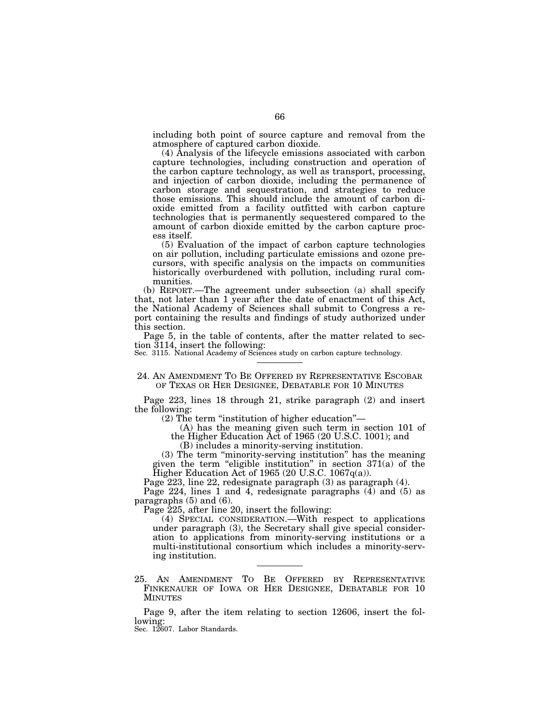including both point of source capture and removal from the atmosphere of captured carbon dioxide.

(4) Analysis of the lifecycle emissions associated with carbon capture technologies, including construction and operation of the carbon capture technology, as well as transport, processing, and injection of carbon dioxide, including the permanence of carbon storage and sequestration, and strategies to reduce those emissions. This should include the amount of carbon dioxide emitted from a facility outfitted with carbon capture technologies that is permanently sequestered compared to the amount of carbon dioxide emitted by the carbon capture process itself.

(5) Evaluation of the impact of carbon capture technologies on air pollution, including particulate emissions and ozone precursors, with specific analysis on the impacts on communities historically overburdened with pollution, including rural communities.

(b) REPORT.—The agreement under subsection (a) shall specify that, not later than 1 year after the date of enactment of this Act, the National Academy of Sciences shall submit to Congress a report containing the results and findings of study authorized under this section.

Page 5, in the table of contents, after the matter related to section 3114, insert the following:

Sec. 3115. National Academy of Sciences study on carbon capture technology.

24. AN AMENDMENT TO BE OFFERED BY REPRESENTATIVE ESCOBAR OF TEXAS OR HER DESIGNEE, DEBATABLE FOR 10 MINUTES

Page 223, lines 18 through 21, strike paragraph (2) and insert the following:

(2) The term ''institution of higher education''—

(A) has the meaning given such term in section 101 of the Higher Education Act of 1965 (20 U.S.C. 1001); and

(B) includes a minority-serving institution.

(3) The term ''minority-serving institution'' has the meaning given the term "eligible institution" in section  $371(a)$  of the Higher Education Act of 1965 (20 U.S.C. 1067 $q(a)$ ).

Page 223, line 22, redesignate paragraph (3) as paragraph (4).

Page 224, lines 1 and 4, redesignate paragraphs  $(4)$  and  $(5)$  as paragraphs (5) and (6).

Page 225, after line 20, insert the following:

(4) SPECIAL CONSIDERATION.—With respect to applications under paragraph (3), the Secretary shall give special consideration to applications from minority-serving institutions or a multi-institutional consortium which includes a minority-serving institution.

25. AN AMENDMENT TO BE OFFERED BY REPRESENTATIVE FINKENAUER OF IOWA OR HER DESIGNEE, DEBATABLE FOR 10 MINUTES

Page 9, after the item relating to section 12606, insert the following:

Sec. 12607. Labor Standards.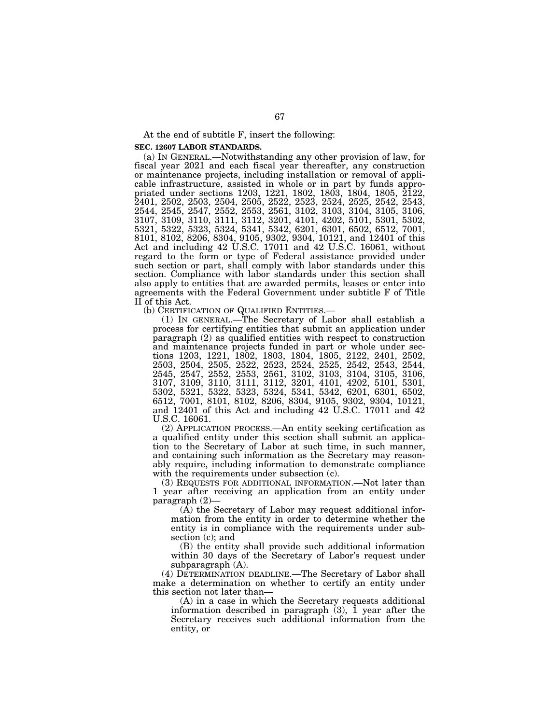At the end of subtitle F, insert the following:

**SEC. 12607 LABOR STANDARDS.** 

(a) IN GENERAL.—Notwithstanding any other provision of law, for fiscal year 2021 and each fiscal year thereafter, any construction or maintenance projects, including installation or removal of applicable infrastructure, assisted in whole or in part by funds appropriated under sections 1203, 1221, 1802, 1803, 1804, 1805, 2122, 2401, 2502, 2503, 2504, 2505, 2522, 2523, 2524, 2525, 2542, 2543, 2544, 2545, 2547, 2552, 2553, 2561, 3102, 3103, 3104, 3105, 3106, 3107, 3109, 3110, 3111, 3112, 3201, 4101, 4202, 5101, 5301, 5302, 5321, 5322, 5323, 5324, 5341, 5342, 6201, 6301, 6502, 6512, 7001, 8101, 8102, 8206, 8304, 9105, 9302, 9304, 10121, and 12401 of this Act and including 42 U.S.C. 17011 and 42 U.S.C. 16061, without regard to the form or type of Federal assistance provided under such section or part, shall comply with labor standards under this section. Compliance with labor standards under this section shall also apply to entities that are awarded permits, leases or enter into agreements with the Federal Government under subtitle F of Title II of this Act.<br>(b) CERTIFICATION OF QUALIFIED ENTITIES.—

 $(1)$  In GENERAL.—The Secretary of Labor shall establish a process for certifying entities that submit an application under paragraph (2) as qualified entities with respect to construction and maintenance projects funded in part or whole under sections 1203, 1221, 1802, 1803, 1804, 1805, 2122, 2401, 2502, 2503, 2504, 2505, 2522, 2523, 2524, 2525, 2542, 2543, 2544, 2545, 2547, 2552, 2553, 2561, 3102, 3103, 3104, 3105, 3106, 3107, 3109, 3110, 3111, 3112, 3201, 4101, 4202, 5101, 5301, 5302, 5321, 5322, 5323, 5324, 5341, 5342, 6201, 6301, 6502, 6512, 7001, 8101, 8102, 8206, 8304, 9105, 9302, 9304, 10121, and 12401 of this Act and including 42 U.S.C. 17011 and 42 U.S.C. 16061.

(2) APPLICATION PROCESS.—An entity seeking certification as a qualified entity under this section shall submit an application to the Secretary of Labor at such time, in such manner, and containing such information as the Secretary may reasonably require, including information to demonstrate compliance with the requirements under subsection (c).

(3) REQUESTS FOR ADDITIONAL INFORMATION.—Not later than 1 year after receiving an application from an entity under paragraph (2)—

 $(A)$  the Secretary of Labor may request additional information from the entity in order to determine whether the entity is in compliance with the requirements under subsection (c); and

(B) the entity shall provide such additional information within 30 days of the Secretary of Labor's request under subparagraph (A).

(4) DETERMINATION DEADLINE.—The Secretary of Labor shall make a determination on whether to certify an entity under this section not later than—

(A) in a case in which the Secretary requests additional information described in paragraph  $(3)$ ,  $\overline{1}$  year after the Secretary receives such additional information from the entity, or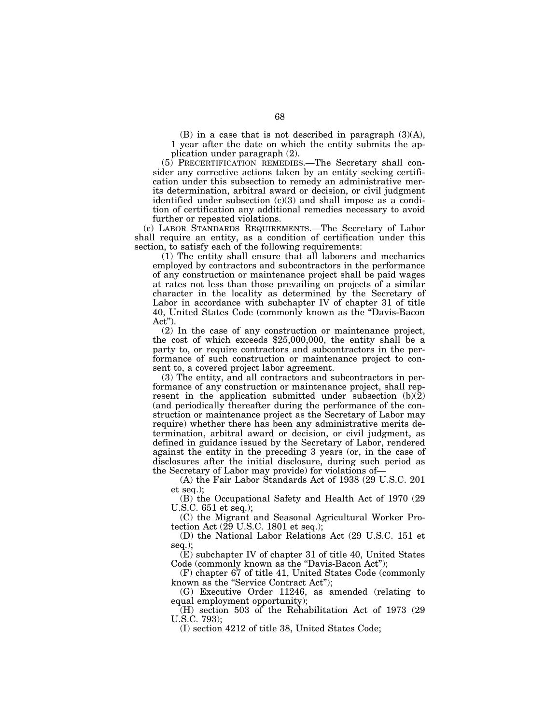(B) in a case that is not described in paragraph (3)(A), 1 year after the date on which the entity submits the application under paragraph (2).

(5) PRECERTIFICATION REMEDIES.—The Secretary shall consider any corrective actions taken by an entity seeking certification under this subsection to remedy an administrative merits determination, arbitral award or decision, or civil judgment identified under subsection  $(c)(3)$  and shall impose as a condition of certification any additional remedies necessary to avoid further or repeated violations.

(c) LABOR STANDARDS REQUIREMENTS.—The Secretary of Labor shall require an entity, as a condition of certification under this section, to satisfy each of the following requirements:

(1) The entity shall ensure that all laborers and mechanics employed by contractors and subcontractors in the performance of any construction or maintenance project shall be paid wages at rates not less than those prevailing on projects of a similar character in the locality as determined by the Secretary of Labor in accordance with subchapter IV of chapter 31 of title 40, United States Code (commonly known as the ''Davis-Bacon Act'').

(2) In the case of any construction or maintenance project, the cost of which exceeds \$25,000,000, the entity shall be a party to, or require contractors and subcontractors in the performance of such construction or maintenance project to consent to, a covered project labor agreement.

(3) The entity, and all contractors and subcontractors in performance of any construction or maintenance project, shall represent in the application submitted under subsection  $(b)(2)$ (and periodically thereafter during the performance of the construction or maintenance project as the Secretary of Labor may require) whether there has been any administrative merits determination, arbitral award or decision, or civil judgment, as defined in guidance issued by the Secretary of Labor, rendered against the entity in the preceding 3 years (or, in the case of disclosures after the initial disclosure, during such period as the Secretary of Labor may provide) for violations of—

(A) the Fair Labor Standards Act of 1938 (29 U.S.C. 201 et seq.);

(B) the Occupational Safety and Health Act of 1970 (29 U.S.C. 651 et seq.);

(C) the Migrant and Seasonal Agricultural Worker Protection Act (29 U.S.C. 1801 et seq.);

(D) the National Labor Relations Act (29 U.S.C. 151 et seq.);

(E) subchapter IV of chapter 31 of title 40, United States Code (commonly known as the "Davis-Bacon Act");

(F) chapter 67 of title 41, United States Code (commonly known as the "Service Contract Act");

(G) Executive Order 11246, as amended (relating to equal employment opportunity);

(H) section 503 of the Rehabilitation Act of 1973 (29 U.S.C. 793);

(I) section 4212 of title 38, United States Code;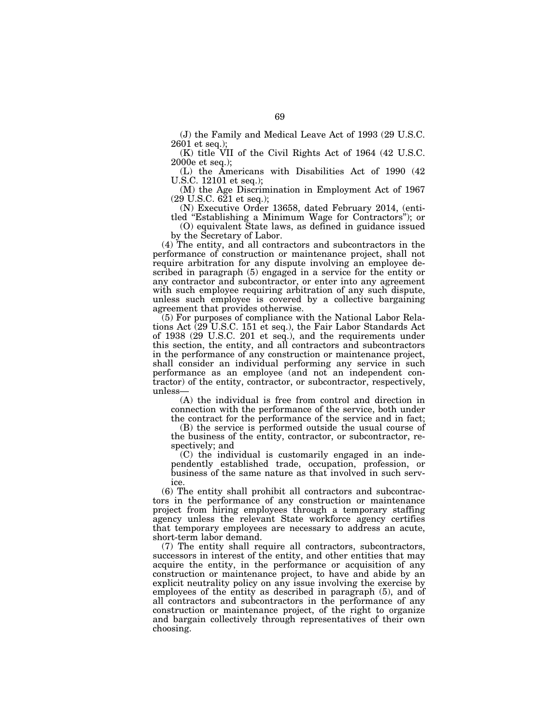(J) the Family and Medical Leave Act of 1993 (29 U.S.C. 2601 et seq.);

(K) title VII of the Civil Rights Act of 1964 (42 U.S.C. 2000e et seq.);

(L) the Americans with Disabilities Act of 1990 (42 U.S.C. 12101 et seq.);

(M) the Age Discrimination in Employment Act of 1967 (29 U.S.C. 621 et seq.);

(N) Executive Order 13658, dated February 2014, (entitled ''Establishing a Minimum Wage for Contractors''); or

(O) equivalent State laws, as defined in guidance issued by the Secretary of Labor.

(4) The entity, and all contractors and subcontractors in the performance of construction or maintenance project, shall not require arbitration for any dispute involving an employee described in paragraph (5) engaged in a service for the entity or any contractor and subcontractor, or enter into any agreement with such employee requiring arbitration of any such dispute, unless such employee is covered by a collective bargaining agreement that provides otherwise.

(5) For purposes of compliance with the National Labor Relations Act (29 U.S.C. 151 et seq.), the Fair Labor Standards Act of 1938 (29 U.S.C. 201 et seq.), and the requirements under this section, the entity, and all contractors and subcontractors in the performance of any construction or maintenance project, shall consider an individual performing any service in such performance as an employee (and not an independent contractor) of the entity, contractor, or subcontractor, respectively, unless—

(A) the individual is free from control and direction in connection with the performance of the service, both under the contract for the performance of the service and in fact;

(B) the service is performed outside the usual course of the business of the entity, contractor, or subcontractor, respectively; and

(C) the individual is customarily engaged in an independently established trade, occupation, profession, or business of the same nature as that involved in such service.

(6) The entity shall prohibit all contractors and subcontractors in the performance of any construction or maintenance project from hiring employees through a temporary staffing agency unless the relevant State workforce agency certifies that temporary employees are necessary to address an acute, short-term labor demand.

(7) The entity shall require all contractors, subcontractors, successors in interest of the entity, and other entities that may acquire the entity, in the performance or acquisition of any construction or maintenance project, to have and abide by an explicit neutrality policy on any issue involving the exercise by employees of the entity as described in paragraph (5), and of all contractors and subcontractors in the performance of any construction or maintenance project, of the right to organize and bargain collectively through representatives of their own choosing.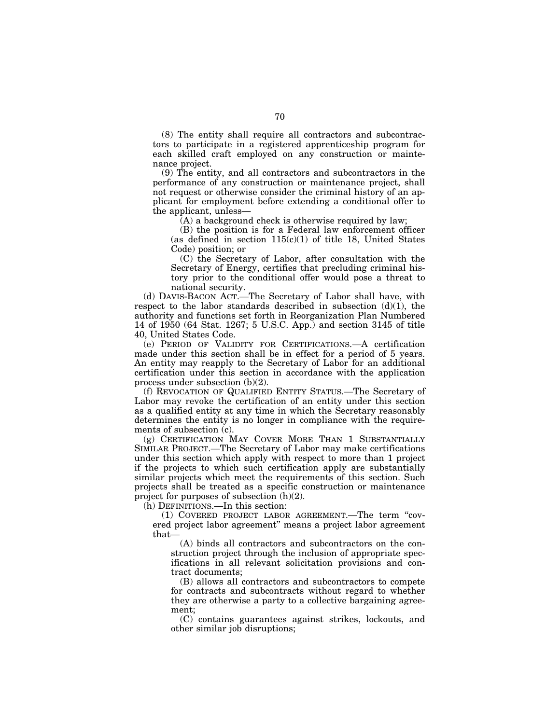(8) The entity shall require all contractors and subcontractors to participate in a registered apprenticeship program for each skilled craft employed on any construction or maintenance project.

(9) The entity, and all contractors and subcontractors in the performance of any construction or maintenance project, shall not request or otherwise consider the criminal history of an applicant for employment before extending a conditional offer to the applicant, unless—

 $(A)$  a background check is otherwise required by law;

(B) the position is for a Federal law enforcement officer (as defined in section  $115(c)(1)$  of title 18, United States Code) position; or

(C) the Secretary of Labor, after consultation with the Secretary of Energy, certifies that precluding criminal history prior to the conditional offer would pose a threat to national security.

(d) DAVIS-BACON ACT.—The Secretary of Labor shall have, with respect to the labor standards described in subsection  $(d)(1)$ , the authority and functions set forth in Reorganization Plan Numbered 14 of 1950 (64 Stat. 1267; 5 U.S.C. App.) and section 3145 of title 40, United States Code.

(e) PERIOD OF VALIDITY FOR CERTIFICATIONS.—A certification made under this section shall be in effect for a period of 5 years. An entity may reapply to the Secretary of Labor for an additional certification under this section in accordance with the application process under subsection (b)(2).

(f) REVOCATION OF QUALIFIED ENTITY STATUS.—The Secretary of Labor may revoke the certification of an entity under this section as a qualified entity at any time in which the Secretary reasonably determines the entity is no longer in compliance with the requirements of subsection (c).

(g) CERTIFICATION MAY COVER MORE THAN 1 SUBSTANTIALLY SIMILAR PROJECT.—The Secretary of Labor may make certifications under this section which apply with respect to more than 1 project if the projects to which such certification apply are substantially similar projects which meet the requirements of this section. Such projects shall be treated as a specific construction or maintenance project for purposes of subsection (h)(2).

(h) DEFINITIONS.—In this section:

(1) COVERED PROJECT LABOR AGREEMENT.—The term ''covered project labor agreement'' means a project labor agreement that—

(A) binds all contractors and subcontractors on the construction project through the inclusion of appropriate specifications in all relevant solicitation provisions and contract documents;

(B) allows all contractors and subcontractors to compete for contracts and subcontracts without regard to whether they are otherwise a party to a collective bargaining agreement;

(C) contains guarantees against strikes, lockouts, and other similar job disruptions;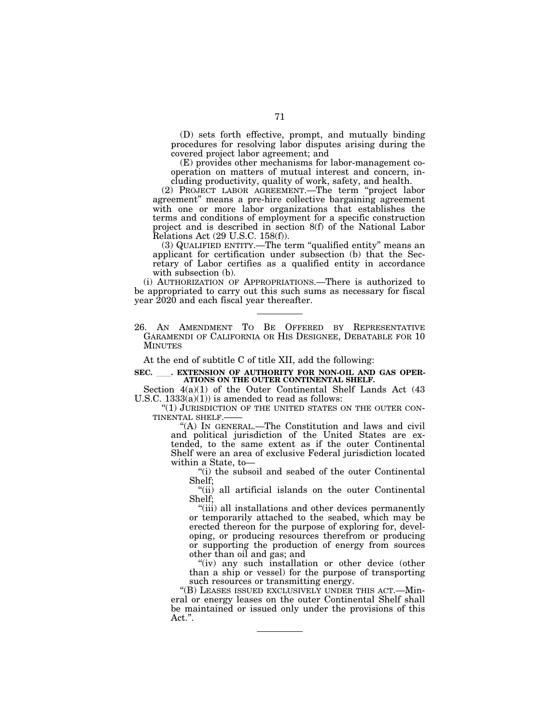(D) sets forth effective, prompt, and mutually binding procedures for resolving labor disputes arising during the covered project labor agreement; and

(E) provides other mechanisms for labor-management cooperation on matters of mutual interest and concern, including productivity, quality of work, safety, and health.

(2) PROJECT LABOR AGREEMENT.—The term ''project labor agreement'' means a pre-hire collective bargaining agreement with one or more labor organizations that establishes the terms and conditions of employment for a specific construction project and is described in section 8(f) of the National Labor Relations Act (29 U.S.C. 158(f)).

(3) QUALIFIED ENTITY.—The term ''qualified entity'' means an applicant for certification under subsection (b) that the Secretary of Labor certifies as a qualified entity in accordance with subsection (b).

(i) AUTHORIZATION OF APPROPRIATIONS.—There is authorized to be appropriated to carry out this such sums as necessary for fiscal year 2020 and each fiscal year thereafter.

26. AN AMENDMENT TO BE OFFERED BY REPRESENTATIVE GARAMENDI OF CALIFORNIA OR HIS DESIGNEE, DEBATABLE FOR 10 MINUTES

At the end of subtitle C of title XII, add the following:

# SEC. **ILLCCCON SEXTENSION OF AUTHORITY FOR NON-OIL AND GAS OPER-ATIONS ON THE OUTER CONTINENTAL SHELF.**

Section 4(a)(1) of the Outer Continental Shelf Lands Act (43 U.S.C.  $1333(a)(1)$  is amended to read as follows:

"(1) JURISDICTION OF THE UNITED STATES ON THE OUTER CON-TINENTAL SHELF.-

''(A) IN GENERAL.—The Constitution and laws and civil and political jurisdiction of the United States are extended, to the same extent as if the outer Continental Shelf were an area of exclusive Federal jurisdiction located within a State, to—

"(i) the subsoil and seabed of the outer Continental Shelf;

"(ii) all artificial islands on the outer Continental Shelf;

''(iii) all installations and other devices permanently or temporarily attached to the seabed, which may be erected thereon for the purpose of exploring for, developing, or producing resources therefrom or producing or supporting the production of energy from sources other than oil and gas; and

"(iv) any such installation or other device (other than a ship or vessel) for the purpose of transporting such resources or transmitting energy.

''(B) LEASES ISSUED EXCLUSIVELY UNDER THIS ACT.—Mineral or energy leases on the outer Continental Shelf shall be maintained or issued only under the provisions of this Act.''.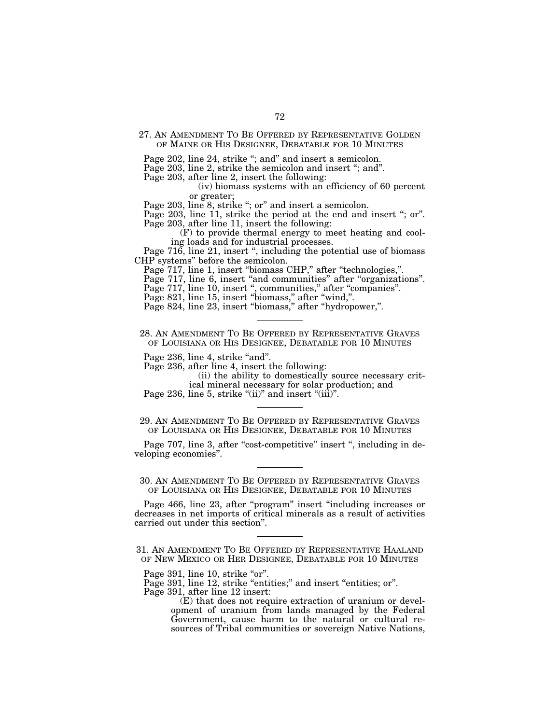27. AN AMENDMENT TO BE OFFERED BY REPRESENTATIVE GOLDEN OF MAINE OR HIS DESIGNEE, DEBATABLE FOR 10 MINUTES

Page 202, line 24, strike "; and" and insert a semicolon.

Page 203, line 2, strike the semicolon and insert "; and".

Page 203, after line 2, insert the following:

(iv) biomass systems with an efficiency of 60 percent or greater;

Page 203, line 8, strike "; or" and insert a semicolon.

Page 203, line 11, strike the period at the end and insert "; or". Page 203, after line 11, insert the following:

(F) to provide thermal energy to meet heating and cooling loads and for industrial processes.

Page 716, line 21, insert ", including the potential use of biomass CHP systems'' before the semicolon.

Page 717, line 1, insert "biomass CHP," after "technologies,".

Page 717, line 6, insert "and communities" after "organizations".

Page 717, line 10, insert ", communities," after "companies".

Page 821, line 15, insert "biomass," after "wind,".

Page 824, line 23, insert ''biomass,'' after ''hydropower,''.

28. AN AMENDMENT TO BE OFFERED BY REPRESENTATIVE GRAVES OF LOUISIANA OR HIS DESIGNEE, DEBATABLE FOR 10 MINUTES

Page 236, line 4, strike "and".

Page 236, after line 4, insert the following:

(ii) the ability to domestically source necessary critical mineral necessary for solar production; and

Page 236, line 5, strike " $(ii)$ " and insert " $(iii)$ ".

29. AN AMENDMENT TO BE OFFERED BY REPRESENTATIVE GRAVES OF LOUISIANA OR HIS DESIGNEE, DEBATABLE FOR 10 MINUTES

Page 707, line 3, after "cost-competitive" insert ", including in developing economies''.

# 30. AN AMENDMENT TO BE OFFERED BY REPRESENTATIVE GRAVES OF LOUISIANA OR HIS DESIGNEE, DEBATABLE FOR 10 MINUTES

Page 466, line 23, after "program" insert "including increases or decreases in net imports of critical minerals as a result of activities carried out under this section''.

<sup>31.</sup> AN AMENDMENT TO BE OFFERED BY REPRESENTATIVE HAALAND OF NEW MEXICO OR HER DESIGNEE, DEBATABLE FOR 10 MINUTES

Page 391, line 10, strike "or".

Page 391, line 12, strike "entities;" and insert "entities; or". Page 391, after line 12 insert:

<sup>(</sup>E) that does not require extraction of uranium or development of uranium from lands managed by the Federal Government, cause harm to the natural or cultural resources of Tribal communities or sovereign Native Nations,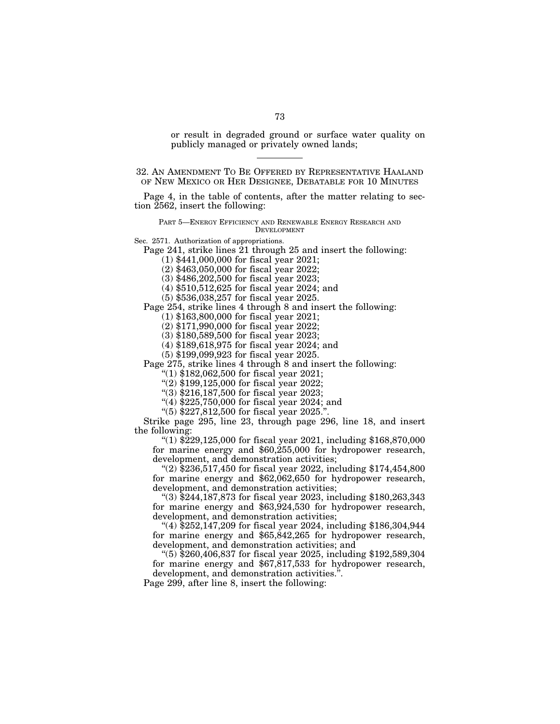or result in degraded ground or surface water quality on publicly managed or privately owned lands;

32. AN AMENDMENT TO BE OFFERED BY REPRESENTATIVE HAALAND OF NEW MEXICO OR HER DESIGNEE, DEBATABLE FOR 10 MINUTES

Page 4, in the table of contents, after the matter relating to section 2562, insert the following:

PART 5—ENERGY EFFICIENCY AND RENEWABLE ENERGY RESEARCH AND DEVELOPMENT

Sec. 2571. Authorization of appropriations.

Page 241, strike lines 21 through 25 and insert the following:

(1) \$441,000,000 for fiscal year 2021;

(2) \$463,050,000 for fiscal year 2022;

(3) \$486,202,500 for fiscal year 2023;

(4) \$510,512,625 for fiscal year 2024; and

(5) \$536,038,257 for fiscal year 2025.

Page 254, strike lines 4 through 8 and insert the following:

(1) \$163,800,000 for fiscal year 2021;

(2) \$171,990,000 for fiscal year 2022;

(3) \$180,589,500 for fiscal year 2023;

(4) \$189,618,975 for fiscal year 2024; and

(5) \$199,099,923 for fiscal year 2025.

Page 275, strike lines 4 through 8 and insert the following:

''(1) \$182,062,500 for fiscal year 2021;

"(2) \$199,125,000 for fiscal year 2022;

''(3) \$216,187,500 for fiscal year 2023;

"(4) \$225,750,000 for fiscal year 2024; and

''(5) \$227,812,500 for fiscal year 2025.''.

Strike page 295, line 23, through page 296, line 18, and insert the following:

"(1)  $$229,125,000$  for fiscal year 2021, including  $$168,870,000$ for marine energy and \$60,255,000 for hydropower research, development, and demonstration activities;

"(2)  $$236,517,450$  for fiscal year 2022, including \$174,454,800 for marine energy and \$62,062,650 for hydropower research, development, and demonstration activities;

''(3) \$244,187,873 for fiscal year 2023, including \$180,263,343 for marine energy and \$63,924,530 for hydropower research, development, and demonstration activities;

''(4) \$252,147,209 for fiscal year 2024, including \$186,304,944 for marine energy and \$65,842,265 for hydropower research, development, and demonstration activities; and

''(5) \$260,406,837 for fiscal year 2025, including \$192,589,304 for marine energy and \$67,817,533 for hydropower research, development, and demonstration activities.''.

Page 299, after line 8, insert the following: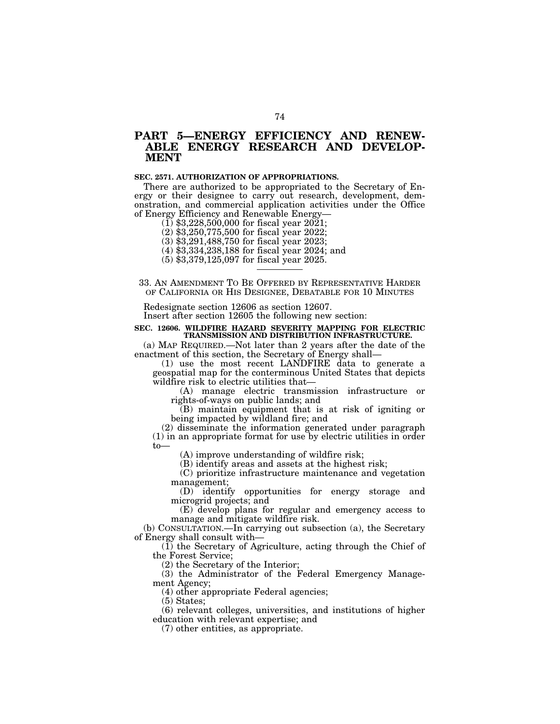# **PART 5—ENERGY EFFICIENCY AND RENEW-ABLE ENERGY RESEARCH AND DEVELOP-MENT**

## **SEC. 2571. AUTHORIZATION OF APPROPRIATIONS.**

There are authorized to be appropriated to the Secretary of Energy or their designee to carry out research, development, demonstration, and commercial application activities under the Office of Energy Efficiency and Renewable Energy—

 $(1)$  \$3,228,500,000 for fiscal year 2021;

(2) \$3,250,775,500 for fiscal year 2022;

(3) \$3,291,488,750 for fiscal year 2023;

(4) \$3,334,238,188 for fiscal year 2024; and

(5) \$3,379,125,097 for fiscal year 2025.

33. AN AMENDMENT TO BE OFFERED BY REPRESENTATIVE HARDER

OF CALIFORNIA OR HIS DESIGNEE, DEBATABLE FOR 10 MINUTES

Redesignate section 12606 as section 12607.

Insert after section 12605 the following new section:

#### **SEC. 12606. WILDFIRE HAZARD SEVERITY MAPPING FOR ELECTRIC TRANSMISSION AND DISTRIBUTION INFRASTRUCTURE.**

(a) MAP REQUIRED.—Not later than 2 years after the date of the enactment of this section, the Secretary of Energy shall—

(1) use the most recent LANDFIRE data to generate a geospatial map for the conterminous United States that depicts wildfire risk to electric utilities that—

(A) manage electric transmission infrastructure or rights-of-ways on public lands; and

(B) maintain equipment that is at risk of igniting or being impacted by wildland fire; and

(2) disseminate the information generated under paragraph (1) in an appropriate format for use by electric utilities in order to—

(A) improve understanding of wildfire risk;

(B) identify areas and assets at the highest risk;

(C) prioritize infrastructure maintenance and vegetation management;

(D) identify opportunities for energy storage and microgrid projects; and

(E) develop plans for regular and emergency access to manage and mitigate wildfire risk.

(b) CONSULTATION.—In carrying out subsection (a), the Secretary of Energy shall consult with—

 $(1)$  the Secretary of Agriculture, acting through the Chief of the Forest Service;

(2) the Secretary of the Interior;

(3) the Administrator of the Federal Emergency Management Agency;

(4) other appropriate Federal agencies;

(5) States;

(6) relevant colleges, universities, and institutions of higher education with relevant expertise; and

(7) other entities, as appropriate.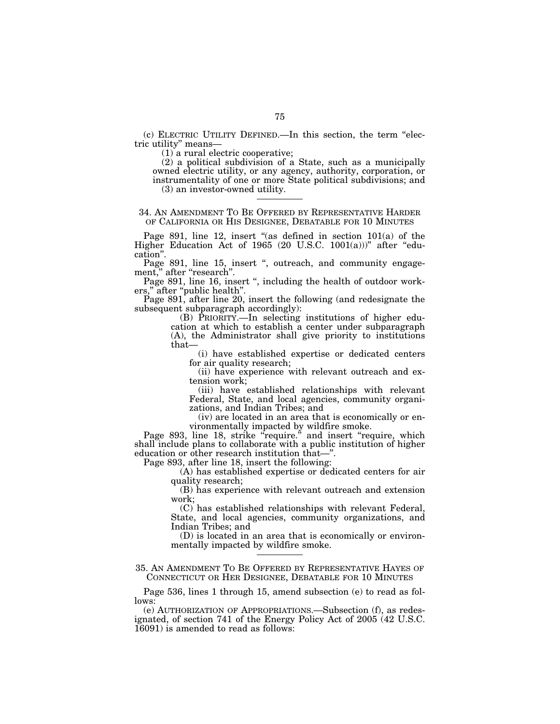(c) ELECTRIC UTILITY DEFINED.—In this section, the term ''electric utility'' means—

(1) a rural electric cooperative;

(2) a political subdivision of a State, such as a municipally owned electric utility, or any agency, authority, corporation, or instrumentality of one or more State political subdivisions; and (3) an investor-owned utility.

#### 34. AN AMENDMENT TO BE OFFERED BY REPRESENTATIVE HARDER OF CALIFORNIA OR HIS DESIGNEE, DEBATABLE FOR 10 MINUTES

Page 891, line 12, insert "(as defined in section  $101(a)$  of the Higher Education Act of 1965 (20 U.S.C. 1001(a)))" after "education''.

Page 891, line 15, insert ", outreach, and community engagement," after "research".

Page 891, line 16, insert ", including the health of outdoor workers,'' after ''public health''.

Page 891, after line 20, insert the following (and redesignate the subsequent subparagraph accordingly):

(B) PRIORITY.—In selecting institutions of higher education at which to establish a center under subparagraph (A), the Administrator shall give priority to institutions that—

(i) have established expertise or dedicated centers for air quality research;

(ii) have experience with relevant outreach and extension work;

(iii) have established relationships with relevant Federal, State, and local agencies, community organizations, and Indian Tribes; and

(iv) are located in an area that is economically or environmentally impacted by wildfire smoke.

Page 893, line 18, strike "require." and insert "require, which shall include plans to collaborate with a public institution of higher education or other research institution that—''.

Page 893, after line 18, insert the following:

(A) has established expertise or dedicated centers for air quality research;

(B) has experience with relevant outreach and extension work;

(C) has established relationships with relevant Federal, State, and local agencies, community organizations, and Indian Tribes; and

(D) is located in an area that is economically or environmentally impacted by wildfire smoke.

35. AN AMENDMENT TO BE OFFERED BY REPRESENTATIVE HAYES OF CONNECTICUT OR HER DESIGNEE, DEBATABLE FOR 10 MINUTES

Page 536, lines 1 through 15, amend subsection (e) to read as follows:

(e) AUTHORIZATION OF APPROPRIATIONS.—Subsection (f), as redesignated, of section 741 of the Energy Policy Act of 2005 (42 U.S.C. 16091) is amended to read as follows: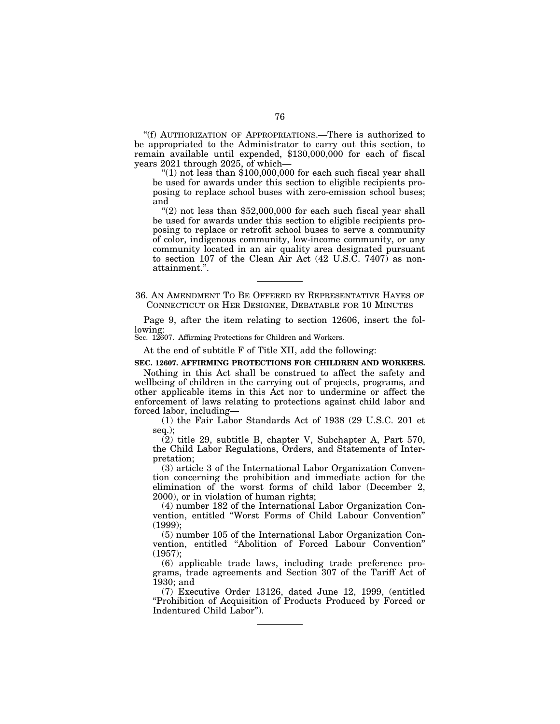''(f) AUTHORIZATION OF APPROPRIATIONS.—There is authorized to be appropriated to the Administrator to carry out this section, to remain available until expended, \$130,000,000 for each of fiscal years 2021 through 2025, of which—

" $(1)$  not less than \$100,000,000 for each such fiscal year shall be used for awards under this section to eligible recipients proposing to replace school buses with zero-emission school buses; and

" $(2)$  not less than \$52,000,000 for each such fiscal year shall be used for awards under this section to eligible recipients proposing to replace or retrofit school buses to serve a community of color, indigenous community, low-income community, or any community located in an air quality area designated pursuant to section 107 of the Clean Air Act (42 U.S.C. 7407) as nonattainment.''.

36. AN AMENDMENT TO BE OFFERED BY REPRESENTATIVE HAYES OF CONNECTICUT OR HER DESIGNEE, DEBATABLE FOR 10 MINUTES

Page 9, after the item relating to section 12606, insert the following:

Sec. 12607. Affirming Protections for Children and Workers.

At the end of subtitle F of Title XII, add the following:

#### **SEC. 12607. AFFIRMING PROTECTIONS FOR CHILDREN AND WORKERS.**

Nothing in this Act shall be construed to affect the safety and wellbeing of children in the carrying out of projects, programs, and other applicable items in this Act nor to undermine or affect the enforcement of laws relating to protections against child labor and forced labor, including—

(1) the Fair Labor Standards Act of 1938 (29 U.S.C. 201 et seq.);

(2) title 29, subtitle B, chapter V, Subchapter A, Part 570, the Child Labor Regulations, Orders, and Statements of Interpretation;

(3) article 3 of the International Labor Organization Convention concerning the prohibition and immediate action for the elimination of the worst forms of child labor (December 2, 2000), or in violation of human rights;

(4) number 182 of the International Labor Organization Convention, entitled ''Worst Forms of Child Labour Convention'' (1999);

(5) number 105 of the International Labor Organization Convention, entitled ''Abolition of Forced Labour Convention'' (1957);

(6) applicable trade laws, including trade preference programs, trade agreements and Section 307 of the Tariff Act of 1930; and

(7) Executive Order 13126, dated June 12, 1999, (entitled ''Prohibition of Acquisition of Products Produced by Forced or Indentured Child Labor'').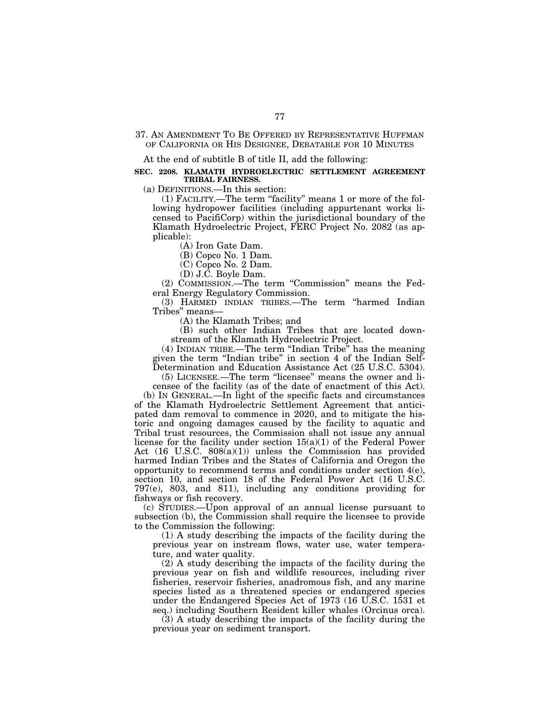#### 37. AN AMENDMENT TO BE OFFERED BY REPRESENTATIVE HUFFMAN OF CALIFORNIA OR HIS DESIGNEE, DEBATABLE FOR 10 MINUTES

At the end of subtitle B of title II, add the following:

#### **SEC. 2208. KLAMATH HYDROELECTRIC SETTLEMENT AGREEMENT TRIBAL FAIRNESS.**

(a) DEFINITIONS.—In this section:

(1) FACILITY.—The term ''facility'' means 1 or more of the following hydropower facilities (including appurtenant works licensed to PacifiCorp) within the jurisdictional boundary of the Klamath Hydroelectric Project, FERC Project No. 2082 (as applicable):

(A) Iron Gate Dam.

(B) Copco No. 1 Dam.

(C) Copco No. 2 Dam.

(D) J.C. Boyle Dam.

(2) COMMISSION.—The term ''Commission'' means the Federal Energy Regulatory Commission.

(3) HARMED INDIAN TRIBES.—The term ''harmed Indian Tribes'' means—

(A) the Klamath Tribes; and

(B) such other Indian Tribes that are located downstream of the Klamath Hydroelectric Project.

(4) INDIAN TRIBE.—The term ''Indian Tribe'' has the meaning given the term ''Indian tribe'' in section 4 of the Indian Self-Determination and Education Assistance Act (25 U.S.C. 5304).

(5) LICENSEE.—The term ''licensee'' means the owner and licensee of the facility (as of the date of enactment of this Act).

(b) IN GENERAL.—In light of the specific facts and circumstances of the Klamath Hydroelectric Settlement Agreement that anticipated dam removal to commence in 2020, and to mitigate the historic and ongoing damages caused by the facility to aquatic and Tribal trust resources, the Commission shall not issue any annual license for the facility under section  $15(a)(1)$  of the Federal Power Act  $(16 \text{ U.S.C. } 808(a)(1))$  unless the Commission has provided harmed Indian Tribes and the States of California and Oregon the opportunity to recommend terms and conditions under section  $4(e)$ , section 10, and section 18 of the Federal Power Act (16 U.S.C. 797(e), 803, and 811), including any conditions providing for fishways or fish recovery.

(c) STUDIES.—Upon approval of an annual license pursuant to subsection (b), the Commission shall require the licensee to provide to the Commission the following:

(1) A study describing the impacts of the facility during the previous year on instream flows, water use, water temperature, and water quality.

(2) A study describing the impacts of the facility during the previous year on fish and wildlife resources, including river fisheries, reservoir fisheries, anadromous fish, and any marine species listed as a threatened species or endangered species under the Endangered Species Act of 1973 (16 U.S.C. 1531 et seq.) including Southern Resident killer whales (Orcinus orca).

(3) A study describing the impacts of the facility during the previous year on sediment transport.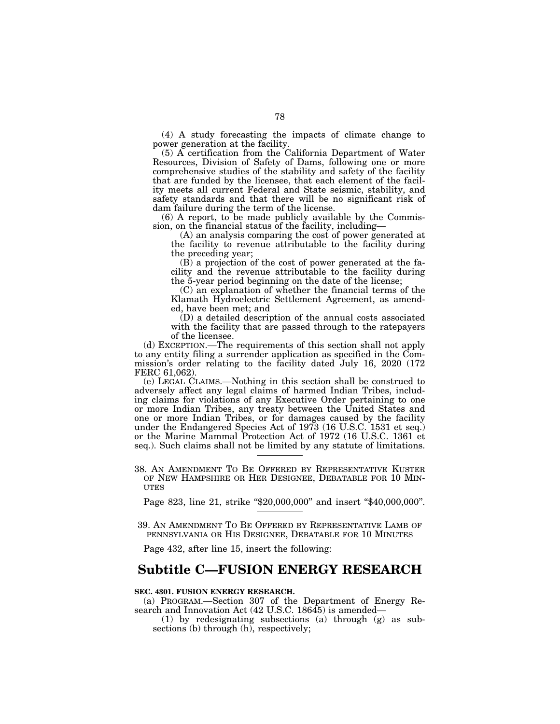(4) A study forecasting the impacts of climate change to power generation at the facility.

(5) A certification from the California Department of Water Resources, Division of Safety of Dams, following one or more comprehensive studies of the stability and safety of the facility that are funded by the licensee, that each element of the facility meets all current Federal and State seismic, stability, and safety standards and that there will be no significant risk of dam failure during the term of the license.

(6) A report, to be made publicly available by the Commission, on the financial status of the facility, including—

(A) an analysis comparing the cost of power generated at the facility to revenue attributable to the facility during the preceding year;

(B) a projection of the cost of power generated at the facility and the revenue attributable to the facility during the 5-year period beginning on the date of the license;

(C) an explanation of whether the financial terms of the Klamath Hydroelectric Settlement Agreement, as amended, have been met; and

(D) a detailed description of the annual costs associated with the facility that are passed through to the ratepayers of the licensee.

(d) EXCEPTION.—The requirements of this section shall not apply to any entity filing a surrender application as specified in the Commission's order relating to the facility dated July 16, 2020 (172 FERC 61,062).

(e) LEGAL CLAIMS.—Nothing in this section shall be construed to adversely affect any legal claims of harmed Indian Tribes, including claims for violations of any Executive Order pertaining to one or more Indian Tribes, any treaty between the United States and one or more Indian Tribes, or for damages caused by the facility under the Endangered Species Act of 1973 (16 U.S.C. 1531 et seq.) or the Marine Mammal Protection Act of 1972 (16 U.S.C. 1361 et seq.). Such claims shall not be limited by any statute of limitations.

38. AN AMENDMENT TO BE OFFERED BY REPRESENTATIVE KUSTER OF NEW HAMPSHIRE OR HER DESIGNEE, DEBATABLE FOR 10 MIN- UTES

Page 823, line 21, strike "\$20,000,000" and insert "\$40,000,000".

39. AN AMENDMENT TO BE OFFERED BY REPRESENTATIVE LAMB OF PENNSYLVANIA OR HIS DESIGNEE, DEBATABLE FOR 10 MINUTES

Page 432, after line 15, insert the following:

# **Subtitle C—FUSION ENERGY RESEARCH**

#### **SEC. 4301. FUSION ENERGY RESEARCH.**

(a) PROGRAM.—Section 307 of the Department of Energy Research and Innovation Act (42 U.S.C. 18645) is amended—

(1) by redesignating subsections (a) through (g) as subsections (b) through (h), respectively;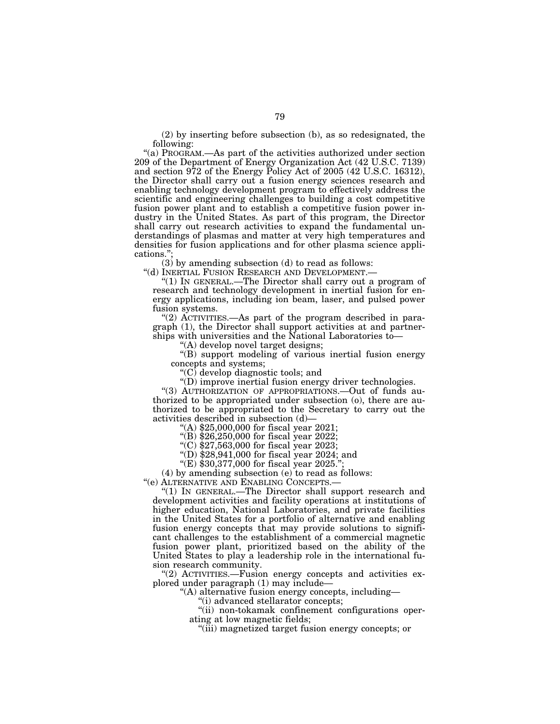(2) by inserting before subsection (b), as so redesignated, the following:

''(a) PROGRAM.—As part of the activities authorized under section 209 of the Department of Energy Organization Act (42 U.S.C. 7139) and section 972 of the Energy Policy Act of 2005 (42 U.S.C. 16312), the Director shall carry out a fusion energy sciences research and enabling technology development program to effectively address the scientific and engineering challenges to building a cost competitive fusion power plant and to establish a competitive fusion power industry in the United States. As part of this program, the Director shall carry out research activities to expand the fundamental understandings of plasmas and matter at very high temperatures and densities for fusion applications and for other plasma science applications.'';

(3) by amending subsection (d) to read as follows:

''(d) INERTIAL FUSION RESEARCH AND DEVELOPMENT.—

"(1) IN GENERAL.—The Director shall carry out a program of research and technology development in inertial fusion for energy applications, including ion beam, laser, and pulsed power fusion systems.

" $(2)$  ACTIVITIES.—As part of the program described in paragraph (1), the Director shall support activities at and partnerships with universities and the National Laboratories to—

''(A) develop novel target designs;

''(B) support modeling of various inertial fusion energy concepts and systems;

" $(C)$  develop diagnostic tools; and

''(D) improve inertial fusion energy driver technologies.

''(3) AUTHORIZATION OF APPROPRIATIONS.—Out of funds authorized to be appropriated under subsection (o), there are authorized to be appropriated to the Secretary to carry out the activities described in subsection (d)—

''(A) \$25,000,000 for fiscal year 2021;

''(B) \$26,250,000 for fiscal year 2022;

"(C)  $$27,563,000$  for fiscal year 2023;

''(D) \$28,941,000 for fiscal year 2024; and

"(E)  $$30,377,000$  for fiscal year 2025."

(4) by amending subsection (e) to read as follows: "(e)  $\text{ALTERNATIVE AND ENABILITY GONCEPTS.}$ 

"(1) IN GENERAL.—The Director shall support research and development activities and facility operations at institutions of higher education, National Laboratories, and private facilities in the United States for a portfolio of alternative and enabling fusion energy concepts that may provide solutions to significant challenges to the establishment of a commercial magnetic fusion power plant, prioritized based on the ability of the United States to play a leadership role in the international fusion research community.

"(2) ACTIVITIES.—Fusion energy concepts and activities explored under paragraph (1) may include—

''(A) alternative fusion energy concepts, including—

''(i) advanced stellarator concepts;

''(ii) non-tokamak confinement configurations operating at low magnetic fields;

''(iii) magnetized target fusion energy concepts; or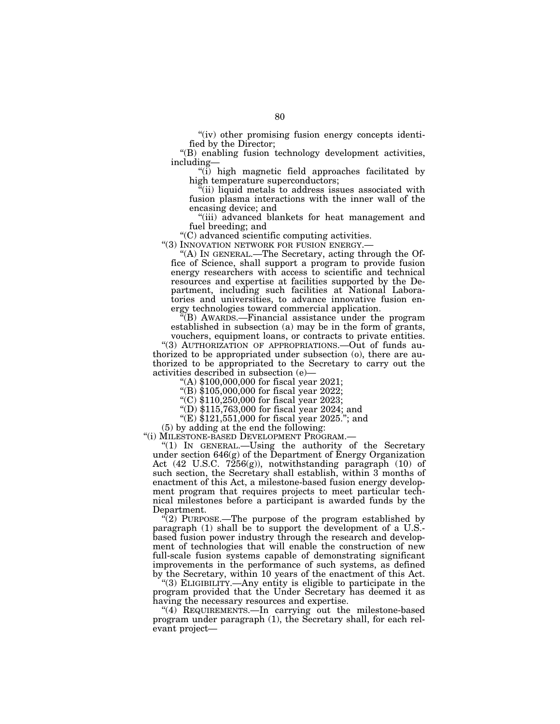"(iv) other promising fusion energy concepts identified by the Director;

''(B) enabling fusion technology development activities, including—

''(i) high magnetic field approaches facilitated by high temperature superconductors;

 $\tilde{f}$ (ii) liquid metals to address issues associated with fusion plasma interactions with the inner wall of the encasing device; and

''(iii) advanced blankets for heat management and fuel breeding; and

''(C) advanced scientific computing activities.

"(3) INNOVATION NETWORK FOR FUSION ENERGY.-

''(A) IN GENERAL.—The Secretary, acting through the Office of Science, shall support a program to provide fusion energy researchers with access to scientific and technical resources and expertise at facilities supported by the Department, including such facilities at National Laboratories and universities, to advance innovative fusion energy technologies toward commercial application.

''(B) AWARDS.—Financial assistance under the program established in subsection (a) may be in the form of grants,

vouchers, equipment loans, or contracts to private entities. ''(3) AUTHORIZATION OF APPROPRIATIONS.—Out of funds authorized to be appropriated under subsection (o), there are authorized to be appropriated to the Secretary to carry out the activities described in subsection (e)—

''(A) \$100,000,000 for fiscal year 2021;

"(B) \$105,000,000 for fiscal year 2022;

''(C) \$110,250,000 for fiscal year 2023;

''(D) \$115,763,000 for fiscal year 2024; and

"(E)  $$121,551,000$  for fiscal year 2025."; and

(5) by adding at the end the following:

''(i) MILESTONE-BASED DEVELOPMENT PROGRAM.—

''(1) IN GENERAL.—Using the authority of the Secretary under section  $646(g)$  of the Department of Energy Organization Act (42 U.S.C. 7256(g)), notwithstanding paragraph (10) of such section, the Secretary shall establish, within 3 months of enactment of this Act, a milestone-based fusion energy development program that requires projects to meet particular technical milestones before a participant is awarded funds by the Department.

 $\sqrt{2}$ ) PURPOSE.—The purpose of the program established by paragraph (1) shall be to support the development of a U.S. based fusion power industry through the research and development of technologies that will enable the construction of new full-scale fusion systems capable of demonstrating significant improvements in the performance of such systems, as defined by the Secretary, within 10 years of the enactment of this Act.

"(3) ELIGIBILITY.—Any entity is eligible to participate in the program provided that the Under Secretary has deemed it as having the necessary resources and expertise.

"(4) REQUIREMENTS.—In carrying out the milestone-based program under paragraph (1), the Secretary shall, for each relevant project—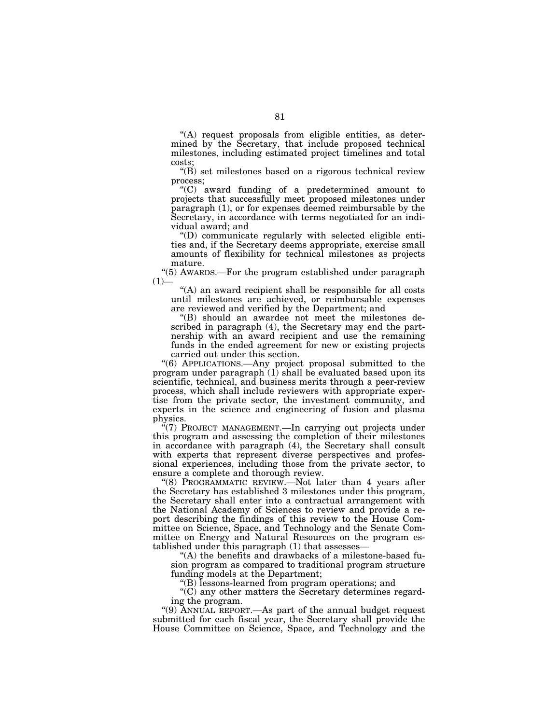''(A) request proposals from eligible entities, as determined by the Secretary, that include proposed technical milestones, including estimated project timelines and total costs;

''(B) set milestones based on a rigorous technical review process;

''(C) award funding of a predetermined amount to projects that successfully meet proposed milestones under paragraph (1), or for expenses deemed reimbursable by the Secretary, in accordance with terms negotiated for an individual award; and

''(D) communicate regularly with selected eligible entities and, if the Secretary deems appropriate, exercise small amounts of flexibility for technical milestones as projects mature.

''(5) AWARDS.—For the program established under paragraph  $(1)$ —

"(A) an award recipient shall be responsible for all costs until milestones are achieved, or reimbursable expenses are reviewed and verified by the Department; and

''(B) should an awardee not meet the milestones described in paragraph (4), the Secretary may end the partnership with an award recipient and use the remaining funds in the ended agreement for new or existing projects carried out under this section.

''(6) APPLICATIONS.—Any project proposal submitted to the program under paragraph $(1)$  shall be evaluated based upon its scientific, technical, and business merits through a peer-review process, which shall include reviewers with appropriate expertise from the private sector, the investment community, and experts in the science and engineering of fusion and plasma physics.

"(7) PROJECT MANAGEMENT.—In carrying out projects under this program and assessing the completion of their milestones in accordance with paragraph (4), the Secretary shall consult with experts that represent diverse perspectives and professional experiences, including those from the private sector, to ensure a complete and thorough review.

''(8) PROGRAMMATIC REVIEW.—Not later than 4 years after the Secretary has established 3 milestones under this program, the Secretary shall enter into a contractual arrangement with the National Academy of Sciences to review and provide a report describing the findings of this review to the House Committee on Science, Space, and Technology and the Senate Committee on Energy and Natural Resources on the program established under this paragraph (1) that assesses—

''(A) the benefits and drawbacks of a milestone-based fusion program as compared to traditional program structure funding models at the Department;

''(B) lessons-learned from program operations; and

''(C) any other matters the Secretary determines regarding the program.

''(9) ANNUAL REPORT.—As part of the annual budget request submitted for each fiscal year, the Secretary shall provide the House Committee on Science, Space, and Technology and the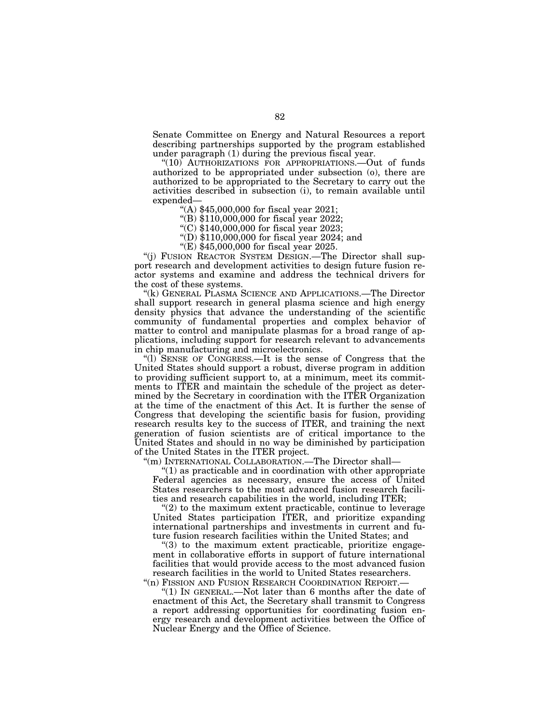Senate Committee on Energy and Natural Resources a report describing partnerships supported by the program established under paragraph (1) during the previous fiscal year.

"(10) AUTHORIZATIONS FOR APPROPRIATIONS.—Out of funds authorized to be appropriated under subsection (o), there are authorized to be appropriated to the Secretary to carry out the activities described in subsection (i), to remain available until expended—

''(A) \$45,000,000 for fiscal year 2021;

''(B) \$110,000,000 for fiscal year 2022;

''(C) \$140,000,000 for fiscal year 2023;

''(D) \$110,000,000 for fiscal year 2024; and

''(E) \$45,000,000 for fiscal year 2025.

''(j) FUSION REACTOR SYSTEM DESIGN.—The Director shall support research and development activities to design future fusion reactor systems and examine and address the technical drivers for the cost of these systems.

''(k) GENERAL PLASMA SCIENCE AND APPLICATIONS.—The Director shall support research in general plasma science and high energy density physics that advance the understanding of the scientific community of fundamental properties and complex behavior of matter to control and manipulate plasmas for a broad range of applications, including support for research relevant to advancements in chip manufacturing and microelectronics.

''(l) SENSE OF CONGRESS.—It is the sense of Congress that the United States should support a robust, diverse program in addition to providing sufficient support to, at a minimum, meet its commitments to ITER and maintain the schedule of the project as determined by the Secretary in coordination with the ITER Organization at the time of the enactment of this Act. It is further the sense of Congress that developing the scientific basis for fusion, providing research results key to the success of ITER, and training the next generation of fusion scientists are of critical importance to the United States and should in no way be diminished by participation of the United States in the ITER project.

''(m) INTERNATIONAL COLLABORATION.—The Director shall—

 $(1)$  as practicable and in coordination with other appropriate Federal agencies as necessary, ensure the access of United States researchers to the most advanced fusion research facilities and research capabilities in the world, including ITER;

" $(2)$  to the maximum extent practicable, continue to leverage United States participation ITER, and prioritize expanding international partnerships and investments in current and future fusion research facilities within the United States; and

''(3) to the maximum extent practicable, prioritize engagement in collaborative efforts in support of future international facilities that would provide access to the most advanced fusion research facilities in the world to United States researchers.

"(n) FISSION AND FUSION RESEARCH COORDINATION REPORT.-''(1) IN GENERAL.—Not later than 6 months after the date of enactment of this Act, the Secretary shall transmit to Congress a report addressing opportunities for coordinating fusion energy research and development activities between the Office of Nuclear Energy and the Office of Science.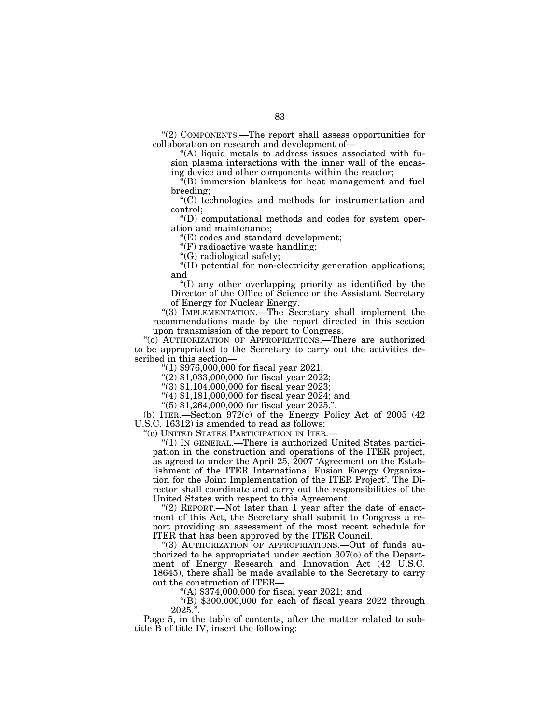''(2) COMPONENTS.—The report shall assess opportunities for collaboration on research and development of—

''(A) liquid metals to address issues associated with fusion plasma interactions with the inner wall of the encasing device and other components within the reactor;

''(B) immersion blankets for heat management and fuel breeding;

''(C) technologies and methods for instrumentation and control;

''(D) computational methods and codes for system operation and maintenance;

''(E) codes and standard development;

"(F) radioactive waste handling;

''(G) radiological safety;

''(H) potential for non-electricity generation applications; and

''(I) any other overlapping priority as identified by the Director of the Office of Science or the Assistant Secretary of Energy for Nuclear Energy.

''(3) IMPLEMENTATION.—The Secretary shall implement the recommendations made by the report directed in this section upon transmission of the report to Congress.

''(o) AUTHORIZATION OF APPROPRIATIONS.—There are authorized to be appropriated to the Secretary to carry out the activities described in this section—

''(1) \$976,000,000 for fiscal year 2021;

" $(2)$  \$1,033,000,000 for fiscal year 2022;

''(3) \$1,104,000,000 for fiscal year 2023;

"(4)  $\frac{1}{2}$ ,181,000,000 for fiscal year 2024; and

''(5) \$1,264,000,000 for fiscal year 2025.''.

(b) ITER.—Section 972(c) of the Energy Policy Act of 2005 (42 U.S.C. 16312) is amended to read as follows:

''(c) UNITED STATES PARTICIPATION IN ITER.—

''(1) IN GENERAL.—There is authorized United States participation in the construction and operations of the ITER project, as agreed to under the April 25, 2007 'Agreement on the Establishment of the ITER International Fusion Energy Organization for the Joint Implementation of the ITER Project'. The Director shall coordinate and carry out the responsibilities of the United States with respect to this Agreement.

''(2) REPORT.—Not later than 1 year after the date of enactment of this Act, the Secretary shall submit to Congress a report providing an assessment of the most recent schedule for ITER that has been approved by the ITER Council.

''(3) AUTHORIZATION OF APPROPRIATIONS.—Out of funds authorized to be appropriated under section 307(o) of the Department of Energy Research and Innovation Act (42 U.S.C. 18645), there shall be made available to the Secretary to carry out the construction of ITER—

''(A) \$374,000,000 for fiscal year 2021; and

 $\degree$ (B) \$300,000,000 for each of fiscal years 2022 through  $2025."$ 

Page 5, in the table of contents, after the matter related to subtitle  $\overline{B}$  of title IV, insert the following: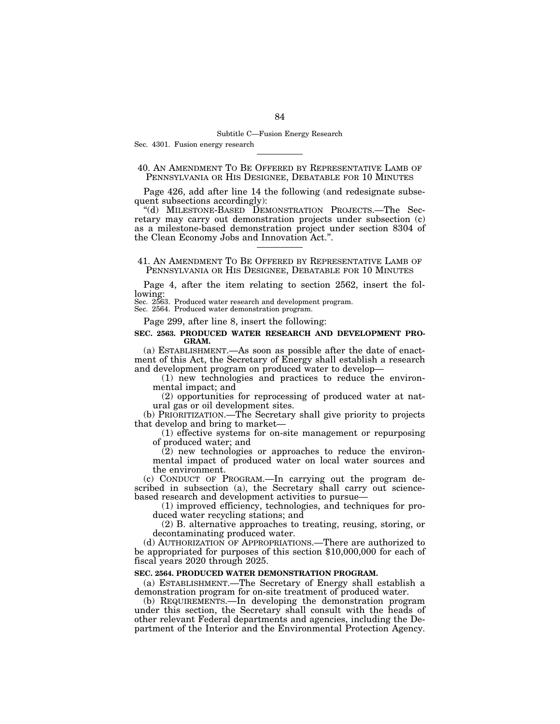#### Subtitle C—Fusion Energy Research

Sec. 4301. Fusion energy research

## 40. AN AMENDMENT TO BE OFFERED BY REPRESENTATIVE LAMB OF PENNSYLVANIA OR HIS DESIGNEE, DEBATABLE FOR 10 MINUTES

Page 426, add after line 14 the following (and redesignate subsequent subsections accordingly):

''(d) MILESTONE-BASED DEMONSTRATION PROJECTS.—The Secretary may carry out demonstration projects under subsection (c) as a milestone-based demonstration project under section 8304 of the Clean Economy Jobs and Innovation Act.''.

#### 41. AN AMENDMENT TO BE OFFERED BY REPRESENTATIVE LAMB OF PENNSYLVANIA OR HIS DESIGNEE, DEBATABLE FOR 10 MINUTES

Page 4, after the item relating to section 2562, insert the following:

Sec. 2563. Produced water research and development program.

Sec. 2564. Produced water demonstration program.

Page 299, after line 8, insert the following:

#### **SEC. 2563. PRODUCED WATER RESEARCH AND DEVELOPMENT PRO-GRAM.**

(a) ESTABLISHMENT.—As soon as possible after the date of enactment of this Act, the Secretary of Energy shall establish a research and development program on produced water to develop—

(1) new technologies and practices to reduce the environmental impact; and

(2) opportunities for reprocessing of produced water at natural gas or oil development sites.

(b) PRIORITIZATION.—The Secretary shall give priority to projects that develop and bring to market—

(1) effective systems for on-site management or repurposing of produced water; and

(2) new technologies or approaches to reduce the environmental impact of produced water on local water sources and the environment.

(c) CONDUCT OF PROGRAM.—In carrying out the program described in subsection (a), the Secretary shall carry out sciencebased research and development activities to pursue—

(1) improved efficiency, technologies, and techniques for produced water recycling stations; and

(2) B. alternative approaches to treating, reusing, storing, or decontaminating produced water.

(d) AUTHORIZATION OF APPROPRIATIONS.—There are authorized to be appropriated for purposes of this section \$10,000,000 for each of fiscal years 2020 through 2025.

#### **SEC. 2564. PRODUCED WATER DEMONSTRATION PROGRAM.**

(a) ESTABLISHMENT.—The Secretary of Energy shall establish a demonstration program for on-site treatment of produced water.

(b) REQUIREMENTS.—In developing the demonstration program under this section, the Secretary shall consult with the heads of other relevant Federal departments and agencies, including the Department of the Interior and the Environmental Protection Agency.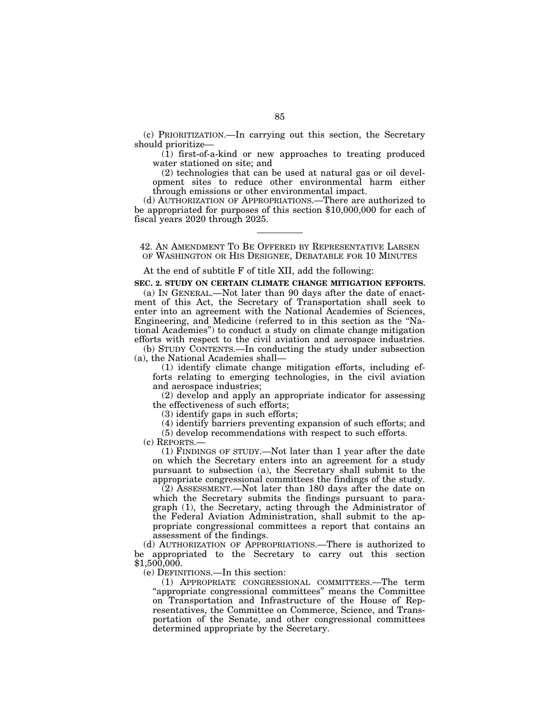(c) PRIORITIZATION.—In carrying out this section, the Secretary should prioritize—

(1) first-of-a-kind or new approaches to treating produced water stationed on site; and

(2) technologies that can be used at natural gas or oil development sites to reduce other environmental harm either through emissions or other environmental impact.

(d) AUTHORIZATION OF APPROPRIATIONS.—There are authorized to be appropriated for purposes of this section \$10,000,000 for each of fiscal years 2020 through 2025.

42. AN AMENDMENT TO BE OFFERED BY REPRESENTATIVE LARSEN OF WASHINGTON OR HIS DESIGNEE, DEBATABLE FOR 10 MINUTES

#### At the end of subtitle F of title XII, add the following:

#### **SEC. 2. STUDY ON CERTAIN CLIMATE CHANGE MITIGATION EFFORTS.**

(a) IN GENERAL.—Not later than 90 days after the date of enactment of this Act, the Secretary of Transportation shall seek to enter into an agreement with the National Academies of Sciences, Engineering, and Medicine (referred to in this section as the ''National Academies'') to conduct a study on climate change mitigation efforts with respect to the civil aviation and aerospace industries.

(b) STUDY CONTENTS.—In conducting the study under subsection (a), the National Academies shall—

(1) identify climate change mitigation efforts, including efforts relating to emerging technologies, in the civil aviation and aerospace industries;

(2) develop and apply an appropriate indicator for assessing the effectiveness of such efforts;

(3) identify gaps in such efforts;

(4) identify barriers preventing expansion of such efforts; and

(5) develop recommendations with respect to such efforts.

(c) REPORTS.—

(1) FINDINGS OF STUDY.—Not later than 1 year after the date on which the Secretary enters into an agreement for a study pursuant to subsection (a), the Secretary shall submit to the appropriate congressional committees the findings of the study.

(2) ASSESSMENT.—Not later than 180 days after the date on which the Secretary submits the findings pursuant to paragraph (1), the Secretary, acting through the Administrator of the Federal Aviation Administration, shall submit to the appropriate congressional committees a report that contains an assessment of the findings.

(d) AUTHORIZATION OF APPROPRIATIONS.—There is authorized to be appropriated to the Secretary to carry out this section  $$1,500,000.$ 

(e) DEFINITIONS.—In this section:

(1) APPROPRIATE CONGRESSIONAL COMMITTEES.—The term "appropriate congressional committees" means the Committee on Transportation and Infrastructure of the House of Representatives, the Committee on Commerce, Science, and Transportation of the Senate, and other congressional committees determined appropriate by the Secretary.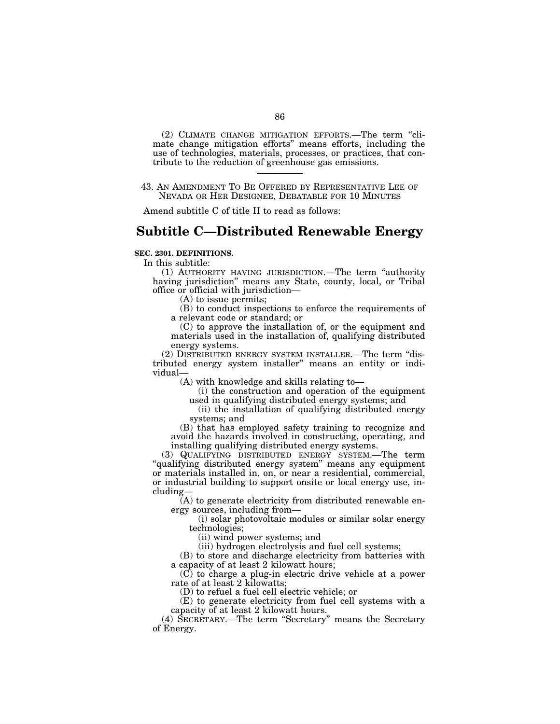(2) CLIMATE CHANGE MITIGATION EFFORTS.—The term ''climate change mitigation efforts'' means efforts, including the use of technologies, materials, processes, or practices, that contribute to the reduction of greenhouse gas emissions.

43. AN AMENDMENT TO BE OFFERED BY REPRESENTATIVE LEE OF NEVADA OR HER DESIGNEE, DEBATABLE FOR 10 MINUTES

Amend subtitle C of title II to read as follows:

# **Subtitle C—Distributed Renewable Energy**

#### **SEC. 2301. DEFINITIONS.**

In this subtitle:

(1) AUTHORITY HAVING JURISDICTION.—The term ''authority having jurisdiction'' means any State, county, local, or Tribal office or official with jurisdiction—

(A) to issue permits;

(B) to conduct inspections to enforce the requirements of a relevant code or standard; or

(C) to approve the installation of, or the equipment and materials used in the installation of, qualifying distributed energy systems.

(2) DISTRIBUTED ENERGY SYSTEM INSTALLER.—The term ''distributed energy system installer'' means an entity or individual—

(A) with knowledge and skills relating to—

(i) the construction and operation of the equipment used in qualifying distributed energy systems; and

(ii) the installation of qualifying distributed energy systems; and

(B) that has employed safety training to recognize and avoid the hazards involved in constructing, operating, and installing qualifying distributed energy systems.

(3) QUALIFYING DISTRIBUTED ENERGY SYSTEM.—The term ''qualifying distributed energy system'' means any equipment or materials installed in, on, or near a residential, commercial, or industrial building to support onsite or local energy use, including—

(A) to generate electricity from distributed renewable energy sources, including from—

(i) solar photovoltaic modules or similar solar energy technologies;

(ii) wind power systems; and

(iii) hydrogen electrolysis and fuel cell systems;

(B) to store and discharge electricity from batteries with a capacity of at least 2 kilowatt hours;

(C) to charge a plug-in electric drive vehicle at a power rate of at least 2 kilowatts;

(D) to refuel a fuel cell electric vehicle; or

(E) to generate electricity from fuel cell systems with a capacity of at least 2 kilowatt hours.

(4) SECRETARY.—The term ''Secretary'' means the Secretary of Energy.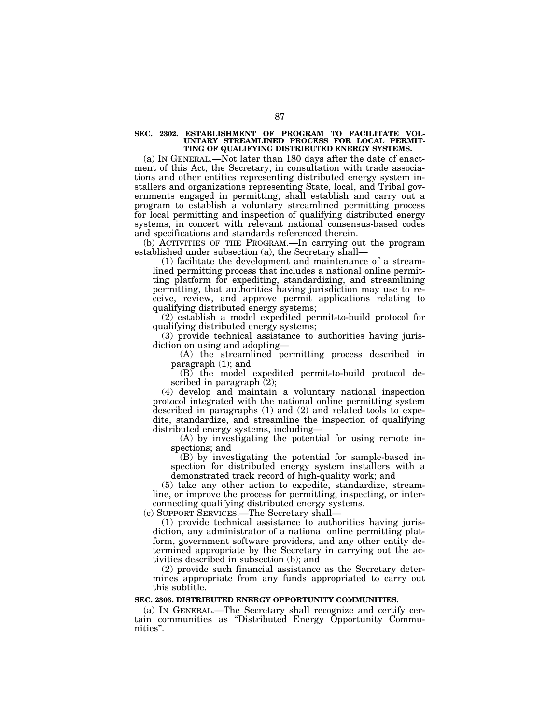**SEC. 2302. ESTABLISHMENT OF PROGRAM TO FACILITATE VOL-UNTARY STREAMLINED PROCESS FOR LOCAL PERMIT-TING OF QUALIFYING DISTRIBUTED ENERGY SYSTEMS.** 

(a) IN GENERAL.—Not later than 180 days after the date of enactment of this Act, the Secretary, in consultation with trade associations and other entities representing distributed energy system installers and organizations representing State, local, and Tribal governments engaged in permitting, shall establish and carry out a program to establish a voluntary streamlined permitting process for local permitting and inspection of qualifying distributed energy systems, in concert with relevant national consensus-based codes and specifications and standards referenced therein.

(b) ACTIVITIES OF THE PROGRAM.—In carrying out the program established under subsection (a), the Secretary shall—

(1) facilitate the development and maintenance of a streamlined permitting process that includes a national online permitting platform for expediting, standardizing, and streamlining permitting, that authorities having jurisdiction may use to receive, review, and approve permit applications relating to qualifying distributed energy systems;

(2) establish a model expedited permit-to-build protocol for qualifying distributed energy systems;

(3) provide technical assistance to authorities having jurisdiction on using and adopting—

(A) the streamlined permitting process described in paragraph (1); and

(B) the model expedited permit-to-build protocol described in paragraph (2);

(4) develop and maintain a voluntary national inspection protocol integrated with the national online permitting system described in paragraphs (1) and (2) and related tools to expedite, standardize, and streamline the inspection of qualifying distributed energy systems, including—

(A) by investigating the potential for using remote inspections; and

(B) by investigating the potential for sample-based inspection for distributed energy system installers with a demonstrated track record of high-quality work; and

(5) take any other action to expedite, standardize, streamline, or improve the process for permitting, inspecting, or interconnecting qualifying distributed energy systems.

(c) SUPPORT SERVICES.—The Secretary shall—

(1) provide technical assistance to authorities having jurisdiction, any administrator of a national online permitting platform, government software providers, and any other entity determined appropriate by the Secretary in carrying out the activities described in subsection (b); and

(2) provide such financial assistance as the Secretary determines appropriate from any funds appropriated to carry out this subtitle.

#### **SEC. 2303. DISTRIBUTED ENERGY OPPORTUNITY COMMUNITIES.**

(a) IN GENERAL.—The Secretary shall recognize and certify certain communities as ''Distributed Energy Opportunity Communities''.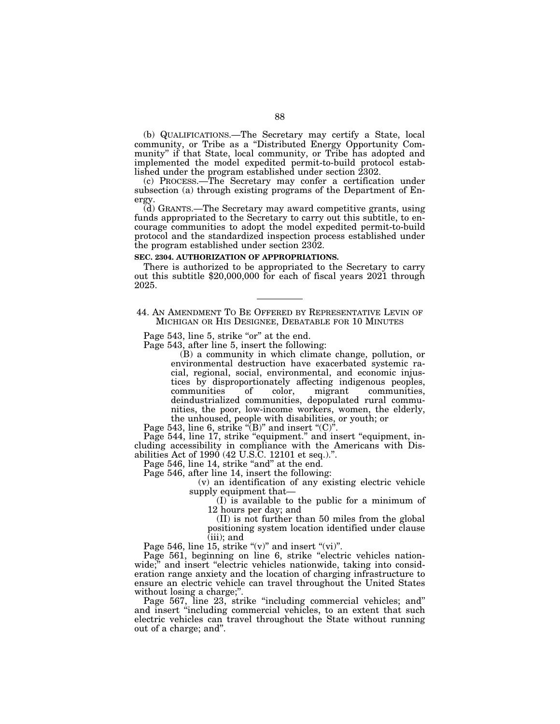(b) QUALIFICATIONS.—The Secretary may certify a State, local community, or Tribe as a ''Distributed Energy Opportunity Community'' if that State, local community, or Tribe has adopted and implemented the model expedited permit-to-build protocol established under the program established under section 2302.

(c) PROCESS.—The Secretary may confer a certification under subsection (a) through existing programs of the Department of Energy.

(d) GRANTS.—The Secretary may award competitive grants, using funds appropriated to the Secretary to carry out this subtitle, to encourage communities to adopt the model expedited permit-to-build protocol and the standardized inspection process established under the program established under section 2302.

#### **SEC. 2304. AUTHORIZATION OF APPROPRIATIONS.**

There is authorized to be appropriated to the Secretary to carry out this subtitle \$20,000,000 for each of fiscal years 2021 through 2025.

44. AN AMENDMENT TO BE OFFERED BY REPRESENTATIVE LEVIN OF MICHIGAN OR HIS DESIGNEE, DEBATABLE FOR 10 MINUTES

Page 543, line 5, strike "or" at the end.

Page 543, after line 5, insert the following:

(B) a community in which climate change, pollution, or environmental destruction have exacerbated systemic racial, regional, social, environmental, and economic injustices by disproportionately affecting indigenous peoples, communities of color, migrant communities, communities, deindustrialized communities, depopulated rural communities, the poor, low-income workers, women, the elderly, the unhoused, people with disabilities, or youth; or

Page 543, line 6, strike " $(B)$ " and insert " $(C)$ ".

Page 544, line 17, strike "equipment." and insert "equipment, including accessibility in compliance with the Americans with Disabilities Act of  $1990 (42 \text{ U.S}.\overline{\text{C}}. 12101 \text{ et seq.})$ .".

Page 546, line 14, strike "and" at the end.

Page 546, after line 14, insert the following:

(v) an identification of any existing electric vehicle supply equipment that—

(I) is available to the public for a minimum of 12 hours per day; and

(II) is not further than 50 miles from the global positioning system location identified under clause (iii); and

Page 546, line 15, strike " $(v)$ " and insert " $(vi)$ ".

Page 561, beginning on line 6, strike "electric vehicles nationwide;" and insert "electric vehicles nationwide, taking into consideration range anxiety and the location of charging infrastructure to ensure an electric vehicle can travel throughout the United States without losing a charge;''.

Page 567, line 23, strike "including commercial vehicles; and" and insert ''including commercial vehicles, to an extent that such electric vehicles can travel throughout the State without running out of a charge; and''.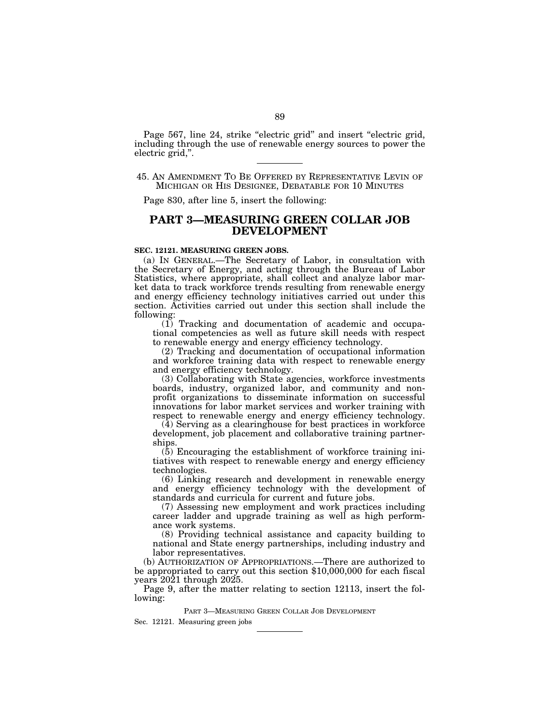Page 567, line 24, strike "electric grid" and insert "electric grid, including through the use of renewable energy sources to power the electric grid,''.

## 45. AN AMENDMENT TO BE OFFERED BY REPRESENTATIVE LEVIN OF MICHIGAN OR HIS DESIGNEE, DEBATABLE FOR 10 MINUTES

Page 830, after line 5, insert the following:

## **PART 3—MEASURING GREEN COLLAR JOB DEVELOPMENT**

#### **SEC. 12121. MEASURING GREEN JOBS.**

(a) IN GENERAL.—The Secretary of Labor, in consultation with the Secretary of Energy, and acting through the Bureau of Labor Statistics, where appropriate, shall collect and analyze labor market data to track workforce trends resulting from renewable energy and energy efficiency technology initiatives carried out under this section. Activities carried out under this section shall include the following:

(1) Tracking and documentation of academic and occupational competencies as well as future skill needs with respect to renewable energy and energy efficiency technology.

(2) Tracking and documentation of occupational information and workforce training data with respect to renewable energy and energy efficiency technology.

(3) Collaborating with State agencies, workforce investments boards, industry, organized labor, and community and nonprofit organizations to disseminate information on successful innovations for labor market services and worker training with respect to renewable energy and energy efficiency technology.

(4) Serving as a clearinghouse for best practices in workforce development, job placement and collaborative training partnerships.

(5) Encouraging the establishment of workforce training initiatives with respect to renewable energy and energy efficiency technologies.

(6) Linking research and development in renewable energy and energy efficiency technology with the development of standards and curricula for current and future jobs.

(7) Assessing new employment and work practices including career ladder and upgrade training as well as high performance work systems.

(8) Providing technical assistance and capacity building to national and State energy partnerships, including industry and labor representatives.

(b) AUTHORIZATION OF APPROPRIATIONS.—There are authorized to be appropriated to carry out this section \$10,000,000 for each fiscal years 2021 through 2025.

Page 9, after the matter relating to section 12113, insert the following:

PART 3—MEASURING GREEN COLLAR JOB DEVELOPMENT

Sec. 12121. Measuring green jobs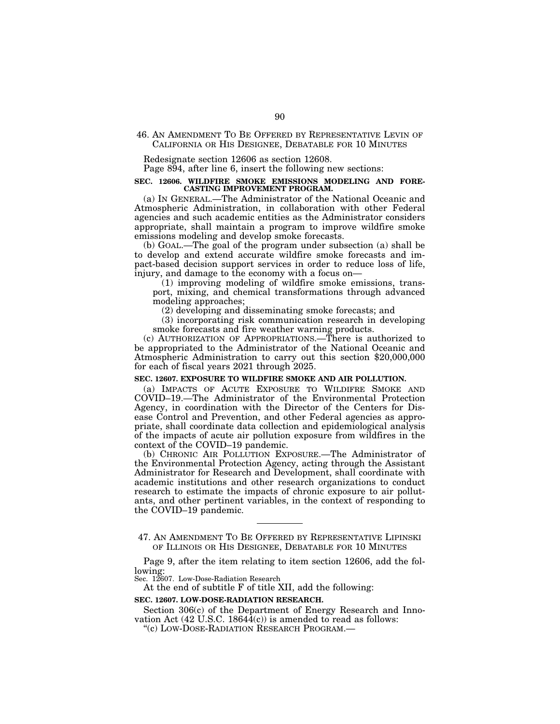#### 46. AN AMENDMENT TO BE OFFERED BY REPRESENTATIVE LEVIN OF CALIFORNIA OR HIS DESIGNEE, DEBATABLE FOR 10 MINUTES

Redesignate section 12606 as section 12608.

Page 894, after line 6, insert the following new sections:

#### **SEC. 12606. WILDFIRE SMOKE EMISSIONS MODELING AND FORE-CASTING IMPROVEMENT PROGRAM.**

(a) IN GENERAL.—The Administrator of the National Oceanic and Atmospheric Administration, in collaboration with other Federal agencies and such academic entities as the Administrator considers appropriate, shall maintain a program to improve wildfire smoke emissions modeling and develop smoke forecasts.

(b) GOAL.—The goal of the program under subsection (a) shall be to develop and extend accurate wildfire smoke forecasts and impact-based decision support services in order to reduce loss of life, injury, and damage to the economy with a focus on—

(1) improving modeling of wildfire smoke emissions, transport, mixing, and chemical transformations through advanced modeling approaches;

(2) developing and disseminating smoke forecasts; and

(3) incorporating risk communication research in developing smoke forecasts and fire weather warning products.

(c) AUTHORIZATION OF APPROPRIATIONS.—There is authorized to be appropriated to the Administrator of the National Oceanic and Atmospheric Administration to carry out this section \$20,000,000 for each of fiscal years 2021 through 2025.

#### **SEC. 12607. EXPOSURE TO WILDFIRE SMOKE AND AIR POLLUTION.**

(a) IMPACTS OF ACUTE EXPOSURE TO WILDIFRE SMOKE AND COVID–19.—The Administrator of the Environmental Protection Agency, in coordination with the Director of the Centers for Disease Control and Prevention, and other Federal agencies as appropriate, shall coordinate data collection and epidemiological analysis of the impacts of acute air pollution exposure from wildfires in the context of the COVID–19 pandemic.

(b) CHRONIC AIR POLLUTION EXPOSURE.—The Administrator of the Environmental Protection Agency, acting through the Assistant Administrator for Research and Development, shall coordinate with academic institutions and other research organizations to conduct research to estimate the impacts of chronic exposure to air pollutants, and other pertinent variables, in the context of responding to the COVID–19 pandemic.

Page 9, after the item relating to item section 12606, add the following:

Sec. 12607. Low-Dose-Radiation Research

At the end of subtitle F of title XII, add the following:

#### **SEC. 12607. LOW-DOSE-RADIATION RESEARCH.**

Section 306(c) of the Department of Energy Research and Innovation Act  $(42 \text{ U.S.C. } 18644(c))$  is amended to read as follows:

''(c) LOW-DOSE-RADIATION RESEARCH PROGRAM.—

<sup>47.</sup> AN AMENDMENT TO BE OFFERED BY REPRESENTATIVE LIPINSKI OF ILLINOIS OR HIS DESIGNEE, DEBATABLE FOR 10 MINUTES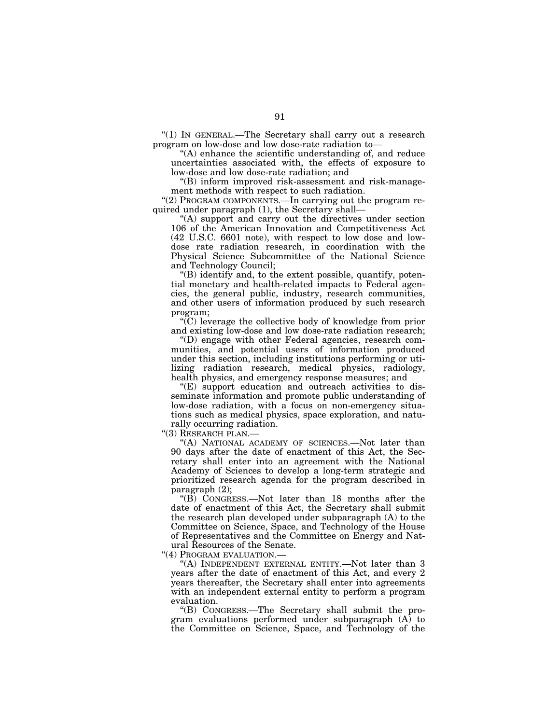''(1) IN GENERAL.—The Secretary shall carry out a research program on low-dose and low dose-rate radiation to—

''(A) enhance the scientific understanding of, and reduce uncertainties associated with, the effects of exposure to low-dose and low dose-rate radiation; and

''(B) inform improved risk-assessment and risk-management methods with respect to such radiation.

"(2) PROGRAM COMPONENTS.—In carrying out the program required under paragraph (1), the Secretary shall—

''(A) support and carry out the directives under section 106 of the American Innovation and Competitiveness Act (42 U.S.C. 6601 note), with respect to low dose and lowdose rate radiation research, in coordination with the Physical Science Subcommittee of the National Science and Technology Council;

''(B) identify and, to the extent possible, quantify, potential monetary and health-related impacts to Federal agencies, the general public, industry, research communities, and other users of information produced by such research program;

 $\widetilde{C}$ ) leverage the collective body of knowledge from prior and existing low-dose and low dose-rate radiation research;

''(D) engage with other Federal agencies, research communities, and potential users of information produced under this section, including institutions performing or utilizing radiation research, medical physics, radiology, health physics, and emergency response measures; and

"(E) support education and outreach activities to disseminate information and promote public understanding of low-dose radiation, with a focus on non-emergency situations such as medical physics, space exploration, and naturally occurring radiation.

''(3) RESEARCH PLAN.—

"(A) NATIONAL ACADEMY OF SCIENCES.—Not later than 90 days after the date of enactment of this Act, the Secretary shall enter into an agreement with the National Academy of Sciences to develop a long-term strategic and prioritized research agenda for the program described in paragraph (2);

''(B) CONGRESS.—Not later than 18 months after the date of enactment of this Act, the Secretary shall submit the research plan developed under subparagraph (A) to the Committee on Science, Space, and Technology of the House of Representatives and the Committee on Energy and Natural Resources of the Senate.

"(4) PROGRAM EVALUATION.-

"(A) INDEPENDENT EXTERNAL ENTITY.-Not later than 3 years after the date of enactment of this Act, and every 2 years thereafter, the Secretary shall enter into agreements with an independent external entity to perform a program evaluation.

''(B) CONGRESS.—The Secretary shall submit the program evaluations performed under subparagraph (A) to the Committee on Science, Space, and Technology of the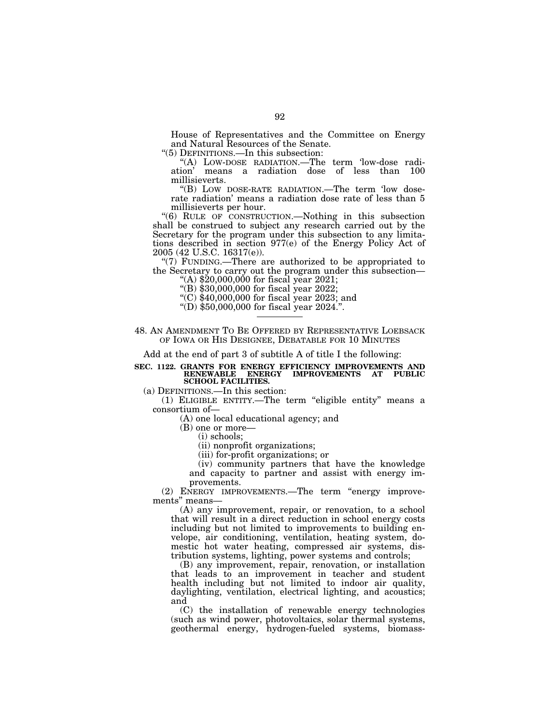House of Representatives and the Committee on Energy and Natural Resources of the Senate.

''(5) DEFINITIONS.—In this subsection:

''(A) LOW-DOSE RADIATION.—The term 'low-dose radiation' means a radiation dose of less than 100 millisieverts.

''(B) LOW DOSE-RATE RADIATION.—The term 'low doserate radiation' means a radiation dose rate of less than 5 millisieverts per hour.

''(6) RULE OF CONSTRUCTION.—Nothing in this subsection shall be construed to subject any research carried out by the Secretary for the program under this subsection to any limitations described in section 977(e) of the Energy Policy Act of 2005 (42 U.S.C. 16317(e)).

" $(7)$  FUNDING.—There are authorized to be appropriated to the Secretary to carry out the program under this subsection—<br>
"(A)  $$20,000,000$  for fiscal year 2021;

''(B) \$30,000,000 for fiscal year 2022;

''(C) \$40,000,000 for fiscal year 2023; and ''(D) \$50,000,000 for fiscal year 2024.''.

48. AN AMENDMENT TO BE OFFERED BY REPRESENTATIVE LOEBSACK OF IOWA OR HIS DESIGNEE, DEBATABLE FOR 10 MINUTES

Add at the end of part 3 of subtitle A of title I the following:

#### **SEC. 1122. GRANTS FOR ENERGY EFFICIENCY IMPROVEMENTS AND RENEWABLE ENERGY IMPROVEMENTS AT PUBLIC SCHOOL FACILITIES.**

(a) DEFINITIONS.—In this section:

(1) ELIGIBLE ENTITY.—The term ''eligible entity'' means a consortium of—

(A) one local educational agency; and

(B) one or more—

(i) schools;

(ii) nonprofit organizations;

(iii) for-profit organizations; or

(iv) community partners that have the knowledge and capacity to partner and assist with energy improvements.

(2) ENERGY IMPROVEMENTS.—The term ''energy improvements'' means—

(A) any improvement, repair, or renovation, to a school that will result in a direct reduction in school energy costs including but not limited to improvements to building envelope, air conditioning, ventilation, heating system, domestic hot water heating, compressed air systems, distribution systems, lighting, power systems and controls;

(B) any improvement, repair, renovation, or installation that leads to an improvement in teacher and student health including but not limited to indoor air quality, daylighting, ventilation, electrical lighting, and acoustics; and

(C) the installation of renewable energy technologies (such as wind power, photovoltaics, solar thermal systems, geothermal energy, hydrogen-fueled systems, biomass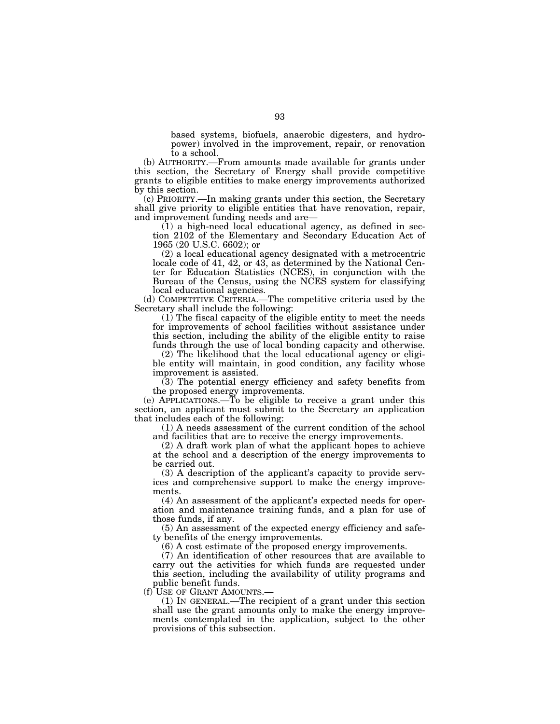based systems, biofuels, anaerobic digesters, and hydropower) involved in the improvement, repair, or renovation to a school.

(b) AUTHORITY.—From amounts made available for grants under this section, the Secretary of Energy shall provide competitive grants to eligible entities to make energy improvements authorized by this section.

(c) PRIORITY.—In making grants under this section, the Secretary shall give priority to eligible entities that have renovation, repair, and improvement funding needs and are—

(1) a high-need local educational agency, as defined in section 2102 of the Elementary and Secondary Education Act of 1965 (20 U.S.C. 6602); or

(2) a local educational agency designated with a metrocentric locale code of 41, 42, or 43, as determined by the National Center for Education Statistics (NCES), in conjunction with the Bureau of the Census, using the NCES system for classifying local educational agencies.

(d) COMPETITIVE CRITERIA.—The competitive criteria used by the Secretary shall include the following:

(1) The fiscal capacity of the eligible entity to meet the needs for improvements of school facilities without assistance under this section, including the ability of the eligible entity to raise funds through the use of local bonding capacity and otherwise.

(2) The likelihood that the local educational agency or eligible entity will maintain, in good condition, any facility whose improvement is assisted.

(3) The potential energy efficiency and safety benefits from the proposed energy improvements.

(e) APPLICATIONS.—To be eligible to receive a grant under this section, an applicant must submit to the Secretary an application that includes each of the following:

(1) A needs assessment of the current condition of the school and facilities that are to receive the energy improvements.

(2) A draft work plan of what the applicant hopes to achieve at the school and a description of the energy improvements to be carried out.

(3) A description of the applicant's capacity to provide services and comprehensive support to make the energy improvements.

(4) An assessment of the applicant's expected needs for operation and maintenance training funds, and a plan for use of those funds, if any.

(5) An assessment of the expected energy efficiency and safety benefits of the energy improvements.

(6) A cost estimate of the proposed energy improvements.

(7) An identification of other resources that are available to carry out the activities for which funds are requested under this section, including the availability of utility programs and public benefit funds.<br>(f) USE OF GRANT AMOUNTS.-

 $(1)$  IN GENERAL.—The recipient of a grant under this section shall use the grant amounts only to make the energy improvements contemplated in the application, subject to the other provisions of this subsection.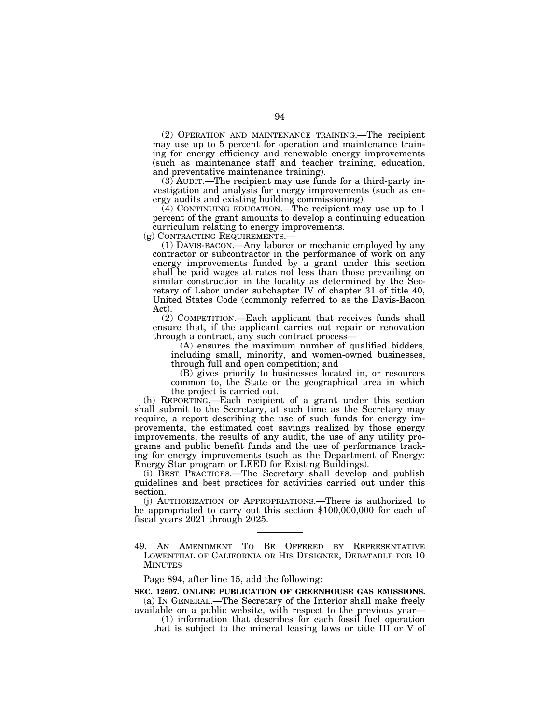(2) OPERATION AND MAINTENANCE TRAINING.—The recipient may use up to 5 percent for operation and maintenance training for energy efficiency and renewable energy improvements (such as maintenance staff and teacher training, education, and preventative maintenance training).

(3) AUDIT.—The recipient may use funds for a third-party investigation and analysis for energy improvements (such as energy audits and existing building commissioning).

(4) CONTINUING EDUCATION.—The recipient may use up to 1 percent of the grant amounts to develop a continuing education curriculum relating to energy improvements.

(g) CONTRACTING REQUIREMENTS.—

(1) DAVIS-BACON.—Any laborer or mechanic employed by any contractor or subcontractor in the performance of work on any energy improvements funded by a grant under this section shall be paid wages at rates not less than those prevailing on similar construction in the locality as determined by the Secretary of Labor under subchapter IV of chapter 31 of title 40, United States Code (commonly referred to as the Davis-Bacon Act).

(2) COMPETITION.—Each applicant that receives funds shall ensure that, if the applicant carries out repair or renovation through a contract, any such contract process—

(A) ensures the maximum number of qualified bidders, including small, minority, and women-owned businesses, through full and open competition; and

(B) gives priority to businesses located in, or resources common to, the State or the geographical area in which the project is carried out.

(h) REPORTING.—Each recipient of a grant under this section shall submit to the Secretary, at such time as the Secretary may require, a report describing the use of such funds for energy improvements, the estimated cost savings realized by those energy improvements, the results of any audit, the use of any utility programs and public benefit funds and the use of performance tracking for energy improvements (such as the Department of Energy: Energy Star program or LEED for Existing Buildings).

(i) BEST PRACTICES.—The Secretary shall develop and publish guidelines and best practices for activities carried out under this section.

(j) AUTHORIZATION OF APPROPRIATIONS.—There is authorized to be appropriated to carry out this section \$100,000,000 for each of fiscal years 2021 through 2025.

49. AN AMENDMENT TO BE OFFERED BY REPRESENTATIVE LOWENTHAL OF CALIFORNIA OR HIS DESIGNEE, DEBATABLE FOR 10 MINUTES

Page 894, after line 15, add the following:

**SEC. 12607. ONLINE PUBLICATION OF GREENHOUSE GAS EMISSIONS.**  (a) IN GENERAL.—The Secretary of the Interior shall make freely

available on a public website, with respect to the previous year— (1) information that describes for each fossil fuel operation

that is subject to the mineral leasing laws or title III or V of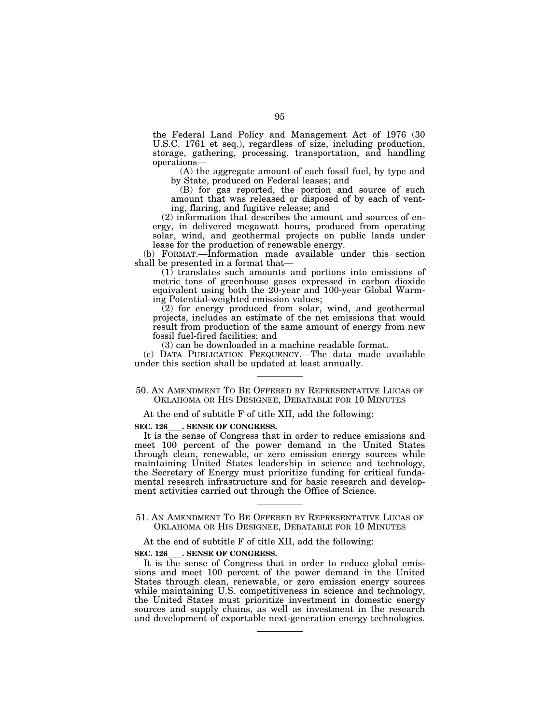the Federal Land Policy and Management Act of 1976 (30 U.S.C. 1761 et seq.), regardless of size, including production, storage, gathering, processing, transportation, and handling operations—

(A) the aggregate amount of each fossil fuel, by type and by State, produced on Federal leases; and

(B) for gas reported, the portion and source of such amount that was released or disposed of by each of venting, flaring, and fugitive release; and

(2) information that describes the amount and sources of energy, in delivered megawatt hours, produced from operating solar, wind, and geothermal projects on public lands under lease for the production of renewable energy.

(b) FORMAT.—Information made available under this section shall be presented in a format that—

(1) translates such amounts and portions into emissions of metric tons of greenhouse gases expressed in carbon dioxide equivalent using both the 20-year and 100-year Global Warming Potential-weighted emission values;

(2) for energy produced from solar, wind, and geothermal projects, includes an estimate of the net emissions that would result from production of the same amount of energy from new fossil fuel-fired facilities; and

(3) can be downloaded in a machine readable format.

(c) DATA PUBLICATION FREQUENCY.—The data made available under this section shall be updated at least annually.

#### 50. AN AMENDMENT TO BE OFFERED BY REPRESENTATIVE LUCAS OF OKLAHOMA OR HIS DESIGNEE, DEBATABLE FOR 10 MINUTES

At the end of subtitle F of title XII, add the following:

#### **SEC. 126 . SENSE OF CONGRESS.**

It is the sense of Congress that in order to reduce emissions and meet 100 percent of the power demand in the United States through clean, renewable, or zero emission energy sources while maintaining United States leadership in science and technology, the Secretary of Energy must prioritize funding for critical fundamental research infrastructure and for basic research and development activities carried out through the Office of Science.

51. AN AMENDMENT TO BE OFFERED BY REPRESENTATIVE LUCAS OF OKLAHOMA OR HIS DESIGNEE, DEBATABLE FOR 10 MINUTES

At the end of subtitle F of title XII, add the following:

## **SEC. 126**ll**. SENSE OF CONGRESS.**

It is the sense of Congress that in order to reduce global emissions and meet 100 percent of the power demand in the United States through clean, renewable, or zero emission energy sources while maintaining U.S. competitiveness in science and technology, the United States must prioritize investment in domestic energy sources and supply chains, as well as investment in the research and development of exportable next-generation energy technologies.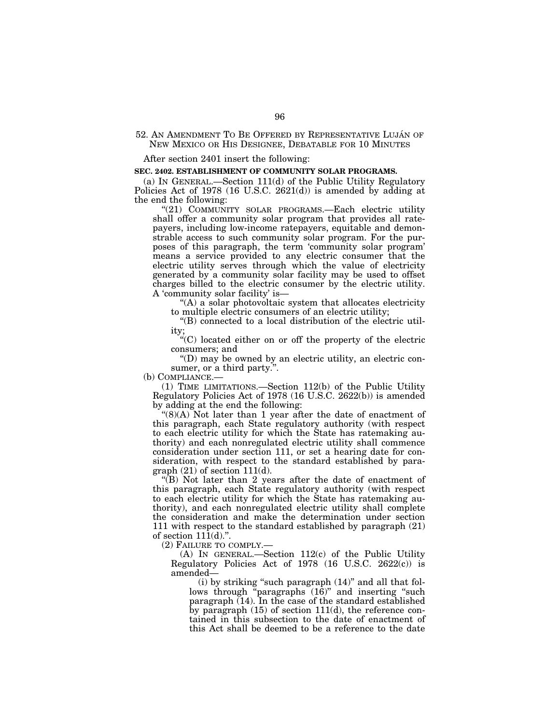#### 52. AN AMENDMENT TO BE OFFERED BY REPRESENTATIVE LUJÁN OF NEW MEXICO OR HIS DESIGNEE, DEBATABLE FOR 10 MINUTES

After section 2401 insert the following:

#### **SEC. 2402. ESTABLISHMENT OF COMMUNITY SOLAR PROGRAMS.**

(a) IN GENERAL.—Section 111(d) of the Public Utility Regulatory Policies Act of 1978 (16 U.S.C. 2621(d)) is amended by adding at the end the following:

"(21) COMMUNITY SOLAR PROGRAMS.—Each electric utility shall offer a community solar program that provides all ratepayers, including low-income ratepayers, equitable and demonstrable access to such community solar program. For the purposes of this paragraph, the term 'community solar program' means a service provided to any electric consumer that the electric utility serves through which the value of electricity generated by a community solar facility may be used to offset charges billed to the electric consumer by the electric utility. A 'community solar facility' is—

''(A) a solar photovoltaic system that allocates electricity to multiple electric consumers of an electric utility;

''(B) connected to a local distribution of the electric utility;

''(C) located either on or off the property of the electric consumers; and

''(D) may be owned by an electric utility, an electric consumer, or a third party.".

(b) COMPLIANCE.—

(1) TIME LIMITATIONS.—Section 112(b) of the Public Utility Regulatory Policies Act of 1978 (16 U.S.C. 2622(b)) is amended by adding at the end the following:

" $(8)(A)$  Not later than 1 year after the date of enactment of this paragraph, each State regulatory authority (with respect to each electric utility for which the State has ratemaking authority) and each nonregulated electric utility shall commence consideration under section 111, or set a hearing date for consideration, with respect to the standard established by para $graph (21)$  of section  $111(d)$ .

 $\sqrt{\text{B}}$ ) Not later than 2 years after the date of enactment of this paragraph, each State regulatory authority (with respect to each electric utility for which the State has ratemaking authority), and each nonregulated electric utility shall complete the consideration and make the determination under section 111 with respect to the standard established by paragraph (21) of section  $11\overline{1}$ (d).".

(2) FAILURE TO COMPLY.—

(A) IN GENERAL.—Section 112(c) of the Public Utility Regulatory Policies Act of 1978 (16 U.S.C. 2622(c)) is amended—

(i) by striking ''such paragraph (14)'' and all that follows through  $\epsilon$  paragraphs  $(16)$ " and inserting "such paragraph (14). In the case of the standard established by paragraph (15) of section 111(d), the reference contained in this subsection to the date of enactment of this Act shall be deemed to be a reference to the date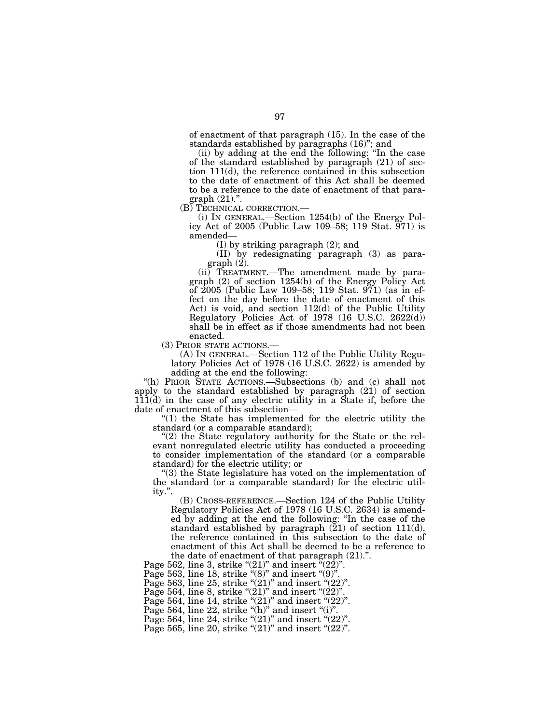of enactment of that paragraph (15). In the case of the standards established by paragraphs (16)''; and

(ii) by adding at the end the following: ''In the case of the standard established by paragraph (21) of section 111(d), the reference contained in this subsection to the date of enactment of this Act shall be deemed to be a reference to the date of enactment of that para-

graph (21).".<br>(B) TECHNICAL CORRECTION.—

(i) IN GENERAL.—Section  $1254(b)$  of the Energy Policy Act of 2005 (Public Law 109–58; 119 Stat. 971) is amended—

(I) by striking paragraph (2); and

(II) by redesignating paragraph (3) as paragraph (2).

(ii) TREATMENT.—The amendment made by paragraph (2) of section 1254(b) of the Energy Policy Act of 2005 (Public Law 109–58; 119 Stat. 971) (as in effect on the day before the date of enactment of this Act) is void, and section 112(d) of the Public Utility Regulatory Policies Act of 1978 (16 U.S.C. 2622(d)) shall be in effect as if those amendments had not been

enacted.<br>(3) PRIOR STATE ACTIONS.—

 $(A)$  In GENERAL.—Section 112 of the Public Utility Regulatory Policies Act of 1978 (16 U.S.C. 2622) is amended by adding at the end the following:

''(h) PRIOR STATE ACTIONS.—Subsections (b) and (c) shall not apply to the standard established by paragraph (21) of section 111(d) in the case of any electric utility in a State if, before the date of enactment of this subsection—

" $(1)$  the State has implemented for the electric utility the standard (or a comparable standard);

 $''(2)$  the State regulatory authority for the State or the relevant nonregulated electric utility has conducted a proceeding to consider implementation of the standard (or a comparable standard) for the electric utility; or

''(3) the State legislature has voted on the implementation of the standard (or a comparable standard) for the electric utility.''.

(B) CROSS-REFERENCE.—Section 124 of the Public Utility Regulatory Policies Act of 1978 (16 U.S.C. 2634) is amended by adding at the end the following: ''In the case of the standard established by paragraph  $(21)$  of section 111 $(d)$ , the reference contained in this subsection to the date of enactment of this Act shall be deemed to be a reference to the date of enactment of that paragraph (21).''.

Page 562, line 3, strike " $(21)$ " and insert " $(22)$ ".

Page 563, line 18, strike " $(8)$ " and insert " $(9)$ ".

Page 563, line 25, strike " $(21)$ " and insert " $(22)$ ".

Page 564, line 8, strike " $(21)$ " and insert " $(22)$ ".

Page 564, line 14, strike " $(21)$ " and insert " $(22)$ ".

Page 564, line 22, strike " $(h)$ " and insert " $(i)$ ".

Page 564, line 24, strike " $(21)$ " and insert " $(22)$ "

Page 565, line 20, strike " $(21)$ " and insert " $(22)$ ".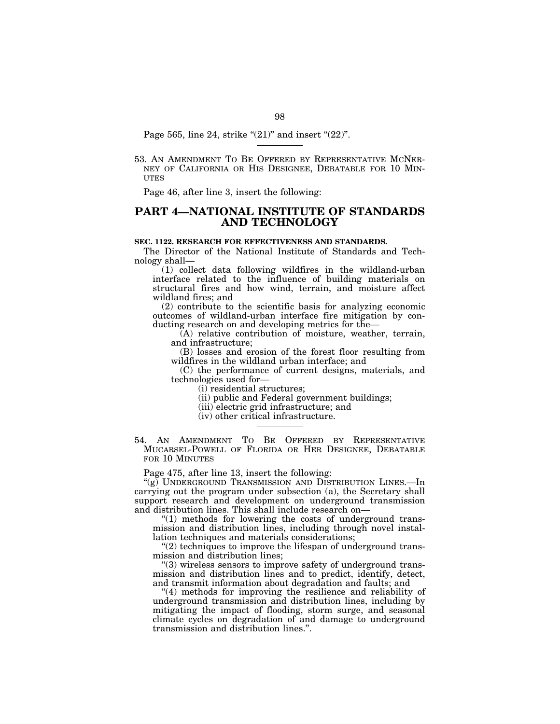Page 565, line 24, strike " $(21)$ " and insert " $(22)$ ".

53. AN AMENDMENT TO BE OFFERED BY REPRESENTATIVE MCNER-NEY OF CALIFORNIA OR HIS DESIGNEE, DEBATABLE FOR 10 MIN-**ITTES** 

Page 46, after line 3, insert the following:

# **PART 4—NATIONAL INSTITUTE OF STANDARDS AND TECHNOLOGY**

#### **SEC. 1122. RESEARCH FOR EFFECTIVENESS AND STANDARDS.**

The Director of the National Institute of Standards and Technology shall—

(1) collect data following wildfires in the wildland-urban interface related to the influence of building materials on structural fires and how wind, terrain, and moisture affect wildland fires; and

(2) contribute to the scientific basis for analyzing economic outcomes of wildland-urban interface fire mitigation by conducting research on and developing metrics for the—

 $\bar{A}$ ) relative contribution of moisture, weather, terrain, and infrastructure;

(B) losses and erosion of the forest floor resulting from wildfires in the wildland urban interface; and

(C) the performance of current designs, materials, and technologies used for—

(i) residential structures;

(ii) public and Federal government buildings;

(iii) electric grid infrastructure; and

(iv) other critical infrastructure.

54. AN AMENDMENT TO BE OFFERED BY REPRESENTATIVE MUCARSEL-POWELL OF FLORIDA OR HER DESIGNEE, DEBATABLE FOR 10 MINUTES

Page 475, after line 13, insert the following:

''(g) UNDERGROUND TRANSMISSION AND DISTRIBUTION LINES.—In carrying out the program under subsection (a), the Secretary shall support research and development on underground transmission and distribution lines. This shall include research on—

 $\degree$ (1) methods for lowering the costs of underground transmission and distribution lines, including through novel installation techniques and materials considerations;

"(2) techniques to improve the lifespan of underground transmission and distribution lines;

''(3) wireless sensors to improve safety of underground transmission and distribution lines and to predict, identify, detect, and transmit information about degradation and faults; and

"(4) methods for improving the resilience and reliability of underground transmission and distribution lines, including by mitigating the impact of flooding, storm surge, and seasonal climate cycles on degradation of and damage to underground transmission and distribution lines.''.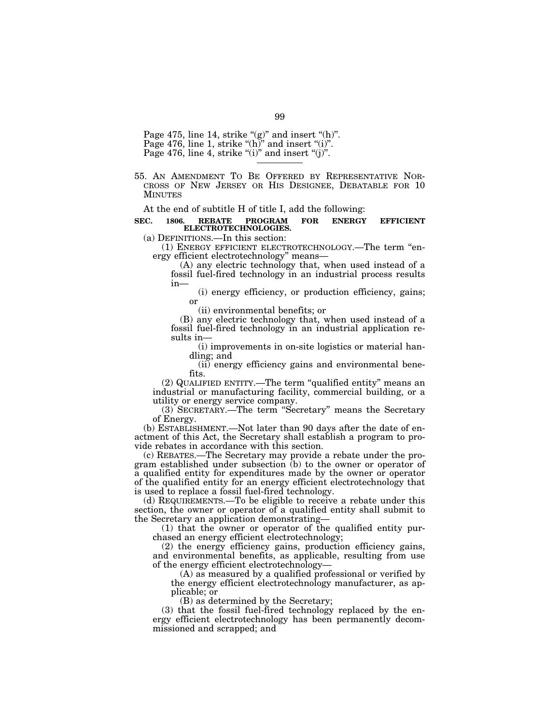Page 475, line 14, strike " $(g)$ " and insert " $(h)$ ". Page 476, line 1, strike " $(h)$ " and insert " $(i)$ ". Page 476, line 4, strike "(i)" and insert "(j)".

55. AN AMENDMENT TO BE OFFERED BY REPRESENTATIVE NOR- CROSS OF NEW JERSEY OR HIS DESIGNEE, DEBATABLE FOR 10 **MINUTES** 

At the end of subtitle H of title I, add the following:

# **SEC. 1806. REBATE PROGRAM FOR ENERGY EFFICIENT ELECTROTECHNOLOGIES.**

(a) DEFINITIONS.—In this section:

(1) ENERGY EFFICIENT ELECTROTECHNOLOGY.—The term ''energy efficient electrotechnology'' means—

(A) any electric technology that, when used instead of a fossil fuel-fired technology in an industrial process results in—

(i) energy efficiency, or production efficiency, gains; or

(ii) environmental benefits; or

(B) any electric technology that, when used instead of a fossil fuel-fired technology in an industrial application results in—

(i) improvements in on-site logistics or material handling; and

(ii) energy efficiency gains and environmental benefits.

(2) QUALIFIED ENTITY.—The term ''qualified entity'' means an industrial or manufacturing facility, commercial building, or a utility or energy service company.

(3) SECRETARY.—The term ''Secretary'' means the Secretary of Energy.

(b) ESTABLISHMENT.—Not later than 90 days after the date of enactment of this Act, the Secretary shall establish a program to provide rebates in accordance with this section.

(c) REBATES.—The Secretary may provide a rebate under the program established under subsection (b) to the owner or operator of a qualified entity for expenditures made by the owner or operator of the qualified entity for an energy efficient electrotechnology that is used to replace a fossil fuel-fired technology.

(d) REQUIREMENTS.—To be eligible to receive a rebate under this section, the owner or operator of a qualified entity shall submit to the Secretary an application demonstrating—

(1) that the owner or operator of the qualified entity purchased an energy efficient electrotechnology;

(2) the energy efficiency gains, production efficiency gains, and environmental benefits, as applicable, resulting from use of the energy efficient electrotechnology—

(A) as measured by a qualified professional or verified by the energy efficient electrotechnology manufacturer, as applicable; or

(B) as determined by the Secretary;

(3) that the fossil fuel-fired technology replaced by the energy efficient electrotechnology has been permanently decommissioned and scrapped; and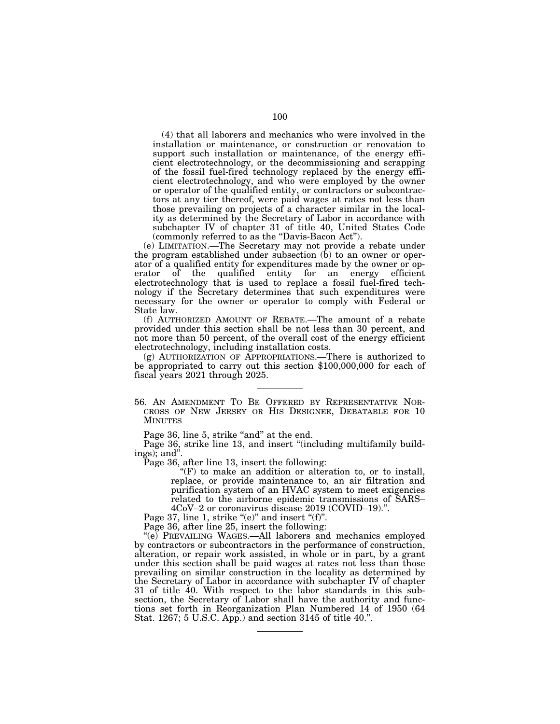(4) that all laborers and mechanics who were involved in the installation or maintenance, or construction or renovation to support such installation or maintenance, of the energy efficient electrotechnology, or the decommissioning and scrapping of the fossil fuel-fired technology replaced by the energy efficient electrotechnology, and who were employed by the owner or operator of the qualified entity, or contractors or subcontractors at any tier thereof, were paid wages at rates not less than those prevailing on projects of a character similar in the locality as determined by the Secretary of Labor in accordance with subchapter IV of chapter 31 of title 40, United States Code (commonly referred to as the "Davis-Bacon Act").

(e) LIMITATION.—The Secretary may not provide a rebate under the program established under subsection  $(b)$  to an owner or operator of a qualified entity for expenditures made by the owner or op-<br>erator of the qualified entity for an energy efficient erator of the qualified entity for an energy efficient electrotechnology that is used to replace a fossil fuel-fired technology if the Secretary determines that such expenditures were necessary for the owner or operator to comply with Federal or State law.

(f) AUTHORIZED AMOUNT OF REBATE.—The amount of a rebate provided under this section shall be not less than 30 percent, and not more than 50 percent, of the overall cost of the energy efficient electrotechnology, including installation costs.

(g) AUTHORIZATION OF APPROPRIATIONS.—There is authorized to be appropriated to carry out this section \$100,000,000 for each of fiscal years 2021 through 2025.

56. AN AMENDMENT TO BE OFFERED BY REPRESENTATIVE NOR-CROSS OF NEW JERSEY OR HIS DESIGNEE, DEBATABLE FOR 10 MINUTES

Page 36, line 5, strike "and" at the end.

Page 36, strike line 13, and insert "(including multifamily buildings); and''.

Page 36, after line 13, insert the following:

 $f(F)$  to make an addition or alteration to, or to install, replace, or provide maintenance to, an air filtration and purification system of an HVAC system to meet exigencies related to the airborne epidemic transmissions of SARS– 4CoV–2 or coronavirus disease 2019 (COVID–19).''.

Page 37, line 1, strike " $(e)$ " and insert " $(f)$ ".

Page 36, after line 25, insert the following:

''(e) PREVAILING WAGES.—All laborers and mechanics employed by contractors or subcontractors in the performance of construction, alteration, or repair work assisted, in whole or in part, by a grant under this section shall be paid wages at rates not less than those prevailing on similar construction in the locality as determined by the Secretary of Labor in accordance with subchapter IV of chapter 31 of title 40. With respect to the labor standards in this subsection, the Secretary of Labor shall have the authority and functions set forth in Reorganization Plan Numbered 14 of 1950 (64 Stat. 1267; 5 U.S.C. App.) and section 3145 of title 40.''.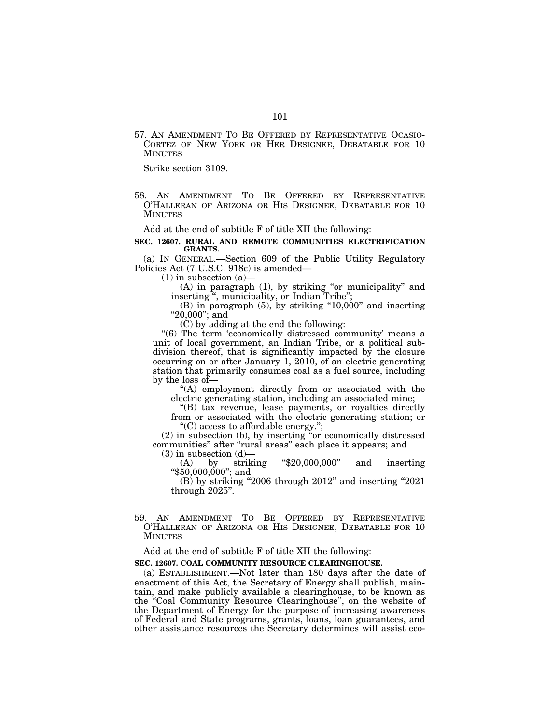57. AN AMENDMENT TO BE OFFERED BY REPRESENTATIVE OCASIO-CORTEZ OF NEW YORK OR HER DESIGNEE, DEBATABLE FOR 10 MINUTES

Strike section 3109.

58. AN AMENDMENT TO BE OFFERED BY REPRESENTATIVE O'HALLERAN OF ARIZONA OR HIS DESIGNEE, DEBATABLE FOR 10 MINUTES

Add at the end of subtitle F of title XII the following:

#### **SEC. 12607. RURAL AND REMOTE COMMUNITIES ELECTRIFICATION GRANTS.**

(a) IN GENERAL.—Section 609 of the Public Utility Regulatory Policies Act (7 U.S.C. 918c) is amended—

 $(1)$  in subsection  $(a)$ 

(A) in paragraph (1), by striking "or municipality" and inserting ", municipality, or Indian Tribe";

(B) in paragraph (5), by striking "10,000" and inserting ''20,000''; and

(C) by adding at the end the following:

"(6) The term 'economically distressed community' means a unit of local government, an Indian Tribe, or a political subdivision thereof, that is significantly impacted by the closure occurring on or after January 1, 2010, of an electric generating station that primarily consumes coal as a fuel source, including by the loss of—

''(A) employment directly from or associated with the electric generating station, including an associated mine;

''(B) tax revenue, lease payments, or royalties directly from or associated with the electric generating station; or ''(C) access to affordable energy.'';

(2) in subsection (b), by inserting ''or economically distressed communities" after "rural areas" each place it appears; and

(3) in subsection (d)—<br>(A) by striking  $(A)$  by striking "\$20,000,000" and inserting

''\$50,000,000''; and

(B) by striking ''2006 through 2012'' and inserting ''2021 through 2025''.

59. AN AMENDMENT TO BE OFFERED BY REPRESENTATIVE O'HALLERAN OF ARIZONA OR HIS DESIGNEE, DEBATABLE FOR 10 MINUTES

Add at the end of subtitle F of title XII the following:

## **SEC. 12607. COAL COMMUNITY RESOURCE CLEARINGHOUSE.**

(a) ESTABLISHMENT.—Not later than 180 days after the date of enactment of this Act, the Secretary of Energy shall publish, maintain, and make publicly available a clearinghouse, to be known as the ''Coal Community Resource Clearinghouse'', on the website of the Department of Energy for the purpose of increasing awareness of Federal and State programs, grants, loans, loan guarantees, and other assistance resources the Secretary determines will assist eco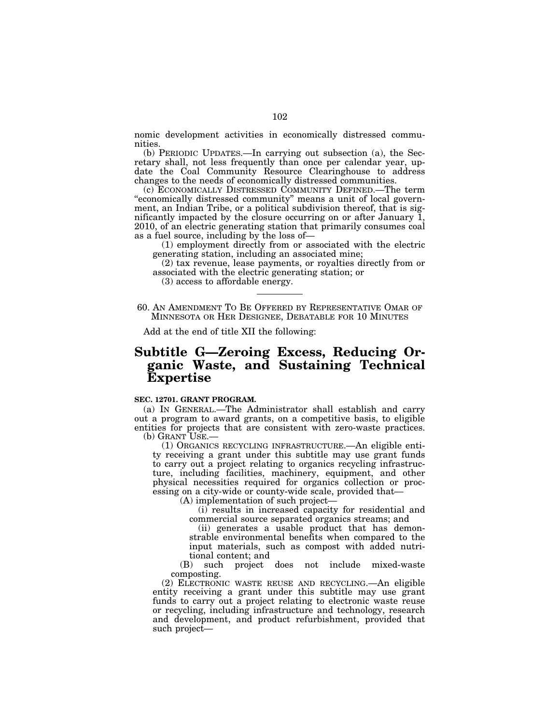nomic development activities in economically distressed communities.

(b) PERIODIC UPDATES.—In carrying out subsection (a), the Secretary shall, not less frequently than once per calendar year, update the Coal Community Resource Clearinghouse to address changes to the needs of economically distressed communities.

(c) ECONOMICALLY DISTRESSED COMMUNITY DEFINED.—The term "economically distressed community" means a unit of local government, an Indian Tribe, or a political subdivision thereof, that is significantly impacted by the closure occurring on or after January  $\overline{1}$ , 2010, of an electric generating station that primarily consumes coal as a fuel source, including by the loss of—

(1) employment directly from or associated with the electric generating station, including an associated mine;

(2) tax revenue, lease payments, or royalties directly from or associated with the electric generating station; or

(3) access to affordable energy.

60. AN AMENDMENT TO BE OFFERED BY REPRESENTATIVE OMAR OF MINNESOTA OR HER DESIGNEE, DEBATABLE FOR 10 MINUTES

Add at the end of title XII the following:

# **Subtitle G—Zeroing Excess, Reducing Organic Waste, and Sustaining Technical Expertise**

#### **SEC. 12701. GRANT PROGRAM.**

(a) IN GENERAL.—The Administrator shall establish and carry out a program to award grants, on a competitive basis, to eligible entities for projects that are consistent with zero-waste practices. (b) GRANT USE.—

(1) ORGANICS RECYCLING INFRASTRUCTURE.—An eligible entity receiving a grant under this subtitle may use grant funds to carry out a project relating to organics recycling infrastructure, including facilities, machinery, equipment, and other physical necessities required for organics collection or processing on a city-wide or county-wide scale, provided that—

(A) implementation of such project—

(i) results in increased capacity for residential and commercial source separated organics streams; and

(ii) generates a usable product that has demonstrable environmental benefits when compared to the input materials, such as compost with added nutritional content; and

(B) such project does not include mixed-waste composting.

(2) ELECTRONIC WASTE REUSE AND RECYCLING.—An eligible entity receiving a grant under this subtitle may use grant funds to carry out a project relating to electronic waste reuse or recycling, including infrastructure and technology, research and development, and product refurbishment, provided that such project—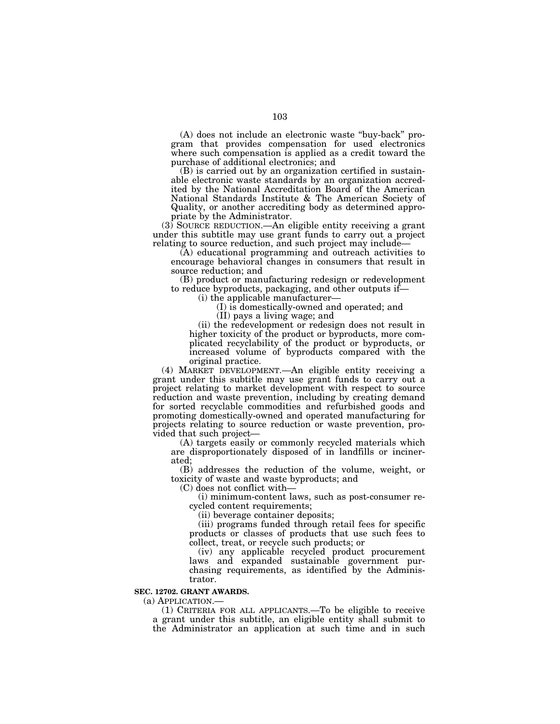(A) does not include an electronic waste ''buy-back'' program that provides compensation for used electronics where such compensation is applied as a credit toward the purchase of additional electronics; and

(B) is carried out by an organization certified in sustainable electronic waste standards by an organization accredited by the National Accreditation Board of the American National Standards Institute & The American Society of Quality, or another accrediting body as determined appropriate by the Administrator.

(3) SOURCE REDUCTION.—An eligible entity receiving a grant under this subtitle may use grant funds to carry out a project relating to source reduction, and such project may include—

(A) educational programming and outreach activities to encourage behavioral changes in consumers that result in source reduction; and

(B) product or manufacturing redesign or redevelopment to reduce byproducts, packaging, and other outputs if—

(i) the applicable manufacturer—

(I) is domestically-owned and operated; and

(II) pays a living wage; and

(ii) the redevelopment or redesign does not result in higher toxicity of the product or byproducts, more complicated recyclability of the product or byproducts, or increased volume of byproducts compared with the original practice.

(4) MARKET DEVELOPMENT.—An eligible entity receiving a grant under this subtitle may use grant funds to carry out a project relating to market development with respect to source reduction and waste prevention, including by creating demand for sorted recyclable commodities and refurbished goods and promoting domestically-owned and operated manufacturing for projects relating to source reduction or waste prevention, provided that such project—

(A) targets easily or commonly recycled materials which are disproportionately disposed of in landfills or incinerated;

(B) addresses the reduction of the volume, weight, or toxicity of waste and waste byproducts; and

(C) does not conflict with—

(i) minimum-content laws, such as post-consumer recycled content requirements;

(ii) beverage container deposits;

(iii) programs funded through retail fees for specific products or classes of products that use such fees to collect, treat, or recycle such products; or

(iv) any applicable recycled product procurement laws and expanded sustainable government purchasing requirements, as identified by the Administrator.

#### **SEC. 12702. GRANT AWARDS.**

(a) APPLICATION.—

(1) CRITERIA FOR ALL APPLICANTS.—To be eligible to receive a grant under this subtitle, an eligible entity shall submit to the Administrator an application at such time and in such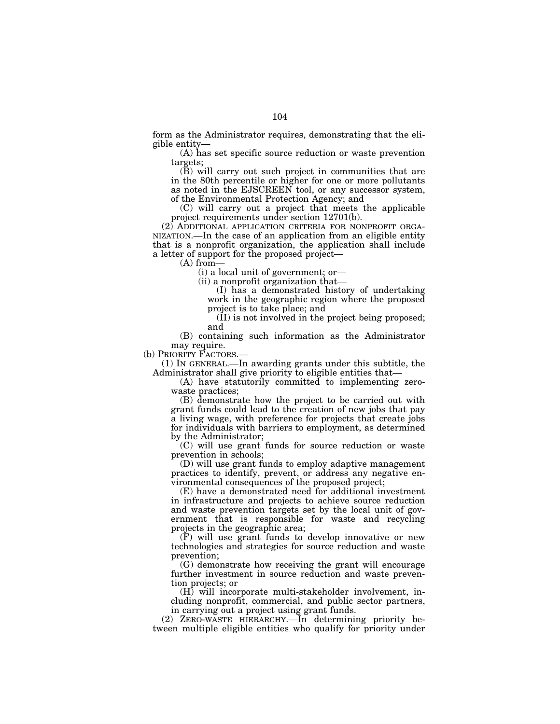form as the Administrator requires, demonstrating that the eligible entity—

(A) has set specific source reduction or waste prevention targets;

(B) will carry out such project in communities that are in the 80th percentile or higher for one or more pollutants as noted in the EJSCREEN tool, or any successor system, of the Environmental Protection Agency; and

(C) will carry out a project that meets the applicable project requirements under section 12701(b).

(2) ADDITIONAL APPLICATION CRITERIA FOR NONPROFIT ORGA-NIZATION.—In the case of an application from an eligible entity that is a nonprofit organization, the application shall include a letter of support for the proposed project—

(A) from—

(i) a local unit of government; or—

(ii) a nonprofit organization that—

(I) has a demonstrated history of undertaking work in the geographic region where the proposed project is to take place; and

(II) is not involved in the project being proposed; and

(B) containing such information as the Administrator

may require.<br>(b) PRIORITY FACTORS.-

 $(1)$  In GENERAL.—In awarding grants under this subtitle, the Administrator shall give priority to eligible entities that—

(A) have statutorily committed to implementing zerowaste practices;

(B) demonstrate how the project to be carried out with grant funds could lead to the creation of new jobs that pay a living wage, with preference for projects that create jobs for individuals with barriers to employment, as determined by the Administrator;

(C) will use grant funds for source reduction or waste prevention in schools;

(D) will use grant funds to employ adaptive management practices to identify, prevent, or address any negative environmental consequences of the proposed project;

(E) have a demonstrated need for additional investment in infrastructure and projects to achieve source reduction and waste prevention targets set by the local unit of government that is responsible for waste and recycling projects in the geographic area;

(F) will use grant funds to develop innovative or new technologies and strategies for source reduction and waste prevention;

(G) demonstrate how receiving the grant will encourage further investment in source reduction and waste prevention projects; or

(H) will incorporate multi-stakeholder involvement, including nonprofit, commercial, and public sector partners, in carrying out a project using grant funds.

(2) ZERO-WASTE HIERARCHY.—In determining priority between multiple eligible entities who qualify for priority under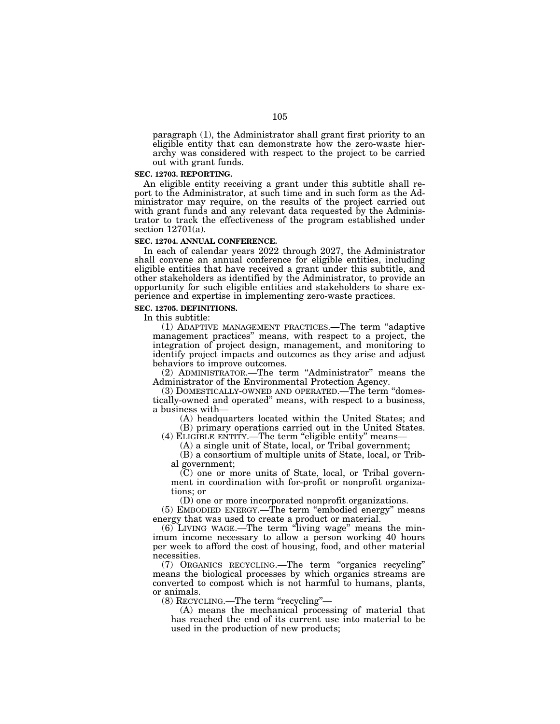paragraph (1), the Administrator shall grant first priority to an eligible entity that can demonstrate how the zero-waste hierarchy was considered with respect to the project to be carried out with grant funds.

#### **SEC. 12703. REPORTING.**

An eligible entity receiving a grant under this subtitle shall report to the Administrator, at such time and in such form as the Administrator may require, on the results of the project carried out with grant funds and any relevant data requested by the Administrator to track the effectiveness of the program established under section 12701(a).

#### **SEC. 12704. ANNUAL CONFERENCE.**

In each of calendar years 2022 through 2027, the Administrator shall convene an annual conference for eligible entities, including eligible entities that have received a grant under this subtitle, and other stakeholders as identified by the Administrator, to provide an opportunity for such eligible entities and stakeholders to share experience and expertise in implementing zero-waste practices.

#### **SEC. 12705. DEFINITIONS.**

In this subtitle:

(1) ADAPTIVE MANAGEMENT PRACTICES.—The term ''adaptive management practices'' means, with respect to a project, the integration of project design, management, and monitoring to identify project impacts and outcomes as they arise and adjust behaviors to improve outcomes.

(2) ADMINISTRATOR.—The term ''Administrator'' means the Administrator of the Environmental Protection Agency.

(3) DOMESTICALLY-OWNED AND OPERATED.—The term ''domestically-owned and operated'' means, with respect to a business, a business with—

(A) headquarters located within the United States; and (B) primary operations carried out in the United States.

(4) ELIGIBLE ENTITY.—The term ''eligible entity'' means—

(A) a single unit of State, local, or Tribal government;

(B) a consortium of multiple units of State, local, or Tribal government;

(C) one or more units of State, local, or Tribal government in coordination with for-profit or nonprofit organizations; or

(D) one or more incorporated nonprofit organizations.

(5) EMBODIED ENERGY.—The term ''embodied energy'' means energy that was used to create a product or material.

(6) LIVING WAGE.—The term ''living wage'' means the minimum income necessary to allow a person working 40 hours per week to afford the cost of housing, food, and other material necessities.

(7) ORGANICS RECYCLING.—The term ''organics recycling'' means the biological processes by which organics streams are converted to compost which is not harmful to humans, plants, or animals.

(8) RECYCLING.—The term ''recycling''—

(A) means the mechanical processing of material that has reached the end of its current use into material to be used in the production of new products;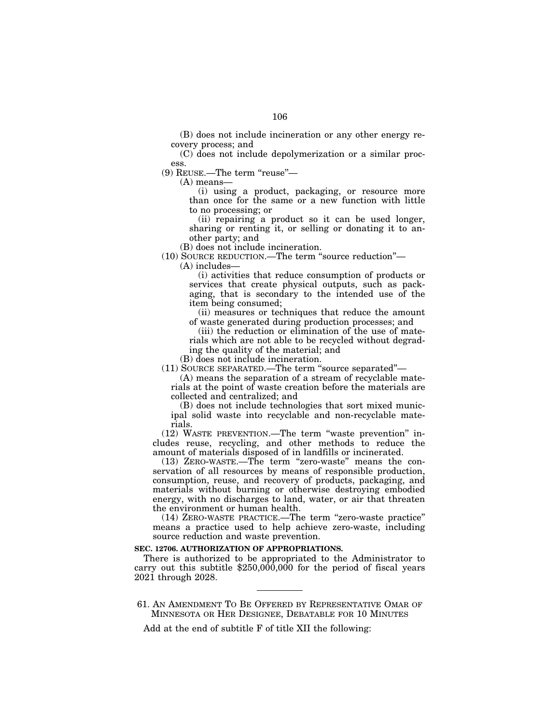(B) does not include incineration or any other energy recovery process; and

(C) does not include depolymerization or a similar process.

(9) REUSE.—The term ''reuse''—

(A) means—

(i) using a product, packaging, or resource more than once for the same or a new function with little to no processing; or

(ii) repairing a product so it can be used longer, sharing or renting it, or selling or donating it to another party; and

(B) does not include incineration.

(10) SOURCE REDUCTION.—The term ''source reduction''—

(A) includes—

(i) activities that reduce consumption of products or services that create physical outputs, such as packaging, that is secondary to the intended use of the item being consumed;

(ii) measures or techniques that reduce the amount of waste generated during production processes; and

(iii) the reduction or elimination of the use of materials which are not able to be recycled without degrading the quality of the material; and

(B) does not include incineration.

(11) SOURCE SEPARATED.—The term ''source separated''—

(A) means the separation of a stream of recyclable materials at the point of waste creation before the materials are collected and centralized; and

(B) does not include technologies that sort mixed municipal solid waste into recyclable and non-recyclable materials.

(12) WASTE PREVENTION.—The term ''waste prevention'' includes reuse, recycling, and other methods to reduce the amount of materials disposed of in landfills or incinerated.

(13) ZERO-WASTE.—The term ''zero-waste'' means the conservation of all resources by means of responsible production, consumption, reuse, and recovery of products, packaging, and materials without burning or otherwise destroying embodied energy, with no discharges to land, water, or air that threaten the environment or human health.

(14) ZERO-WASTE PRACTICE.—The term ''zero-waste practice'' means a practice used to help achieve zero-waste, including source reduction and waste prevention.

#### **SEC. 12706. AUTHORIZATION OF APPROPRIATIONS.**

There is authorized to be appropriated to the Administrator to carry out this subtitle  $$250,000,000$  for the period of fiscal years 2021 through 2028.

61. AN AMENDMENT TO BE OFFERED BY REPRESENTATIVE OMAR OF MINNESOTA OR HER DESIGNEE, DEBATABLE FOR 10 MINUTES

Add at the end of subtitle F of title XII the following: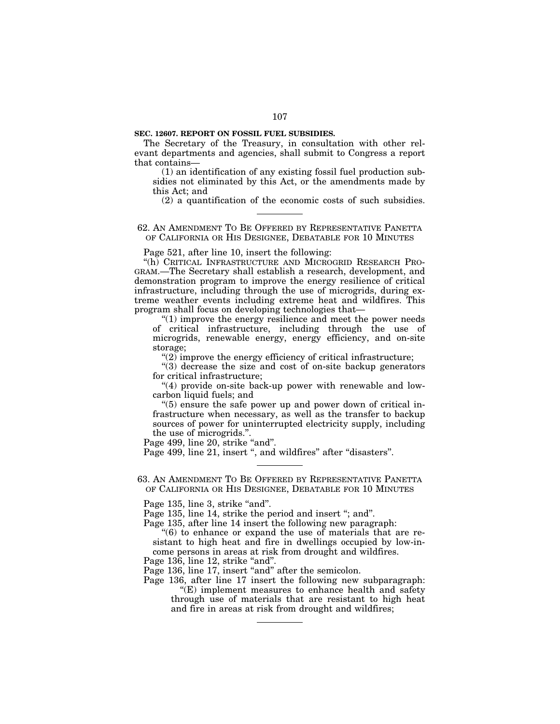#### **SEC. 12607. REPORT ON FOSSIL FUEL SUBSIDIES.**

The Secretary of the Treasury, in consultation with other relevant departments and agencies, shall submit to Congress a report that contains—

(1) an identification of any existing fossil fuel production subsidies not eliminated by this Act, or the amendments made by this Act; and

(2) a quantification of the economic costs of such subsidies.

#### 62. AN AMENDMENT TO BE OFFERED BY REPRESENTATIVE PANETTA OF CALIFORNIA OR HIS DESIGNEE, DEBATABLE FOR 10 MINUTES

Page 521, after line 10, insert the following:

''(h) CRITICAL INFRASTRUCTURE AND MICROGRID RESEARCH PRO-GRAM.—The Secretary shall establish a research, development, and demonstration program to improve the energy resilience of critical infrastructure, including through the use of microgrids, during extreme weather events including extreme heat and wildfires. This program shall focus on developing technologies that—

''(1) improve the energy resilience and meet the power needs of critical infrastructure, including through the use of microgrids, renewable energy, energy efficiency, and on-site storage;

 $\mathcal{L}(2)$  improve the energy efficiency of critical infrastructure;

 $\cdot$ (3) decrease the size and cost of on-site backup generators for critical infrastructure;

"(4) provide on-site back-up power with renewable and lowcarbon liquid fuels; and

''(5) ensure the safe power up and power down of critical infrastructure when necessary, as well as the transfer to backup sources of power for uninterrupted electricity supply, including the use of microgrids.''.

Page 499, line 20, strike "and".

Page 499, line 21, insert ", and wildfires" after "disasters".

63. AN AMENDMENT TO BE OFFERED BY REPRESENTATIVE PANETTA OF CALIFORNIA OR HIS DESIGNEE, DEBATABLE FOR 10 MINUTES

Page 135, line 3, strike "and".

Page 135, line 14, strike the period and insert "; and".

Page 135, after line 14 insert the following new paragraph:

 $(6)$  to enhance or expand the use of materials that are resistant to high heat and fire in dwellings occupied by low-income persons in areas at risk from drought and wildfires.

Page 136, line 12, strike "and".

Page 136, line 17, insert "and" after the semicolon.

Page 136, after line 17 insert the following new subparagraph:  $E$ ) implement measures to enhance health and safety through use of materials that are resistant to high heat and fire in areas at risk from drought and wildfires;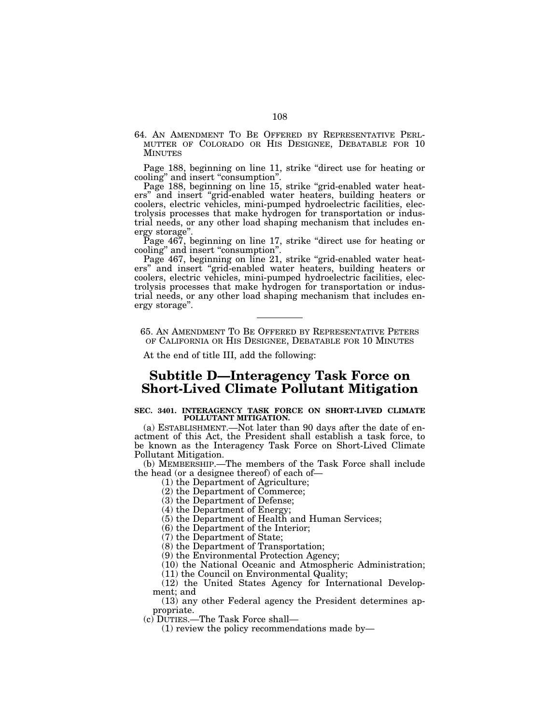64. AN AMENDMENT TO BE OFFERED BY REPRESENTATIVE PERL- MUTTER OF COLORADO OR HIS DESIGNEE, DEBATABLE FOR 10 **MINUTES** 

Page 188, beginning on line 11, strike "direct use for heating or cooling'' and insert ''consumption''.

Page 188, beginning on line 15, strike "grid-enabled water heaters'' and insert ''grid-enabled water heaters, building heaters or coolers, electric vehicles, mini-pumped hydroelectric facilities, electrolysis processes that make hydrogen for transportation or industrial needs, or any other load shaping mechanism that includes energy storage''.

Page 467, beginning on line 17, strike "direct use for heating or cooling'' and insert ''consumption''.

Page 467, beginning on line 21, strike "grid-enabled water heaters'' and insert ''grid-enabled water heaters, building heaters or coolers, electric vehicles, mini-pumped hydroelectric facilities, electrolysis processes that make hydrogen for transportation or industrial needs, or any other load shaping mechanism that includes energy storage''.

65. AN AMENDMENT TO BE OFFERED BY REPRESENTATIVE PETERS OF CALIFORNIA OR HIS DESIGNEE, DEBATABLE FOR 10 MINUTES

At the end of title III, add the following:

# **Subtitle D—Interagency Task Force on Short-Lived Climate Pollutant Mitigation**

#### **SEC. 3401. INTERAGENCY TASK FORCE ON SHORT-LIVED CLIMATE POLLUTANT MITIGATION.**

(a) ESTABLISHMENT.—Not later than 90 days after the date of enactment of this Act, the President shall establish a task force, to be known as the Interagency Task Force on Short-Lived Climate Pollutant Mitigation.

(b) MEMBERSHIP.—The members of the Task Force shall include the head (or a designee thereof) of each of—

(1) the Department of Agriculture;

(2) the Department of Commerce;

(3) the Department of Defense;

(4) the Department of Energy;

(5) the Department of Health and Human Services;

(6) the Department of the Interior;

(7) the Department of State;

(8) the Department of Transportation;

(9) the Environmental Protection Agency;

(10) the National Oceanic and Atmospheric Administration;

(11) the Council on Environmental Quality;

(12) the United States Agency for International Development; and

(13) any other Federal agency the President determines appropriate.

(c) DUTIES.—The Task Force shall—

(1) review the policy recommendations made by—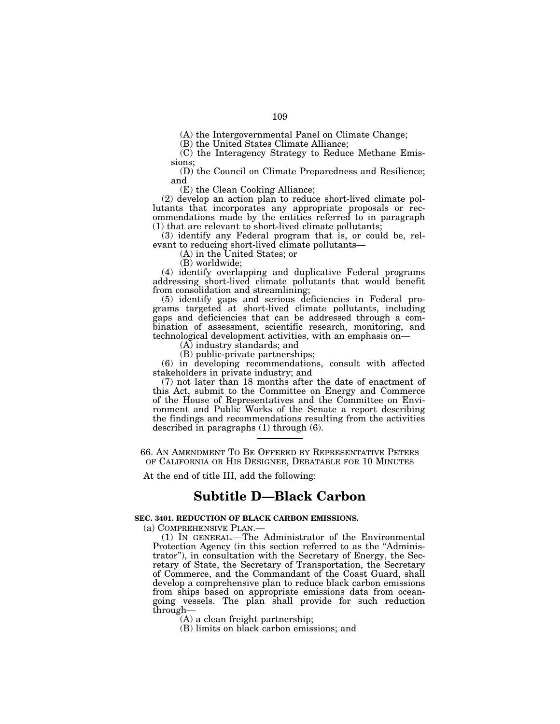(A) the Intergovernmental Panel on Climate Change;

(B) the United States Climate Alliance;

(C) the Interagency Strategy to Reduce Methane Emissions;

(D) the Council on Climate Preparedness and Resilience; and

(E) the Clean Cooking Alliance;

(2) develop an action plan to reduce short-lived climate pollutants that incorporates any appropriate proposals or recommendations made by the entities referred to in paragraph (1) that are relevant to short-lived climate pollutants;

(3) identify any Federal program that is, or could be, relevant to reducing short-lived climate pollutants—

(A) in the United States; or

(B) worldwide;

(4) identify overlapping and duplicative Federal programs addressing short-lived climate pollutants that would benefit from consolidation and streamlining;

(5) identify gaps and serious deficiencies in Federal programs targeted at short-lived climate pollutants, including gaps and deficiencies that can be addressed through a combination of assessment, scientific research, monitoring, and technological development activities, with an emphasis on—

(A) industry standards; and

(B) public-private partnerships;

(6) in developing recommendations, consult with affected stakeholders in private industry; and

(7) not later than 18 months after the date of enactment of this Act, submit to the Committee on Energy and Commerce of the House of Representatives and the Committee on Environment and Public Works of the Senate a report describing the findings and recommendations resulting from the activities described in paragraphs (1) through (6).

66. AN AMENDMENT TO BE OFFERED BY REPRESENTATIVE PETERS OF CALIFORNIA OR HIS DESIGNEE, DEBATABLE FOR 10 MINUTES

At the end of title III, add the following:

# **Subtitle D—Black Carbon**

## **SEC. 3401. REDUCTION OF BLACK CARBON EMISSIONS.**

(a) COMPREHENSIVE PLAN.—

(1) IN GENERAL.—The Administrator of the Environmental Protection Agency (in this section referred to as the "Administrator''), in consultation with the Secretary of Energy, the Secretary of State, the Secretary of Transportation, the Secretary of Commerce, and the Commandant of the Coast Guard, shall develop a comprehensive plan to reduce black carbon emissions from ships based on appropriate emissions data from oceangoing vessels. The plan shall provide for such reduction through—

(A) a clean freight partnership;

(B) limits on black carbon emissions; and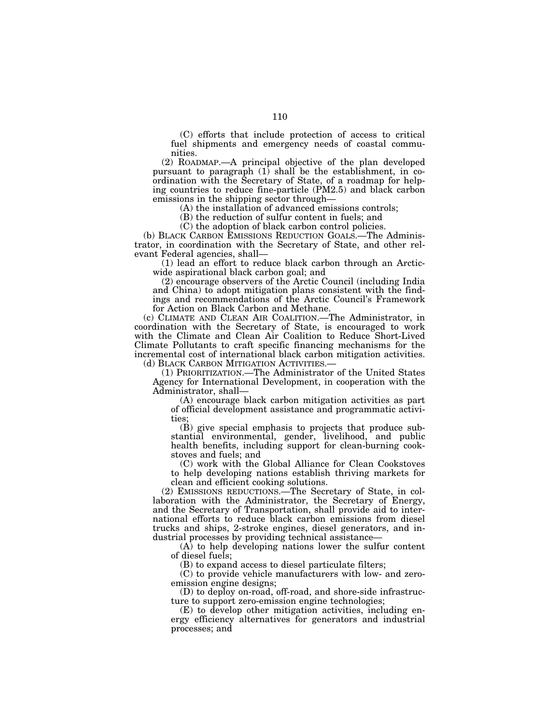(C) efforts that include protection of access to critical fuel shipments and emergency needs of coastal communities.

(2) ROADMAP.—A principal objective of the plan developed pursuant to paragraph  $(1)$  shall be the establishment, in coordination with the Secretary of State, of a roadmap for helping countries to reduce fine-particle (PM2.5) and black carbon emissions in the shipping sector through—

(A) the installation of advanced emissions controls;

(B) the reduction of sulfur content in fuels; and

(C) the adoption of black carbon control policies.

(b) BLACK CARBON EMISSIONS REDUCTION GOALS.—The Administrator, in coordination with the Secretary of State, and other relevant Federal agencies, shall—

(1) lead an effort to reduce black carbon through an Arcticwide aspirational black carbon goal; and

(2) encourage observers of the Arctic Council (including India and China) to adopt mitigation plans consistent with the findings and recommendations of the Arctic Council's Framework for Action on Black Carbon and Methane.

(c) CLIMATE AND CLEAN AIR COALITION.—The Administrator, in coordination with the Secretary of State, is encouraged to work with the Climate and Clean Air Coalition to Reduce Short-Lived Climate Pollutants to craft specific financing mechanisms for the incremental cost of international black carbon mitigation activities.

(d) BLACK CARBON MITIGATION ACTIVITIES.— (1) PRIORITIZATION.—The Administrator of the United States Agency for International Development, in cooperation with the Administrator, shall—

(A) encourage black carbon mitigation activities as part of official development assistance and programmatic activities

(B) give special emphasis to projects that produce substantial environmental, gender, livelihood, and public health benefits, including support for clean-burning cookstoves and fuels; and

(C) work with the Global Alliance for Clean Cookstoves to help developing nations establish thriving markets for clean and efficient cooking solutions.

(2) EMISSIONS REDUCTIONS.—The Secretary of State, in collaboration with the Administrator, the Secretary of Energy, and the Secretary of Transportation, shall provide aid to international efforts to reduce black carbon emissions from diesel trucks and ships, 2-stroke engines, diesel generators, and industrial processes by providing technical assistance—

(A) to help developing nations lower the sulfur content of diesel fuels;

(B) to expand access to diesel particulate filters;

(C) to provide vehicle manufacturers with low- and zeroemission engine designs;

(D) to deploy on-road, off-road, and shore-side infrastructure to support zero-emission engine technologies;

(E) to develop other mitigation activities, including energy efficiency alternatives for generators and industrial processes; and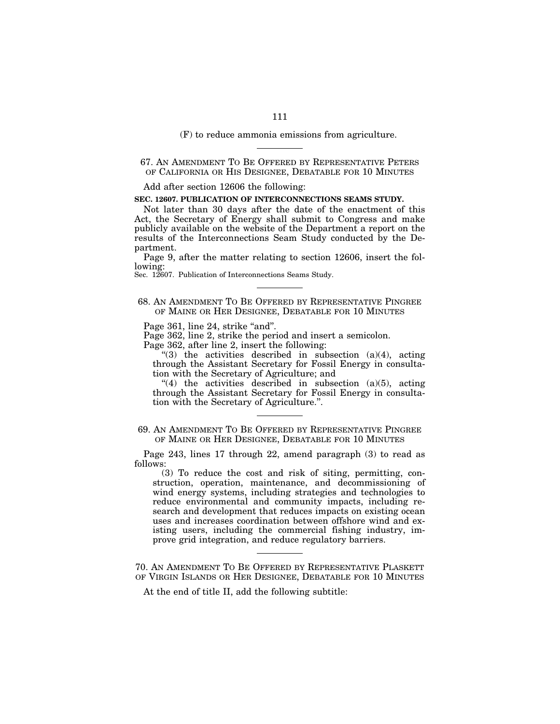(F) to reduce ammonia emissions from agriculture.

# 67. AN AMENDMENT TO BE OFFERED BY REPRESENTATIVE PETERS OF CALIFORNIA OR HIS DESIGNEE, DEBATABLE FOR 10 MINUTES

Add after section 12606 the following:

#### **SEC. 12607. PUBLICATION OF INTERCONNECTIONS SEAMS STUDY.**

Not later than 30 days after the date of the enactment of this Act, the Secretary of Energy shall submit to Congress and make publicly available on the website of the Department a report on the results of the Interconnections Seam Study conducted by the Department.

Page 9, after the matter relating to section 12606, insert the following:

Sec. 12607. Publication of Interconnections Seams Study.

## 68. AN AMENDMENT TO BE OFFERED BY REPRESENTATIVE PINGREE OF MAINE OR HER DESIGNEE, DEBATABLE FOR 10 MINUTES

Page 361, line 24, strike "and".

Page 362, line 2, strike the period and insert a semicolon.

Page 362, after line 2, insert the following:

"(3) the activities described in subsection  $(a)(4)$ , acting through the Assistant Secretary for Fossil Energy in consultation with the Secretary of Agriculture; and

 $(4)$  the activities described in subsection (a)(5), acting through the Assistant Secretary for Fossil Energy in consultation with the Secretary of Agriculture.''.

69. AN AMENDMENT TO BE OFFERED BY REPRESENTATIVE PINGREE OF MAINE OR HER DESIGNEE, DEBATABLE FOR 10 MINUTES

Page 243, lines 17 through 22, amend paragraph (3) to read as follows:

(3) To reduce the cost and risk of siting, permitting, construction, operation, maintenance, and decommissioning of wind energy systems, including strategies and technologies to reduce environmental and community impacts, including research and development that reduces impacts on existing ocean uses and increases coordination between offshore wind and existing users, including the commercial fishing industry, improve grid integration, and reduce regulatory barriers.

70. AN AMENDMENT TO BE OFFERED BY REPRESENTATIVE PLASKETT OF VIRGIN ISLANDS OR HER DESIGNEE, DEBATABLE FOR 10 MINUTES

At the end of title II, add the following subtitle: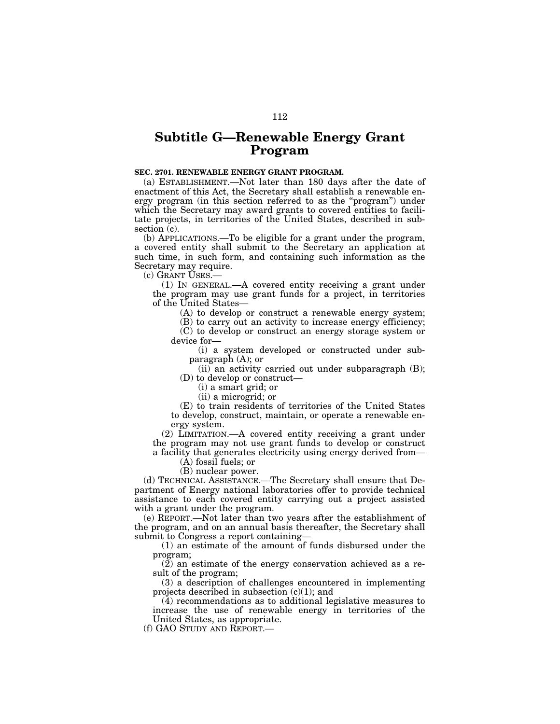# **Subtitle G—Renewable Energy Grant Program**

## **SEC. 2701. RENEWABLE ENERGY GRANT PROGRAM.**

(a) ESTABLISHMENT.—Not later than 180 days after the date of enactment of this Act, the Secretary shall establish a renewable energy program (in this section referred to as the ''program'') under which the Secretary may award grants to covered entities to facilitate projects, in territories of the United States, described in subsection (c).

(b) APPLICATIONS.—To be eligible for a grant under the program, a covered entity shall submit to the Secretary an application at such time, in such form, and containing such information as the Secretary may require.

(c) GRANT USES.—

(1) IN GENERAL.—A covered entity receiving a grant under the program may use grant funds for a project, in territories of the United States—

(A) to develop or construct a renewable energy system;

(B) to carry out an activity to increase energy efficiency; (C) to develop or construct an energy storage system or device for—

(i) a system developed or constructed under subparagraph (A); or

(ii) an activity carried out under subparagraph (B); (D) to develop or construct—

(i) a smart grid; or

(ii) a microgrid; or

(E) to train residents of territories of the United States to develop, construct, maintain, or operate a renewable energy system.

(2) LIMITATION.—A covered entity receiving a grant under the program may not use grant funds to develop or construct a facility that generates electricity using energy derived from—

(A) fossil fuels; or

(B) nuclear power.

(d) TECHNICAL ASSISTANCE.—The Secretary shall ensure that Department of Energy national laboratories offer to provide technical assistance to each covered entity carrying out a project assisted with a grant under the program.

(e) REPORT.—Not later than two years after the establishment of the program, and on an annual basis thereafter, the Secretary shall submit to Congress a report containing—

(1) an estimate of the amount of funds disbursed under the program;

 $(2)$  an estimate of the energy conservation achieved as a result of the program;

(3) a description of challenges encountered in implementing projects described in subsection  $(c)(1)$ ; and

(4) recommendations as to additional legislative measures to increase the use of renewable energy in territories of the United States, as appropriate.

(f) GAO STUDY AND REPORT.—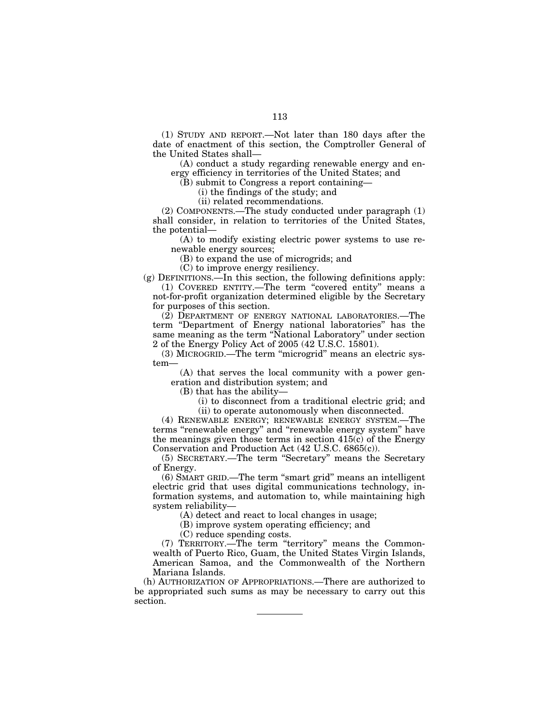113

(1) STUDY AND REPORT.—Not later than 180 days after the date of enactment of this section, the Comptroller General of the United States shall—

(A) conduct a study regarding renewable energy and energy efficiency in territories of the United States; and

(B) submit to Congress a report containing—

(i) the findings of the study; and

(ii) related recommendations.

(2) COMPONENTS.—The study conducted under paragraph (1) shall consider, in relation to territories of the United States, the potential—

(A) to modify existing electric power systems to use renewable energy sources;

(B) to expand the use of microgrids; and

(C) to improve energy resiliency.

(g) DEFINITIONS.—In this section, the following definitions apply: (1) COVERED ENTITY.—The term ''covered entity'' means a not-for-profit organization determined eligible by the Secretary

for purposes of this section.

(2) DEPARTMENT OF ENERGY NATIONAL LABORATORIES.—The term ''Department of Energy national laboratories'' has the same meaning as the term "National Laboratory" under section 2 of the Energy Policy Act of 2005 (42 U.S.C. 15801).

(3) MICROGRID.—The term ''microgrid'' means an electric system—

(A) that serves the local community with a power generation and distribution system; and

(B) that has the ability—

(i) to disconnect from a traditional electric grid; and (ii) to operate autonomously when disconnected.

(4) RENEWABLE ENERGY; RENEWABLE ENERGY SYSTEM.—The terms ''renewable energy'' and ''renewable energy system'' have the meanings given those terms in section 415(c) of the Energy Conservation and Production Act (42 U.S.C. 6865(c)).

(5) SECRETARY.—The term ''Secretary'' means the Secretary of Energy.

(6) SMART GRID.—The term ''smart grid'' means an intelligent electric grid that uses digital communications technology, information systems, and automation to, while maintaining high system reliability—

(A) detect and react to local changes in usage;

(B) improve system operating efficiency; and

(C) reduce spending costs.

(7) TERRITORY.—The term ''territory'' means the Commonwealth of Puerto Rico, Guam, the United States Virgin Islands, American Samoa, and the Commonwealth of the Northern Mariana Islands.

(h) AUTHORIZATION OF APPROPRIATIONS.—There are authorized to be appropriated such sums as may be necessary to carry out this section.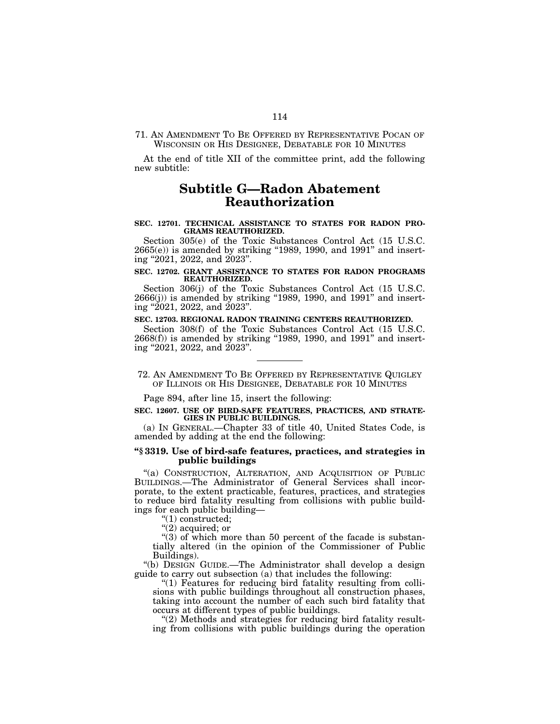71. AN AMENDMENT TO BE OFFERED BY REPRESENTATIVE POCAN OF WISCONSIN OR HIS DESIGNEE, DEBATABLE FOR 10 MINUTES

At the end of title XII of the committee print, add the following new subtitle:

# **Subtitle G—Radon Abatement Reauthorization**

#### **SEC. 12701. TECHNICAL ASSISTANCE TO STATES FOR RADON PRO-GRAMS REAUTHORIZED.**

Section 305(e) of the Toxic Substances Control Act (15 U.S.C.  $2665(e)$ ) is amended by striking "1989, 1990, and 1991" and inserting ''2021, 2022, and 2023''.

### **SEC. 12702. GRANT ASSISTANCE TO STATES FOR RADON PROGRAMS REAUTHORIZED.**

Section 306(j) of the Toxic Substances Control Act (15 U.S.C.  $2666(j)$ ) is amended by striking "1989, 1990, and 1991" and inserting ''2021, 2022, and 2023''.

### **SEC. 12703. REGIONAL RADON TRAINING CENTERS REAUTHORIZED.**

Section 308(f) of the Toxic Substances Control Act (15 U.S.C.  $2668(f)$ ) is amended by striking "1989, 1990, and 1991" and inserting ''2021, 2022, and 2023''.

72. AN AMENDMENT TO BE OFFERED BY REPRESENTATIVE QUIGLEY OF ILLINOIS OR HIS DESIGNEE, DEBATABLE FOR 10 MINUTES

Page 894, after line 15, insert the following:

#### **SEC. 12607. USE OF BIRD-SAFE FEATURES, PRACTICES, AND STRATE-GIES IN PUBLIC BUILDINGS.**

(a) IN GENERAL.—Chapter 33 of title 40, United States Code, is amended by adding at the end the following:

## **''§ 3319. Use of bird-safe features, practices, and strategies in public buildings**

''(a) CONSTRUCTION, ALTERATION, AND ACQUISITION OF PUBLIC BUILDINGS.—The Administrator of General Services shall incorporate, to the extent practicable, features, practices, and strategies to reduce bird fatality resulting from collisions with public buildings for each public building—

''(1) constructed;

" $(2)$  acquired; or

 $\hat{f}(3)$  of which more than 50 percent of the facade is substantially altered (in the opinion of the Commissioner of Public Buildings).

''(b) DESIGN GUIDE.—The Administrator shall develop a design guide to carry out subsection (a) that includes the following:

"(1) Features for reducing bird fatality resulting from collisions with public buildings throughout all construction phases, taking into account the number of each such bird fatality that occurs at different types of public buildings.

''(2) Methods and strategies for reducing bird fatality resulting from collisions with public buildings during the operation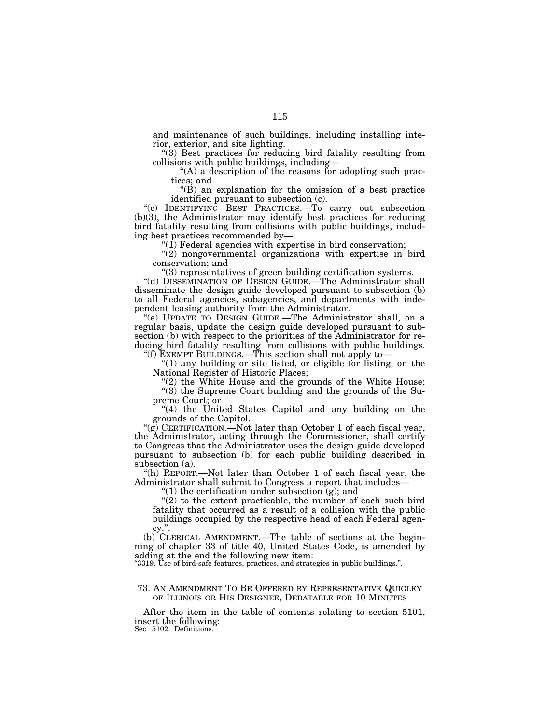and maintenance of such buildings, including installing interior, exterior, and site lighting.

''(3) Best practices for reducing bird fatality resulting from collisions with public buildings, including—

 $(A)$  a description of the reasons for adopting such practices; and

''(B) an explanation for the omission of a best practice identified pursuant to subsection (c).

''(c) IDENTIFYING BEST PRACTICES.—To carry out subsection (b)(3), the Administrator may identify best practices for reducing bird fatality resulting from collisions with public buildings, including best practices recommended by—

" $(1)$  Federal agencies with expertise in bird conservation;

"(2) nongovernmental organizations with expertise in bird conservation; and

''(3) representatives of green building certification systems.

''(d) DISSEMINATION OF DESIGN GUIDE.—The Administrator shall disseminate the design guide developed pursuant to subsection (b) to all Federal agencies, subagencies, and departments with independent leasing authority from the Administrator.

''(e) UPDATE TO DESIGN GUIDE.—The Administrator shall, on a regular basis, update the design guide developed pursuant to subsection (b) with respect to the priorities of the Administrator for reducing bird fatality resulting from collisions with public buildings. ''(f) EXEMPT BUILDINGS.—This section shall not apply to—

" $(1)$  any building or site listed, or eligible for listing, on the National Register of Historic Places;

" $(2)$  the White House and the grounds of the White House;

''(3) the Supreme Court building and the grounds of the Supreme Court; or

"(4) the United States Capitol and any building on the grounds of the Capitol.

"(g) CERTIFICATION.—Not later than October 1 of each fiscal year, the Administrator, acting through the Commissioner, shall certify to Congress that the Administrator uses the design guide developed pursuant to subsection (b) for each public building described in subsection (a).

''(h) REPORT.—Not later than October 1 of each fiscal year, the Administrator shall submit to Congress a report that includes—

" $(1)$  the certification under subsection  $(g)$ ; and

 $(2)$  to the extent practicable, the number of each such bird fatality that occurred as a result of a collision with the public buildings occupied by the respective head of each Federal agency.''.

(b) CLERICAL AMENDMENT.—The table of sections at the beginning of chapter 33 of title 40, United States Code, is amended by adding at the end the following new item: ''3319. Use of bird-safe features, practices, and strategies in public buildings.''.

73. AN AMENDMENT TO BE OFFERED BY REPRESENTATIVE QUIGLEY OF ILLINOIS OR HIS DESIGNEE, DEBATABLE FOR 10 MINUTES

After the item in the table of contents relating to section 5101, insert the following:

Sec. 5102. Definitions.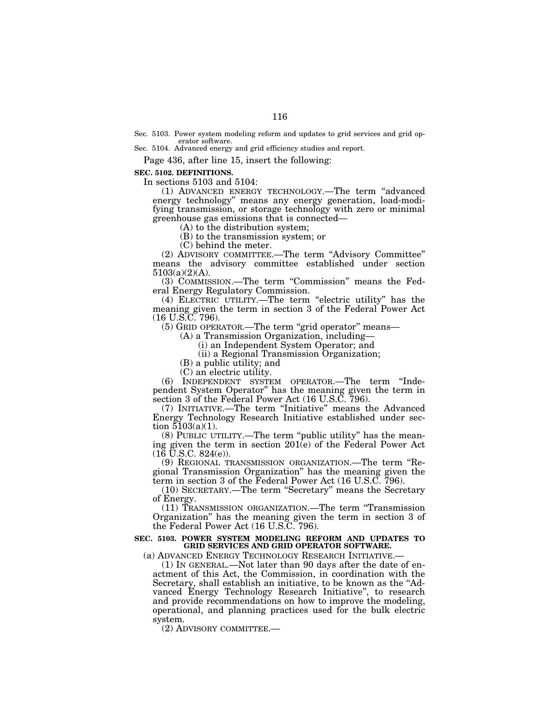Sec. 5103. Power system modeling reform and updates to grid services and grid operator software.

Sec. 5104. Advanced energy and grid efficiency studies and report.

Page 436, after line 15, insert the following:

**SEC. 5102. DEFINITIONS.** 

In sections 5103 and 5104:

(1) ADVANCED ENERGY TECHNOLOGY.—The term ''advanced energy technology'' means any energy generation, load-modifying transmission, or storage technology with zero or minimal greenhouse gas emissions that is connected—

(A) to the distribution system;

(B) to the transmission system; or

(C) behind the meter.

(2) ADVISORY COMMITTEE.—The term ''Advisory Committee'' means the advisory committee established under section 5103(a)(2)(A).

(3) COMMISSION.—The term ''Commission'' means the Federal Energy Regulatory Commission.

(4) ELECTRIC UTILITY.—The term ''electric utility'' has the meaning given the term in section 3 of the Federal Power Act (16 U.S.C. 796).

(5) GRID OPERATOR.—The term ''grid operator'' means—

(A) a Transmission Organization, including—

(i) an Independent System Operator; and

(ii) a Regional Transmission Organization;

(B) a public utility; and

(C) an electric utility.

(6) INDEPENDENT SYSTEM OPERATOR.—The term ''Independent System Operator'' has the meaning given the term in section 3 of the Federal Power Act (16 U.S.C. 796).

(7) INITIATIVE.—The term ''Initiative'' means the Advanced Energy Technology Research Initiative established under section  $5103(a)(1)$ .

(8) PUBLIC UTILITY.—The term ''public utility'' has the meaning given the term in section 201(e) of the Federal Power Act  $(16 \text{ U.S.C. } 824(e)).$ 

(9) REGIONAL TRANSMISSION ORGANIZATION.—The term ''Regional Transmission Organization'' has the meaning given the term in section 3 of the Federal Power Act (16 U.S.C. 796).

(10) SECRETARY.—The term ''Secretary'' means the Secretary of Energy.

(11) TRANSMISSION ORGANIZATION.—The term ''Transmission Organization'' has the meaning given the term in section 3 of the Federal Power Act (16 U.S.C. 796).

# **SEC. 5103. POWER SYSTEM MODELING REFORM AND UPDATES TO GRID SERVICES AND GRID OPERATOR SOFTWARE.**

(a) ADVANCED ENERGY TECHNOLOGY RESEARCH INITIATIVE.—

(1) IN GENERAL.—Not later than 90 days after the date of enactment of this Act, the Commission, in coordination with the Secretary, shall establish an initiative, to be known as the "Advanced Energy Technology Research Initiative'', to research and provide recommendations on how to improve the modeling, operational, and planning practices used for the bulk electric system.

(2) ADVISORY COMMITTEE.—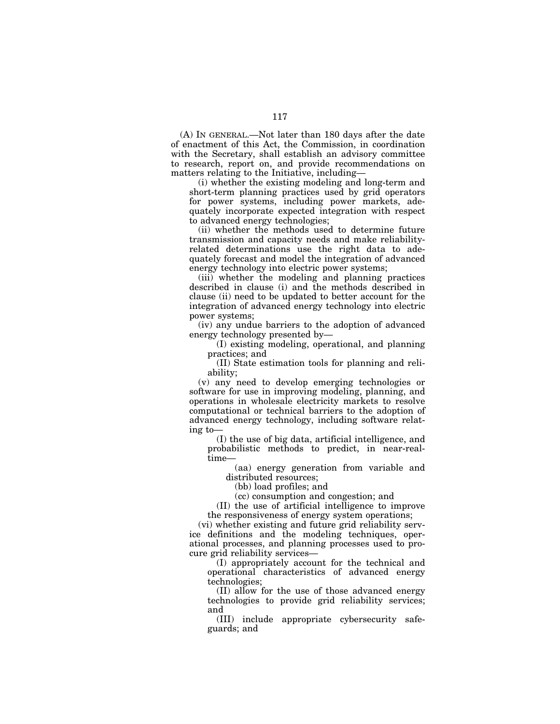(A) IN GENERAL.—Not later than 180 days after the date of enactment of this Act, the Commission, in coordination with the Secretary, shall establish an advisory committee to research, report on, and provide recommendations on matters relating to the Initiative, including—

(i) whether the existing modeling and long-term and short-term planning practices used by grid operators for power systems, including power markets, adequately incorporate expected integration with respect to advanced energy technologies;

(ii) whether the methods used to determine future transmission and capacity needs and make reliabilityrelated determinations use the right data to adequately forecast and model the integration of advanced energy technology into electric power systems;

(iii) whether the modeling and planning practices described in clause (i) and the methods described in clause (ii) need to be updated to better account for the integration of advanced energy technology into electric power systems;

(iv) any undue barriers to the adoption of advanced energy technology presented by—

(I) existing modeling, operational, and planning practices; and

(II) State estimation tools for planning and reliability;

(v) any need to develop emerging technologies or software for use in improving modeling, planning, and operations in wholesale electricity markets to resolve computational or technical barriers to the adoption of advanced energy technology, including software relating to—

(I) the use of big data, artificial intelligence, and probabilistic methods to predict, in near-realtime—

(aa) energy generation from variable and distributed resources;

(bb) load profiles; and

(cc) consumption and congestion; and

(II) the use of artificial intelligence to improve the responsiveness of energy system operations;

(vi) whether existing and future grid reliability service definitions and the modeling techniques, operational processes, and planning processes used to procure grid reliability services—

(I) appropriately account for the technical and operational characteristics of advanced energy technologies;

(II) allow for the use of those advanced energy technologies to provide grid reliability services; and

(III) include appropriate cybersecurity safeguards; and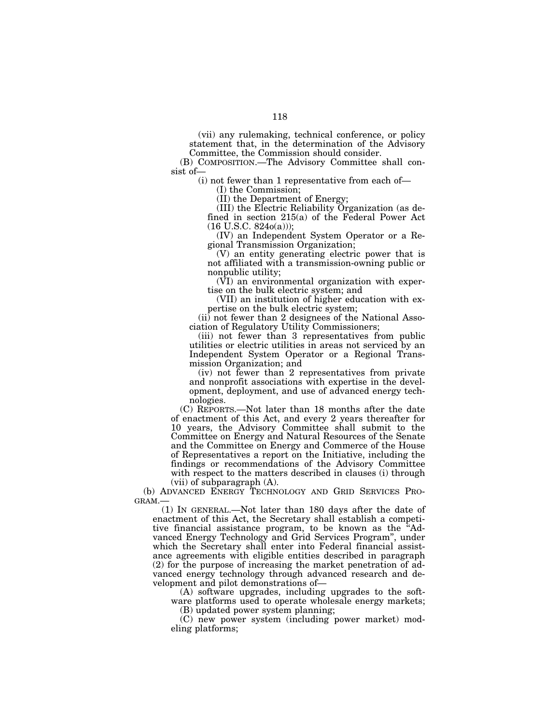(vii) any rulemaking, technical conference, or policy statement that, in the determination of the Advisory Committee, the Commission should consider.

(B) COMPOSITION.—The Advisory Committee shall consist of—

(i) not fewer than 1 representative from each of—

(I) the Commission;

(II) the Department of Energy;

(III) the Electric Reliability Organization (as defined in section 215(a) of the Federal Power Act  $(16 \text{ U.S.C. } 824o(a))$ ;

(IV) an Independent System Operator or a Regional Transmission Organization;

(V) an entity generating electric power that is not affiliated with a transmission-owning public or nonpublic utility;

(VI) an environmental organization with expertise on the bulk electric system; and

(VII) an institution of higher education with expertise on the bulk electric system;

(ii) not fewer than 2 designees of the National Association of Regulatory Utility Commissioners;

(iii) not fewer than 3 representatives from public utilities or electric utilities in areas not serviced by an Independent System Operator or a Regional Transmission Organization; and

(iv) not fewer than 2 representatives from private and nonprofit associations with expertise in the development, deployment, and use of advanced energy technologies.

(C) REPORTS.—Not later than 18 months after the date of enactment of this Act, and every 2 years thereafter for 10 years, the Advisory Committee shall submit to the Committee on Energy and Natural Resources of the Senate and the Committee on Energy and Commerce of the House of Representatives a report on the Initiative, including the findings or recommendations of the Advisory Committee with respect to the matters described in clauses (i) through (vii) of subparagraph (A).

(b) ADVANCED ENERGY TECHNOLOGY AND GRID SERVICES PRO-GRAM.—

(1) IN GENERAL.—Not later than 180 days after the date of enactment of this Act, the Secretary shall establish a competitive financial assistance program, to be known as the ''Advanced Energy Technology and Grid Services Program'', under which the Secretary shall enter into Federal financial assistance agreements with eligible entities described in paragraph (2) for the purpose of increasing the market penetration of advanced energy technology through advanced research and development and pilot demonstrations of—

(A) software upgrades, including upgrades to the software platforms used to operate wholesale energy markets;

(B) updated power system planning;

(C) new power system (including power market) modeling platforms;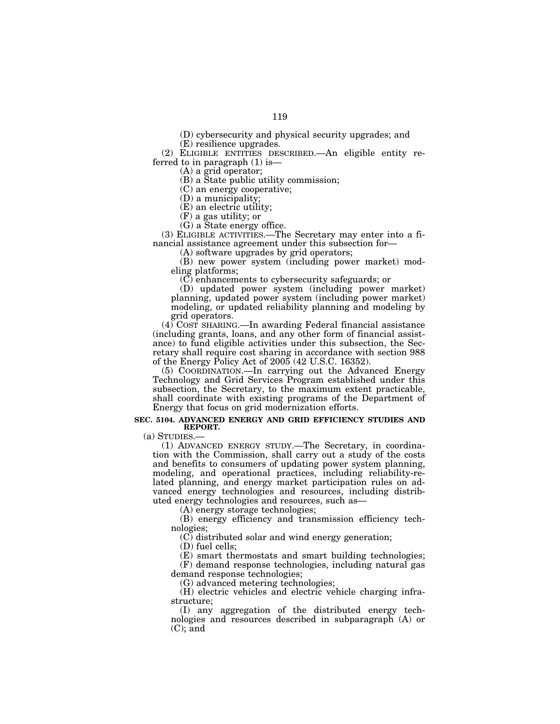(D) cybersecurity and physical security upgrades; and

(E) resilience upgrades.

(2) ELIGIBLE ENTITIES DESCRIBED.—An eligible entity referred to in paragraph (1) is—

(A) a grid operator;

(B) a State public utility commission;

(C) an energy cooperative;

(D) a municipality;

(E) an electric utility;

(F) a gas utility; or

(G) a State energy office.

(3) ELIGIBLE ACTIVITIES.—The Secretary may enter into a financial assistance agreement under this subsection for—

(A) software upgrades by grid operators;

(B) new power system (including power market) modeling platforms;

(C) enhancements to cybersecurity safeguards; or

(D) updated power system (including power market) planning, updated power system (including power market) modeling, or updated reliability planning and modeling by grid operators.

(4) COST SHARING.—In awarding Federal financial assistance (including grants, loans, and any other form of financial assistance) to fund eligible activities under this subsection, the Secretary shall require cost sharing in accordance with section 988 of the Energy Policy Act of 2005 (42 U.S.C. 16352).

(5) COORDINATION.—In carrying out the Advanced Energy Technology and Grid Services Program established under this subsection, the Secretary, to the maximum extent practicable, shall coordinate with existing programs of the Department of Energy that focus on grid modernization efforts.

#### **SEC. 5104. ADVANCED ENERGY AND GRID EFFICIENCY STUDIES AND REPORT.**

(a) STUDIES.—

(1) ADVANCED ENERGY STUDY.—The Secretary, in coordination with the Commission, shall carry out a study of the costs and benefits to consumers of updating power system planning, modeling, and operational practices, including reliability-related planning, and energy market participation rules on advanced energy technologies and resources, including distributed energy technologies and resources, such as—

(A) energy storage technologies;

(B) energy efficiency and transmission efficiency technologies;

(C) distributed solar and wind energy generation;

(D) fuel cells;

(E) smart thermostats and smart building technologies; (F) demand response technologies, including natural gas demand response technologies;

(G) advanced metering technologies;

(H) electric vehicles and electric vehicle charging infrastructure;

(I) any aggregation of the distributed energy technologies and resources described in subparagraph (A) or (C); and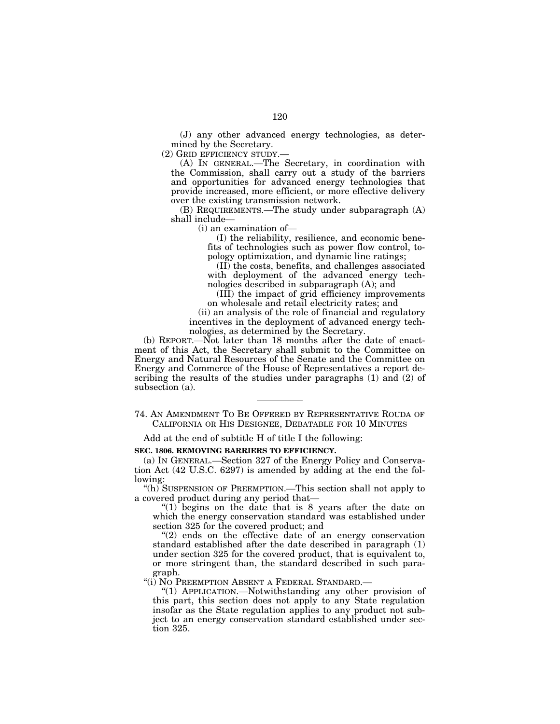(J) any other advanced energy technologies, as determined by the Secretary.

(2) GRID EFFICIENCY STUDY.—

(A) IN GENERAL.—The Secretary, in coordination with the Commission, shall carry out a study of the barriers and opportunities for advanced energy technologies that provide increased, more efficient, or more effective delivery over the existing transmission network.

(B) REQUIREMENTS.—The study under subparagraph (A) shall include—

(i) an examination of—

(I) the reliability, resilience, and economic benefits of technologies such as power flow control, topology optimization, and dynamic line ratings;

(II) the costs, benefits, and challenges associated with deployment of the advanced energy technologies described in subparagraph (A); and

(III) the impact of grid efficiency improvements on wholesale and retail electricity rates; and

(ii) an analysis of the role of financial and regulatory incentives in the deployment of advanced energy technologies, as determined by the Secretary.

(b) REPORT.—Not later than 18 months after the date of enactment of this Act, the Secretary shall submit to the Committee on Energy and Natural Resources of the Senate and the Committee on Energy and Commerce of the House of Representatives a report describing the results of the studies under paragraphs (1) and (2) of subsection (a).

Add at the end of subtitle H of title I the following:

**SEC. 1806. REMOVING BARRIERS TO EFFICIENCY.** 

(a) IN GENERAL.—Section 327 of the Energy Policy and Conservation Act (42 U.S.C. 6297) is amended by adding at the end the following:

''(h) SUSPENSION OF PREEMPTION.—This section shall not apply to a covered product during any period that—

" $(1)$  begins on the date that is 8 years after the date on which the energy conservation standard was established under section 325 for the covered product; and

 $(2)$  ends on the effective date of an energy conservation standard established after the date described in paragraph (1) under section 325 for the covered product, that is equivalent to, or more stringent than, the standard described in such paragraph.

"(i) NO PREEMPTION ABSENT A FEDERAL STANDARD.—

''(1) APPLICATION.—Notwithstanding any other provision of this part, this section does not apply to any State regulation insofar as the State regulation applies to any product not subject to an energy conservation standard established under section 325.

<sup>74.</sup> AN AMENDMENT TO BE OFFERED BY REPRESENTATIVE ROUDA OF CALIFORNIA OR HIS DESIGNEE, DEBATABLE FOR 10 MINUTES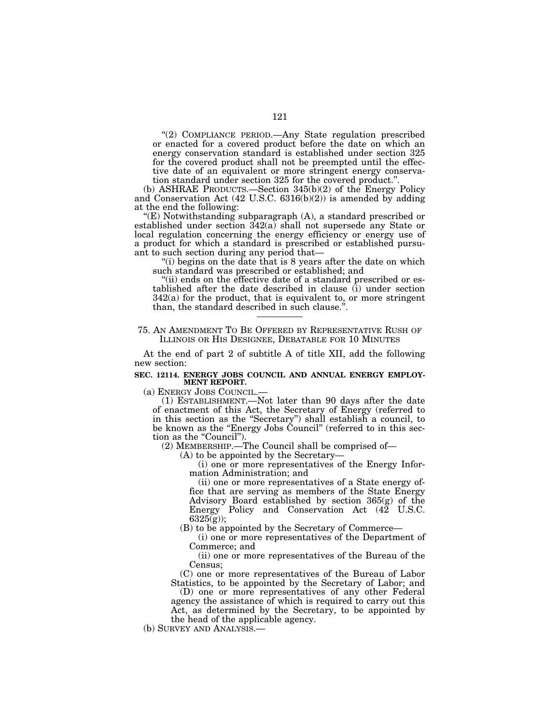"(2) COMPLIANCE PERIOD.—Any State regulation prescribed or enacted for a covered product before the date on which an energy conservation standard is established under section 325 for the covered product shall not be preempted until the effective date of an equivalent or more stringent energy conservation standard under section 325 for the covered product.''.

(b) ASHRAE PRODUCTS.—Section 345(b)(2) of the Energy Policy and Conservation Act (42 U.S.C. 6316(b)(2)) is amended by adding at the end the following:

''(E) Notwithstanding subparagraph (A), a standard prescribed or established under section 342(a) shall not supersede any State or local regulation concerning the energy efficiency or energy use of a product for which a standard is prescribed or established pursuant to such section during any period that—

"(i) begins on the date that is 8 years after the date on which such standard was prescribed or established; and

"(ii) ends on the effective date of a standard prescribed or established after the date described in clause (i) under section 342(a) for the product, that is equivalent to, or more stringent than, the standard described in such clause."

75. AN AMENDMENT TO BE OFFERED BY REPRESENTATIVE RUSH OF ILLINOIS OR HIS DESIGNEE, DEBATABLE FOR 10 MINUTES

At the end of part 2 of subtitle A of title XII, add the following new section:

# **SEC. 12114. ENERGY JOBS COUNCIL AND ANNUAL ENERGY EMPLOY-MENT REPORT.**

(a) ENERGY JOBS COUNCIL.— (1) ESTABLISHMENT.—Not later than 90 days after the date of enactment of this Act, the Secretary of Energy (referred to in this section as the ''Secretary'') shall establish a council, to be known as the ''Energy Jobs Council'' (referred to in this section as the "Council").

(2) MEMBERSHIP.—The Council shall be comprised of—

(A) to be appointed by the Secretary—

(i) one or more representatives of the Energy Information Administration; and

(ii) one or more representatives of a State energy office that are serving as members of the State Energy Advisory Board established by section 365(g) of the Energy Policy and Conservation Act (42 U.S.C.  $6325(g)$ ;

(B) to be appointed by the Secretary of Commerce—

(i) one or more representatives of the Department of Commerce; and

(ii) one or more representatives of the Bureau of the Census;

(C) one or more representatives of the Bureau of Labor Statistics, to be appointed by the Secretary of Labor; and

(D) one or more representatives of any other Federal agency the assistance of which is required to carry out this Act, as determined by the Secretary, to be appointed by the head of the applicable agency.

(b) SURVEY AND ANALYSIS.—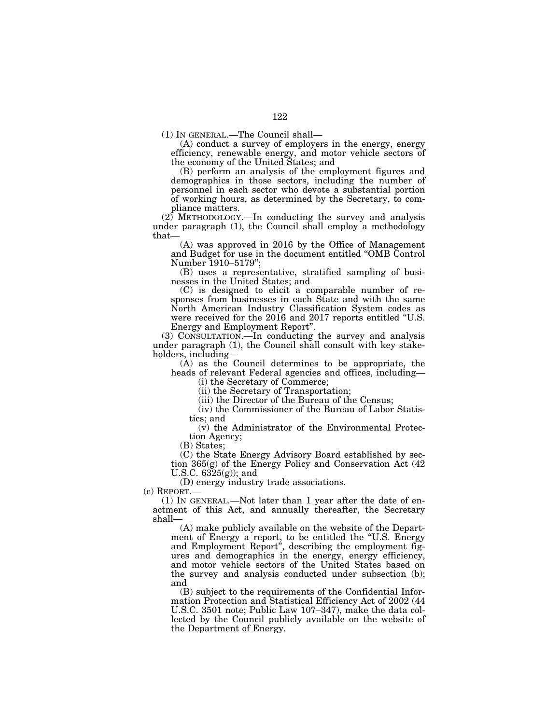(1) IN GENERAL.—The Council shall—

(A) conduct a survey of employers in the energy, energy efficiency, renewable energy, and motor vehicle sectors of the economy of the United States; and

(B) perform an analysis of the employment figures and demographics in those sectors, including the number of personnel in each sector who devote a substantial portion of working hours, as determined by the Secretary, to compliance matters.

 $(2)$  METHODOLOGY.—In conducting the survey and analysis under paragraph (1), the Council shall employ a methodology that—

(A) was approved in 2016 by the Office of Management and Budget for use in the document entitled ''OMB Control Number 1910–5179'';

(B) uses a representative, stratified sampling of businesses in the United States; and

(C) is designed to elicit a comparable number of responses from businesses in each State and with the same North American Industry Classification System codes as were received for the 2016 and 2017 reports entitled ''U.S. Energy and Employment Report''.

(3) CONSULTATION.—In conducting the survey and analysis under paragraph (1), the Council shall consult with key stakeholders, including—

(A) as the Council determines to be appropriate, the heads of relevant Federal agencies and offices, including—

(i) the Secretary of Commerce;

(ii) the Secretary of Transportation;

(iii) the Director of the Bureau of the Census;

(iv) the Commissioner of the Bureau of Labor Statistics; and

(v) the Administrator of the Environmental Protection Agency;

(B) States;

(C) the State Energy Advisory Board established by section 365(g) of the Energy Policy and Conservation Act (42 U.S.C. 6325(g)); and

(D) energy industry trade associations.

(c) REPORT.—

(1) IN GENERAL.—Not later than 1 year after the date of enactment of this Act, and annually thereafter, the Secretary shall—

(A) make publicly available on the website of the Department of Energy a report, to be entitled the ''U.S. Energy and Employment Report'', describing the employment figures and demographics in the energy, energy efficiency, and motor vehicle sectors of the United States based on the survey and analysis conducted under subsection (b); and

(B) subject to the requirements of the Confidential Information Protection and Statistical Efficiency Act of 2002 (44 U.S.C. 3501 note; Public Law 107–347), make the data collected by the Council publicly available on the website of the Department of Energy.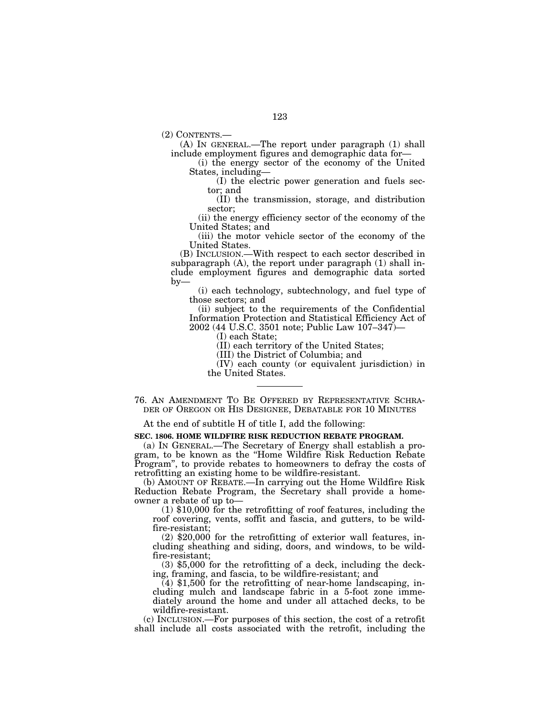(2) CONTENTS.—

(A) IN GENERAL.—The report under paragraph (1) shall include employment figures and demographic data for—

(i) the energy sector of the economy of the United States, including—

(I) the electric power generation and fuels sector; and

(II) the transmission, storage, and distribution sector;

(ii) the energy efficiency sector of the economy of the United States; and

(iii) the motor vehicle sector of the economy of the United States.

(B) INCLUSION.—With respect to each sector described in subparagraph (A), the report under paragraph (1) shall include employment figures and demographic data sorted  $by-$ 

(i) each technology, subtechnology, and fuel type of those sectors; and

(ii) subject to the requirements of the Confidential Information Protection and Statistical Efficiency Act of 2002 (44 U.S.C. 3501 note; Public Law 107–347)—

(I) each State;

(II) each territory of the United States;

(III) the District of Columbia; and

(IV) each county (or equivalent jurisdiction) in the United States.

76. AN AMENDMENT TO BE OFFERED BY REPRESENTATIVE SCHRA- DER OF OREGON OR HIS DESIGNEE, DEBATABLE FOR 10 MINUTES

At the end of subtitle H of title I, add the following:

**SEC. 1806. HOME WILDFIRE RISK REDUCTION REBATE PROGRAM.** 

(a) IN GENERAL.—The Secretary of Energy shall establish a program, to be known as the ''Home Wildfire Risk Reduction Rebate Program'', to provide rebates to homeowners to defray the costs of retrofitting an existing home to be wildfire-resistant.

(b) AMOUNT OF REBATE.—In carrying out the Home Wildfire Risk Reduction Rebate Program, the Secretary shall provide a homeowner a rebate of up to—

(1) \$10,000 for the retrofitting of roof features, including the roof covering, vents, soffit and fascia, and gutters, to be wildfire-resistant;

(2) \$20,000 for the retrofitting of exterior wall features, including sheathing and siding, doors, and windows, to be wildfire-resistant;

(3) \$5,000 for the retrofitting of a deck, including the decking, framing, and fascia, to be wildfire-resistant; and

 $(4)$  \$1,500 for the retrofitting of near-home landscaping, including mulch and landscape fabric in a 5-foot zone immediately around the home and under all attached decks, to be wildfire-resistant.

(c) INCLUSION.—For purposes of this section, the cost of a retrofit shall include all costs associated with the retrofit, including the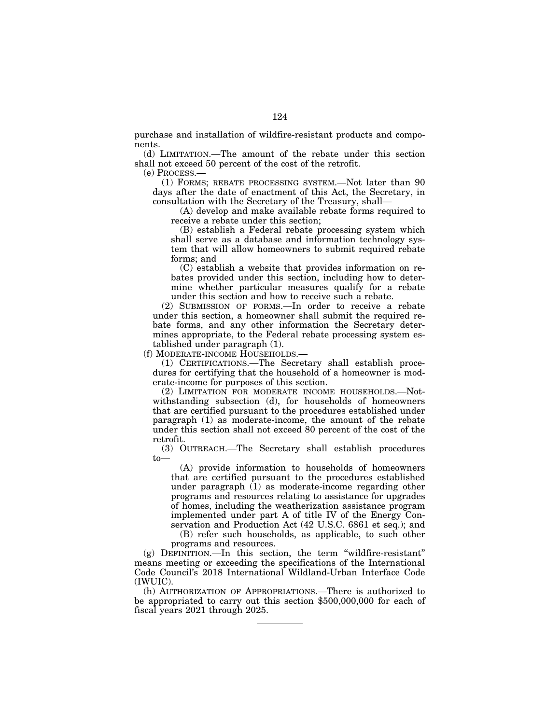purchase and installation of wildfire-resistant products and components.

(d) LIMITATION.—The amount of the rebate under this section shall not exceed 50 percent of the cost of the retrofit.

(e) PROCESS.—

(1) FORMS; REBATE PROCESSING SYSTEM.—Not later than 90 days after the date of enactment of this Act, the Secretary, in consultation with the Secretary of the Treasury, shall—

(A) develop and make available rebate forms required to receive a rebate under this section;

(B) establish a Federal rebate processing system which shall serve as a database and information technology system that will allow homeowners to submit required rebate forms; and

(C) establish a website that provides information on rebates provided under this section, including how to determine whether particular measures qualify for a rebate under this section and how to receive such a rebate.

(2) SUBMISSION OF FORMS.—In order to receive a rebate under this section, a homeowner shall submit the required rebate forms, and any other information the Secretary determines appropriate, to the Federal rebate processing system established under paragraph (1).

(f) MODERATE-INCOME HOUSEHOLDS.—

(1) CERTIFICATIONS.—The Secretary shall establish procedures for certifying that the household of a homeowner is moderate-income for purposes of this section.

(2) LIMITATION FOR MODERATE INCOME HOUSEHOLDS.—Notwithstanding subsection (d), for households of homeowners that are certified pursuant to the procedures established under paragraph (1) as moderate-income, the amount of the rebate under this section shall not exceed 80 percent of the cost of the retrofit.

(3) OUTREACH.—The Secretary shall establish procedures to—

(A) provide information to households of homeowners that are certified pursuant to the procedures established under paragraph (1) as moderate-income regarding other programs and resources relating to assistance for upgrades of homes, including the weatherization assistance program implemented under part A of title IV of the Energy Conservation and Production Act (42 U.S.C. 6861 et seq.); and

(B) refer such households, as applicable, to such other programs and resources.

(g) DEFINITION.—In this section, the term ''wildfire-resistant'' means meeting or exceeding the specifications of the International Code Council's 2018 International Wildland-Urban Interface Code (IWUIC).

(h) AUTHORIZATION OF APPROPRIATIONS.—There is authorized to be appropriated to carry out this section \$500,000,000 for each of fiscal years 2021 through 2025.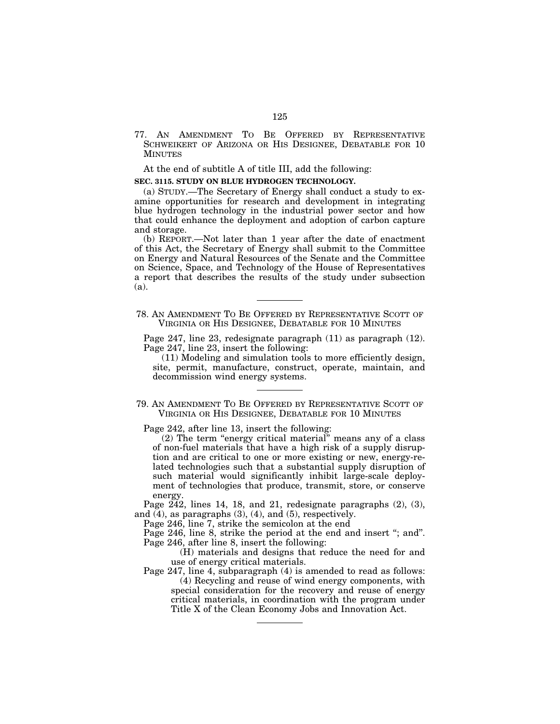77. AN AMENDMENT TO BE OFFERED BY REPRESENTATIVE SCHWEIKERT OF ARIZONA OR HIS DESIGNEE, DEBATABLE FOR 10 MINUTES

At the end of subtitle A of title III, add the following:

#### **SEC. 3115. STUDY ON BLUE HYDROGEN TECHNOLOGY.**

(a) STUDY.—The Secretary of Energy shall conduct a study to examine opportunities for research and development in integrating blue hydrogen technology in the industrial power sector and how that could enhance the deployment and adoption of carbon capture and storage.

(b) REPORT.—Not later than 1 year after the date of enactment of this Act, the Secretary of Energy shall submit to the Committee on Energy and Natural Resources of the Senate and the Committee on Science, Space, and Technology of the House of Representatives a report that describes the results of the study under subsection (a).

78. AN AMENDMENT TO BE OFFERED BY REPRESENTATIVE SCOTT OF VIRGINIA OR HIS DESIGNEE, DEBATABLE FOR 10 MINUTES

Page 247, line 23, redesignate paragraph (11) as paragraph (12). Page 247, line 23, insert the following:

(11) Modeling and simulation tools to more efficiently design, site, permit, manufacture, construct, operate, maintain, and decommission wind energy systems.

79. AN AMENDMENT TO BE OFFERED BY REPRESENTATIVE SCOTT OF VIRGINIA OR HIS DESIGNEE, DEBATABLE FOR 10 MINUTES

Page 242, after line 13, insert the following:

(2) The term ''energy critical material'' means any of a class of non-fuel materials that have a high risk of a supply disruption and are critical to one or more existing or new, energy-related technologies such that a substantial supply disruption of such material would significantly inhibit large-scale deployment of technologies that produce, transmit, store, or conserve energy.

Page 242, lines 14, 18, and 21, redesignate paragraphs (2), (3), and  $(4)$ , as paragraphs  $(3)$ ,  $(4)$ , and  $(5)$ , respectively.

Page 246, line 7, strike the semicolon at the end

Page 246, line 8, strike the period at the end and insert "; and". Page 246, after line 8, insert the following:

(H) materials and designs that reduce the need for and use of energy critical materials.

Page 247, line 4, subparagraph (4) is amended to read as follows: (4) Recycling and reuse of wind energy components, with special consideration for the recovery and reuse of energy critical materials, in coordination with the program under Title X of the Clean Economy Jobs and Innovation Act.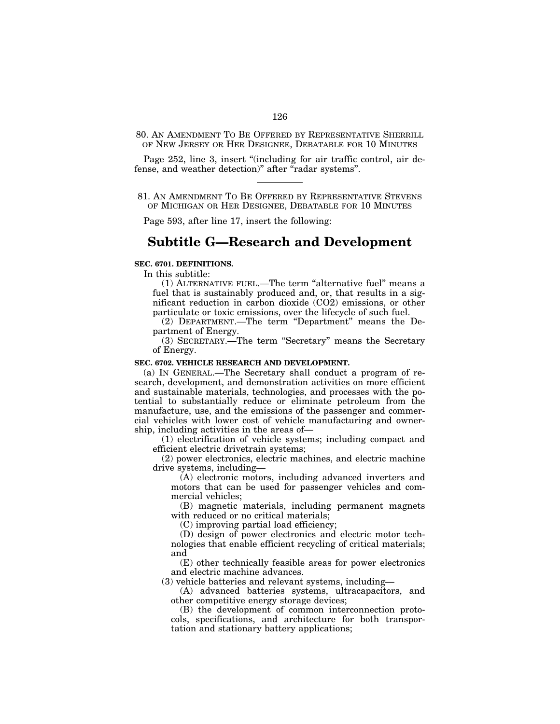80. AN AMENDMENT TO BE OFFERED BY REPRESENTATIVE SHERRILL OF NEW JERSEY OR HER DESIGNEE, DEBATABLE FOR 10 MINUTES

Page 252, line 3, insert "(including for air traffic control, air defense, and weather detection)'' after ''radar systems''.

# 81. AN AMENDMENT TO BE OFFERED BY REPRESENTATIVE STEVENS OF MICHIGAN OR HER DESIGNEE, DEBATABLE FOR 10 MINUTES

Page 593, after line 17, insert the following:

# **Subtitle G—Research and Development**

### **SEC. 6701. DEFINITIONS.**

In this subtitle:

(1) ALTERNATIVE FUEL.—The term ''alternative fuel'' means a fuel that is sustainably produced and, or, that results in a significant reduction in carbon dioxide (CO2) emissions, or other particulate or toxic emissions, over the lifecycle of such fuel.

(2) DEPARTMENT.—The term "Department" means the Department of Energy.

(3) SECRETARY.—The term ''Secretary'' means the Secretary of Energy.

### **SEC. 6702. VEHICLE RESEARCH AND DEVELOPMENT.**

(a) IN GENERAL.—The Secretary shall conduct a program of research, development, and demonstration activities on more efficient and sustainable materials, technologies, and processes with the potential to substantially reduce or eliminate petroleum from the manufacture, use, and the emissions of the passenger and commercial vehicles with lower cost of vehicle manufacturing and ownership, including activities in the areas of—

(1) electrification of vehicle systems; including compact and efficient electric drivetrain systems;

(2) power electronics, electric machines, and electric machine drive systems, including—

(A) electronic motors, including advanced inverters and motors that can be used for passenger vehicles and commercial vehicles;

(B) magnetic materials, including permanent magnets with reduced or no critical materials;

(C) improving partial load efficiency;

(D) design of power electronics and electric motor technologies that enable efficient recycling of critical materials; and

(E) other technically feasible areas for power electronics and electric machine advances.

(3) vehicle batteries and relevant systems, including—

(A) advanced batteries systems, ultracapacitors, and other competitive energy storage devices;

(B) the development of common interconnection protocols, specifications, and architecture for both transportation and stationary battery applications;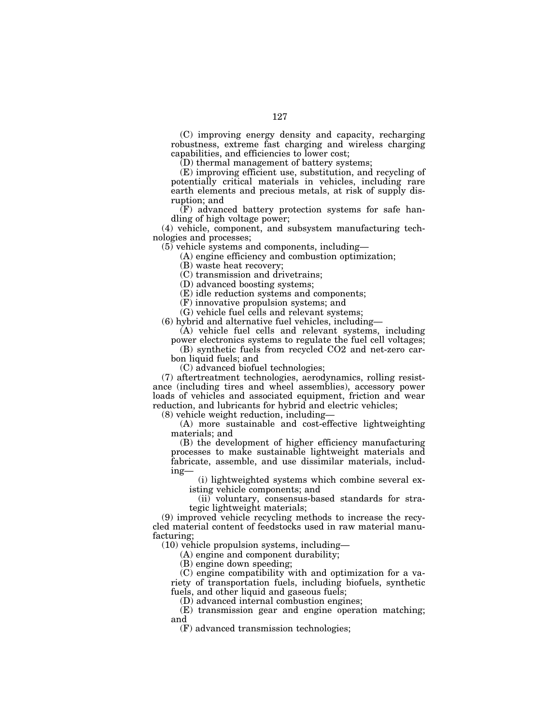(C) improving energy density and capacity, recharging robustness, extreme fast charging and wireless charging capabilities, and efficiencies to lower cost;

(D) thermal management of battery systems;

(E) improving efficient use, substitution, and recycling of potentially critical materials in vehicles, including rare earth elements and precious metals, at risk of supply disruption; and

 $(F)$  advanced battery protection systems for safe handling of high voltage power;

(4) vehicle, component, and subsystem manufacturing technologies and processes;

(5) vehicle systems and components, including—

(A) engine efficiency and combustion optimization;

(B) waste heat recovery;

(C) transmission and drivetrains;

(D) advanced boosting systems;

(E) idle reduction systems and components;

(F) innovative propulsion systems; and

(G) vehicle fuel cells and relevant systems;

(6) hybrid and alternative fuel vehicles, including—

(A) vehicle fuel cells and relevant systems, including power electronics systems to regulate the fuel cell voltages;

(B) synthetic fuels from recycled CO2 and net-zero carbon liquid fuels; and

(C) advanced biofuel technologies;

(7) aftertreatment technologies, aerodynamics, rolling resistance (including tires and wheel assemblies), accessory power loads of vehicles and associated equipment, friction and wear reduction, and lubricants for hybrid and electric vehicles;

(8) vehicle weight reduction, including—

(A) more sustainable and cost-effective lightweighting materials; and

(B) the development of higher efficiency manufacturing processes to make sustainable lightweight materials and fabricate, assemble, and use dissimilar materials, including—

(i) lightweighted systems which combine several existing vehicle components; and

(ii) voluntary, consensus-based standards for strategic lightweight materials;

(9) improved vehicle recycling methods to increase the recycled material content of feedstocks used in raw material manufacturing;

(10) vehicle propulsion systems, including—

(A) engine and component durability;

(B) engine down speeding;

(C) engine compatibility with and optimization for a variety of transportation fuels, including biofuels, synthetic fuels, and other liquid and gaseous fuels;

(D) advanced internal combustion engines;

(E) transmission gear and engine operation matching; and

(F) advanced transmission technologies;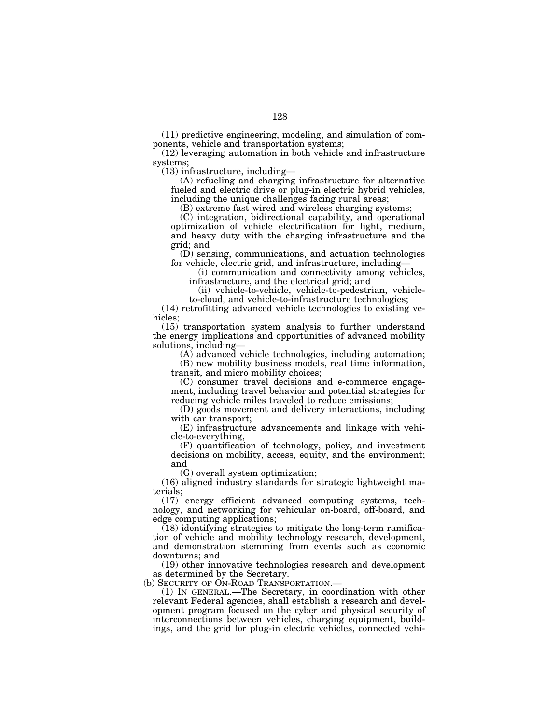(11) predictive engineering, modeling, and simulation of components, vehicle and transportation systems;

(12) leveraging automation in both vehicle and infrastructure systems;

(13) infrastructure, including—

(A) refueling and charging infrastructure for alternative fueled and electric drive or plug-in electric hybrid vehicles, including the unique challenges facing rural areas;

(B) extreme fast wired and wireless charging systems;

(C) integration, bidirectional capability, and operational optimization of vehicle electrification for light, medium, and heavy duty with the charging infrastructure and the grid; and

(D) sensing, communications, and actuation technologies for vehicle, electric grid, and infrastructure, including—

(i) communication and connectivity among vehicles, infrastructure, and the electrical grid; and

(ii) vehicle-to-vehicle, vehicle-to-pedestrian, vehicleto-cloud, and vehicle-to-infrastructure technologies;

(14) retrofitting advanced vehicle technologies to existing vehicles;

(15) transportation system analysis to further understand the energy implications and opportunities of advanced mobility solutions, including—

(A) advanced vehicle technologies, including automation;

(B) new mobility business models, real time information, transit, and micro mobility choices;

(C) consumer travel decisions and e-commerce engagement, including travel behavior and potential strategies for reducing vehicle miles traveled to reduce emissions;

(D) goods movement and delivery interactions, including with car transport;

(E) infrastructure advancements and linkage with vehicle-to-everything,

(F) quantification of technology, policy, and investment decisions on mobility, access, equity, and the environment; and

(G) overall system optimization;

(16) aligned industry standards for strategic lightweight materials;

(17) energy efficient advanced computing systems, technology, and networking for vehicular on-board, off-board, and edge computing applications;

(18) identifying strategies to mitigate the long-term ramification of vehicle and mobility technology research, development, and demonstration stemming from events such as economic downturns; and

(19) other innovative technologies research and development as determined by the Secretary.<br>(b) SECURITY OF ON-ROAD TRANSPORTATION.—

(1) IN GENERAL.—The Secretary, in coordination with other relevant Federal agencies, shall establish a research and development program focused on the cyber and physical security of interconnections between vehicles, charging equipment, buildings, and the grid for plug-in electric vehicles, connected vehi-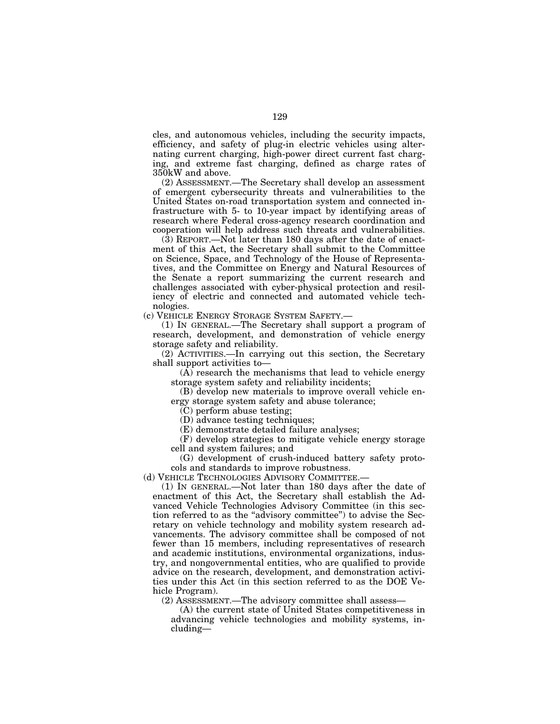cles, and autonomous vehicles, including the security impacts, efficiency, and safety of plug-in electric vehicles using alternating current charging, high-power direct current fast charging, and extreme fast charging, defined as charge rates of 350kW and above.

(2) ASSESSMENT.—The Secretary shall develop an assessment of emergent cybersecurity threats and vulnerabilities to the United States on-road transportation system and connected infrastructure with 5- to 10-year impact by identifying areas of research where Federal cross-agency research coordination and cooperation will help address such threats and vulnerabilities.

(3) REPORT.—Not later than 180 days after the date of enactment of this Act, the Secretary shall submit to the Committee on Science, Space, and Technology of the House of Representatives, and the Committee on Energy and Natural Resources of the Senate a report summarizing the current research and challenges associated with cyber-physical protection and resiliency of electric and connected and automated vehicle technologies.

(c) VEHICLE ENERGY STORAGE SYSTEM SAFETY.—

(1) IN GENERAL.—The Secretary shall support a program of research, development, and demonstration of vehicle energy storage safety and reliability.

(2) ACTIVITIES.—In carrying out this section, the Secretary shall support activities to—

(A) research the mechanisms that lead to vehicle energy storage system safety and reliability incidents;

(B) develop new materials to improve overall vehicle energy storage system safety and abuse tolerance;

(C) perform abuse testing;

(D) advance testing techniques;

(E) demonstrate detailed failure analyses;

(F) develop strategies to mitigate vehicle energy storage cell and system failures; and

(G) development of crush-induced battery safety protocols and standards to improve robustness.

(d) VEHICLE TECHNOLOGIES ADVISORY COMMITTEE.—

(1) IN GENERAL.—Not later than 180 days after the date of enactment of this Act, the Secretary shall establish the Advanced Vehicle Technologies Advisory Committee (in this section referred to as the ''advisory committee'') to advise the Secretary on vehicle technology and mobility system research advancements. The advisory committee shall be composed of not fewer than 15 members, including representatives of research and academic institutions, environmental organizations, industry, and nongovernmental entities, who are qualified to provide advice on the research, development, and demonstration activities under this Act (in this section referred to as the DOE Vehicle Program).

(2) ASSESSMENT.—The advisory committee shall assess—

(A) the current state of United States competitiveness in advancing vehicle technologies and mobility systems, including—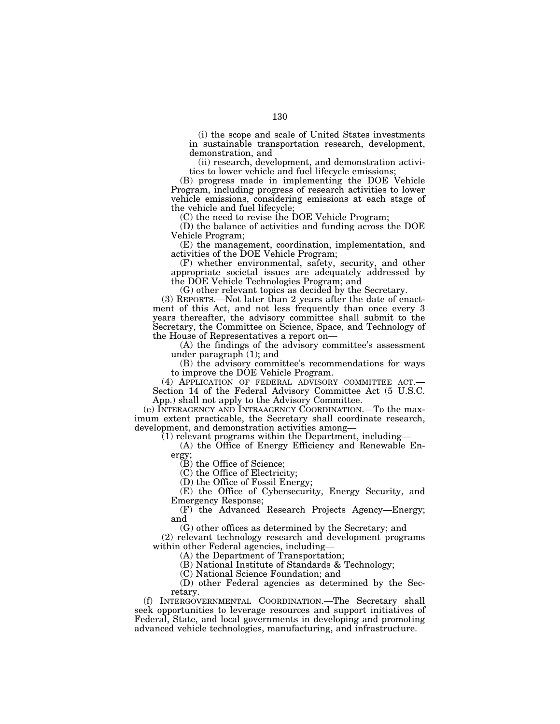(i) the scope and scale of United States investments in sustainable transportation research, development, demonstration, and

(ii) research, development, and demonstration activities to lower vehicle and fuel lifecycle emissions;

(B) progress made in implementing the DOE Vehicle Program, including progress of research activities to lower vehicle emissions, considering emissions at each stage of the vehicle and fuel lifecycle;

(C) the need to revise the DOE Vehicle Program;

(D) the balance of activities and funding across the DOE Vehicle Program;

(E) the management, coordination, implementation, and activities of the DOE Vehicle Program;

(F) whether environmental, safety, security, and other appropriate societal issues are adequately addressed by the DOE Vehicle Technologies Program; and

(G) other relevant topics as decided by the Secretary.

(3) REPORTS.—Not later than 2 years after the date of enactment of this Act, and not less frequently than once every 3 years thereafter, the advisory committee shall submit to the Secretary, the Committee on Science, Space, and Technology of the House of Representatives a report on—

(A) the findings of the advisory committee's assessment under paragraph (1); and

(B) the advisory committee's recommendations for ways

to improve the DOE Vehicle Program.<br>(4) APPLICATION OF FEDERAL ADVISORY COMMITTEE ACT.— (4) APPLICATION OF FEDERAL ADVISORY COMMITTEE ACT.— Section 14 of the Federal Advisory Committee Act (5 U.S.C. App.) shall not apply to the Advisory Committee.

(e) INTERAGENCY AND INTRAAGENCY COORDINATION.—To the maximum extent practicable, the Secretary shall coordinate research, development, and demonstration activities among—

 $(1)$  relevant programs within the Department, including-

(A) the Office of Energy Efficiency and Renewable Energy;

 $(B)$  the Office of Science;

(C) the Office of Electricity;

(D) the Office of Fossil Energy;

(E) the Office of Cybersecurity, Energy Security, and Emergency Response;

(F) the Advanced Research Projects Agency—Energy; and

(G) other offices as determined by the Secretary; and

(2) relevant technology research and development programs within other Federal agencies, including—

(A) the Department of Transportation;

(B) National Institute of Standards & Technology;

(C) National Science Foundation; and

(D) other Federal agencies as determined by the Secretary.

(f) INTERGOVERNMENTAL COORDINATION.—The Secretary shall seek opportunities to leverage resources and support initiatives of Federal, State, and local governments in developing and promoting advanced vehicle technologies, manufacturing, and infrastructure.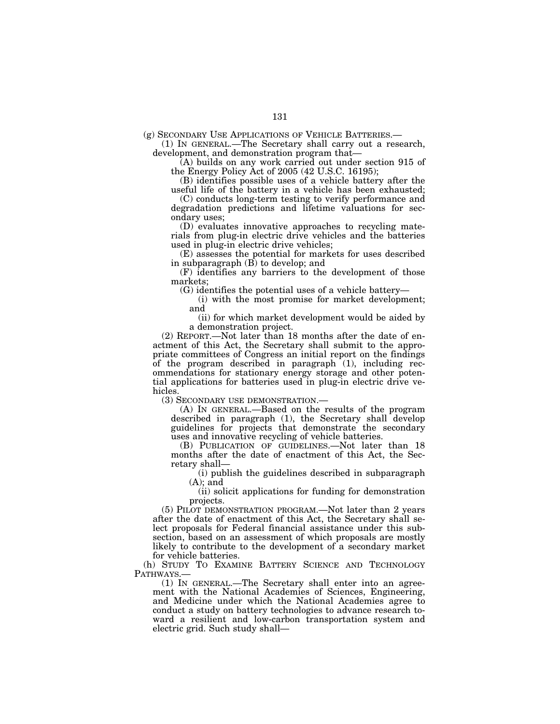(g) SECONDARY USE APPLICATIONS OF VEHICLE BATTERIES.— (1) IN GENERAL.—The Secretary shall carry out a research, development, and demonstration program that—

(A) builds on any work carried out under section 915 of the Energy Policy Act of 2005 (42 U.S.C. 16195);

(B) identifies possible uses of a vehicle battery after the useful life of the battery in a vehicle has been exhausted;

(C) conducts long-term testing to verify performance and degradation predictions and lifetime valuations for secondary uses;

(D) evaluates innovative approaches to recycling materials from plug-in electric drive vehicles and the batteries used in plug-in electric drive vehicles;

(E) assesses the potential for markets for uses described in subparagraph  $(\overline{B})$  to develop; and

(F) identifies any barriers to the development of those markets;

(G) identifies the potential uses of a vehicle battery—

(i) with the most promise for market development; and

(ii) for which market development would be aided by a demonstration project.

(2) REPORT.—Not later than 18 months after the date of enactment of this Act, the Secretary shall submit to the appropriate committees of Congress an initial report on the findings of the program described in paragraph (1), including recommendations for stationary energy storage and other potential applications for batteries used in plug-in electric drive vehicles.

(3) SECONDARY USE DEMONSTRATION.—

(A) IN GENERAL.—Based on the results of the program described in paragraph (1), the Secretary shall develop guidelines for projects that demonstrate the secondary uses and innovative recycling of vehicle batteries.

(B) PUBLICATION OF GUIDELINES.—Not later than 18 months after the date of enactment of this Act, the Secretary shall—

(i) publish the guidelines described in subparagraph  $(A)$ ; and

(ii) solicit applications for funding for demonstration projects.

(5) PILOT DEMONSTRATION PROGRAM.—Not later than 2 years after the date of enactment of this Act, the Secretary shall select proposals for Federal financial assistance under this subsection, based on an assessment of which proposals are mostly likely to contribute to the development of a secondary market for vehicle batteries.

(h) STUDY TO EXAMINE BATTERY SCIENCE AND TECHNOLOGY PATHWAYS.—<br>
(1) IN GENERAL.—The Secretary shall enter into an agree-

ment with the National Academies of Sciences, Engineering, and Medicine under which the National Academies agree to conduct a study on battery technologies to advance research toward a resilient and low-carbon transportation system and electric grid. Such study shall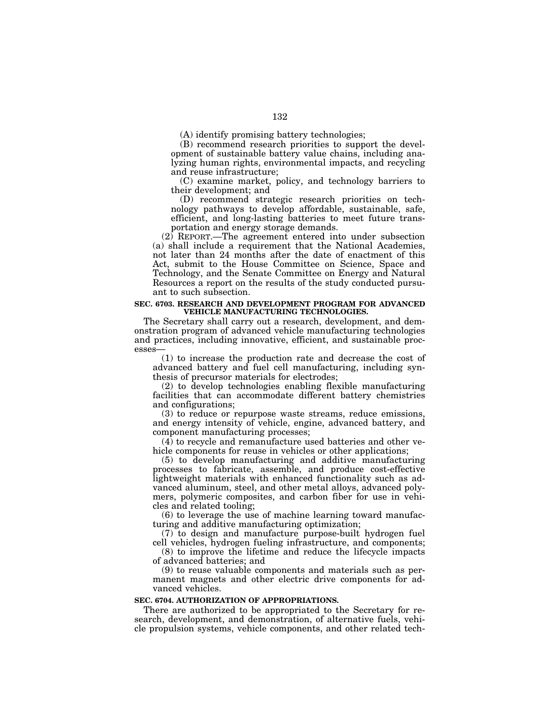(A) identify promising battery technologies;

(B) recommend research priorities to support the development of sustainable battery value chains, including analyzing human rights, environmental impacts, and recycling and reuse infrastructure;

(C) examine market, policy, and technology barriers to their development; and

(D) recommend strategic research priorities on technology pathways to develop affordable, sustainable, safe, efficient, and long-lasting batteries to meet future transportation and energy storage demands.

(2) REPORT.—The agreement entered into under subsection (a) shall include a requirement that the National Academies, not later than 24 months after the date of enactment of this Act, submit to the House Committee on Science, Space and Technology, and the Senate Committee on Energy and Natural Resources a report on the results of the study conducted pursuant to such subsection.

#### **SEC. 6703. RESEARCH AND DEVELOPMENT PROGRAM FOR ADVANCED VEHICLE MANUFACTURING TECHNOLOGIES.**

The Secretary shall carry out a research, development, and demonstration program of advanced vehicle manufacturing technologies and practices, including innovative, efficient, and sustainable processes—

(1) to increase the production rate and decrease the cost of advanced battery and fuel cell manufacturing, including synthesis of precursor materials for electrodes;

(2) to develop technologies enabling flexible manufacturing facilities that can accommodate different battery chemistries and configurations;

(3) to reduce or repurpose waste streams, reduce emissions, and energy intensity of vehicle, engine, advanced battery, and component manufacturing processes;

 $(4)$  to recycle and remanufacture used batteries and other vehicle components for reuse in vehicles or other applications;

(5) to develop manufacturing and additive manufacturing processes to fabricate, assemble, and produce cost-effective lightweight materials with enhanced functionality such as advanced aluminum, steel, and other metal alloys, advanced polymers, polymeric composites, and carbon fiber for use in vehicles and related tooling;

(6) to leverage the use of machine learning toward manufacturing and additive manufacturing optimization;

(7) to design and manufacture purpose-built hydrogen fuel cell vehicles, hydrogen fueling infrastructure, and components;

(8) to improve the lifetime and reduce the lifecycle impacts of advanced batteries; and

(9) to reuse valuable components and materials such as permanent magnets and other electric drive components for advanced vehicles.

#### **SEC. 6704. AUTHORIZATION OF APPROPRIATIONS.**

There are authorized to be appropriated to the Secretary for research, development, and demonstration, of alternative fuels, vehicle propulsion systems, vehicle components, and other related tech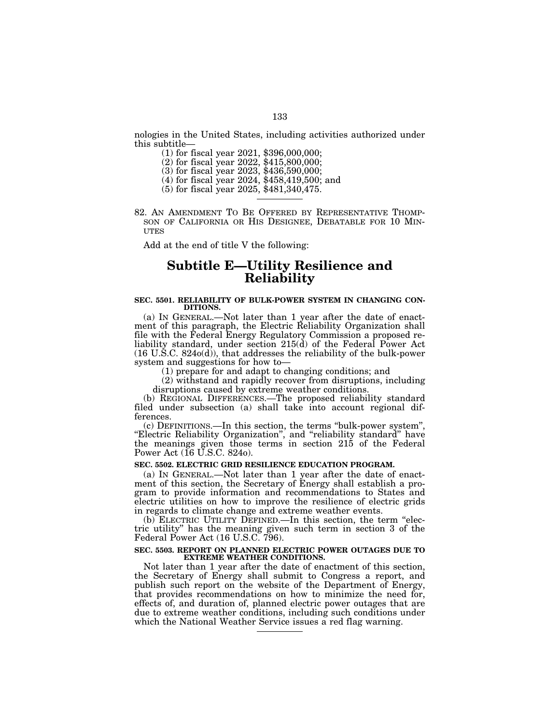nologies in the United States, including activities authorized under this subtitle—

- (1) for fiscal year 2021, \$396,000,000;
- (2) for fiscal year 2022, \$415,800,000;
- (3) for fiscal year 2023, \$436,590,000;
- (4) for fiscal year 2024, \$458,419,500; and
- (5) for fiscal year 2025, \$481,340,475.
- 82. AN AMENDMENT TO BE OFFERED BY REPRESENTATIVE THOMP- SON OF CALIFORNIA OR HIS DESIGNEE, DEBATABLE FOR 10 MIN- UTES

Add at the end of title V the following:

# **Subtitle E—Utility Resilience and Reliability**

# **SEC. 5501. RELIABILITY OF BULK-POWER SYSTEM IN CHANGING CON-DITIONS.**

(a) IN GENERAL.—Not later than 1 year after the date of enactment of this paragraph, the Electric Reliability Organization shall file with the Federal Energy Regulatory Commission a proposed reliability standard, under section 215(d) of the Federal Power Act (16 U.S.C. 824o(d)), that addresses the reliability of the bulk-power system and suggestions for how to—

(1) prepare for and adapt to changing conditions; and

(2) withstand and rapidly recover from disruptions, including disruptions caused by extreme weather conditions.

(b) REGIONAL DIFFERENCES.—The proposed reliability standard filed under subsection (a) shall take into account regional differences.

(c) DEFINITIONS.—In this section, the terms ''bulk-power system'', "Electric Reliability Organization", and "reliability standard" have the meanings given those terms in section 215 of the Federal Power Act (16 U.S.C. 824o).

#### **SEC. 5502. ELECTRIC GRID RESILIENCE EDUCATION PROGRAM.**

(a) IN GENERAL.—Not later than 1 year after the date of enactment of this section, the Secretary of Energy shall establish a program to provide information and recommendations to States and electric utilities on how to improve the resilience of electric grids in regards to climate change and extreme weather events.

(b) ELECTRIC UTILITY DEFINED.—In this section, the term ''electric utility'' has the meaning given such term in section 3 of the Federal Power Act (16 U.S.C. 796).

#### **SEC. 5503. REPORT ON PLANNED ELECTRIC POWER OUTAGES DUE TO EXTREME WEATHER CONDITIONS.**

Not later than 1 year after the date of enactment of this section, the Secretary of Energy shall submit to Congress a report, and publish such report on the website of the Department of Energy, that provides recommendations on how to minimize the need for, effects of, and duration of, planned electric power outages that are due to extreme weather conditions, including such conditions under which the National Weather Service issues a red flag warning.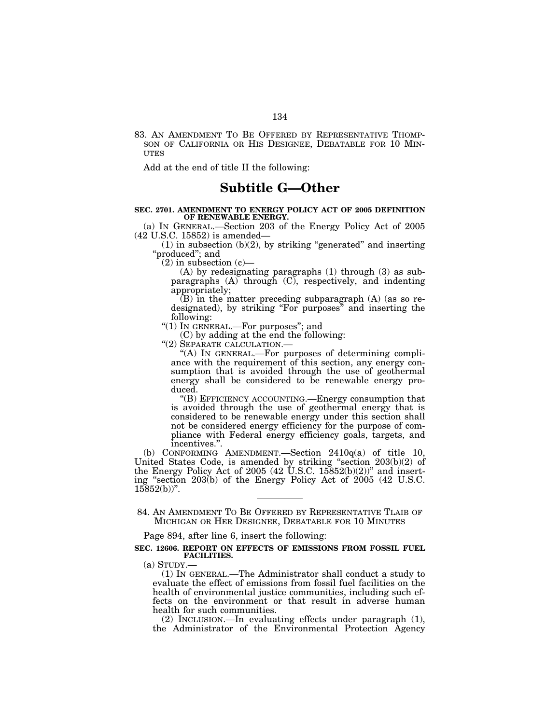83. AN AMENDMENT TO BE OFFERED BY REPRESENTATIVE THOMP- SON OF CALIFORNIA OR HIS DESIGNEE, DEBATABLE FOR 10 MIN- **UTES** 

Add at the end of title II the following:

# **Subtitle G—Other**

#### **SEC. 2701. AMENDMENT TO ENERGY POLICY ACT OF 2005 DEFINITION OF RENEWABLE ENERGY.**

(a) IN GENERAL.—Section 203 of the Energy Policy Act of 2005 (42 U.S.C. 15852) is amended—

 $(1)$  in subsection  $(b)(2)$ , by striking "generated" and inserting ''produced''; and

 $(2)$  in subsection  $(c)$ —

(A) by redesignating paragraphs (1) through (3) as subparagraphs  $(A)$  through  $(C)$ , respectively, and indenting appropriately;

(B) in the matter preceding subparagraph (A) (as so redesignated), by striking "For purposes" and inserting the following:

" $(1)$  In GENERAL.—For purposes"; and

(C) by adding at the end the following: " $(2)$  SEPARATE CALCULATION.—

"(A) IN GENERAL.—For purposes of determining compliance with the requirement of this section, any energy consumption that is avoided through the use of geothermal energy shall be considered to be renewable energy produced.

''(B) EFFICIENCY ACCOUNTING.—Energy consumption that is avoided through the use of geothermal energy that is considered to be renewable energy under this section shall not be considered energy efficiency for the purpose of compliance with Federal energy efficiency goals, targets, and incentives.''.

(b) CONFORMING AMENDMENT.—Section 2410q(a) of title 10, United States Code, is amended by striking ''section 203(b)(2) of the Energy Policy Act of 2005 (42 U.S.C. 15852(b)(2))" and inserting ''section 203(b) of the Energy Policy Act of 2005 (42 U.S.C.  $15852(b)$ ".

Page 894, after line 6, insert the following:

#### **SEC. 12606. REPORT ON EFFECTS OF EMISSIONS FROM FOSSIL FUEL FACILITIES.**

(a) STUDY.— (1) IN GENERAL.—The Administrator shall conduct a study to evaluate the effect of emissions from fossil fuel facilities on the health of environmental justice communities, including such effects on the environment or that result in adverse human health for such communities.

(2) INCLUSION.—In evaluating effects under paragraph (1), the Administrator of the Environmental Protection Agency

<sup>84.</sup> AN AMENDMENT TO BE OFFERED BY REPRESENTATIVE TLAIB OF MICHIGAN OR HER DESIGNEE, DEBATABLE FOR 10 MINUTES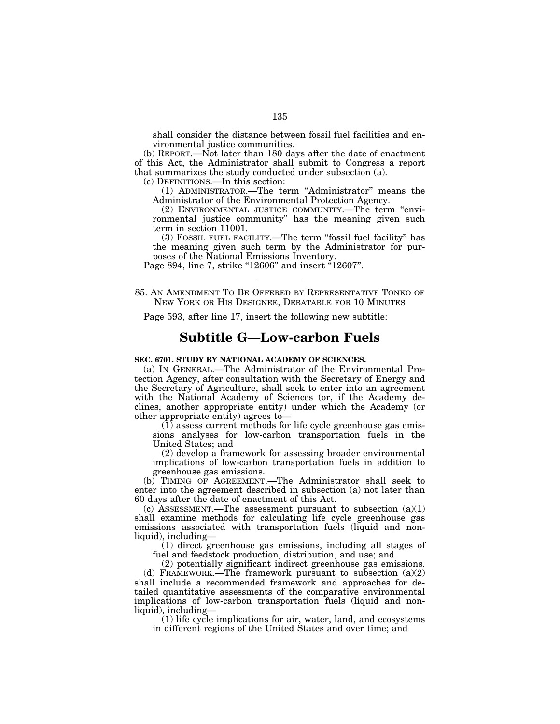shall consider the distance between fossil fuel facilities and environmental justice communities.

(b) REPORT.—Not later than 180 days after the date of enactment of this Act, the Administrator shall submit to Congress a report that summarizes the study conducted under subsection (a).

(c) DEFINITIONS.—In this section:

(1) ADMINISTRATOR.—The term ''Administrator'' means the Administrator of the Environmental Protection Agency.

(2) ENVIRONMENTAL JUSTICE COMMUNITY.—The term ''environmental justice community'' has the meaning given such term in section 11001.

(3) FOSSIL FUEL FACILITY.—The term ''fossil fuel facility'' has the meaning given such term by the Administrator for purposes of the National Emissions Inventory.

Page 894, line 7, strike "12606" and insert "12607".

85. AN AMENDMENT TO BE OFFERED BY REPRESENTATIVE TONKO OF NEW YORK OR HIS DESIGNEE, DEBATABLE FOR 10 MINUTES

Page 593, after line 17, insert the following new subtitle:

# **Subtitle G—Low-carbon Fuels**

# **SEC. 6701. STUDY BY NATIONAL ACADEMY OF SCIENCES.**

(a) IN GENERAL.—The Administrator of the Environmental Protection Agency, after consultation with the Secretary of Energy and the Secretary of Agriculture, shall seek to enter into an agreement with the National Academy of Sciences (or, if the Academy declines, another appropriate entity) under which the Academy (or other appropriate entity) agrees to—

 $(1)$  assess current methods for life cycle greenhouse gas emissions analyses for low-carbon transportation fuels in the United States; and

(2) develop a framework for assessing broader environmental implications of low-carbon transportation fuels in addition to greenhouse gas emissions.

(b) TIMING OF AGREEMENT.—The Administrator shall seek to enter into the agreement described in subsection (a) not later than 60 days after the date of enactment of this Act.

(c) ASSESSMENT.—The assessment pursuant to subsection  $(a)(1)$ shall examine methods for calculating life cycle greenhouse gas emissions associated with transportation fuels (liquid and nonliquid), including—

(1) direct greenhouse gas emissions, including all stages of fuel and feedstock production, distribution, and use; and

(2) potentially significant indirect greenhouse gas emissions. (d) FRAMEWORK.—The framework pursuant to subsection (a)(2) shall include a recommended framework and approaches for detailed quantitative assessments of the comparative environmental implications of low-carbon transportation fuels (liquid and nonliquid), including—

(1) life cycle implications for air, water, land, and ecosystems in different regions of the United States and over time; and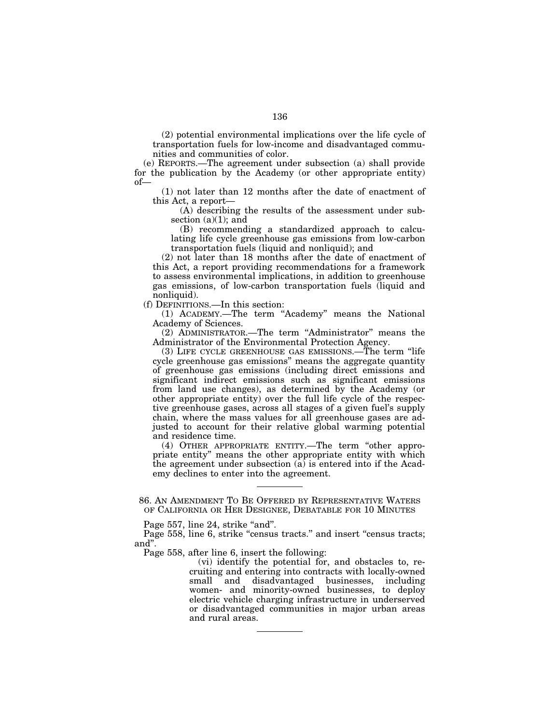(2) potential environmental implications over the life cycle of transportation fuels for low-income and disadvantaged communities and communities of color.

(e) REPORTS.—The agreement under subsection (a) shall provide for the publication by the Academy (or other appropriate entity) of—

(1) not later than 12 months after the date of enactment of this Act, a report—

(A) describing the results of the assessment under subsection  $(a)(1)$ ; and

(B) recommending a standardized approach to calculating life cycle greenhouse gas emissions from low-carbon transportation fuels (liquid and nonliquid); and

(2) not later than 18 months after the date of enactment of this Act, a report providing recommendations for a framework to assess environmental implications, in addition to greenhouse gas emissions, of low-carbon transportation fuels (liquid and nonliquid).

(f) DEFINITIONS.—In this section:

(1) ACADEMY.—The term ''Academy'' means the National Academy of Sciences.

(2) ADMINISTRATOR.—The term ''Administrator'' means the Administrator of the Environmental Protection Agency.

(3) LIFE CYCLE GREENHOUSE GAS EMISSIONS.—The term ''life cycle greenhouse gas emissions'' means the aggregate quantity of greenhouse gas emissions (including direct emissions and significant indirect emissions such as significant emissions from land use changes), as determined by the Academy (or other appropriate entity) over the full life cycle of the respective greenhouse gases, across all stages of a given fuel's supply chain, where the mass values for all greenhouse gases are adjusted to account for their relative global warming potential and residence time.

(4) OTHER APPROPRIATE ENTITY.—The term ''other appropriate entity'' means the other appropriate entity with which the agreement under subsection  $(a)$  is entered into if the Academy declines to enter into the agreement.

86. AN AMENDMENT TO BE OFFERED BY REPRESENTATIVE WATERS OF CALIFORNIA OR HER DESIGNEE, DEBATABLE FOR 10 MINUTES

Page 557, line 24, strike "and".

Page 558, line 6, strike "census tracts." and insert "census tracts; and''.

Page 558, after line 6, insert the following:

(vi) identify the potential for, and obstacles to, recruiting and entering into contracts with locally-owned small and disadvantaged businesses, including women- and minority-owned businesses, to deploy electric vehicle charging infrastructure in underserved or disadvantaged communities in major urban areas and rural areas.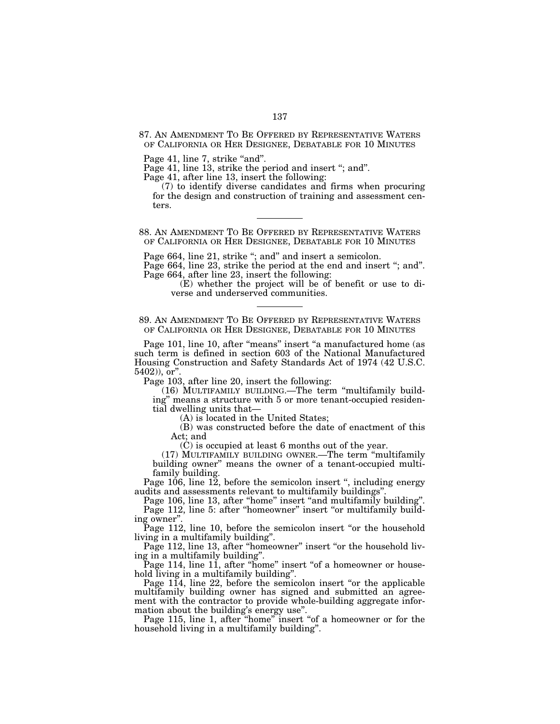87. AN AMENDMENT TO BE OFFERED BY REPRESENTATIVE WATERS OF CALIFORNIA OR HER DESIGNEE, DEBATABLE FOR 10 MINUTES

Page 41, line 7, strike "and".

Page 41, line 13, strike the period and insert ''; and''.

Page 41, after line 13, insert the following:

(7) to identify diverse candidates and firms when procuring for the design and construction of training and assessment centers.

88. AN AMENDMENT TO BE OFFERED BY REPRESENTATIVE WATERS OF CALIFORNIA OR HER DESIGNEE, DEBATABLE FOR 10 MINUTES

Page 664, line 21, strike "; and" and insert a semicolon.

Page 664, line 23, strike the period at the end and insert "; and". Page 664, after line 23, insert the following:

(E) whether the project will be of benefit or use to diverse and underserved communities.

89. AN AMENDMENT TO BE OFFERED BY REPRESENTATIVE WATERS OF CALIFORNIA OR HER DESIGNEE, DEBATABLE FOR 10 MINUTES

Page 101, line 10, after "means" insert "a manufactured home (as such term is defined in section 603 of the National Manufactured Housing Construction and Safety Standards Act of 1974 (42 U.S.C. 5402)), or''.

Page 103, after line 20, insert the following:

(16) MULTIFAMILY BUILDING.—The term ''multifamily building'' means a structure with 5 or more tenant-occupied residential dwelling units that—

(A) is located in the United States;

(B) was constructed before the date of enactment of this Act; and

(C) is occupied at least 6 months out of the year.

(17) MULTIFAMILY BUILDING OWNER.—The term ''multifamily building owner'' means the owner of a tenant-occupied multifamily building.

Page 106, line 12, before the semicolon insert '', including energy audits and assessments relevant to multifamily buildings''.

Page 106, line 13, after ''home'' insert ''and multifamily building''. Page 112, line 5: after "homeowner" insert "or multifamily building owner''.

Page 112, line 10, before the semicolon insert "or the household living in a multifamily building''.

Page 112, line 13, after "homeowner" insert "or the household living in a multifamily building''.

Page 114, line 11, after "home" insert "of a homeowner or household living in a multifamily building''.

Page 114, line 22, before the semicolon insert "or the applicable multifamily building owner has signed and submitted an agreement with the contractor to provide whole-building aggregate information about the building's energy use''.

Page 115, line 1, after ''home'' insert ''of a homeowner or for the household living in a multifamily building''.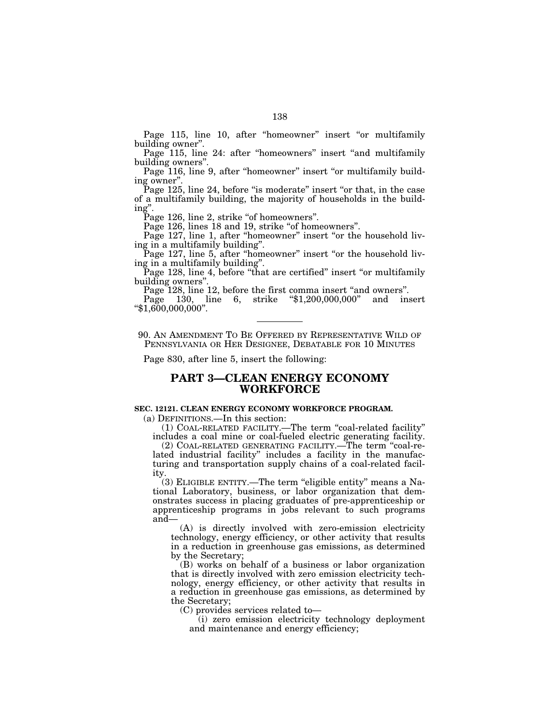Page 115, line 10, after "homeowner" insert "or multifamily building owner''.

Page 115, line 24: after "homeowners" insert "and multifamily building owners''.

Page 116, line 9, after "homeowner" insert "or multifamily building owner''.

Page 125, line 24, before "is moderate" insert "or that, in the case of a multifamily building, the majority of households in the building''.

Page 126, line 2, strike "of homeowners".

Page 126, lines 18 and 19, strike "of homeowners".

Page 127, line 1, after "homeowner" insert "or the household living in a multifamily building''.

Page 127, line 5, after "homeowner" insert "or the household living in a multifamily building''.

Page 128, line 4, before "that are certified" insert "or multifamily building owners''.

Page 128, line 12, before the first comma insert ''and owners''.

Page 130, line 6, strike "\$1,200,000,000" and insert "\$1,600,000,000".

90. AN AMENDMENT TO BE OFFERED BY REPRESENTATIVE WILD OF PENNSYLVANIA OR HER DESIGNEE, DEBATABLE FOR 10 MINUTES

Page 830, after line 5, insert the following:

# **PART 3—CLEAN ENERGY ECONOMY WORKFORCE**

### **SEC. 12121. CLEAN ENERGY ECONOMY WORKFORCE PROGRAM.**

(a) DEFINITIONS.—In this section:

(1) COAL-RELATED FACILITY.—The term ''coal-related facility'' includes a coal mine or coal-fueled electric generating facility.

(2) COAL-RELATED GENERATING FACILITY.—The term ''coal-related industrial facility'' includes a facility in the manufacturing and transportation supply chains of a coal-related facility.

(3) ELIGIBLE ENTITY.—The term ''eligible entity'' means a National Laboratory, business, or labor organization that demonstrates success in placing graduates of pre-apprenticeship or apprenticeship programs in jobs relevant to such programs and—

(A) is directly involved with zero-emission electricity technology, energy efficiency, or other activity that results in a reduction in greenhouse gas emissions, as determined by the Secretary;

(B) works on behalf of a business or labor organization that is directly involved with zero emission electricity technology, energy efficiency, or other activity that results in a reduction in greenhouse gas emissions, as determined by the Secretary;

(C) provides services related to—

(i) zero emission electricity technology deployment and maintenance and energy efficiency;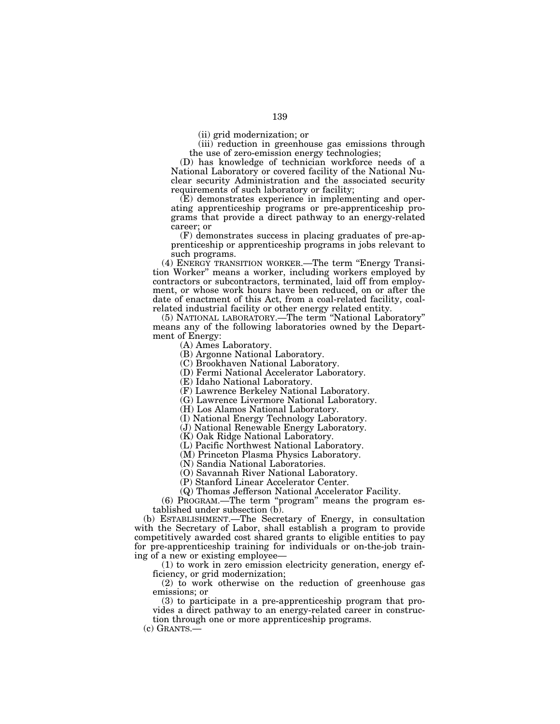(iii) reduction in greenhouse gas emissions through

the use of zero-emission energy technologies;

(D) has knowledge of technician workforce needs of a National Laboratory or covered facility of the National Nuclear security Administration and the associated security requirements of such laboratory or facility;

(E) demonstrates experience in implementing and operating apprenticeship programs or pre-apprenticeship programs that provide a direct pathway to an energy-related career; or

(F) demonstrates success in placing graduates of pre-apprenticeship or apprenticeship programs in jobs relevant to such programs.

(4) ENERGY TRANSITION WORKER.—The term ''Energy Transition Worker'' means a worker, including workers employed by contractors or subcontractors, terminated, laid off from employment, or whose work hours have been reduced, on or after the date of enactment of this Act, from a coal-related facility, coalrelated industrial facility or other energy related entity.

(5) NATIONAL LABORATORY.—The term ''National Laboratory'' means any of the following laboratories owned by the Department of Energy:

(A) Ames Laboratory.

(B) Argonne National Laboratory.

(C) Brookhaven National Laboratory.

(D) Fermi National Accelerator Laboratory.

(E) Idaho National Laboratory.

(F) Lawrence Berkeley National Laboratory.

(G) Lawrence Livermore National Laboratory.

(H) Los Alamos National Laboratory.

(I) National Energy Technology Laboratory.

(J) National Renewable Energy Laboratory.

(K) Oak Ridge National Laboratory.

(L) Pacific Northwest National Laboratory.

(M) Princeton Plasma Physics Laboratory.

(N) Sandia National Laboratories.

(O) Savannah River National Laboratory.

(P) Stanford Linear Accelerator Center.

(Q) Thomas Jefferson National Accelerator Facility.

(6) PROGRAM.—The term "program" means the program established under subsection (b).

(b) ESTABLISHMENT.—The Secretary of Energy, in consultation with the Secretary of Labor, shall establish a program to provide competitively awarded cost shared grants to eligible entities to pay for pre-apprenticeship training for individuals or on-the-job training of a new or existing employee—

(1) to work in zero emission electricity generation, energy efficiency, or grid modernization;

(2) to work otherwise on the reduction of greenhouse gas emissions; or

(3) to participate in a pre-apprenticeship program that provides a direct pathway to an energy-related career in construction through one or more apprenticeship programs.

(c) GRANTS.—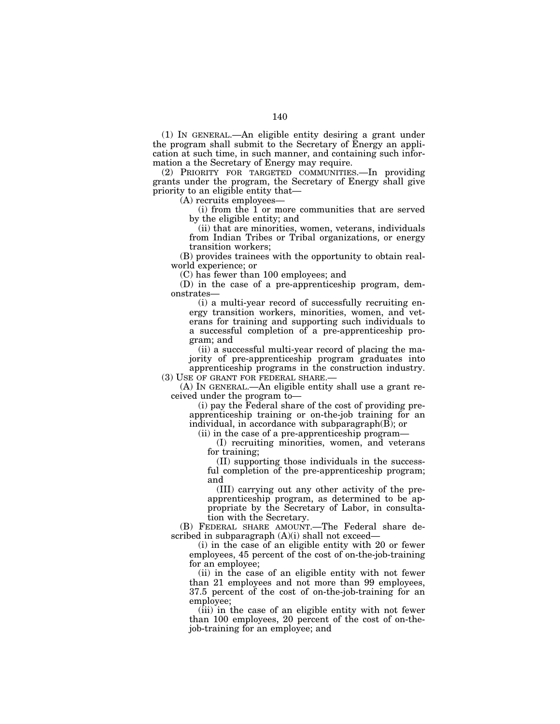(1) IN GENERAL.—An eligible entity desiring a grant under the program shall submit to the Secretary of Energy an application at such time, in such manner, and containing such information a the Secretary of Energy may require.

(2) PRIORITY FOR TARGETED COMMUNITIES.—In providing grants under the program, the Secretary of Energy shall give priority to an eligible entity that—

(A) recruits employees—

(i) from the 1 or more communities that are served by the eligible entity; and

(ii) that are minorities, women, veterans, individuals from Indian Tribes or Tribal organizations, or energy transition workers;

(B) provides trainees with the opportunity to obtain realworld experience; or

(C) has fewer than 100 employees; and

(D) in the case of a pre-apprenticeship program, demonstrates—

(i) a multi-year record of successfully recruiting energy transition workers, minorities, women, and veterans for training and supporting such individuals to a successful completion of a pre-apprenticeship program; and

(ii) a successful multi-year record of placing the majority of pre-apprenticeship program graduates into apprenticeship programs in the construction industry.

(3) USE OF GRANT FOR FEDERAL SHARE.—

(A) IN GENERAL.—An eligible entity shall use a grant received under the program to—

(i) pay the Federal share of the cost of providing preapprenticeship training or on-the-job training for an individual, in accordance with subparagraph(B); or

(ii) in the case of a pre-apprenticeship program—

(I) recruiting minorities, women, and veterans for training;

(II) supporting those individuals in the successful completion of the pre-apprenticeship program; and

(III) carrying out any other activity of the preapprenticeship program, as determined to be appropriate by the Secretary of Labor, in consultation with the Secretary.

(B) FEDERAL SHARE AMOUNT.—The Federal share described in subparagraph (A)(i) shall not exceed—

(i) in the case of an eligible entity with 20 or fewer employees, 45 percent of the cost of on-the-job-training for an employee;

(ii) in the case of an eligible entity with not fewer than 21 employees and not more than 99 employees, 37.5 percent of the cost of on-the-job-training for an employee;

(iii) in the case of an eligible entity with not fewer than 100 employees, 20 percent of the cost of on-thejob-training for an employee; and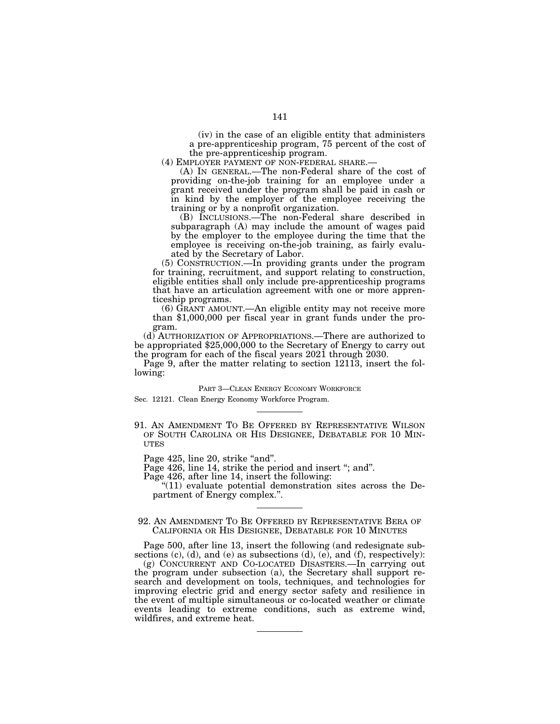(iv) in the case of an eligible entity that administers a pre-apprenticeship program, 75 percent of the cost of the pre-apprenticeship program.<br>(4) EMPLOYER PAYMENT OF NON-FEDERAL SHARE.—

(A) In GENERAL.—The non-Federal share of the cost of providing on-the-job training for an employee under a grant received under the program shall be paid in cash or in kind by the employer of the employee receiving the training or by a nonprofit organization.

(B) INCLUSIONS.—The non-Federal share described in subparagraph (A) may include the amount of wages paid by the employer to the employee during the time that the employee is receiving on-the-job training, as fairly evaluated by the Secretary of Labor.

(5) CONSTRUCTION.—In providing grants under the program for training, recruitment, and support relating to construction, eligible entities shall only include pre-apprenticeship programs that have an articulation agreement with one or more apprenticeship programs.

(6) GRANT AMOUNT.—An eligible entity may not receive more than \$1,000,000 per fiscal year in grant funds under the program.

(d) AUTHORIZATION OF APPROPRIATIONS.—There are authorized to be appropriated \$25,000,000 to the Secretary of Energy to carry out the program for each of the fiscal years 2021 through 2030.

Page 9, after the matter relating to section 12113, insert the following:

#### PART 3—CLEAN ENERGY ECONOMY WORKFORCE

Sec. 12121. Clean Energy Economy Workforce Program.

91. AN AMENDMENT TO BE OFFERED BY REPRESENTATIVE WILSON OF SOUTH CAROLINA OR HIS DESIGNEE, DEBATABLE FOR 10 MIN- **UTES** 

Page 425, line 20, strike "and".

Page 426, line 14, strike the period and insert "; and".

Page 426, after line 14, insert the following:

 $"(11)$  evaluate potential demonstration sites across the Department of Energy complex.''.

## 92. AN AMENDMENT TO BE OFFERED BY REPRESENTATIVE BERA OF CALIFORNIA OR HIS DESIGNEE, DEBATABLE FOR 10 MINUTES

Page 500, after line 13, insert the following (and redesignate subsections  $(c)$ ,  $(d)$ , and  $(e)$  as subsections  $(d)$ ,  $(e)$ , and  $(f)$ , respectively):

(g) CONCURRENT AND CO-LOCATED DISASTERS.—In carrying out the program under subsection (a), the Secretary shall support research and development on tools, techniques, and technologies for improving electric grid and energy sector safety and resilience in the event of multiple simultaneous or co-located weather or climate events leading to extreme conditions, such as extreme wind, wildfires, and extreme heat.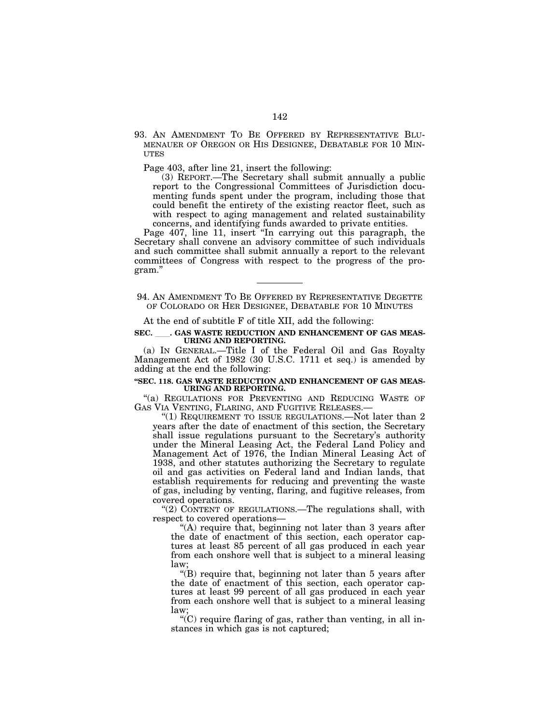93. AN AMENDMENT TO BE OFFERED BY REPRESENTATIVE BLU-MENAUER OF OREGON OR HIS DESIGNEE, DEBATABLE FOR 10 MIN-**ITTES** 

Page 403, after line 21, insert the following:

(3) REPORT.—The Secretary shall submit annually a public report to the Congressional Committees of Jurisdiction documenting funds spent under the program, including those that could benefit the entirety of the existing reactor fleet, such as with respect to aging management and related sustainability concerns, and identifying funds awarded to private entities.

Page 407, line 11, insert "In carrying out this paragraph, the Secretary shall convene an advisory committee of such individuals and such committee shall submit annually a report to the relevant committees of Congress with respect to the progress of the program.''

94. AN AMENDMENT TO BE OFFERED BY REPRESENTATIVE DEGETTE OF COLORADO OR HER DESIGNEE, DEBATABLE FOR 10 MINUTES

At the end of subtitle F of title XII, add the following:

#### SEC. CAS WASTE REDUCTION AND ENHANCEMENT OF GAS MEAS-**URING AND REPORTING.**

(a) IN GENERAL.—Title I of the Federal Oil and Gas Royalty Management Act of 1982 (30 U.S.C. 1711 et seq.) is amended by adding at the end the following:

#### **''SEC. 118. GAS WASTE REDUCTION AND ENHANCEMENT OF GAS MEAS-URING AND REPORTING.**

"(a) REGULATIONS FOR PREVENTING AND REDUCING WASTE OF GAS VIA VENTING, FLARING, AND FUGITIVE RELEASES.—

"(1) REQUIREMENT TO ISSUE REGULATIONS.—Not later than  $2$ years after the date of enactment of this section, the Secretary shall issue regulations pursuant to the Secretary's authority under the Mineral Leasing Act, the Federal Land Policy and Management Act of 1976, the Indian Mineral Leasing Act of 1938, and other statutes authorizing the Secretary to regulate oil and gas activities on Federal land and Indian lands, that establish requirements for reducing and preventing the waste of gas, including by venting, flaring, and fugitive releases, from covered operations.

"(2) CONTENT OF REGULATIONS.—The regulations shall, with respect to covered operations—

''(A) require that, beginning not later than 3 years after the date of enactment of this section, each operator captures at least 85 percent of all gas produced in each year from each onshore well that is subject to a mineral leasing law;

''(B) require that, beginning not later than 5 years after the date of enactment of this section, each operator captures at least 99 percent of all gas produced in each year from each onshore well that is subject to a mineral leasing law;

 $C$ ) require flaring of gas, rather than venting, in all instances in which gas is not captured;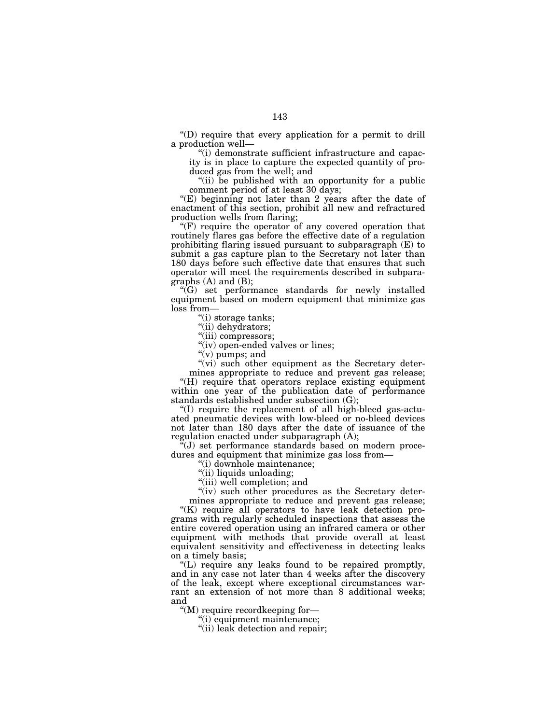''(D) require that every application for a permit to drill a production well—

''(i) demonstrate sufficient infrastructure and capacity is in place to capture the expected quantity of produced gas from the well; and

"(ii) be published with an opportunity for a public comment period of at least 30 days;

"(E) beginning not later than 2 years after the date of enactment of this section, prohibit all new and refractured production wells from flaring;

" $(F)$  require the operator of any covered operation that routinely flares gas before the effective date of a regulation prohibiting flaring issued pursuant to subparagraph (E) to submit a gas capture plan to the Secretary not later than 180 days before such effective date that ensures that such operator will meet the requirements described in subparagraphs (A) and (B);

 $\sqrt[G]{G}$  set performance standards for newly installed equipment based on modern equipment that minimize gas loss from—

''(i) storage tanks;

"(ii) dehydrators;

"(iii) compressors;

"(iv) open-ended valves or lines;

"(v) pumps; and

"(vi) such other equipment as the Secretary determines appropriate to reduce and prevent gas release;

''(H) require that operators replace existing equipment within one year of the publication date of performance standards established under subsection (G);

''(I) require the replacement of all high-bleed gas-actuated pneumatic devices with low-bleed or no-bleed devices not later than 180 days after the date of issuance of the regulation enacted under subparagraph (A);

''(J) set performance standards based on modern procedures and equipment that minimize gas loss from—

''(i) downhole maintenance;

"(ii) liquids unloading;

''(iii) well completion; and

"(iv) such other procedures as the Secretary determines appropriate to reduce and prevent gas release;

"(K) require all operators to have leak detection programs with regularly scheduled inspections that assess the entire covered operation using an infrared camera or other equipment with methods that provide overall at least equivalent sensitivity and effectiveness in detecting leaks on a timely basis;

''(L) require any leaks found to be repaired promptly, and in any case not later than 4 weeks after the discovery of the leak, except where exceptional circumstances warrant an extension of not more than 8 additional weeks; and

''(M) require recordkeeping for—

''(i) equipment maintenance;

"(ii) leak detection and repair;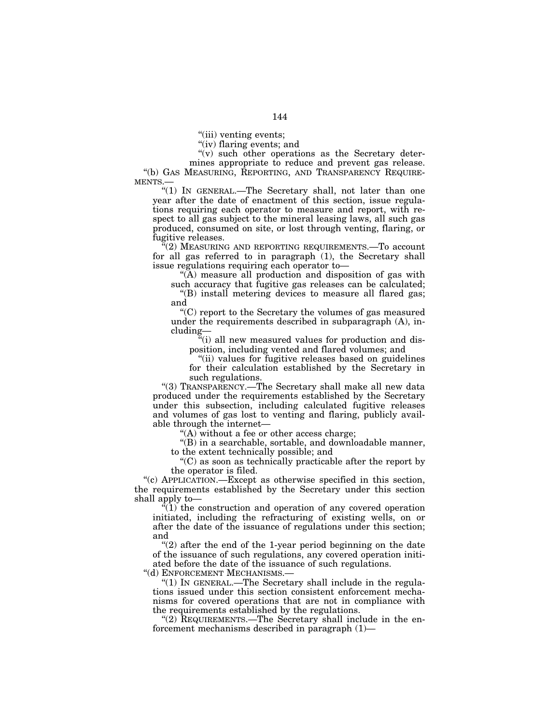''(iii) venting events;

"(iv) flaring events; and

"(v) such other operations as the Secretary determines appropriate to reduce and prevent gas release. ''(b) GAS MEASURING, REPORTING, AND TRANSPARENCY REQUIRE-MENTS.—

"(1) IN GENERAL.—The Secretary shall, not later than one year after the date of enactment of this section, issue regulations requiring each operator to measure and report, with respect to all gas subject to the mineral leasing laws, all such gas produced, consumed on site, or lost through venting, flaring, or fugitive releases.

 $f(2)$  Measuring and reporting requirements.—To account for all gas referred to in paragraph (1), the Secretary shall issue regulations requiring each operator to—

''(A) measure all production and disposition of gas with such accuracy that fugitive gas releases can be calculated;

"(B) install metering devices to measure all flared gas; and

''(C) report to the Secretary the volumes of gas measured under the requirements described in subparagraph (A), including—

''(i) all new measured values for production and disposition, including vented and flared volumes; and

''(ii) values for fugitive releases based on guidelines for their calculation established by the Secretary in such regulations.

''(3) TRANSPARENCY.—The Secretary shall make all new data produced under the requirements established by the Secretary under this subsection, including calculated fugitive releases and volumes of gas lost to venting and flaring, publicly available through the internet—

"(A) without a fee or other access charge;

''(B) in a searchable, sortable, and downloadable manner, to the extent technically possible; and

''(C) as soon as technically practicable after the report by the operator is filed.

''(c) APPLICATION.—Except as otherwise specified in this section, the requirements established by the Secretary under this section shall apply to—

 $\sqrt[4]{(1)}$  the construction and operation of any covered operation initiated, including the refracturing of existing wells, on or after the date of the issuance of regulations under this section; and

" $(2)$  after the end of the 1-year period beginning on the date of the issuance of such regulations, any covered operation initiated before the date of the issuance of such regulations.

''(d) ENFORCEMENT MECHANISMS.—

''(1) IN GENERAL.—The Secretary shall include in the regulations issued under this section consistent enforcement mechanisms for covered operations that are not in compliance with the requirements established by the regulations.

"(2) REQUIREMENTS.—The Secretary shall include in the enforcement mechanisms described in paragraph (1)—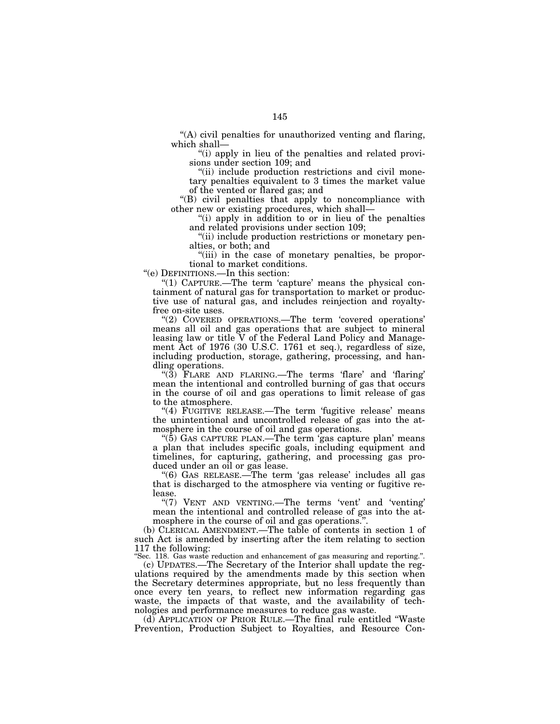''(A) civil penalties for unauthorized venting and flaring, which shall—

''(i) apply in lieu of the penalties and related provisions under section 109; and

"(ii) include production restrictions and civil monetary penalties equivalent to 3 times the market value of the vented or flared gas; and

''(B) civil penalties that apply to noncompliance with other new or existing procedures, which shall—

''(i) apply in addition to or in lieu of the penalties and related provisions under section 109;

''(ii) include production restrictions or monetary penalties, or both; and

"(iii) in the case of monetary penalties, be proportional to market conditions.

''(e) DEFINITIONS.—In this section:

"(1) CAPTURE.—The term 'capture' means the physical containment of natural gas for transportation to market or productive use of natural gas, and includes reinjection and royaltyfree on-site uses.

"(2) COVERED OPERATIONS.—The term 'covered operations' means all oil and gas operations that are subject to mineral leasing law or title V of the Federal Land Policy and Management Act of 1976 (30 U.S.C. 1761 et seq.), regardless of size, including production, storage, gathering, processing, and handling operations.

" $(3)$  FLARE AND FLARING.—The terms 'flare' and 'flaring' mean the intentional and controlled burning of gas that occurs in the course of oil and gas operations to limit release of gas to the atmosphere.

"(4) FUGITIVE RELEASE.—The term 'fugitive release' means the unintentional and uncontrolled release of gas into the atmosphere in the course of oil and gas operations.

''(5) GAS CAPTURE PLAN.—The term 'gas capture plan' means a plan that includes specific goals, including equipment and timelines, for capturing, gathering, and processing gas produced under an oil or gas lease.

''(6) GAS RELEASE.—The term 'gas release' includes all gas that is discharged to the atmosphere via venting or fugitive release.

"(7) VENT AND VENTING.—The terms 'vent' and 'venting' mean the intentional and controlled release of gas into the atmosphere in the course of oil and gas operations.''.

(b) CLERICAL AMENDMENT.—The table of contents in section 1 of such Act is amended by inserting after the item relating to section 117 the following:

''Sec. 118. Gas waste reduction and enhancement of gas measuring and reporting.''.

(c) UPDATES.—The Secretary of the Interior shall update the regulations required by the amendments made by this section when the Secretary determines appropriate, but no less frequently than once every ten years, to reflect new information regarding gas waste, the impacts of that waste, and the availability of technologies and performance measures to reduce gas waste.

(d) APPLICATION OF PRIOR RULE.—The final rule entitled ''Waste Prevention, Production Subject to Royalties, and Resource Con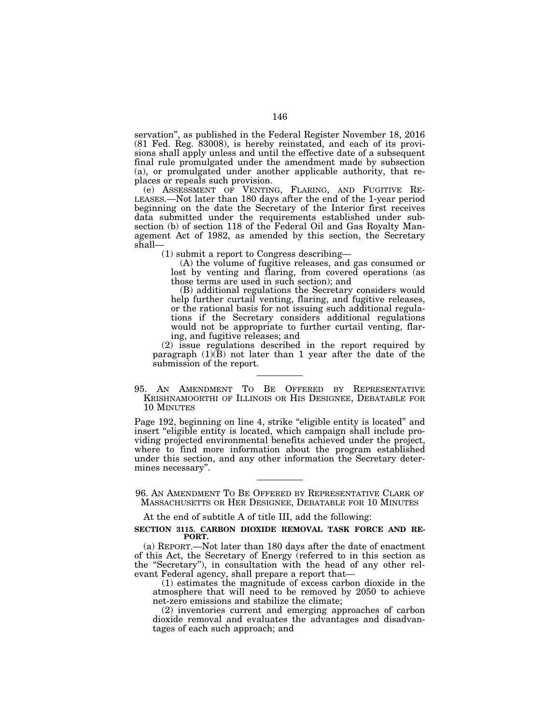servation'', as published in the Federal Register November 18, 2016 (81 Fed. Reg. 83008), is hereby reinstated, and each of its provisions shall apply unless and until the effective date of a subsequent final rule promulgated under the amendment made by subsection (a), or promulgated under another applicable authority, that replaces or repeals such provision.<br>(e) ASSESSMENT OF VENTING, FLARING, AND FUGITIVE RE-

LEASES.—Not later than 180 days after the end of the 1-year period beginning on the date the Secretary of the Interior first receives data submitted under the requirements established under subsection (b) of section 118 of the Federal Oil and Gas Royalty Management Act of 1982, as amended by this section, the Secretary shall—

(1) submit a report to Congress describing—

(A) the volume of fugitive releases, and gas consumed or lost by venting and flaring, from covered operations (as those terms are used in such section); and

(B) additional regulations the Secretary considers would help further curtail venting, flaring, and fugitive releases, or the rational basis for not issuing such additional regulations if the Secretary considers additional regulations would not be appropriate to further curtail venting, flaring, and fugitive releases; and

(2) issue regulations described in the report required by paragraph  $(1)(B)$  not later than 1 year after the date of the submission of the report.

95. AN AMENDMENT TO BE OFFERED BY REPRESENTATIVE KRISHNAMOORTHI OF ILLINOIS OR HIS DESIGNEE, DEBATABLE FOR 10 MINUTES

Page 192, beginning on line 4, strike "eligible entity is located" and insert ''eligible entity is located, which campaign shall include providing projected environmental benefits achieved under the project, where to find more information about the program established under this section, and any other information the Secretary determines necessary''.

96. AN AMENDMENT TO BE OFFERED BY REPRESENTATIVE CLARK OF MASSACHUSETTS OR HER DESIGNEE, DEBATABLE FOR 10 MINUTES

At the end of subtitle A of title III, add the following:

### **SECTION 3115. CARBON DIOXIDE REMOVAL TASK FORCE AND RE-PORT.**

(a) REPORT.—Not later than 180 days after the date of enactment of this Act, the Secretary of Energy (referred to in this section as the "Secretary"), in consultation with the head of any other relevant Federal agency, shall prepare a report that—

(1) estimates the magnitude of excess carbon dioxide in the atmosphere that will need to be removed by 2050 to achieve net-zero emissions and stabilize the climate;

(2) inventories current and emerging approaches of carbon dioxide removal and evaluates the advantages and disadvantages of each such approach; and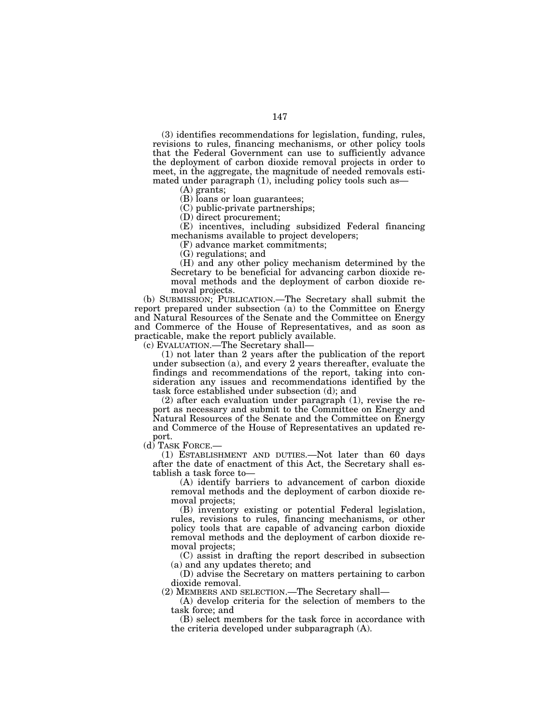(3) identifies recommendations for legislation, funding, rules, revisions to rules, financing mechanisms, or other policy tools that the Federal Government can use to sufficiently advance the deployment of carbon dioxide removal projects in order to meet, in the aggregate, the magnitude of needed removals estimated under paragraph (1), including policy tools such as—

(A) grants;

(B) loans or loan guarantees;

(C) public-private partnerships;

(D) direct procurement;

(E) incentives, including subsidized Federal financing mechanisms available to project developers;

(F) advance market commitments;

(G) regulations; and

(H) and any other policy mechanism determined by the Secretary to be beneficial for advancing carbon dioxide removal methods and the deployment of carbon dioxide removal projects.

(b) SUBMISSION; PUBLICATION.—The Secretary shall submit the report prepared under subsection (a) to the Committee on Energy and Natural Resources of the Senate and the Committee on Energy and Commerce of the House of Representatives, and as soon as practicable, make the report publicly available.

(c) EVALUATION.—The Secretary shall—

(1) not later than 2 years after the publication of the report under subsection (a), and every 2 years thereafter, evaluate the findings and recommendations of the report, taking into consideration any issues and recommendations identified by the task force established under subsection (d); and

(2) after each evaluation under paragraph (1), revise the report as necessary and submit to the Committee on Energy and Natural Resources of the Senate and the Committee on Energy and Commerce of the House of Representatives an updated re-

port.<br>(d) TASK FORCE.—

 $(1)$  ESTABLISHMENT AND DUTIES.—Not later than 60 days after the date of enactment of this Act, the Secretary shall establish a task force to—

(A) identify barriers to advancement of carbon dioxide removal methods and the deployment of carbon dioxide removal projects;

(B) inventory existing or potential Federal legislation, rules, revisions to rules, financing mechanisms, or other policy tools that are capable of advancing carbon dioxide removal methods and the deployment of carbon dioxide removal projects;

(C) assist in drafting the report described in subsection (a) and any updates thereto; and

(D) advise the Secretary on matters pertaining to carbon dioxide removal.

(2) MEMBERS AND SELECTION.—The Secretary shall—

(A) develop criteria for the selection of members to the task force; and

(B) select members for the task force in accordance with the criteria developed under subparagraph (A).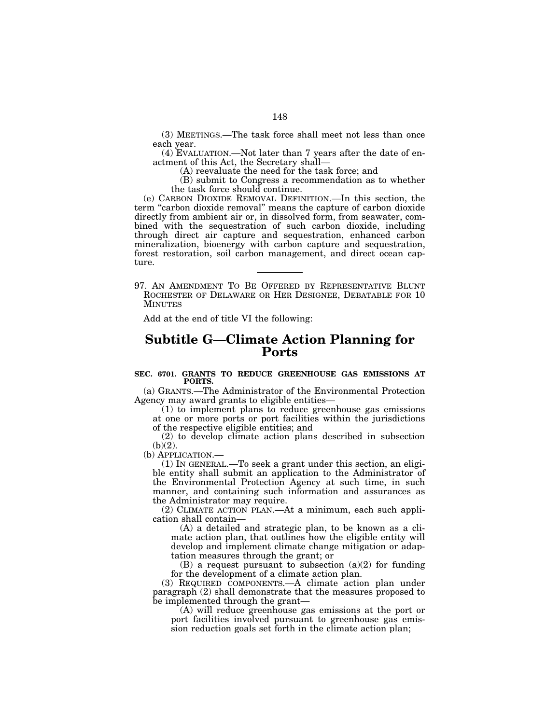(3) MEETINGS.—The task force shall meet not less than once each year.

(4) EVALUATION.—Not later than 7 years after the date of enactment of this Act, the Secretary shall—

(A) reevaluate the need for the task force; and

(B) submit to Congress a recommendation as to whether the task force should continue.

(e) CARBON DIOXIDE REMOVAL DEFINITION.—In this section, the term "carbon dioxide removal" means the capture of carbon dioxide directly from ambient air or, in dissolved form, from seawater, combined with the sequestration of such carbon dioxide, including through direct air capture and sequestration, enhanced carbon mineralization, bioenergy with carbon capture and sequestration, forest restoration, soil carbon management, and direct ocean capture.

97. AN AMENDMENT TO BE OFFERED BY REPRESENTATIVE BLUNT ROCHESTER OF DELAWARE OR HER DESIGNEE, DEBATABLE FOR 10 MINUTES

Add at the end of title VI the following:

# **Subtitle G—Climate Action Planning for Ports**

### **SEC. 6701. GRANTS TO REDUCE GREENHOUSE GAS EMISSIONS AT PORTS.**

(a) GRANTS.—The Administrator of the Environmental Protection Agency may award grants to eligible entities—

(1) to implement plans to reduce greenhouse gas emissions at one or more ports or port facilities within the jurisdictions of the respective eligible entities; and

(2) to develop climate action plans described in subsection  $(b)(2)$ .

(b) APPLICATION.—<br>(1) IN GENERAL.—To seek a grant under this section, an eligible entity shall submit an application to the Administrator of the Environmental Protection Agency at such time, in such manner, and containing such information and assurances as the Administrator may require.

(2) CLIMATE ACTION PLAN.—At a minimum, each such application shall contain—

(A) a detailed and strategic plan, to be known as a climate action plan, that outlines how the eligible entity will develop and implement climate change mitigation or adaptation measures through the grant; or

(B) a request pursuant to subsection  $(a)(2)$  for funding for the development of a climate action plan.

(3) REQUIRED COMPONENTS.—A climate action plan under paragraph (2) shall demonstrate that the measures proposed to be implemented through the grant—

(A) will reduce greenhouse gas emissions at the port or port facilities involved pursuant to greenhouse gas emission reduction goals set forth in the climate action plan;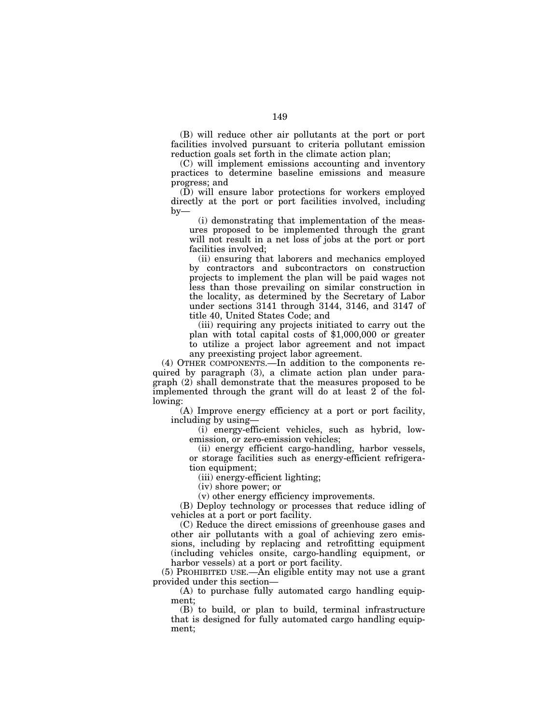(B) will reduce other air pollutants at the port or port facilities involved pursuant to criteria pollutant emission reduction goals set forth in the climate action plan;

(C) will implement emissions accounting and inventory practices to determine baseline emissions and measure progress; and

(D) will ensure labor protections for workers employed directly at the port or port facilities involved, including  $by-$ 

(i) demonstrating that implementation of the measures proposed to be implemented through the grant will not result in a net loss of jobs at the port or port facilities involved;

(ii) ensuring that laborers and mechanics employed by contractors and subcontractors on construction projects to implement the plan will be paid wages not less than those prevailing on similar construction in the locality, as determined by the Secretary of Labor under sections 3141 through 3144, 3146, and 3147 of title 40, United States Code; and

(iii) requiring any projects initiated to carry out the plan with total capital costs of \$1,000,000 or greater to utilize a project labor agreement and not impact any preexisting project labor agreement.

(4) OTHER COMPONENTS.—In addition to the components required by paragraph (3), a climate action plan under paragraph (2) shall demonstrate that the measures proposed to be implemented through the grant will do at least 2 of the following:

(A) Improve energy efficiency at a port or port facility, including by using—

(i) energy-efficient vehicles, such as hybrid, lowemission, or zero-emission vehicles;

(ii) energy efficient cargo-handling, harbor vessels, or storage facilities such as energy-efficient refrigeration equipment;

(iii) energy-efficient lighting;

(iv) shore power; or

(v) other energy efficiency improvements.

(B) Deploy technology or processes that reduce idling of vehicles at a port or port facility.

(C) Reduce the direct emissions of greenhouse gases and other air pollutants with a goal of achieving zero emissions, including by replacing and retrofitting equipment (including vehicles onsite, cargo-handling equipment, or harbor vessels) at a port or port facility.

(5) PROHIBITED USE.—An eligible entity may not use a grant provided under this section—

(A) to purchase fully automated cargo handling equipment;

(B) to build, or plan to build, terminal infrastructure that is designed for fully automated cargo handling equipment;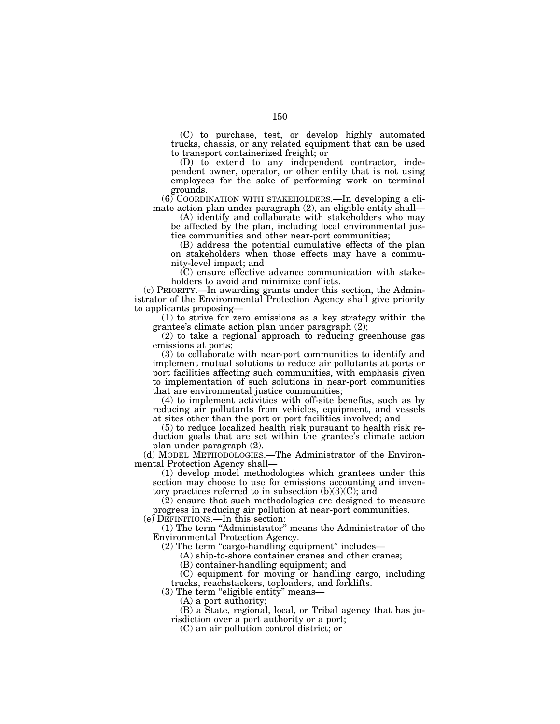(C) to purchase, test, or develop highly automated trucks, chassis, or any related equipment that can be used to transport containerized freight; or

(D) to extend to any independent contractor, independent owner, operator, or other entity that is not using employees for the sake of performing work on terminal grounds.

(6) COORDINATION WITH STAKEHOLDERS.—In developing a climate action plan under paragraph (2), an eligible entity shall—

(A) identify and collaborate with stakeholders who may be affected by the plan, including local environmental justice communities and other near-port communities;

(B) address the potential cumulative effects of the plan on stakeholders when those effects may have a community-level impact; and

(C) ensure effective advance communication with stakeholders to avoid and minimize conflicts.

(c) PRIORITY.—In awarding grants under this section, the Administrator of the Environmental Protection Agency shall give priority to applicants proposing—

(1) to strive for zero emissions as a key strategy within the grantee's climate action plan under paragraph (2);

(2) to take a regional approach to reducing greenhouse gas emissions at ports;

(3) to collaborate with near-port communities to identify and implement mutual solutions to reduce air pollutants at ports or port facilities affecting such communities, with emphasis given to implementation of such solutions in near-port communities that are environmental justice communities;

(4) to implement activities with off-site benefits, such as by reducing air pollutants from vehicles, equipment, and vessels at sites other than the port or port facilities involved; and

(5) to reduce localized health risk pursuant to health risk reduction goals that are set within the grantee's climate action plan under paragraph (2).

(d) MODEL METHODOLOGIES.—The Administrator of the Environmental Protection Agency shall—

(1) develop model methodologies which grantees under this section may choose to use for emissions accounting and inventory practices referred to in subsection  $(b)(3)(C)$ ; and

(2) ensure that such methodologies are designed to measure progress in reducing air pollution at near-port communities. (e) DEFINITIONS.—In this section:

(1) The term ''Administrator'' means the Administrator of the Environmental Protection Agency.

 $(2)$  The term "cargo-handling equipment" includes—

(A) ship-to-shore container cranes and other cranes;

(B) container-handling equipment; and

(C) equipment for moving or handling cargo, including trucks, reachstackers, toploaders, and forklifts.

(3) The term "eligible entity" means-

(A) a port authority;

(B) a State, regional, local, or Tribal agency that has jurisdiction over a port authority or a port;

(C) an air pollution control district; or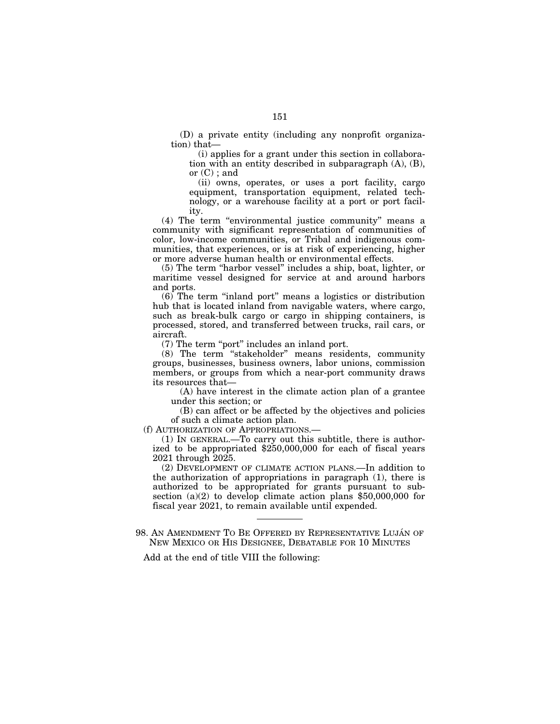(D) a private entity (including any nonprofit organization) that—

(i) applies for a grant under this section in collaboration with an entity described in subparagraph (A), (B), or  $(C)$ ; and

(ii) owns, operates, or uses a port facility, cargo equipment, transportation equipment, related technology, or a warehouse facility at a port or port facility.

(4) The term ''environmental justice community'' means a community with significant representation of communities of color, low-income communities, or Tribal and indigenous communities, that experiences, or is at risk of experiencing, higher or more adverse human health or environmental effects.

(5) The term ''harbor vessel'' includes a ship, boat, lighter, or maritime vessel designed for service at and around harbors and ports.

 $(6)$  The term "inland port" means a logistics or distribution hub that is located inland from navigable waters, where cargo, such as break-bulk cargo or cargo in shipping containers, is processed, stored, and transferred between trucks, rail cars, or aircraft.

(7) The term ''port'' includes an inland port.

(8) The term ''stakeholder'' means residents, community groups, businesses, business owners, labor unions, commission members, or groups from which a near-port community draws its resources that—

(A) have interest in the climate action plan of a grantee under this section; or

(B) can affect or be affected by the objectives and policies of such a climate action plan.

(f) AUTHORIZATION OF APPROPRIATIONS.—

(1) IN GENERAL.—To carry out this subtitle, there is authorized to be appropriated \$250,000,000 for each of fiscal years 2021 through 2025.

(2) DEVELOPMENT OF CLIMATE ACTION PLANS.—In addition to the authorization of appropriations in paragraph (1), there is authorized to be appropriated for grants pursuant to subsection (a)(2) to develop climate action plans \$50,000,000 for fiscal year 2021, to remain available until expended.

98. AN AMENDMENT TO BE OFFERED BY REPRESENTATIVE LUJÁN OF NEW MEXICO OR HIS DESIGNEE, DEBATABLE FOR 10 MINUTES

Add at the end of title VIII the following: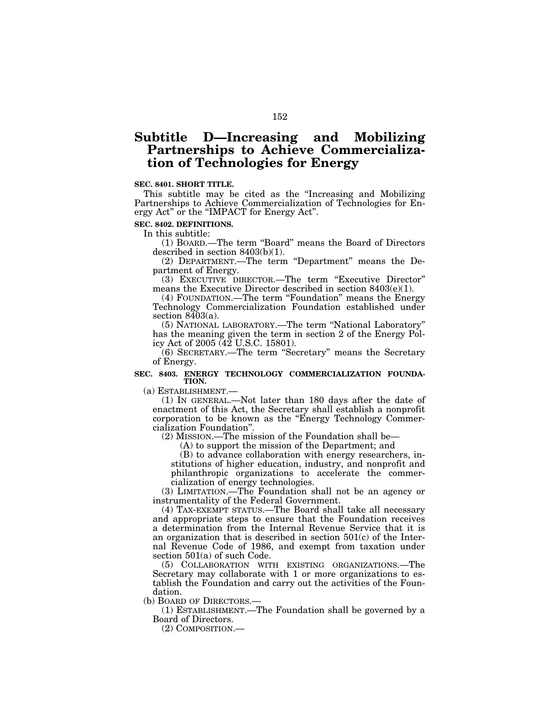# **Subtitle D—Increasing and Mobilizing Partnerships to Achieve Commercialization of Technologies for Energy**

## **SEC. 8401. SHORT TITLE.**

This subtitle may be cited as the ''Increasing and Mobilizing Partnerships to Achieve Commercialization of Technologies for Energy Act'' or the ''IMPACT for Energy Act''.

**SEC. 8402. DEFINITIONS.** 

In this subtitle:

(1) BOARD.—The term ''Board'' means the Board of Directors described in section 8403(b)(1).

(2) DEPARTMENT.—The term ''Department'' means the Department of Energy.

(3) EXECUTIVE DIRECTOR.—The term ''Executive Director'' means the Executive Director described in section 8403(e)(1).

(4) FOUNDATION.—The term ''Foundation'' means the Energy Technology Commercialization Foundation established under section  $8403(a)$ .

(5) NATIONAL LABORATORY.—The term ''National Laboratory'' has the meaning given the term in section 2 of the Energy Policy Act of 2005 (42 U.S.C. 15801).

(6) SECRETARY.—The term ''Secretary'' means the Secretary of Energy.

### **SEC. 8403. ENERGY TECHNOLOGY COMMERCIALIZATION FOUNDA-TION.**

(a) ESTABLISHMENT.— (1) IN GENERAL.—Not later than 180 days after the date of enactment of this Act, the Secretary shall establish a nonprofit corporation to be known as the ''Energy Technology Commercialization Foundation''.

(2) MISSION.—The mission of the Foundation shall be—

(A) to support the mission of the Department; and

(B) to advance collaboration with energy researchers, institutions of higher education, industry, and nonprofit and philanthropic organizations to accelerate the commercialization of energy technologies.

(3) LIMITATION.—The Foundation shall not be an agency or instrumentality of the Federal Government.

(4) TAX-EXEMPT STATUS.—The Board shall take all necessary and appropriate steps to ensure that the Foundation receives a determination from the Internal Revenue Service that it is an organization that is described in section 501(c) of the Internal Revenue Code of 1986, and exempt from taxation under section 501(a) of such Code.

(5) COLLABORATION WITH EXISTING ORGANIZATIONS.—The Secretary may collaborate with 1 or more organizations to establish the Foundation and carry out the activities of the Foundation.

(b) BOARD OF DIRECTORS.—

(1) ESTABLISHMENT.—The Foundation shall be governed by a Board of Directors.

(2) COMPOSITION.—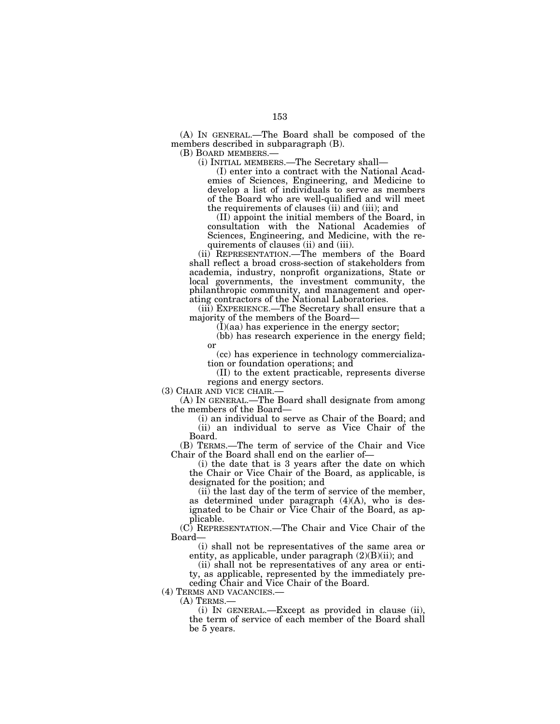(A) IN GENERAL.—The Board shall be composed of the members described in subparagraph (B).

(B) BOARD MEMBERS.— (i) INITIAL MEMBERS.—The Secretary shall—

(I) enter into a contract with the National Academies of Sciences, Engineering, and Medicine to develop a list of individuals to serve as members of the Board who are well-qualified and will meet the requirements of clauses (ii) and (iii); and

(II) appoint the initial members of the Board, in consultation with the National Academies of Sciences, Engineering, and Medicine, with the requirements of clauses (ii) and (iii).

(ii) REPRESENTATION.—The members of the Board shall reflect a broad cross-section of stakeholders from academia, industry, nonprofit organizations, State or local governments, the investment community, the philanthropic community, and management and operating contractors of the National Laboratories.

(iii) EXPERIENCE.—The Secretary shall ensure that a majority of the members of the Board—

 $(I)(aa)$  has experience in the energy sector;

(bb) has research experience in the energy field; or

(cc) has experience in technology commercializa-

tion or foundation operations; and

(II) to the extent practicable, represents diverse regions and energy sectors.

(3) CHAIR AND VICE CHAIR.—

(A) IN GENERAL.—The Board shall designate from among the members of the Board—

(i) an individual to serve as Chair of the Board; and (ii) an individual to serve as Vice Chair of the Board.

(B) TERMS.—The term of service of the Chair and Vice Chair of the Board shall end on the earlier of—

(i) the date that is 3 years after the date on which the Chair or Vice Chair of the Board, as applicable, is designated for the position; and

(ii) the last day of the term of service of the member, as determined under paragraph (4)(A), who is designated to be Chair or Vice Chair of the Board, as applicable.

(C) REPRESENTATION.—The Chair and Vice Chair of the Board—

(i) shall not be representatives of the same area or entity, as applicable, under paragraph  $(2)(B)(ii)$ ; and

(ii) shall not be representatives of any area or entity, as applicable, represented by the immediately preceding Chair and Vice Chair of the Board.<br>(4) TERMS AND VACANCIES.—

(A) TERMS.—<br>(i) IN GENERAL.—Except as provided in clause (ii), the term of service of each member of the Board shall be 5 years.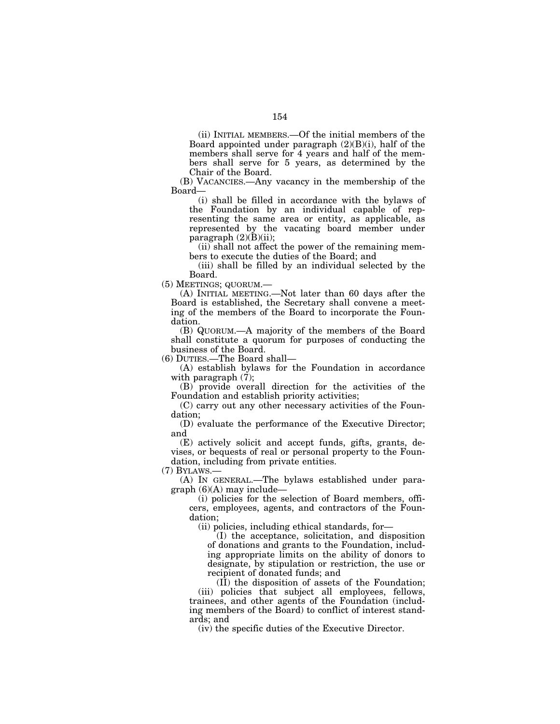(ii) INITIAL MEMBERS.—Of the initial members of the Board appointed under paragraph  $(2)(B)(i)$ , half of the members shall serve for 4 years and half of the members shall serve for 5 years, as determined by the Chair of the Board.

(B) VACANCIES.—Any vacancy in the membership of the Board—

(i) shall be filled in accordance with the bylaws of the Foundation by an individual capable of representing the same area or entity, as applicable, as represented by the vacating board member under paragraph  $(2)(B)(ii)$ ;

(ii) shall not affect the power of the remaining members to execute the duties of the Board; and

(iii) shall be filled by an individual selected by the Board.

(5) MEETINGS; QUORUM.—

(A) INITIAL MEETING.—Not later than 60 days after the Board is established, the Secretary shall convene a meeting of the members of the Board to incorporate the Foundation.

(B) QUORUM.—A majority of the members of the Board shall constitute a quorum for purposes of conducting the business of the Board.

(6) DUTIES.—The Board shall—

(A) establish bylaws for the Foundation in accordance with paragraph (7);

(B) provide overall direction for the activities of the Foundation and establish priority activities;

(C) carry out any other necessary activities of the Foundation;

(D) evaluate the performance of the Executive Director; and

(E) actively solicit and accept funds, gifts, grants, devises, or bequests of real or personal property to the Foundation, including from private entities.

(7) BYLAWS.—

(A) IN GENERAL.—The bylaws established under para $graph (6)$ (A) may include-

(i) policies for the selection of Board members, officers, employees, agents, and contractors of the Foundation;

(ii) policies, including ethical standards, for—

(I) the acceptance, solicitation, and disposition of donations and grants to the Foundation, including appropriate limits on the ability of donors to designate, by stipulation or restriction, the use or recipient of donated funds; and

(II) the disposition of assets of the Foundation;

(iii) policies that subject all employees, fellows, trainees, and other agents of the Foundation (including members of the Board) to conflict of interest standards; and

(iv) the specific duties of the Executive Director.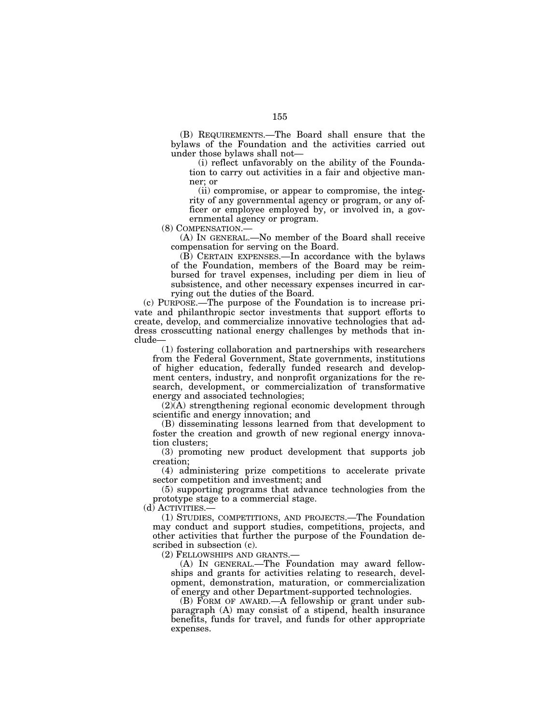(B) REQUIREMENTS.—The Board shall ensure that the bylaws of the Foundation and the activities carried out under those bylaws shall not—

(i) reflect unfavorably on the ability of the Foundation to carry out activities in a fair and objective manner; or

(ii) compromise, or appear to compromise, the integrity of any governmental agency or program, or any officer or employee employed by, or involved in, a governmental agency or program.

(8) COMPENSATION.—

(A) IN GENERAL.—No member of the Board shall receive compensation for serving on the Board.

(B) CERTAIN EXPENSES.—In accordance with the bylaws of the Foundation, members of the Board may be reimbursed for travel expenses, including per diem in lieu of subsistence, and other necessary expenses incurred in carrying out the duties of the Board.

(c) PURPOSE.—The purpose of the Foundation is to increase private and philanthropic sector investments that support efforts to create, develop, and commercialize innovative technologies that address crosscutting national energy challenges by methods that include—

(1) fostering collaboration and partnerships with researchers from the Federal Government, State governments, institutions of higher education, federally funded research and development centers, industry, and nonprofit organizations for the research, development, or commercialization of transformative energy and associated technologies;

(2)(A) strengthening regional economic development through scientific and energy innovation; and

(B) disseminating lessons learned from that development to foster the creation and growth of new regional energy innovation clusters;

(3) promoting new product development that supports job creation;

(4) administering prize competitions to accelerate private sector competition and investment; and

(5) supporting programs that advance technologies from the prototype stage to a commercial stage.

(d) ACTIVITIES.—

(1) STUDIES, COMPETITIONS, AND PROJECTS.—The Foundation may conduct and support studies, competitions, projects, and other activities that further the purpose of the Foundation described in subsection (c).

(2) FELLOWSHIPS AND GRANTS.—

(A) IN GENERAL.—The Foundation may award fellowships and grants for activities relating to research, development, demonstration, maturation, or commercialization of energy and other Department-supported technologies.

(B) FORM OF AWARD.—A fellowship or grant under subparagraph (A) may consist of a stipend, health insurance benefits, funds for travel, and funds for other appropriate expenses.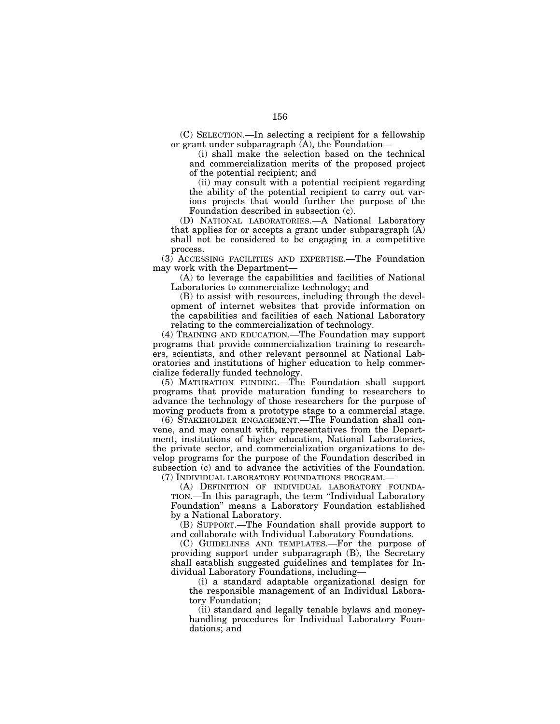(C) SELECTION.—In selecting a recipient for a fellowship or grant under subparagraph  $(A)$ , the Foundation-

(i) shall make the selection based on the technical and commercialization merits of the proposed project of the potential recipient; and

(ii) may consult with a potential recipient regarding the ability of the potential recipient to carry out various projects that would further the purpose of the Foundation described in subsection (c).

(D) NATIONAL LABORATORIES.—A National Laboratory that applies for or accepts a grant under subparagraph (A) shall not be considered to be engaging in a competitive process.

(3) ACCESSING FACILITIES AND EXPERTISE.—The Foundation may work with the Department—

(A) to leverage the capabilities and facilities of National Laboratories to commercialize technology; and

(B) to assist with resources, including through the development of internet websites that provide information on the capabilities and facilities of each National Laboratory relating to the commercialization of technology.

(4) TRAINING AND EDUCATION.—The Foundation may support programs that provide commercialization training to researchers, scientists, and other relevant personnel at National Laboratories and institutions of higher education to help commercialize federally funded technology.

(5) MATURATION FUNDING.—The Foundation shall support programs that provide maturation funding to researchers to advance the technology of those researchers for the purpose of moving products from a prototype stage to a commercial stage.

(6) STAKEHOLDER ENGAGEMENT.—The Foundation shall convene, and may consult with, representatives from the Department, institutions of higher education, National Laboratories, the private sector, and commercialization organizations to develop programs for the purpose of the Foundation described in subsection (c) and to advance the activities of the Foundation. (7) INDIVIDUAL LABORATORY FOUNDATIONS PROGRAM.—

(A) DEFINITION OF INDIVIDUAL LABORATORY FOUNDA-TION.—In this paragraph, the term ''Individual Laboratory Foundation'' means a Laboratory Foundation established by a National Laboratory.

(B) SUPPORT.—The Foundation shall provide support to and collaborate with Individual Laboratory Foundations.

(C) GUIDELINES AND TEMPLATES.—For the purpose of providing support under subparagraph (B), the Secretary shall establish suggested guidelines and templates for Individual Laboratory Foundations, including—

(i) a standard adaptable organizational design for the responsible management of an Individual Laboratory Foundation;

(ii) standard and legally tenable bylaws and moneyhandling procedures for Individual Laboratory Foundations; and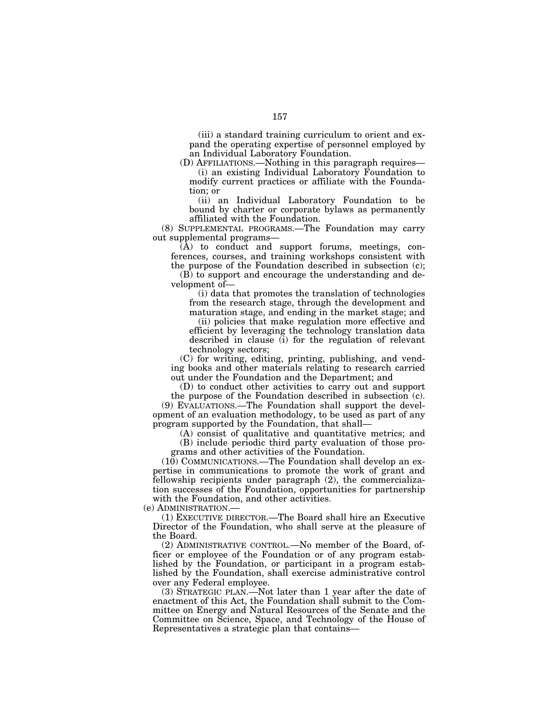(iii) a standard training curriculum to orient and expand the operating expertise of personnel employed by an Individual Laboratory Foundation.

(D) AFFILIATIONS.—Nothing in this paragraph requires— (i) an existing Individual Laboratory Foundation to modify current practices or affiliate with the Foundation; or

(ii) an Individual Laboratory Foundation to be bound by charter or corporate bylaws as permanently affiliated with the Foundation.

(8) SUPPLEMENTAL PROGRAMS.—The Foundation may carry out supplemental programs—

 $(A)$  to conduct and support forums, meetings, conferences, courses, and training workshops consistent with the purpose of the Foundation described in subsection (c); (B) to support and encourage the understanding and de-

velopment of—

(i) data that promotes the translation of technologies from the research stage, through the development and maturation stage, and ending in the market stage; and

(ii) policies that make regulation more effective and efficient by leveraging the technology translation data described in clause (i) for the regulation of relevant technology sectors;

(C) for writing, editing, printing, publishing, and vending books and other materials relating to research carried out under the Foundation and the Department; and

(D) to conduct other activities to carry out and support the purpose of the Foundation described in subsection (c).

(9) EVALUATIONS.—The Foundation shall support the development of an evaluation methodology, to be used as part of any program supported by the Foundation, that shall—

(A) consist of qualitative and quantitative metrics; and (B) include periodic third party evaluation of those pro-

grams and other activities of the Foundation.

(10) COMMUNICATIONS.—The Foundation shall develop an expertise in communications to promote the work of grant and fellowship recipients under paragraph (2), the commercialization successes of the Foundation, opportunities for partnership with the Foundation, and other activities.

(e) ADMINISTRATION.—

(1) EXECUTIVE DIRECTOR.—The Board shall hire an Executive Director of the Foundation, who shall serve at the pleasure of the Board.

(2) ADMINISTRATIVE CONTROL.—No member of the Board, officer or employee of the Foundation or of any program established by the Foundation, or participant in a program established by the Foundation, shall exercise administrative control over any Federal employee.

(3) STRATEGIC PLAN.—Not later than 1 year after the date of enactment of this Act, the Foundation shall submit to the Committee on Energy and Natural Resources of the Senate and the Committee on Science, Space, and Technology of the House of Representatives a strategic plan that contains—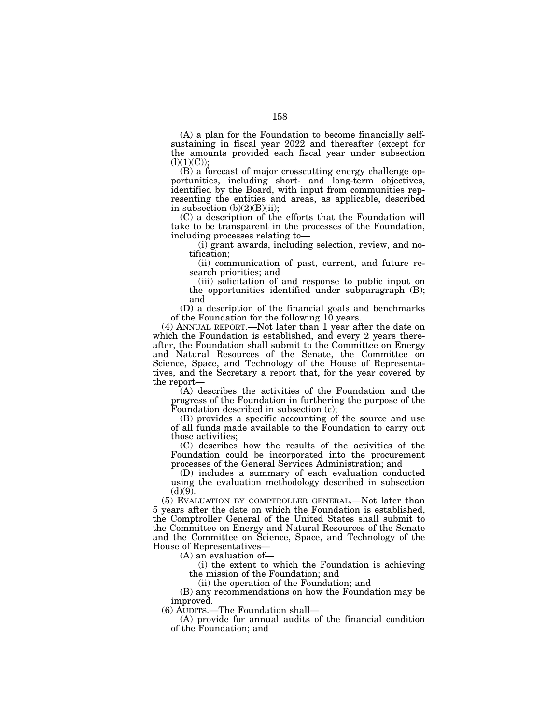(A) a plan for the Foundation to become financially selfsustaining in fiscal year 2022 and thereafter (except for the amounts provided each fiscal year under subsection  $(l)(1)(C)$ ;

(B) a forecast of major crosscutting energy challenge opportunities, including short- and long-term objectives, identified by the Board, with input from communities representing the entities and areas, as applicable, described in subsection  $(b)(2)(B)(ii)$ ;

(C) a description of the efforts that the Foundation will take to be transparent in the processes of the Foundation, including processes relating to—

(i) grant awards, including selection, review, and notification;

(ii) communication of past, current, and future research priorities; and

(iii) solicitation of and response to public input on the opportunities identified under subparagraph (B); and

(D) a description of the financial goals and benchmarks of the Foundation for the following 10 years.

(4) ANNUAL REPORT.—Not later than 1 year after the date on which the Foundation is established, and every 2 years thereafter, the Foundation shall submit to the Committee on Energy and Natural Resources of the Senate, the Committee on Science, Space, and Technology of the House of Representatives, and the Secretary a report that, for the year covered by the report—

(A) describes the activities of the Foundation and the progress of the Foundation in furthering the purpose of the Foundation described in subsection (c);

(B) provides a specific accounting of the source and use of all funds made available to the Foundation to carry out those activities;

(C) describes how the results of the activities of the Foundation could be incorporated into the procurement processes of the General Services Administration; and

(D) includes a summary of each evaluation conducted using the evaluation methodology described in subsection  $(d)(9)$ .

(5) EVALUATION BY COMPTROLLER GENERAL.—Not later than 5 years after the date on which the Foundation is established, the Comptroller General of the United States shall submit to the Committee on Energy and Natural Resources of the Senate and the Committee on Science, Space, and Technology of the House of Representatives—

(A) an evaluation of—

(i) the extent to which the Foundation is achieving the mission of the Foundation; and

(ii) the operation of the Foundation; and

(B) any recommendations on how the Foundation may be improved.

(6) AUDITS.—The Foundation shall—

(A) provide for annual audits of the financial condition of the Foundation; and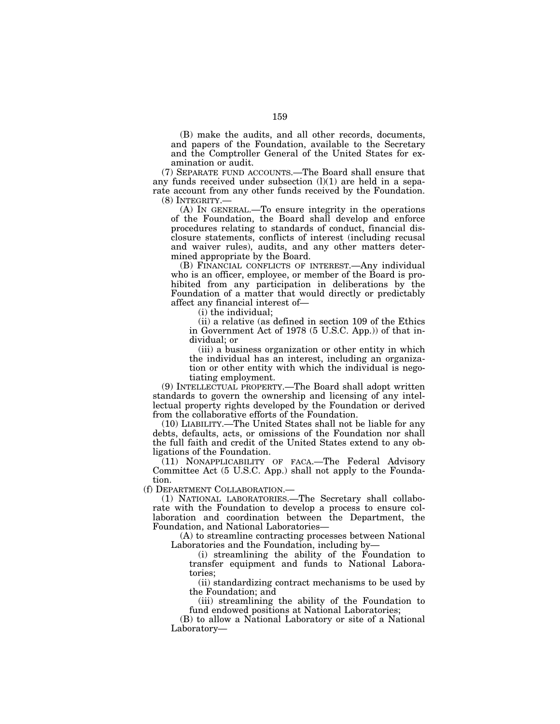(B) make the audits, and all other records, documents, and papers of the Foundation, available to the Secretary and the Comptroller General of the United States for examination or audit.

(7) SEPARATE FUND ACCOUNTS.—The Board shall ensure that any funds received under subsection  $(l)(1)$  are held in a separate account from any other funds received by the Foundation. (8) INTEGRITY.—

(A) IN GENERAL.—To ensure integrity in the operations of the Foundation, the Board shall develop and enforce procedures relating to standards of conduct, financial disclosure statements, conflicts of interest (including recusal and waiver rules), audits, and any other matters determined appropriate by the Board.

(B) FINANCIAL CONFLICTS OF INTEREST.—Any individual who is an officer, employee, or member of the Board is prohibited from any participation in deliberations by the Foundation of a matter that would directly or predictably affect any financial interest of—

(i) the individual;

(ii) a relative (as defined in section 109 of the Ethics in Government Act of 1978 (5 U.S.C. App.)) of that individual; or

(iii) a business organization or other entity in which the individual has an interest, including an organization or other entity with which the individual is negotiating employment.

(9) INTELLECTUAL PROPERTY.—The Board shall adopt written standards to govern the ownership and licensing of any intellectual property rights developed by the Foundation or derived from the collaborative efforts of the Foundation.

(10) LIABILITY.—The United States shall not be liable for any debts, defaults, acts, or omissions of the Foundation nor shall the full faith and credit of the United States extend to any obligations of the Foundation.

(11) NONAPPLICABILITY OF FACA.—The Federal Advisory Committee Act (5 U.S.C. App.) shall not apply to the Foundation.

(f) DEPARTMENT COLLABORATION.—

(1) NATIONAL LABORATORIES.—The Secretary shall collaborate with the Foundation to develop a process to ensure collaboration and coordination between the Department, the Foundation, and National Laboratories—

(A) to streamline contracting processes between National Laboratories and the Foundation, including by—

(i) streamlining the ability of the Foundation to transfer equipment and funds to National Laboratories;

(ii) standardizing contract mechanisms to be used by the Foundation; and

(iii) streamlining the ability of the Foundation to fund endowed positions at National Laboratories;

(B) to allow a National Laboratory or site of a National Laboratory—